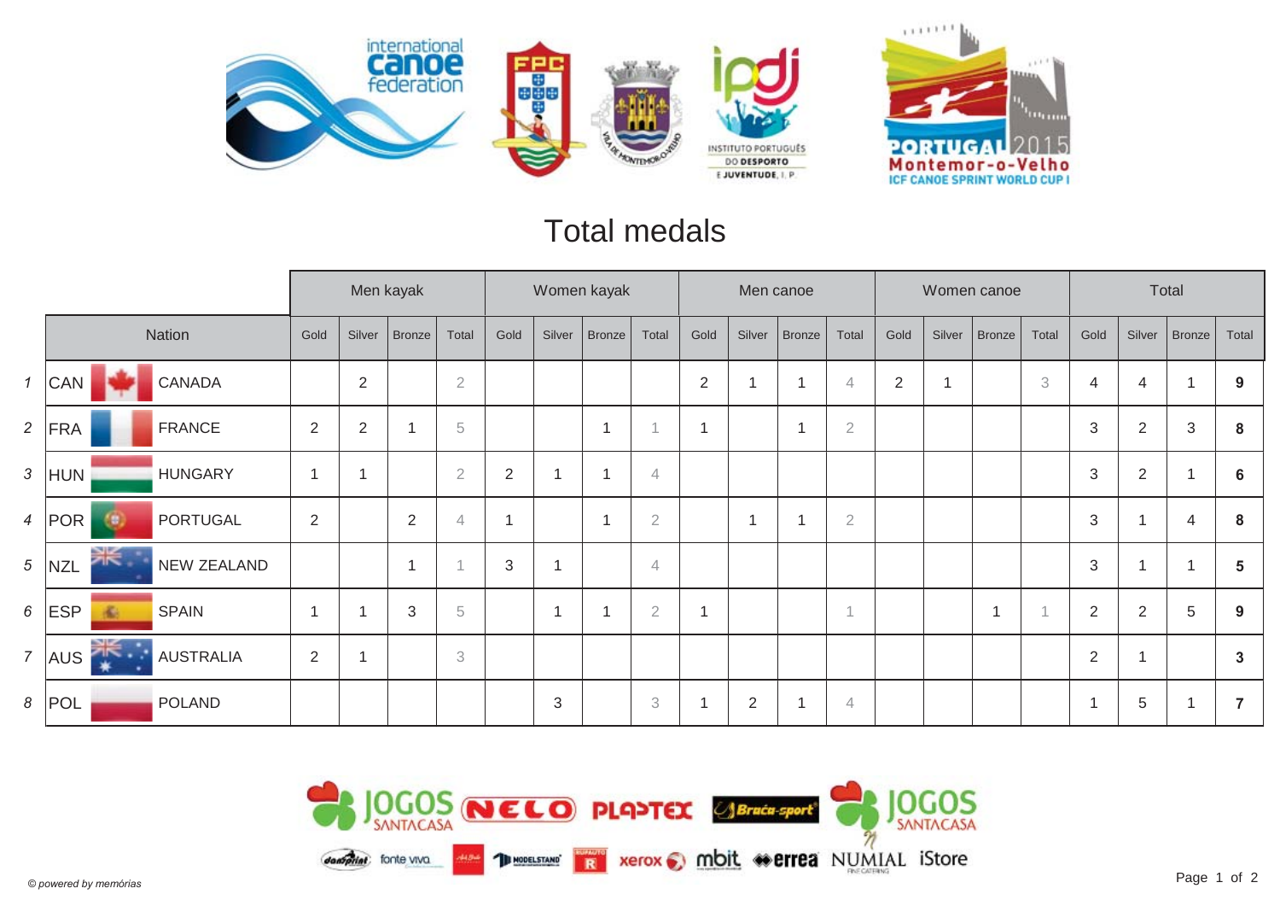

#### Total medals

|                |                                   |                          |                | Men kayak     |                            |                |                | Women kayak             |                |            |        | Men canoe     |                |                |        | Women canoe   |                           |                |                | Total       |              |
|----------------|-----------------------------------|--------------------------|----------------|---------------|----------------------------|----------------|----------------|-------------------------|----------------|------------|--------|---------------|----------------|----------------|--------|---------------|---------------------------|----------------|----------------|-------------|--------------|
|                | Nation                            | Gold                     | Silver         | <b>Bronze</b> | Total                      | Gold           | Silver         | <b>Bronze</b>           | Total          | Gold       | Silver | <b>Bronze</b> | Total          | Gold           | Silver | <b>Bronze</b> | Total                     | Gold           | Silver         | Bronze      | Total        |
| $\mathcal{I}$  | CANADA<br>  <b>CAN</b>            |                          | $\overline{2}$ |               | $\sqrt{2}$                 |                |                |                         |                | $\sqrt{2}$ |        | 1             | $\overline{4}$ | $\overline{2}$ | 1      |               | $\ensuremath{\mathbf{3}}$ | $\overline{4}$ | 4              | 1           | 9            |
|                | 2 $ FRA$<br><b>FRANCE</b>         | $\overline{2}$           | $\overline{2}$ | -4            | $\,$ 5                     |                |                | $\overline{1}$          |                |            |        | 1             | $\sqrt{2}$     |                |        |               |                           | $\sqrt{3}$     | $\overline{2}$ | $\mathbf 3$ | 8            |
| $\mathfrak{Z}$ | <b>HUNGARY</b><br>HUN             | $\overline{\phantom{a}}$ |                |               | $\sqrt{2}$                 | $\sqrt{2}$     | $\overline{1}$ | 1                       | 4              |            |        |               |                |                |        |               |                           | $\mathfrak{B}$ | $\overline{2}$ |             | 6            |
|                | $4$  POR<br><b>PORTUGAL</b><br>69 | $\overline{2}$           |                | 2             | 4                          | -1             |                | $\overline{\mathbf{1}}$ | $\overline{2}$ |            | 1      | 1             | $\overline{2}$ |                |        |               |                           | $\mathfrak{B}$ | 1              | 4           | 8            |
|                | $5$ NZL<br><b>NEW ZEALAND</b>     |                          |                | ٠             | $\overline{A}$             | $\mathfrak{Z}$ | $\overline{1}$ |                         | 4              |            |        |               |                |                |        |               |                           | $\mathfrak{B}$ | 1              |             | 5            |
|                | $6$ ESP<br><b>SPAIN</b><br>ille.  |                          |                | 3             | 5                          |                | $\overline{1}$ |                         | $\overline{2}$ |            |        |               | $\overline{A}$ |                |        | 1             |                           | $\overline{2}$ | $\overline{2}$ | 5           | 9            |
| $\overline{7}$ | <b>AUSTRALIA</b><br>AUS<br>∗      | $\overline{2}$           |                |               | $\ensuremath{\mathcal{S}}$ |                |                |                         |                |            |        |               |                |                |        |               |                           | $\overline{2}$ | 1              |             | $\mathbf{3}$ |
|                | $8$ POL<br><b>POLAND</b>          |                          |                |               |                            |                | 3              |                         | 3              |            | 2      | -1            | $\overline{4}$ |                |        |               |                           | ٠              | 5              |             | 7            |

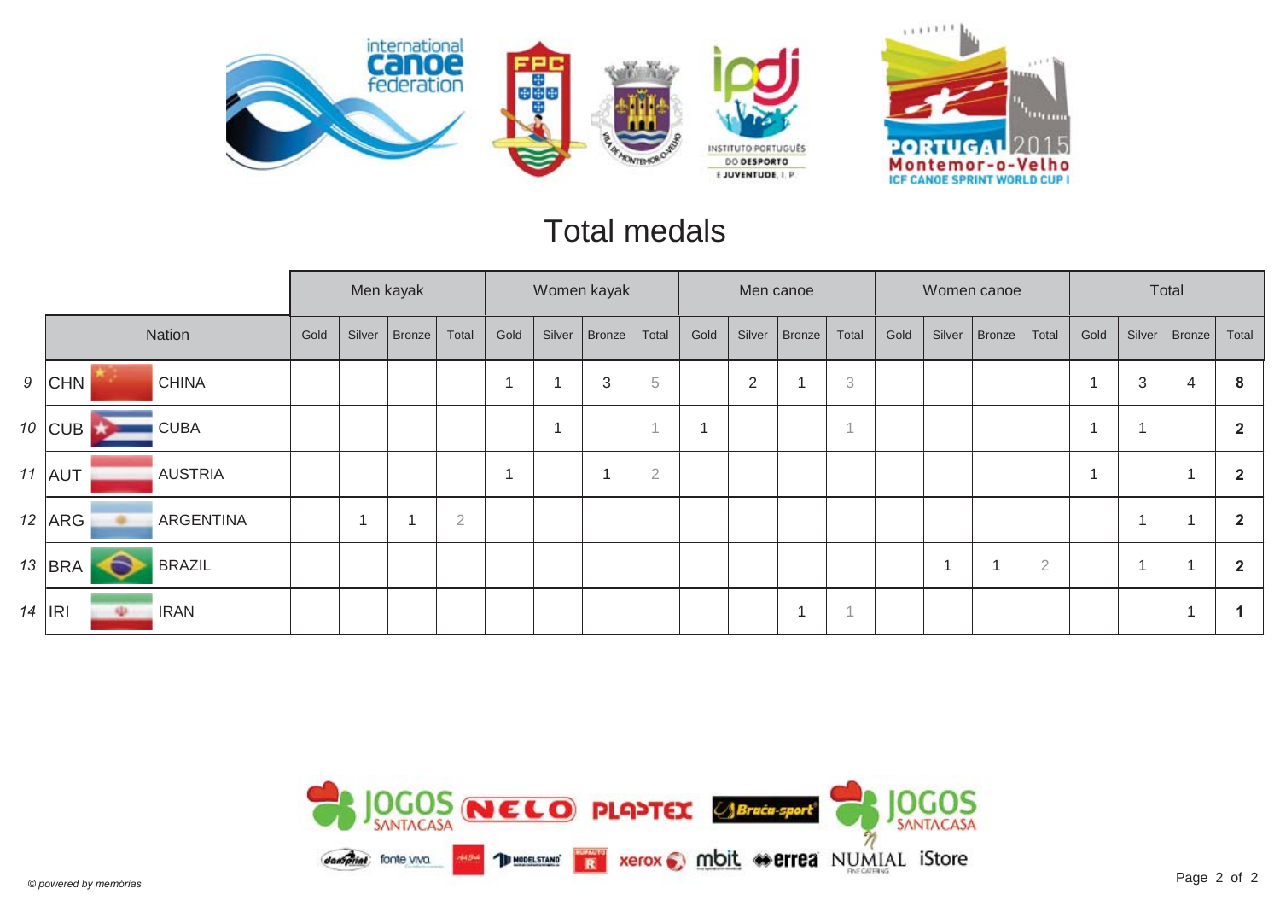

#### Total medals

|           |                                   |      |        | Men kayak     |                |      |             | Women kayak    |                |      |        | Men canoe     |       |      |        | Women canoe |                |      |        | Total  |              |
|-----------|-----------------------------------|------|--------|---------------|----------------|------|-------------|----------------|----------------|------|--------|---------------|-------|------|--------|-------------|----------------|------|--------|--------|--------------|
|           | Nation                            | Gold | Silver | <b>Bronze</b> | Total          | Gold | Silver      | Bronze         | Total          | Gold | Silver | <b>Bronze</b> | Total | Gold | Silver | Bronze      | Total          | Gold | Silver | Bronze | Total        |
|           | $9$ CHN<br><b>CHINA</b>           |      |        |               |                |      | -4          | $\mathfrak{Z}$ | $\,$ 5         |      | 2      |               | 3     |      |        |             |                |      | 3      | 4      | 8            |
|           | $10$ CUB<br><b>CUBA</b>           |      |        |               |                |      | $\mathbf 1$ |                | $\overline{A}$ | -4   |        |               |       |      |        |             |                |      |        |        | $\mathbf{2}$ |
|           | $11$ AUT<br><b>AUSTRIA</b>        |      |        |               |                |      |             | $\overline{A}$ | $\overline{2}$ |      |        |               |       |      |        |             |                |      |        | -4     |              |
|           | 12 $ARG$<br><b>ARGENTINA</b><br>÷ |      | -1     |               | $\overline{2}$ |      |             |                |                |      |        |               |       |      |        |             |                |      |        |        | 2            |
| 13        | <b>BRA</b><br><b>BRAZIL</b>       |      |        |               |                |      |             |                |                |      |        |               |       |      |        |             | $\overline{2}$ |      |        |        | 2            |
| $14$  IRI | <b>IRAN</b><br>q.                 |      |        |               |                |      |             |                |                |      |        |               |       |      |        |             |                |      |        | -4     |              |

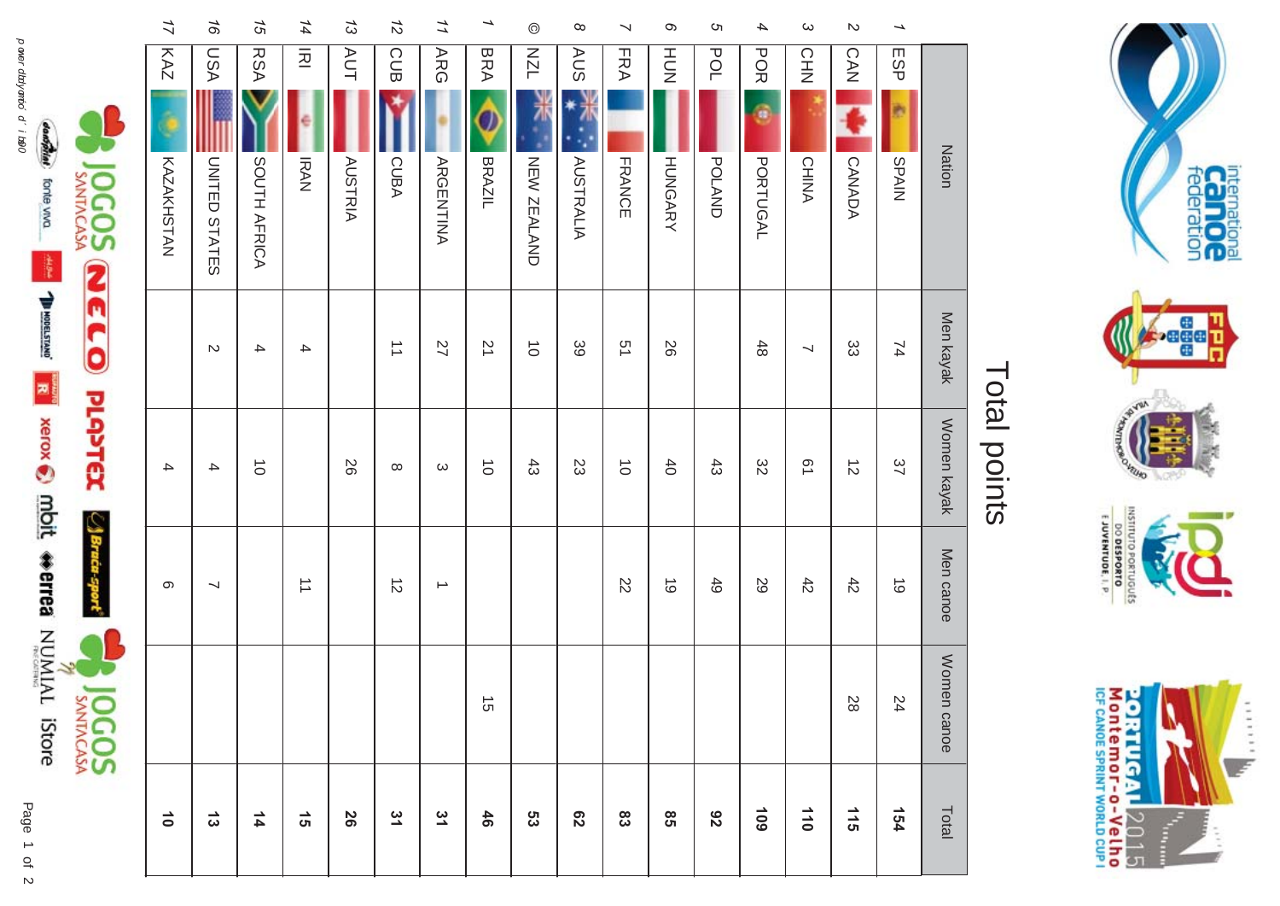

| $\vec{0}$      |             | တ                    | 4           |                      | <b>KAZ</b><br><b>KAZAKHSTAN</b>    | $\frac{1}{2}$ |
|----------------|-------------|----------------------|-------------|----------------------|------------------------------------|---------------|
| $\vec{\omega}$ |             | ↘                    | 4           | $\mathcal{D}$        | <b>LSA</b><br><b>UNITED STATES</b> | 16            |
| $\frac{4}{4}$  |             |                      | $\vec{o}$   | 4                    | <b>RSA</b><br>SOUTH AFRICA         | 15            |
| ີດ             |             | $\overrightarrow{=}$ |             | 4                    | $\overline{2}$<br><b>IRAN</b>      | 14            |
| 56             |             |                      | 92          |                      | <b>AUT</b><br><b>AUSTRIA</b>       | $\tilde{z}$   |
| 31             |             | $\vec{z}$            | $\infty$    | $\overrightarrow{=}$ | CUB<br>CUBA                        | $\frac{1}{2}$ |
| 31             |             | $\rightharpoonup$    | $\omega$    | 27                   | ARG<br><b>ARGENTINA</b>            | 11            |
| 46             | $\vec{c}$   |                      | $\vec{o}$   | $\overline{2}$       | <b>BRA</b><br>BRAZIL               | →             |
| 53             |             |                      | $43$        | $\vec{o}$            | <b>NZL</b><br>NEW ZEALAND          | $\odot$       |
| $\mathbf{c}_2$ |             |                      | 23          | 39                   | <b>AUS</b><br><b>AUSTRALIA</b>     | $\infty$      |
| 83             |             | $\overline{z}$       | $\vec{o}$   | 51                   | <b>FRA</b><br>FRANCE               | ↘             |
| $95^{\circ}$   |             | $\vec{\circ}$        | 40          | 92                   | HUT<br>N<br><b>HUNGARY</b>         | σ             |
| 82             |             | 49                   | $43$        |                      | POL<br><b>POLAND</b>               | c             |
| 601            |             | 29                   | 32          | $48$                 | <b>POR</b><br>¢<br>PORTUGAL        | 4             |
| 110            |             | $42$                 | Ū1          | ↘                    | 오<br>보기<br><b>CHINA</b>            | $\omega$      |
| 115            | 28          | $42$                 | $\vec{D}$   | တ္ထ                  | <b>CAN</b><br>CANADA               | $\mathbb N$   |
| 154            | 24          | $\vec{\circ}$        | 37          | $\overline{7}$       | ESP<br><b>SPAIN</b>                | →             |
| Total          | Women canoe | Men canoe            | Women kayak | Men kayak            | <b>Nation</b>                      |               |





#### Total points Total points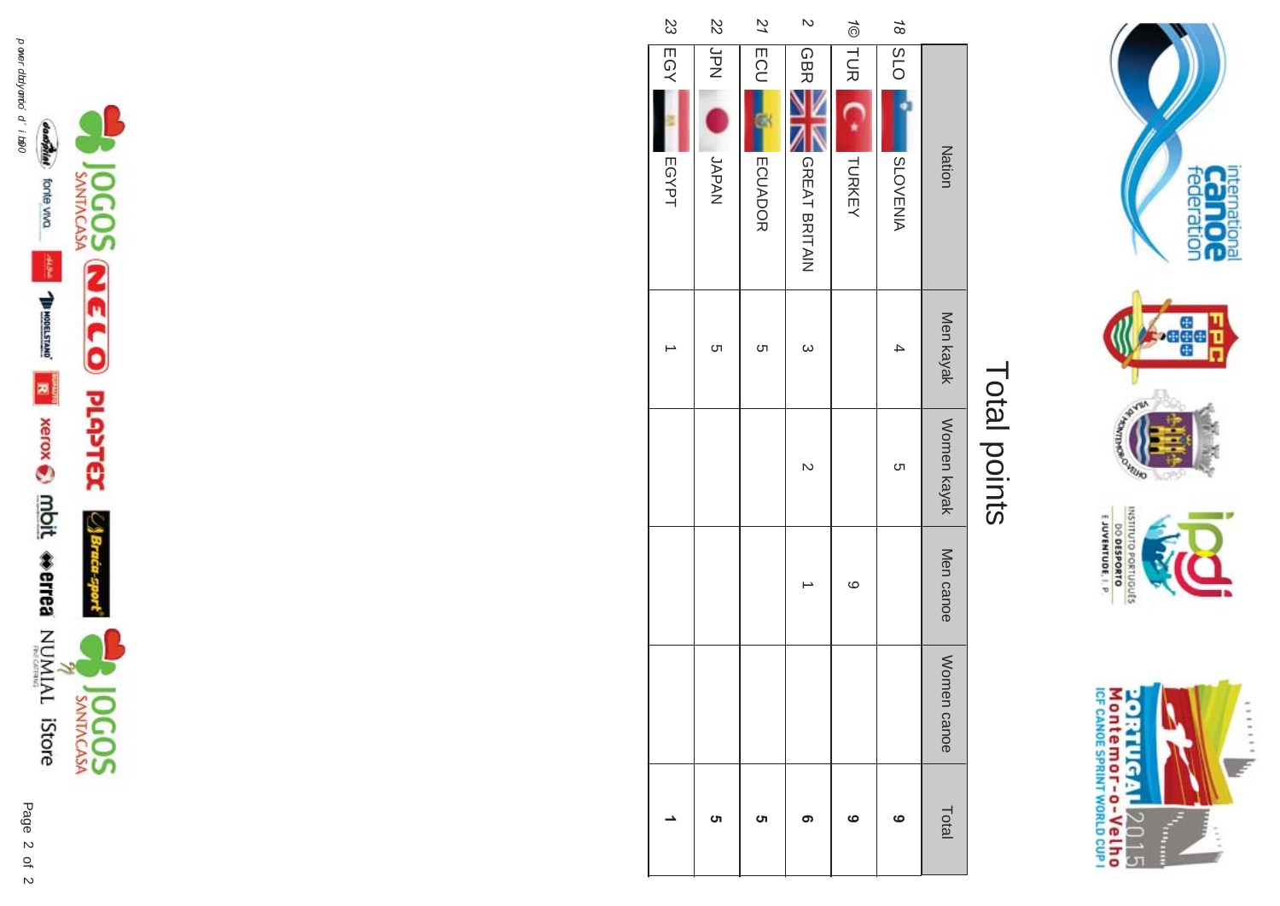

#### Total points Total points

| S3    | $\overline{5}$ | 21                | $\mathbf{\tilde{z}}$ |                   | $\frac{4}{8}$      |                         |
|-------|----------------|-------------------|----------------------|-------------------|--------------------|-------------------------|
| EGY   | <b>Ndr</b>     |                   | GBR                  |                   | $\frac{1}{2}$ O TS |                         |
|       | L<br>NARAAL    | ECU<br><b>ECU</b> |                      | <b>TOR LEAKEY</b> |                    |                         |
| EGYPT |                | <b>ECUADOR</b>    | <b>GREAT BRITAIN</b> |                   | <b>SLOVENIA</b>    | <b>Nation</b>           |
|       | <b>ပ</b> ါ     | <b>ာ</b>          | $\omega$             |                   |                    |                         |
|       |                |                   | $\sim$               |                   | <b>ာ</b>           | Men kayak   Women kayak |
|       |                |                   |                      | $\circ$           |                    | Men canoe               |
|       |                |                   |                      |                   |                    | Women canoe             |
|       | ហ              | ហ                 | ග                    | ဖ                 | ဖ                  | Total                   |



 $\overline{a}$ 2 2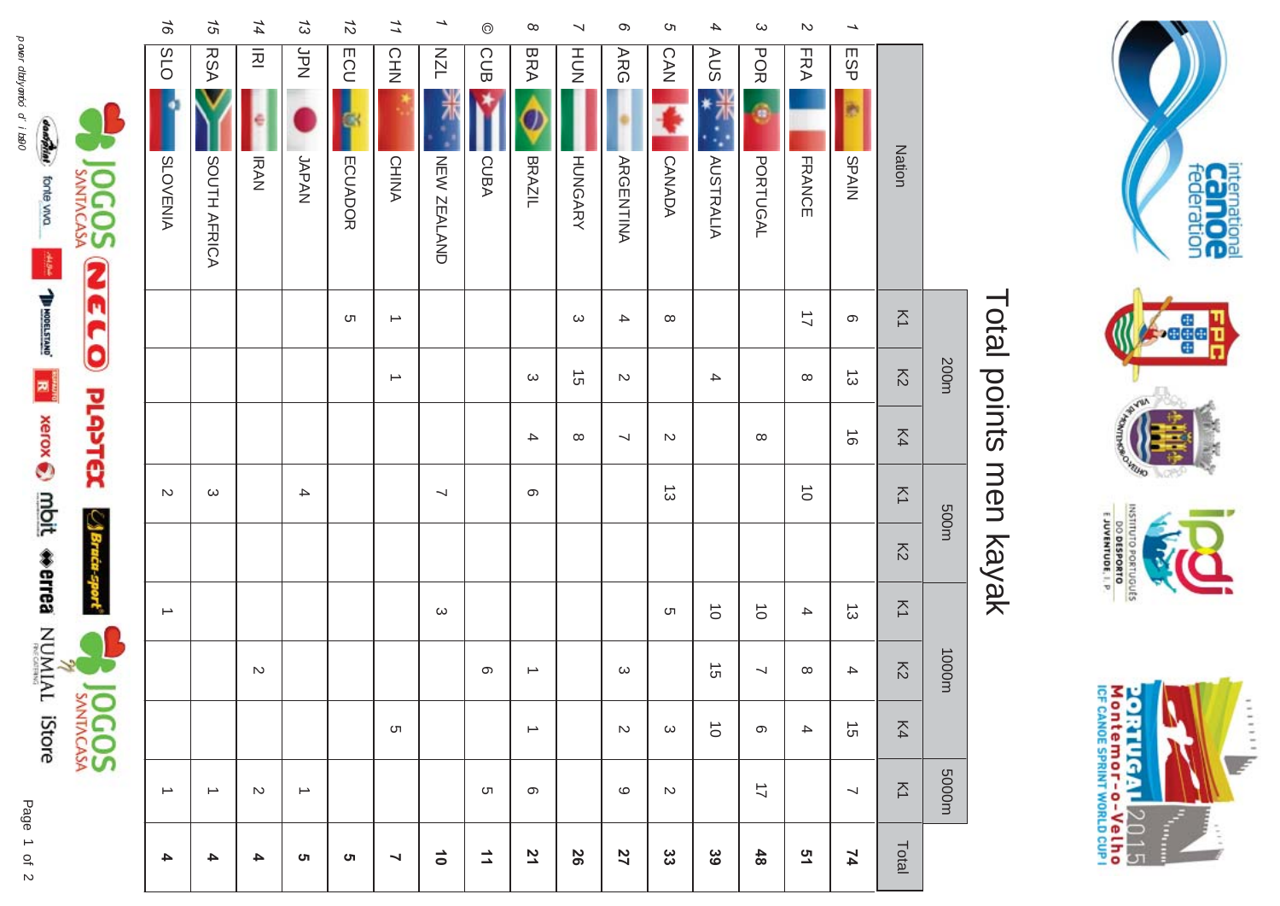

#### **20RTUGAL** 2015<br>Montemor-o-Velho<br>IcF canos SPRINT WORLD CUP I  $\frac{1}{2}$

# Total points men kayak Total points men kayak

|                          | $\frac{1}{6}$     | 75                | 14             | $\tilde{\omega}$  | $\frac{1}{2}$ | 11                       | →                        | $\odot$ | $\infty$      | $\overline{\phantom{0}}$ | $\infty$                 | S                 | 4                | $\boldsymbol{\omega}$ | $\mathbb N$          | →                        |                     |       |
|--------------------------|-------------------|-------------------|----------------|-------------------|---------------|--------------------------|--------------------------|---------|---------------|--------------------------|--------------------------|-------------------|------------------|-----------------------|----------------------|--------------------------|---------------------|-------|
|                          | O <sub>1</sub> S  | <b>RSA</b>        | $\overline{z}$ | Ndr               | ECU<br>G      | CHN<br>N                 | <b>NZL</b>               | CUB     | <b>BRA</b>    | HUT<br>N                 | <b>ARG</b>               | CAN               | <b>AUS</b>       | <b>POR</b><br>ö       | <b>FRA</b>           | ESP<br>b                 |                     |       |
| <b>OGOS</b>              | <b>SLOVENIA</b>   | SOUTH AFRICA      | <b>IRAN</b>    | JAPAN             | ECUADOR       | <b>CHINA</b>             | NEW ZEALAND              | CUBA    | BRAZIL        | <b>HUNGARY</b>           | <b>ARGENTINA</b>         | CANADA            | <b>AUSTRALIA</b> | <b>PORTUGAL</b>       | <b>FRANCE</b>        | NIARS                    | Nation              |       |
|                          |                   |                   |                |                   | C             | $\rightarrow$            |                          |         |               | $\omega$                 | $\rightarrow$            | $\infty$          |                  |                       | $\overrightarrow{L}$ | တ                        | $\overline{\Sigma}$ |       |
|                          |                   |                   |                |                   |               | $\overline{\phantom{a}}$ |                          |         | ယ             | $\vec{c}$                | $\sim$                   |                   | $\blacktriangle$ |                       | $\infty$             | $\vec{\omega}$           | $\overline{\delta}$ | 200m  |
| <b>NELO PLANEX</b>       |                   |                   |                |                   |               |                          |                          |         | 4             | $\infty$                 | $\overline{\phantom{0}}$ | $\sim$            |                  | $\infty$              |                      | $\vec{\circ}$            | K4                  |       |
|                          | $\mathcal{D}$     | ယ                 |                | $\rightarrow$     |               |                          | $\overline{\phantom{a}}$ |         | ၜ             |                          |                          | $\vec{\omega}$    |                  |                       | $\vec{o}$            |                          | $\overline{\Sigma}$ |       |
| $\bigtriangleup$ Braća - |                   |                   |                |                   |               |                          |                          |         |               |                          |                          |                   |                  |                       |                      |                          | $\overline{5}$      | m005  |
|                          | ∸                 |                   |                |                   |               |                          | $\omega$                 |         |               |                          |                          | ຕ                 | $\vec{o}$        | $\vec{o}$             | 4                    | $\vec{\omega}$           | $\overline{\leq}$   |       |
|                          |                   |                   | $\sim$         |                   |               |                          |                          | တ       | $\rightarrow$ |                          | $\omega$                 |                   | $\vec{c}$        | ⊣                     | $\infty$             | $\blacktriangle$         | $\overline{5}$      | 1000m |
| <b>JOCOS</b>             |                   |                   |                |                   |               | C                        |                          |         | ∸             |                          | $\mathop{\mathsf{N}}$    | $\mathbf{\omega}$ | $\vec{o}$        | တ                     | $\blacktriangle$     | $\vec{5}$                | K4                  |       |
|                          | $\rightharpoonup$ | $\rightharpoonup$ | $\mathsf{N}$   | $\rightharpoonup$ |               |                          |                          | C       | တ             |                          | $\circ$                  | $\mathbb N$       |                  | $\overrightarrow{L}$  |                      | $\overline{\phantom{a}}$ | $\overline{\leq}$   | m0005 |
|                          | 4                 | 4                 | 4              | ຕ                 | ຕ             | Z                        | $\vec{0}$                | ュ       | 71            | 56                       | 27                       | ပ္ပ               | 39               | $48$                  | 51                   | 74                       | Total               |       |

dangaties forte vivo

power dialyando d'i 1890 and 1980 **and 1980 and 1990 and 1990 and 1990 and 1990 and 1990 and 1990 and 1990** and 1990 and 1990 and 1990 and 1990 and 1990 and 1990 and 1990 and 1990 and 1990 and 1990 and 1990 and 1990 and 19 **The Second Second Condit Werred NUMIAL IStore** Page  $\overline{a}$ 

20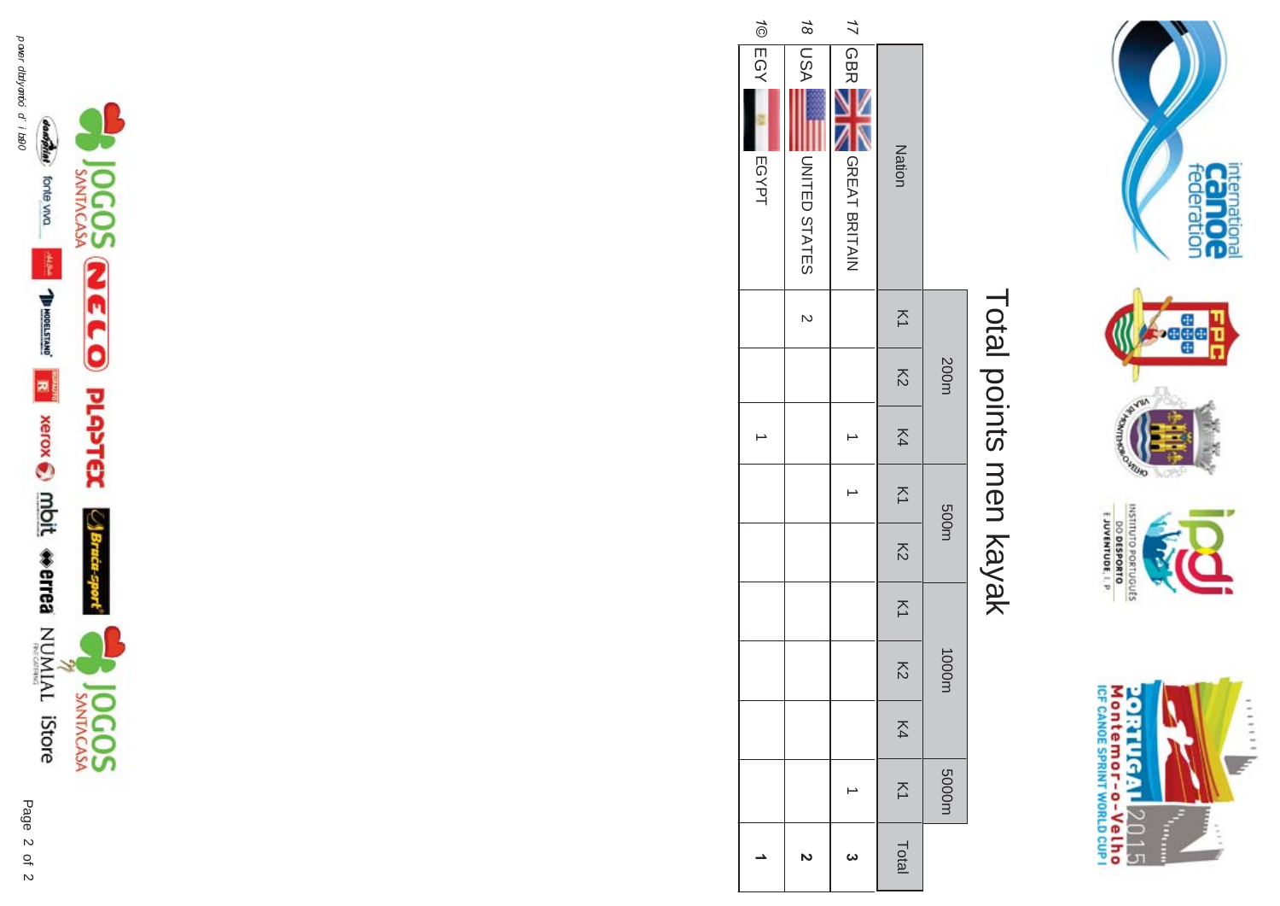

# Total points men kayak Total points men kayak

|                                       |                | 200m                     |    | m005           |                |                   | 1000m                    |    | 5000m          |       |
|---------------------------------------|----------------|--------------------------|----|----------------|----------------|-------------------|--------------------------|----|----------------|-------|
| Nation                                | $\overline{z}$ | $\overline{\mathcal{S}}$ | K4 | $\overline{z}$ | $\overline{5}$ | $\overline{\leq}$ | $\overline{\mathcal{S}}$ | K4 | $\overline{z}$ | Total |
| 17 GBR<br>GREAT BRITAIN               |                |                          |    |                |                |                   |                          |    |                | ω     |
| <b>ASN 81</b><br><b>JNITED STATES</b> | $\overline{c}$ |                          |    |                |                |                   |                          |    |                |       |
| 1© EGY<br>EGYPT                       |                |                          |    |                |                |                   |                          |    |                |       |



Æ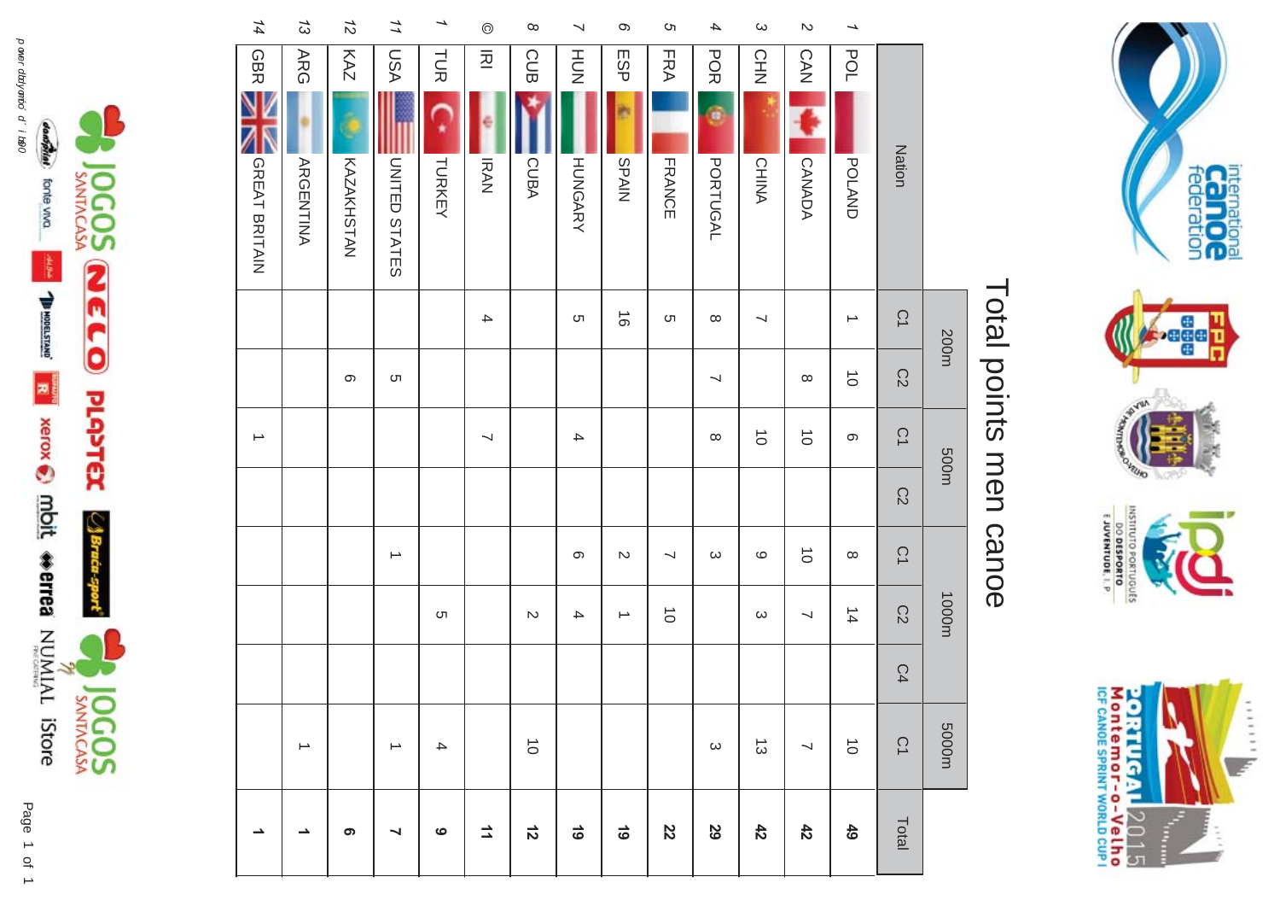



# Total points men canoe Total points men canoe

|                          |                                | 200m                     |                          | 500m                     |                |                       | 1000m         |    | m0005                 |                |
|--------------------------|--------------------------------|--------------------------|--------------------------|--------------------------|----------------|-----------------------|---------------|----|-----------------------|----------------|
|                          | Nation                         | $\tilde{\mathcal{C}}$    | C2                       | $\tilde{\mathcal{C}}$    | C <sub>2</sub> | $\tilde{\mathcal{C}}$ | C2            | C4 | $\tilde{\mathcal{C}}$ | Total          |
| →                        | POL<br>POLAND                  | →                        | $\vec{o}$                | $\infty$                 |                | $\infty$              | $\frac{4}{4}$ |    | $\vec{\circ}$         |                |
| $\mathcal{D}$            | CAN<br>CANADA                  |                          | $\infty$                 | $\vec{o}$                |                | $\vec{o}$             | J             |    | J                     |                |
| $\boldsymbol{\omega}$    | <b>CHN</b><br><b>CHINA</b>     | $\overline{\phantom{0}}$ |                          | $\vec{o}$                |                | $\circ$               | $\omega$      |    | $\vec{\omega}$        |                |
| $\boldsymbol{4}$         | <b>POR</b><br>a<br>PORTUGAL    | $\infty$                 | $\overline{\phantom{a}}$ | $\infty$                 |                | $\omega$              |               |    | $\boldsymbol{\omega}$ |                |
| c                        | FRA<br>FRANCE                  | C                        |                          |                          |                | ∼                     | $\vec{o}$     |    |                       |                |
| $\infty$                 | ESP<br>NIARS                   | $\vec{\circ}$            |                          |                          |                | $\sim$                | →             |    |                       |                |
| $\prec$                  | HUT<br>N<br><b>HUNGARY</b>     | C                        |                          | $\blacktriangle$         |                | $\infty$              | 4             |    |                       | $\frac{1}{6}$  |
| $\infty$                 | CUB<br>CUBA                    |                          |                          |                          |                |                       | $\mathbb N$   |    | $\vec{\circ}$         | $\frac{1}{2}$  |
| $\odot$                  | $\overline{2}$<br><b>IRAN</b>  | $\overline{\phantom{a}}$ |                          | $\overline{\phantom{0}}$ |                |                       |               |    |                       | $\overline{1}$ |
| $\overline{\phantom{a}}$ | ここ<br>こ<br>TURKEY              |                          |                          |                          |                |                       | C             |    | $\blacktriangle$      |                |
| 11                       | NSU<br>UNITED STATES           |                          | ຕ                        |                          |                | $\rightharpoonup$     |               |    | ∸                     |                |
| $\vec{z}$                | KAZ<br><b>KAZAKHSTAN</b>       |                          | တ                        |                          |                |                       |               |    |                       |                |
| 53                       | <b>ARG</b><br><b>ARGENTINA</b> |                          |                          |                          |                |                       |               |    | $\rightarrow$         |                |
| 14                       | <b>GBR</b><br>GREAT BRITAIN    |                          |                          | $\overline{\phantom{a}}$ |                |                       |               |    |                       |                |

p aver dbdyanód d' i belo 1 1  

complier forte viva

**The Second Second Second Second Second Second Second Second Second Second Second Second Second Second Second Second Second Second Second Second Second Second Second Second Second Second Second Second Second Second Second** 

JOGOS

**NELO** 

**PLAPTEX** 

ा\$हम

pods.

305

JOGOSS

Page 1 of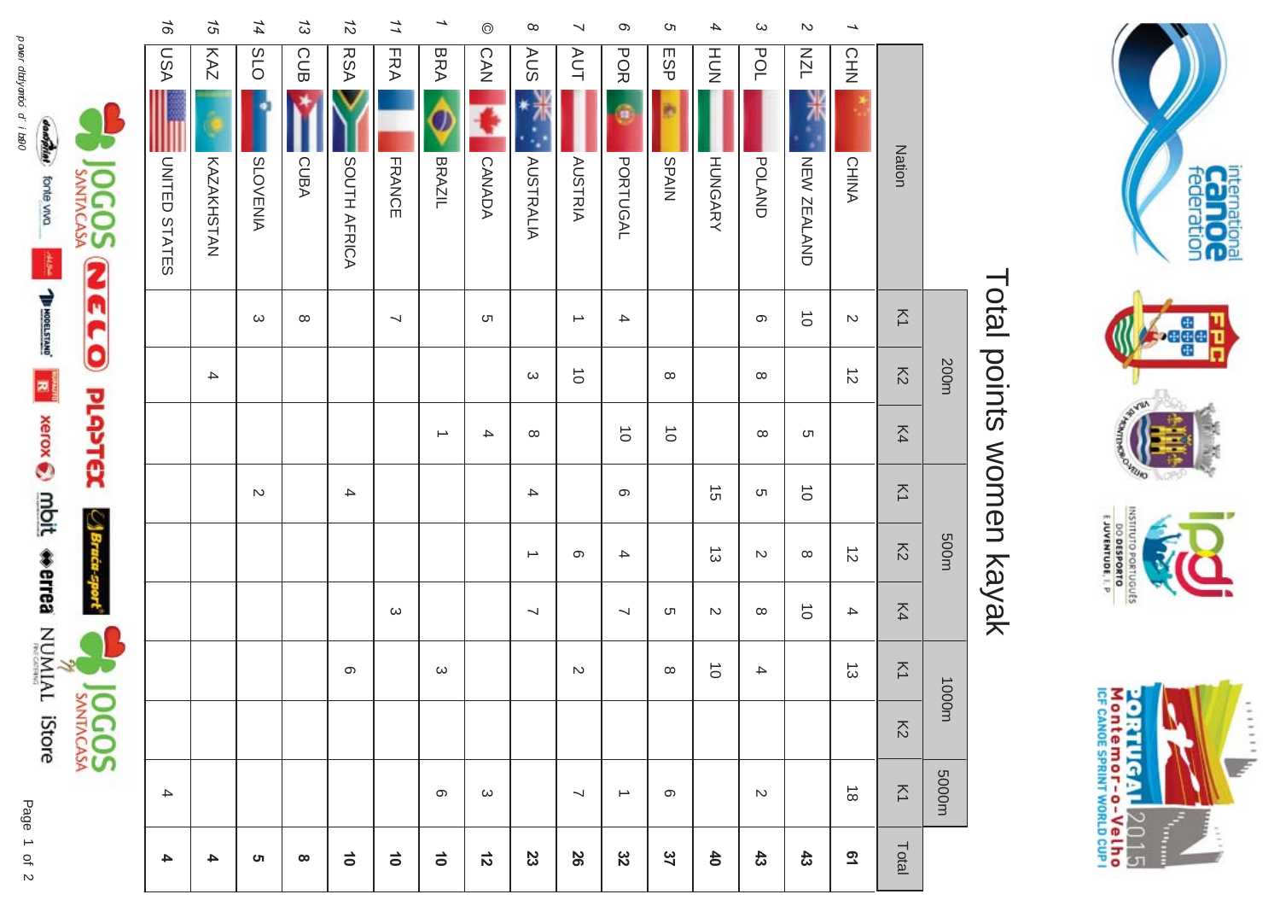

# Total points women kayak Total points women kayak

|                 | 16               | $\overline{5}$ | 14              | $\tilde{\omega}$ | $\frac{1}{2}$   | 11         | →                 | $\odot$       | $\infty$                 | ↘                        | ō                 | G         | 4               | $\omega$      | $\boldsymbol{\mathsf{N}}$ | →                                    |                     |       |
|-----------------|------------------|----------------|-----------------|------------------|-----------------|------------|-------------------|---------------|--------------------------|--------------------------|-------------------|-----------|-----------------|---------------|---------------------------|--------------------------------------|---------------------|-------|
|                 | ASU              | KAZ            | SLO             | CUB              | <b>RSA</b>      | <b>FRA</b> | <b>BRA</b>        | CAN           | <b>AUS</b>               | <b>AUT</b>               | <b>POR</b>        | ESP       | <b>HUN</b>      | POL           | <b>NZL</b>                | CHN                                  |                     |       |
|                 |                  |                |                 |                  |                 |            |                   |               |                          |                          |                   |           |                 |               |                           |                                      |                     |       |
| <b>OGOSS</b>    | UNITED STATES    | KAZAKHSTAN     | <b>SLOVENIA</b> | CUBA             | SOUTH AFRICA    | FRANCE     | BRAZIL            | CANADA        | <b>AUSTRALIA</b>         | <b>AUSTRIA</b>           | <b>PORTUGAL</b>   | NIARS     | <b>HUNGARY</b>  | <b>POLAND</b> | NEW ZEALAND               | <b>CHINA</b>                         | <b>Nation</b>       |       |
|                 |                  |                | $\omega$        | $\infty$         |                 | ↘          |                   | C             |                          | $\rightarrow$            | 4                 |           |                 | $\infty$      | $\vec{o}$                 | $\sim$                               | $\overline{\leq}$   |       |
|                 |                  | 4              |                 |                  |                 |            |                   |               | $\omega$                 | $\vec{o}$                |                   | $\infty$  |                 | $\infty$      |                           | $\vec{\infty}$                       | $\overline{5}$      | 200m  |
| MELO PLANTEX    |                  |                |                 |                  |                 |            | $\rightarrow$     | $\rightarrow$ | $\infty$                 |                          | $\vec{o}$         | $\vec{o}$ |                 | $\infty$      | ຕ                         |                                      | K4                  |       |
|                 |                  |                | $\mathbb N$     |                  | $\rightarrow$   |            |                   |               | $\rightarrow$            |                          | တ                 |           | $\vec{5}$       | C             | $\vec{o}$                 |                                      | $\overline{\Sigma}$ |       |
| $\bigcup$ Braca |                  |                |                 |                  |                 |            |                   |               | →                        | တ                        | $\rightarrow$     |           | $\vec{\omega}$  | $\sim$        | $\infty$                  | $\vec{D}$                            | $\overline{5}$      | m005  |
|                 |                  |                |                 |                  |                 | $\omega$   |                   |               | $\overline{\phantom{0}}$ |                          | $\prec$           | C         | $\sim$          | $\infty$      | $\vec{o}$                 | 4                                    | K4                  |       |
|                 |                  |                |                 |                  | တ               |            | $\mathbf{\omega}$ |               |                          | $\mathcal{D}$            |                   | $\infty$  | $\vec{o}$       | 4             |                           | $\vec{\omega}$                       | $\overline{\leq}$   |       |
| <b>JOCOS</b>    |                  |                |                 |                  |                 |            |                   |               |                          |                          |                   |           |                 |               |                           |                                      | $\overline{5}$      | 1000m |
|                 | $\blacktriangle$ |                |                 |                  |                 |            | တ                 | $\omega$      |                          | $\overline{\phantom{0}}$ | $\rightharpoonup$ | တ         |                 | $\mathcal{D}$ |                           | $\stackrel{\rightharpoonup}{\infty}$ | $\overline{\leq}$   | m0005 |
|                 | 4                | 4              | ຕ               | $\infty$         | $\vec{\bullet}$ | $\vec{0}$  | $\vec{0}$         | $\vec{z}$     | 23                       | 26                       | 32                | 37        | $\overline{40}$ | $43\,$        | 43                        | $\overline{6}$                       | Total               |       |

configure forte viva

**The Second Second Mont Werres** NUMIAL IStore

 $\approx$ 

Page  $\overline{a}$ power dialyando d'i 1890 and 1980 **and 1980 and 1990 and 1990 and 1990 and 1990 and 1990 and 1990 and 1990** and 1990 and 1990 and 1990 and 1990 and 1990 and 1990 and 1990 and 1990 and 1990 and 1990 and 1990 and 1990 and 19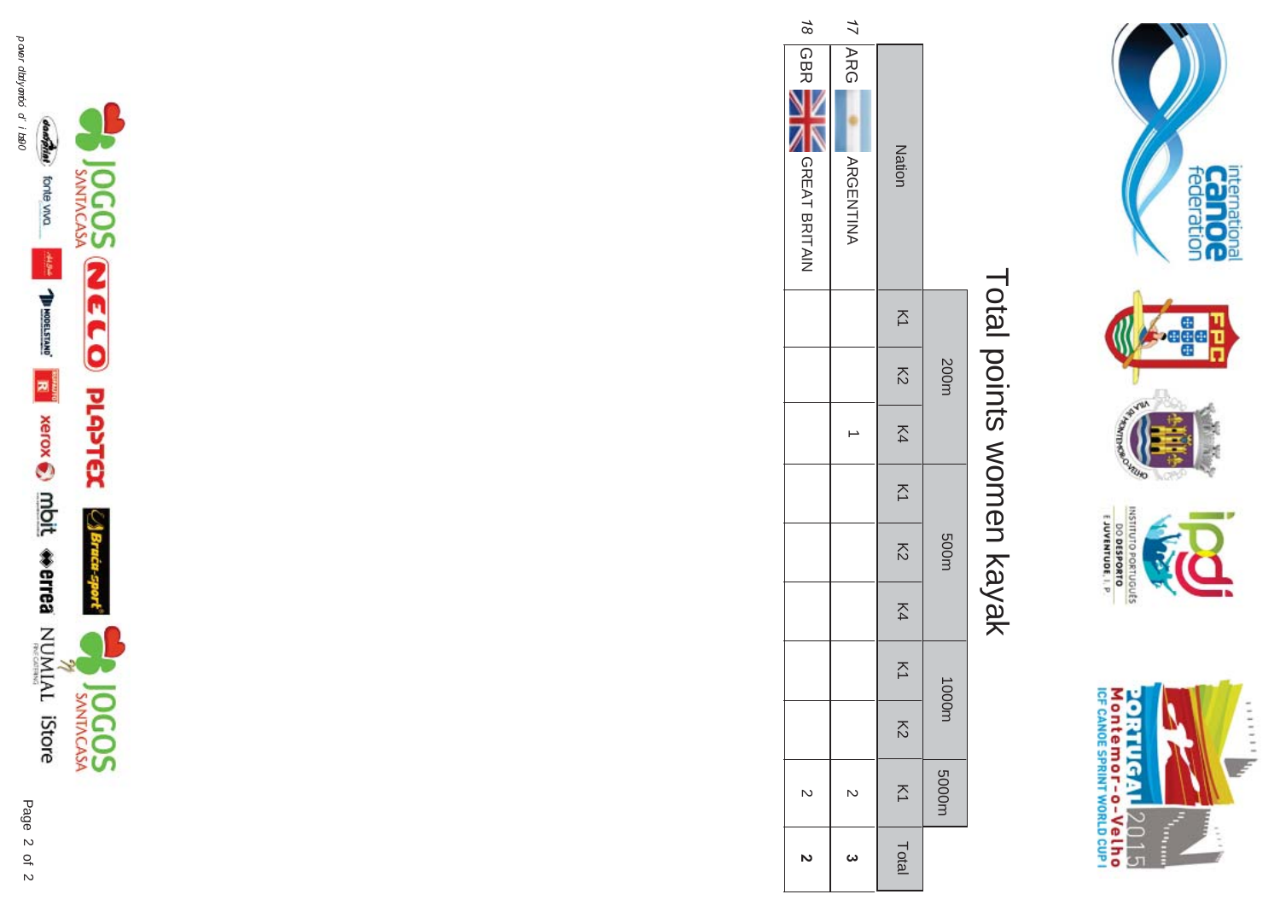







internation<br>Can OC<br>federation

 $111111$ 

F

INSTITUTO PORTUGUÊS<br>O DESPORTO<br>E JUVENTUDE, I. P.

20RTUGAL2015<br>Montemor-o-Velho<br>re cavos spany world cup !

T.

|                                   |    | 200m           |    | $\overline{z}$ | 500m                     |    |                   | m0001          | m0005             |
|-----------------------------------|----|----------------|----|----------------|--------------------------|----|-------------------|----------------|-------------------|
| <b>Nation</b>                     | K1 | $\overline{5}$ | K4 |                | $\overline{\mathcal{S}}$ | K4 | $\overline{\leq}$ | $\overline{5}$ | $\overline{\leq}$ |
| <b>17 ARG</b><br><b>ARGENTINA</b> |    |                |    |                |                          |    |                   |                | N                 |
| 18 GBR<br>GREAT BRITAIN           |    |                |    |                |                          |    |                   |                | $\overline{C}$    |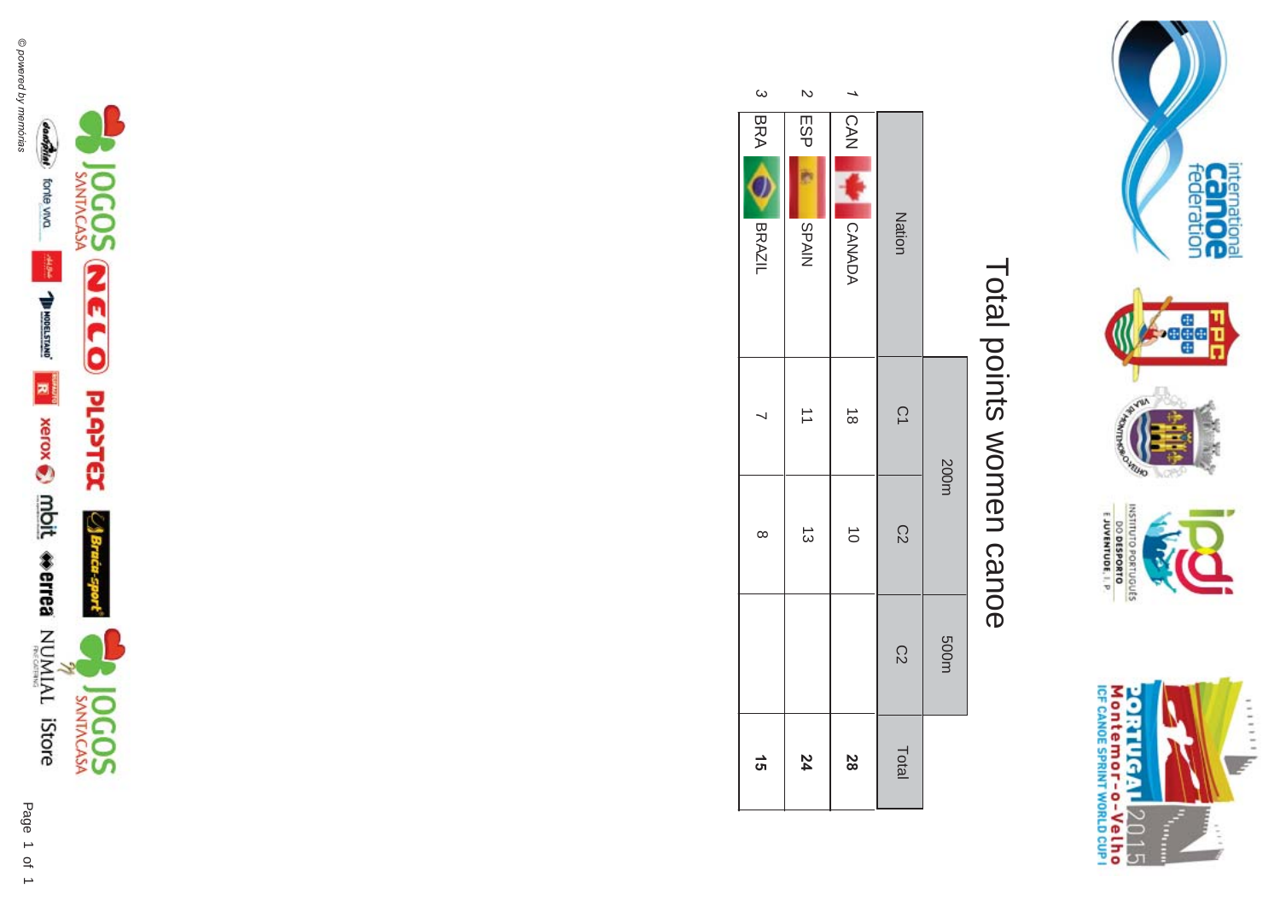





# Total points women canoe Total points women canoe

|              |            |               |                      | 200m           | m005           |       |
|--------------|------------|---------------|----------------------|----------------|----------------|-------|
|              |            | Nation        | $\vec{C}$            | $\mathbb{S}^2$ | $\overline{C}$ | Total |
|              |            | CAN SANADA    | $\vec{\circ}$        | $\vec{0}$      |                |       |
| $\mathsf{R}$ | ESP        | <b>SPAIN</b>  | $\overrightarrow{ }$ | $\vec{\omega}$ |                |       |
| $\omega$     | <b>BRA</b> | <b>ORAZIL</b> | ⇃                    | $\infty$       |                |       |



international<br>CCC DOC<br>federation

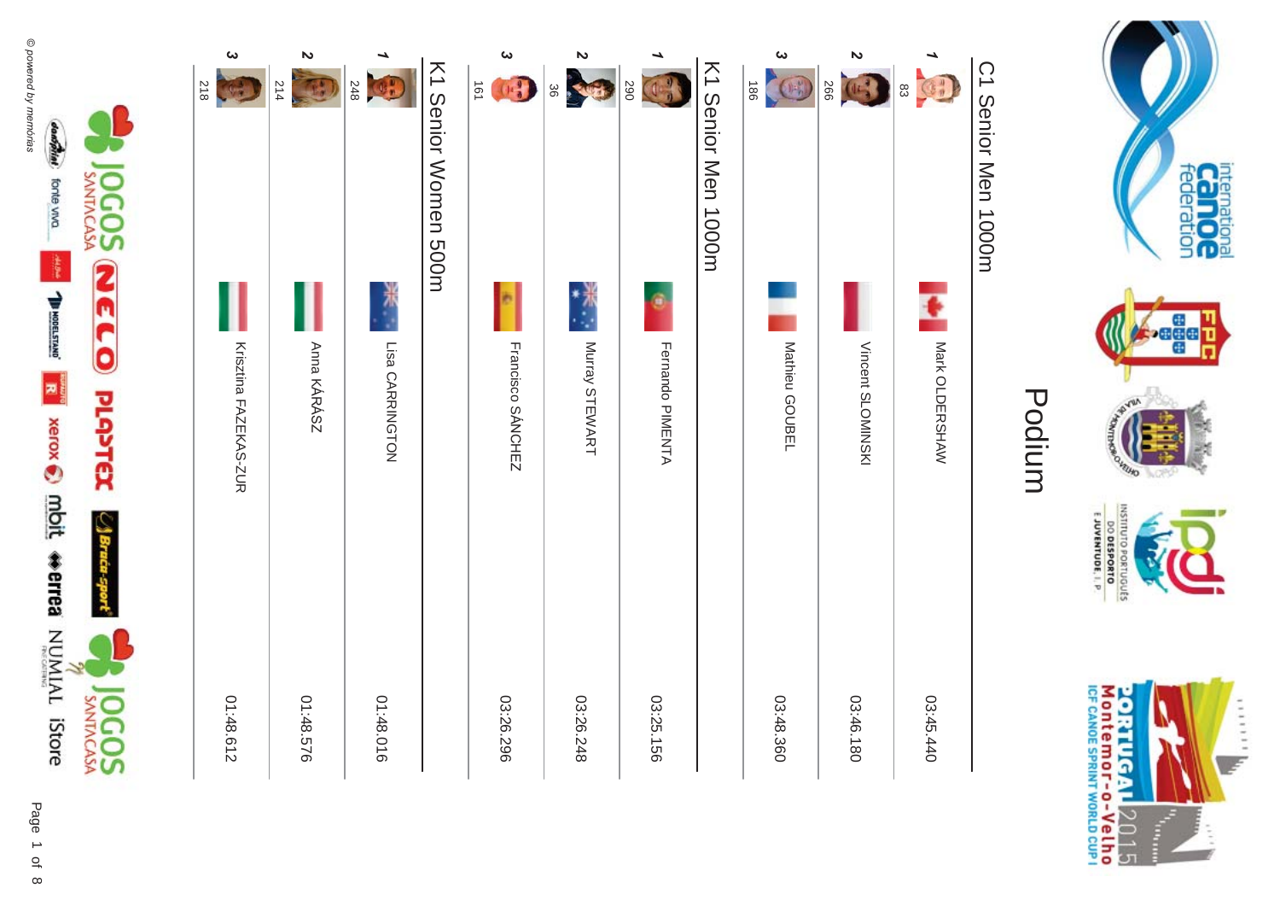**JOGOS** 



| $\boldsymbol{\omega}$<br><b>218</b> | Z<br>214    | 248             | K1 Senior Women 500H | $\mathbf{\omega}$<br>$(1-\frac{3}{3})$<br>191 | $\boldsymbol{\mathsf{z}}$<br><b>TELES</b><br>36 | 290              | K1 Senior Men 1000m | ట<br>186<br>$\bigcirc$ | Z<br><b>E-10</b> 266 | <b>CH</b><br>$\frac{8}{3}$ |
|-------------------------------------|-------------|-----------------|----------------------|-----------------------------------------------|-------------------------------------------------|------------------|---------------------|------------------------|----------------------|----------------------------|
|                                     |             |                 |                      |                                               | **<br>∴*                                        | ¢                |                     |                        |                      |                            |
| Krisztina FAZEKAS-ZOR               | Anna KÁRÁSZ | Lisa CARRINGTON |                      | Francisco SÁNCHEZ                             | Murray STEWART                                  | Fernando PIMENTA |                     | Mathieu GOUBEL         | Vincent SLOMINSKI    | MARIO LDERSHAW             |
| 01:48.612                           | 01:48.576   | 01:48.016       |                      | 03:26.296                                     | 03:26.248                                       | 03:25.156        |                     | 03:48.360              | 03:46.180            | 03:45.440                  |
|                                     |             |                 |                      |                                               |                                                 |                  |                     |                        |                      |                            |



international<br>Calo OC<br>federation

**Seach** 

VELHO

INSTITUTO PORTUGUES **DO DESPORTO** 

#### Podium

C1 Senior Men 1000m C1 Senior Men 1000m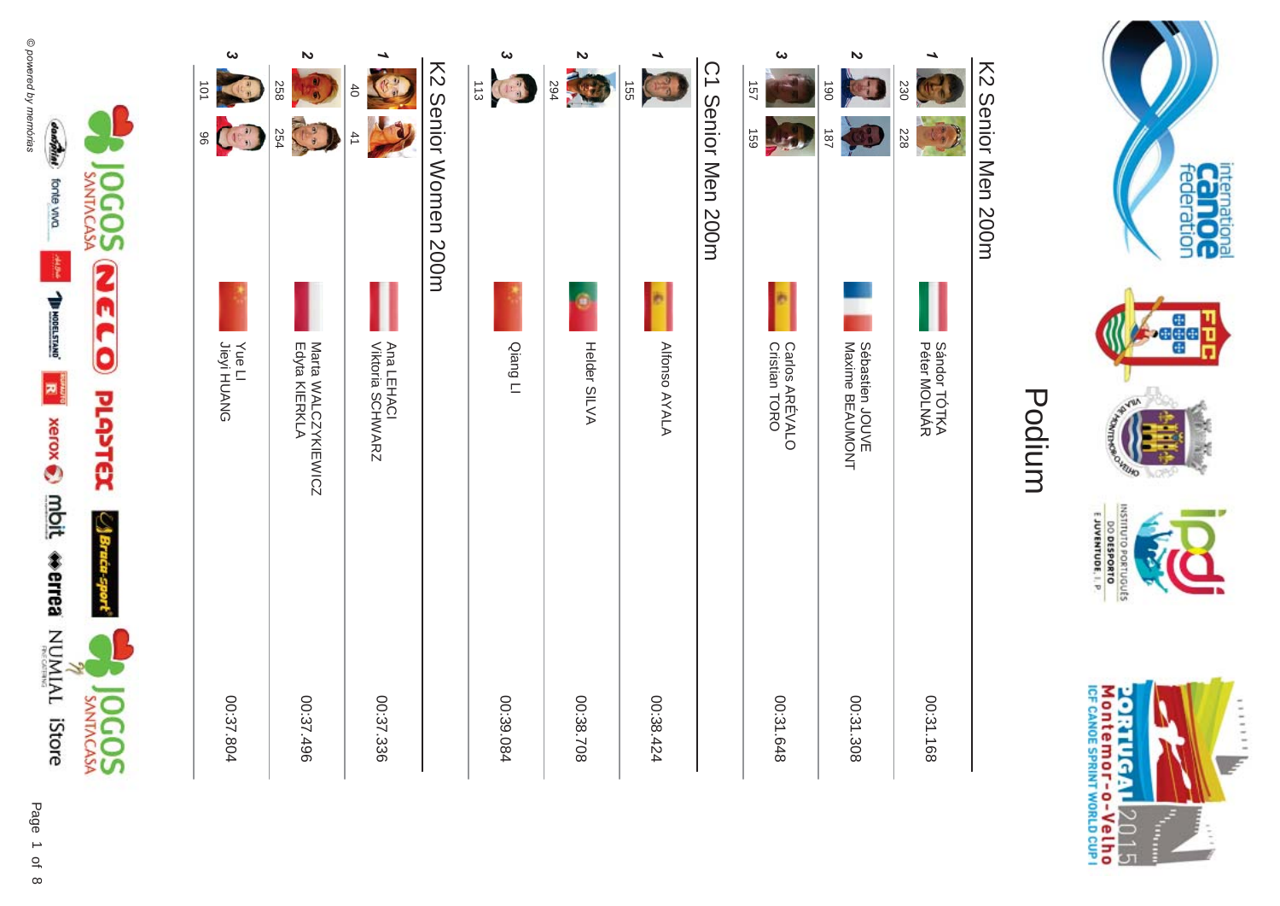

| ట<br>101<br>(15 <sup>37</sup> )<br>96 | Z<br>258<br>$\frac{9}{4}$<br>254    | $\uparrow$<br>41               | K2 Serior Normer 200H | دى<br>C<br>$\frac{1}{3}$ | N<br>594<br>X | <b>155</b>    | C1 Senior Men 200m | ట<br>157<br>691                 | N<br>190<br>187                    | 230<br>228                   |  |
|---------------------------------------|-------------------------------------|--------------------------------|-----------------------|--------------------------|---------------|---------------|--------------------|---------------------------------|------------------------------------|------------------------------|--|
| Yue LI<br>Jieyi HUANG                 | Mata WALCZYKIEWICZ<br>Edyta KIERKLA | Ana LEHACI<br>Viktoria SCHWARZ |                       | Qiang LI                 | Helder SILVA  | Alfonso AYALA |                    | Carlos ARÉVALO<br>Cristian TORO | Sébastien JOUVE<br>Maxime BEAUMONT | Sándor TÓTKA<br>Péter MOLNÁR |  |
| 00:37.804                             | 00:37.496                           | 00:37.336                      |                       | 00:39.084                | 00:38.708     | 00:38.424     |                    | 00:31.648                       | 00:31.308                          | 00:31.168                    |  |



international<br>Calo OC<br>federation

i.<br>K

Ballywork

CANTINO

INSTITUTO PORTUGUES E JUVENTUDE, I. P.

### Podium

K2 Serior Nen 200H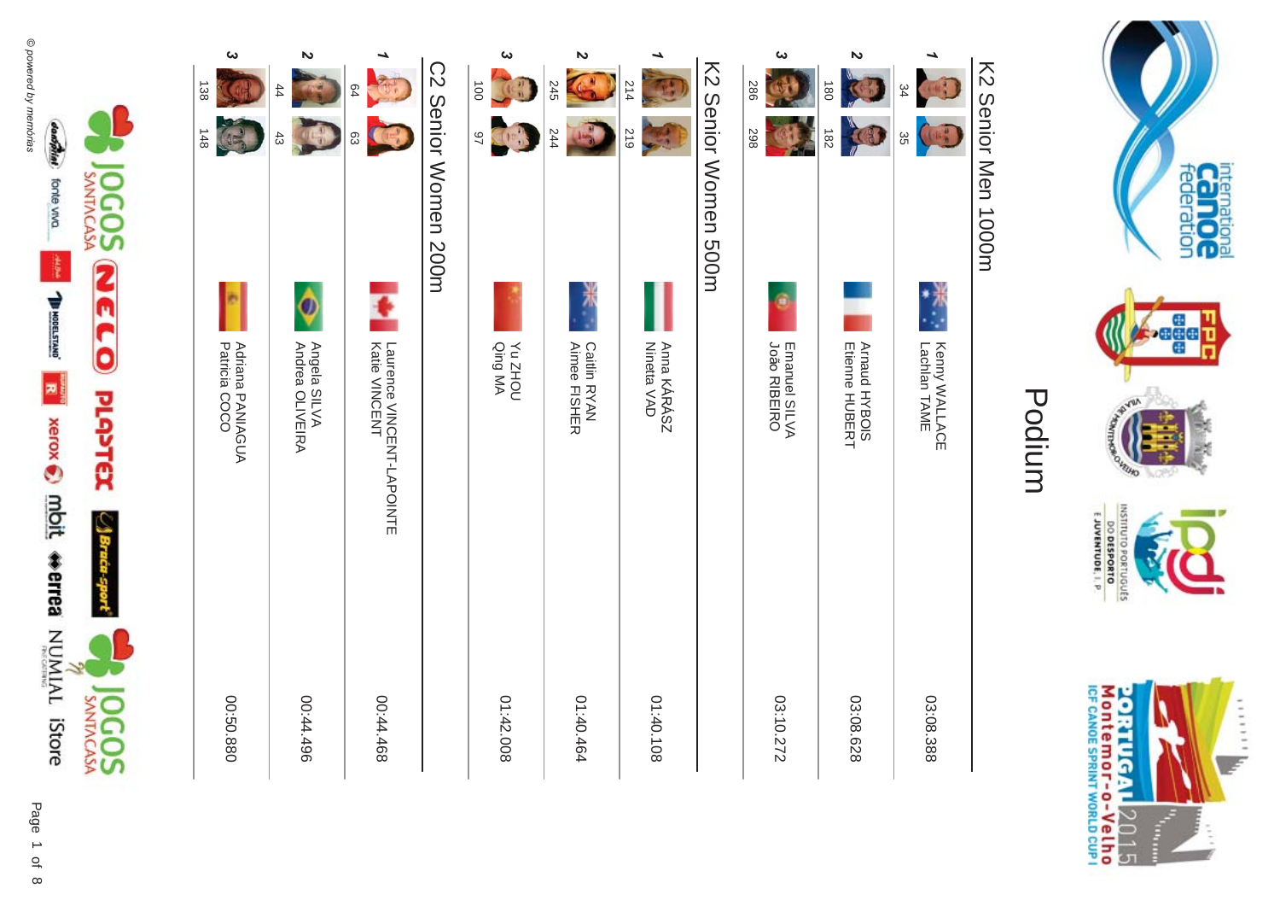

| $\overline{180}$          | 182                     | <b>Arnaud HYBOIS</b><br>Etienne HUBERT               |           |
|---------------------------|-------------------------|------------------------------------------------------|-----------|
| ట<br>382                  | 867                     | <b>João RIBEIRO</b><br>Emanuel SILVA                 | 03:10.272 |
|                           | K2 Senior Nomen 500H    |                                                      |           |
| 214                       | 219                     | Anna KÁRÁSZ<br>Ninetta VAD                           | 01:40.108 |
| Z<br>245                  | 244                     | <b>Caitlin RYAN<br/>Aimee FISHER</b>                 | 01:40.464 |
| ట<br>$\overrightarrow{0}$ | 26<br>B                 | <b>Yu ZHOU</b><br>Qing MA                            | 01:42.008 |
|                           | C2 Senior Momen 200m    |                                                      |           |
| 64                        | ςg                      | <b>Latie NNOEN-LAPONINE<br/>Natie NNOEN-LAPONINE</b> | 00:44.468 |
| Z<br>$^{44}$              | $\frac{1}{2}$<br>$43\,$ | Angela SILVA<br>Andrea OLIVEIRA                      | 00:44.496 |
| ω<br>138                  | 148                     | Adriana PANIAGUA<br>Patricia COCO                    | 00:50.880 |
|                           |                         |                                                      |           |



international<br>Calo OC<br>federation

**Sease** 

ik<br>K

**Contraction** 

POURDED

INSTITUTO PORTUGUES

E JUVENTUDE, I. P.

### Podium

K2 Senior Nen 1000m K2 Senior Men 1000m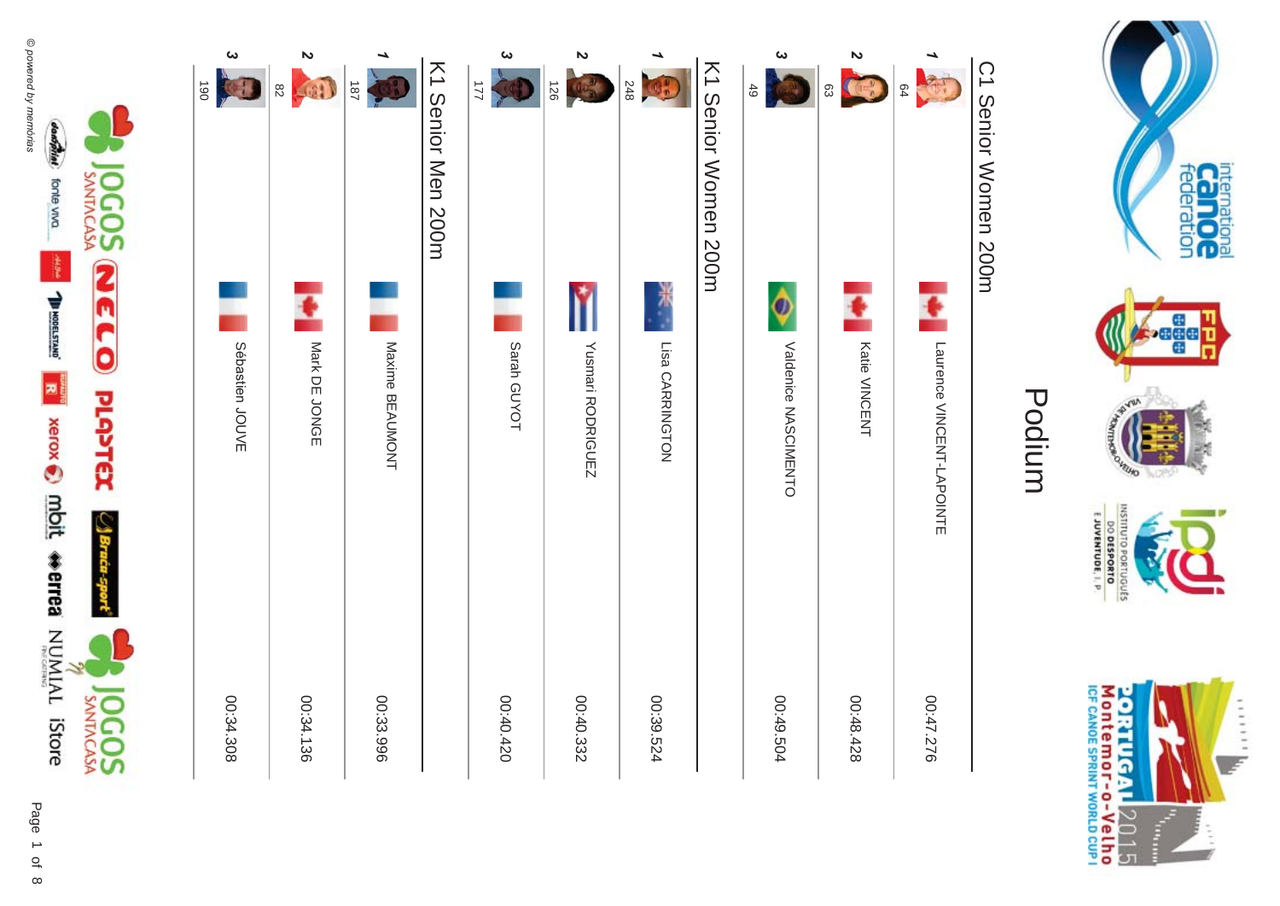



|                 | K1 Oenior Nen NOOH | ట<br>221    | N<br>126          | 248             | K1 Senior Women 200m | ట<br>49                   | N<br>$\left(1-\frac{1}{2}\right)$<br>83 |
|-----------------|--------------------|-------------|-------------------|-----------------|----------------------|---------------------------|-----------------------------------------|
| Maxime BEAUMONT |                    | Sarah GUYOT | Yusmari RODRIGUEZ | Lisa CARRINGTON |                      | Į<br>Valderice NASCIMENTO | ŧ<br><b>Katie VINCENT</b>               |
| 00:33.996       |                    | 00:40.420   | 00:40.332         | 00:39.524       |                      | 00:49.504                 | 00:48.428                               |



#### Podium

C1 Senior Women 200m C1 Senior Women 200m

-64<br>**64**<br>64

00:47.276 Laurence VINCENT-LAPOINTE

00:47.276

Laurence VINCENT-LAPOINTE

#### internation<br>**Canoc Seach** VEUID INSTITUTO PORTUGUES **DO DESPORTO**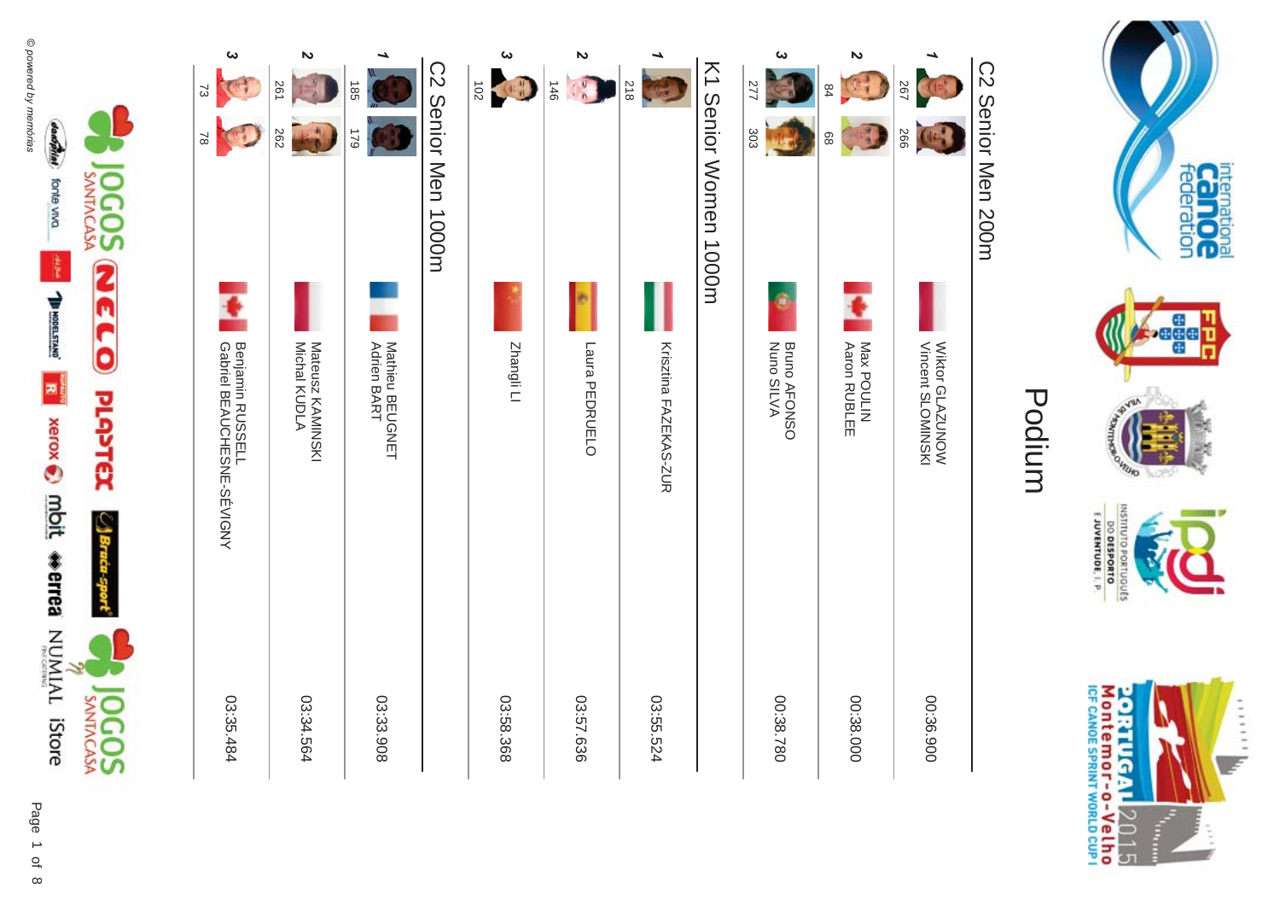

| N<br>267<br>$^{84}$<br>566<br>89          | Max POULIN<br>Aaron RUBLEE<br>Vincent SLOMINSKI<br>Wiktor GLAZUNOW | 00:36.900<br>00:38.000 |
|-------------------------------------------|--------------------------------------------------------------------|------------------------|
| ట<br>277<br>303                           | <b>Bruno AFONSO</b><br>Nuno SILVA                                  | 08.38.780              |
| K1 Senior Women 1000m                     |                                                                    |                        |
| 812                                       | Krisztina FAZEKAS-ZUR                                              | 03:55.524              |
| $\mathbf{v}$<br>146<br>$\frac{1}{3}$      | m<br>Laura PEDRUELO                                                | 03:57.636              |
| ట<br>102<br>$\left(0, \frac{1}{2}\right)$ | Zhangli Ll                                                         | 03:58.368              |
| CO Senior Men 1000m                       |                                                                    |                        |
| ۳<br><b>185</b><br>621                    | Mathieu BEUGNET<br>Adrien BART                                     | 03:33.908              |
| N<br>261<br>262                           | Mateusz KAMINSKI<br>Michal KUDLA                                   | 03:34.564              |
| $\boldsymbol{\omega}$<br>53<br>$\approx$  | <b>Benjamin RUSSEL-SFVICAY</b>                                     | 03:35.484              |
|                                           |                                                                    |                        |



international<br>Calo OC<br>federation

**Seach** 

HTUND

INSTITUTO PORTUGUES E JUVENTUDE, I. P.

### Podium

### C2 Senior Men 200m C2 Senior Men 200m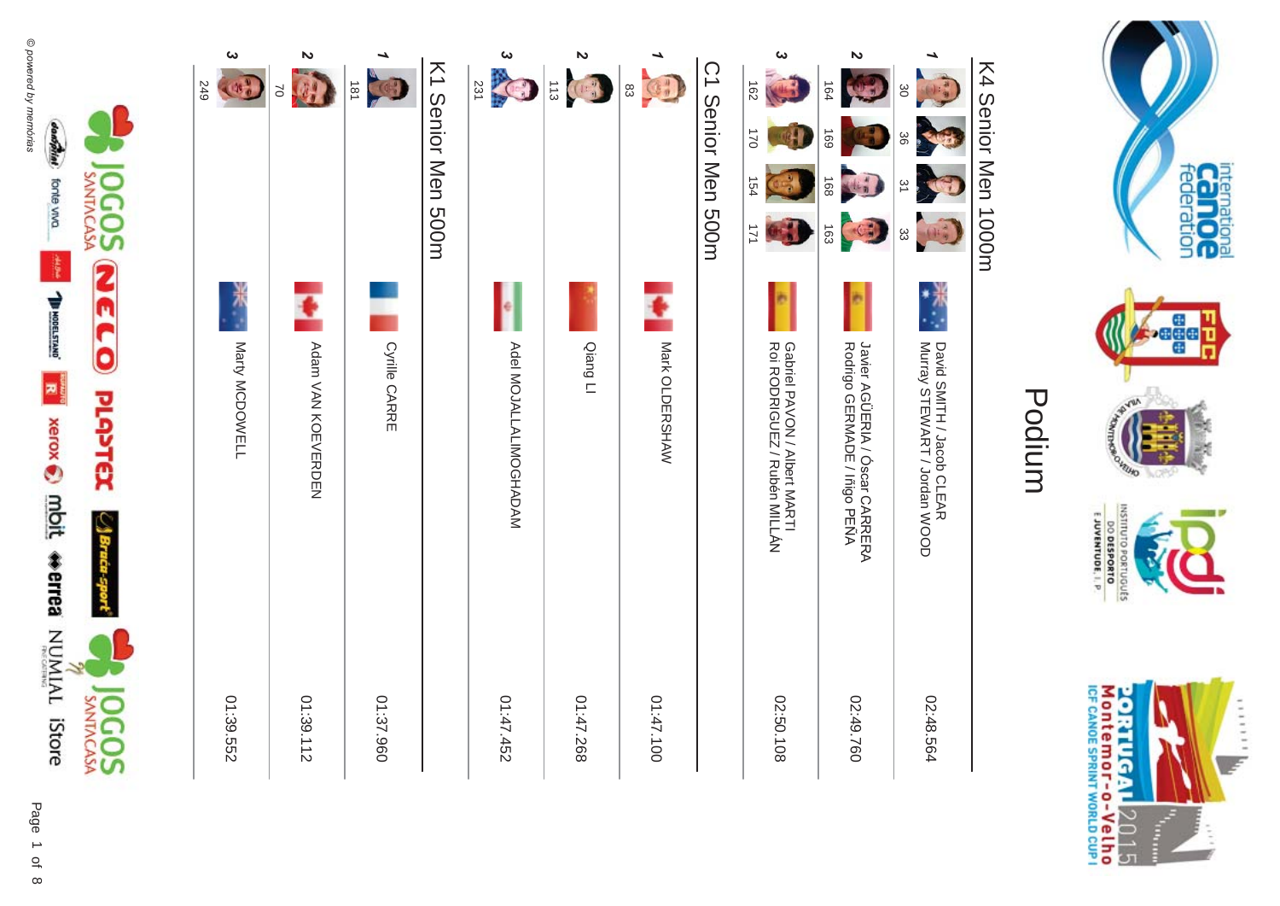



**internation**<br>Call OC

**Pege** 

**FUID** 

DINIIKNI

#### Podium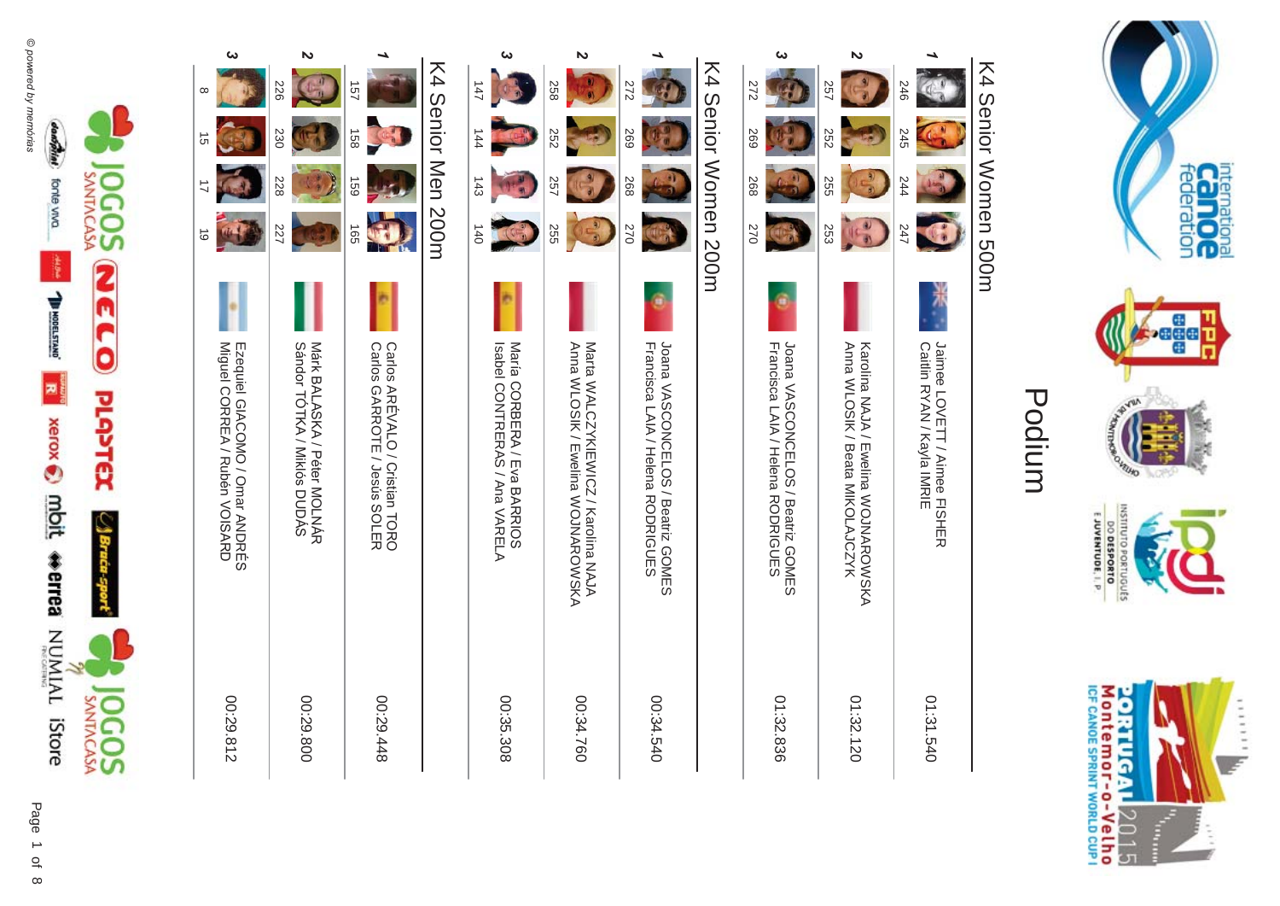



#### Podium

### K4 Senior Women 500m K4 Senior Women 500m



**internation**<br>Call OC

**Pege** 

**VEUSO** 

EJUVENTUDE, I. P.

DO DESPORTO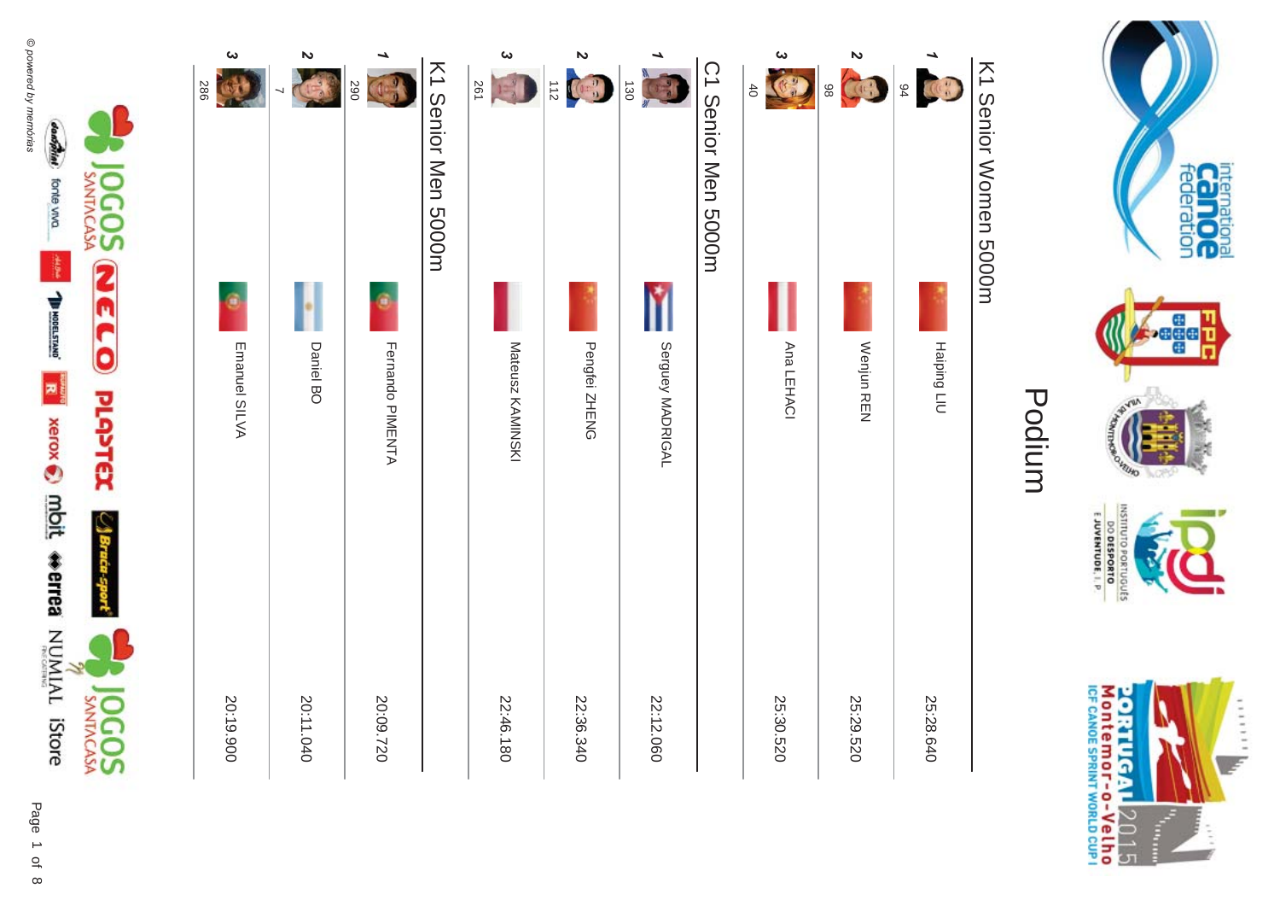

| $\boldsymbol{\omega}$<br>386 | $\boldsymbol{\mathsf{z}}$<br>$\overline{\phantom{0}}$ | 290              | K1 Senior Men 5000H | $\boldsymbol{\omega}$<br>261<br>12 <sup>2</sup> | $\triangleright$<br>$\frac{1}{n} \sum_{i=1}^{n} \left( \frac{1}{n} \sum_{i=1}^{n} \frac{1}{n} \sum_{i=1}^{n} \frac{1}{n} \sum_{i=1}^{n} \frac{1}{n} \sum_{i=1}^{n} \frac{1}{n} \sum_{i=1}^{n} \frac{1}{n} \sum_{i=1}^{n} \frac{1}{n} \sum_{i=1}^{n} \frac{1}{n} \sum_{i=1}^{n} \frac{1}{n} \sum_{i=1}^{n} \frac{1}{n} \sum_{i=1}^{n} \frac{1}{n} \sum_{i=1}^{n} \frac{1}{n} \sum_{i=1$ | 130              | C1 Senior Nen 5000H | $\boldsymbol{\omega}$<br>$\frac{1}{2}$<br>40 | $\boldsymbol{\mathsf{z}}$<br>COL<br>86 |             |
|------------------------------|-------------------------------------------------------|------------------|---------------------|-------------------------------------------------|----------------------------------------------------------------------------------------------------------------------------------------------------------------------------------------------------------------------------------------------------------------------------------------------------------------------------------------------------------------------------------------|------------------|---------------------|----------------------------------------------|----------------------------------------|-------------|
|                              |                                                       | ۹                |                     |                                                 |                                                                                                                                                                                                                                                                                                                                                                                        |                  |                     |                                              |                                        |             |
| Emanuel SILVA                | Daniel BO                                             | Fernando PIMENTA |                     | Mateusz KAMINSKI                                | Pengfei ZHENG                                                                                                                                                                                                                                                                                                                                                                          | Serguey MADRIGAL |                     | Ana LEHACI                                   | Wenjun REN                             | Haiping LIU |
| 20:19.900                    | 20:11.040                                             | 20:09.720        |                     | 22:46.180                                       | 22:36.340                                                                                                                                                                                                                                                                                                                                                                              | 22:12.060        |                     | 25:30.520                                    | 25:29.520                              | 25:28.640   |



international<br>Calo OC<br>federation

**Assem** 

ik<br>K

**Contraction** 

**ROUTILIS** 

INSTITUTO PORTUGUES E JUVENTUDE, I. P.

### Podium

## K1 Senior Women 5000m K1 Senior Women 5000m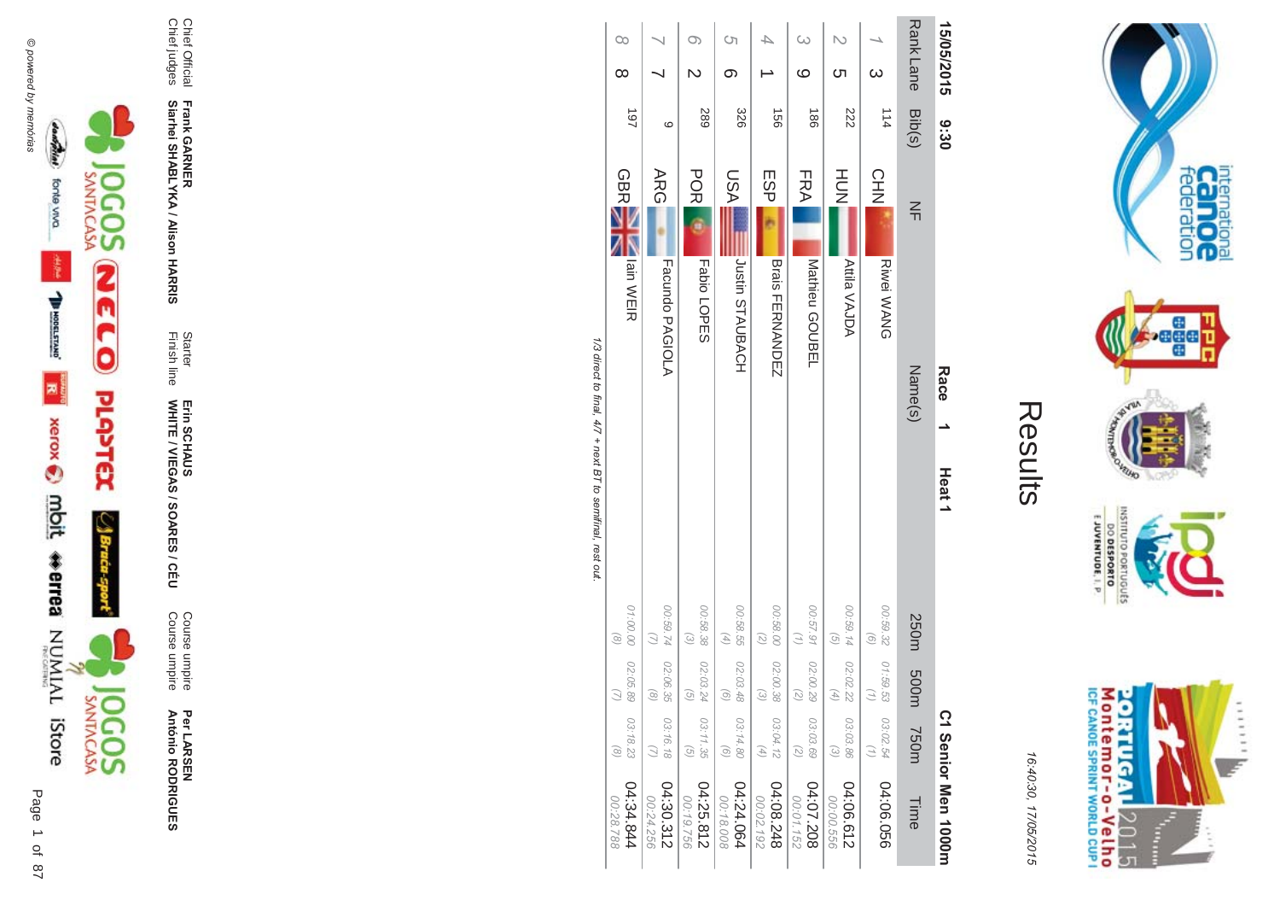

Per LAR SEN Course umpire **António R \*0-B-DES** 

Course umpire<br>Course umpire Course umpire

Finish line Starter WHITE / VIEGAS / SOAR Erin SCHAUS<br>WHITE / VIEGAS / SOARES / CÉU Erin SCHAUS

**Frank GAR - Siarhei SHABLYKA / Alison HAR -&**

Chief Official<br>Chief judges Chief judges Chief Official

| 15/05/2015       | 9:30            |                                     | Race<br>Heat <sub>1</sub> |                                          |                                               |                            | C1 Senior Men 1000m    |
|------------------|-----------------|-------------------------------------|---------------------------|------------------------------------------|-----------------------------------------------|----------------------------|------------------------|
| <b>Rank Lane</b> | Bib(s)          | $\leq$                              | Name(s)                   |                                          | 250m 500m                                     | <b>750m</b>                | Time                   |
| $\omega$         | 114             | CHN<br>Riwei WANG                   |                           | 00:59.32<br>$\left( 9\right)$            | 01:59.53<br>$\binom{7}{7}$                    | 03:02.54<br>$\binom{7}{7}$ | 04:06.056              |
| Cл               | 222             | HU<br>N<br><b>Attila VAJDA</b>      |                           | 00:59.14<br>$\left( 5\right)$            | 02:02.22<br>$\left( 4\right)$                 | 03:03.86<br>$\odot$        | 04:06.612<br>00:00.556 |
| $\omega$<br>ဖ    | $\frac{180}{2}$ | <b>FRA</b><br>Mathieu GOUBEL        |                           | 00:57.91 02:00.29<br>$\binom{7}{1}$      | $\begin{pmatrix} 2 \end{pmatrix}$             | 03:03.69<br>$\binom{2}{2}$ | 802'208<br>00:01.152   |
|                  | $\overline{56}$ | ESP<br><b>Brais FERNANDEZ</b>       |                           | 00:58.00 02:00.38<br>$\overline{z}$      | $\odot$                                       | 03:04.12<br>$(4)$          | 04:08.248<br>00:02.192 |
| Ċη<br>თ          | 328             | ASU<br><b>JUSHID STAUBACH</b>       |                           | 00:58.55<br>$(4)$                        | 02:03.48<br>$\begin{pmatrix} 0 \end{pmatrix}$ | 03:14.80<br>$\odot$        | 04:24.064<br>00:18.008 |
|                  | <b>289</b>      | <b>POR</b><br><b>Fabio LOPES</b>    |                           | 00:58.38<br>$\left( \frac{1}{2} \right)$ | 02:03.24<br>$\begin{pmatrix} 0 \end{pmatrix}$ | 03:11.35<br>$\odot$        | 04:25.812<br>00:19.756 |
|                  | ဖ               | <b>ARG</b><br>Facundo PAGIOLA       |                           | 42.69.74                                 | 02:06.35<br>$\circledcirc$                    | 03:16.18                   | 04:30.312<br>00:24.256 |
| $\infty$<br>∞    | 16              | <b>GBRE</b><br><b>N</b><br>Bin WEIR |                           | 01:00.00 02:05.89<br>$\circledcirc$      | $\bigcirc$                                    | 03:18.23<br>$\circledcirc$ | 04:34.844<br>00:28.788 |
|                  |                 |                                     |                           |                                          |                                               |                            |                        |

 $\sim$ 

Results

internation<br>Can OC<br>federation

**Pege** 

VEUID

OLNILISNI

GRIUGUES

 $\frac{6!13001N3A0013}{0180653000}$ 

Montemor-o-Velho<br>Montemor-o-Velho

**ORTUGAL** 

2015

T ŧ ......

uz.

**NORD** 

16:4 10:30, 1

7/05/2015

1/3 direct to final,  $4\ell$  + next B | to semifinal, rest out. /3 direct to final, 4  $\sqrt{7}$  + next BT to semifinal, rest out.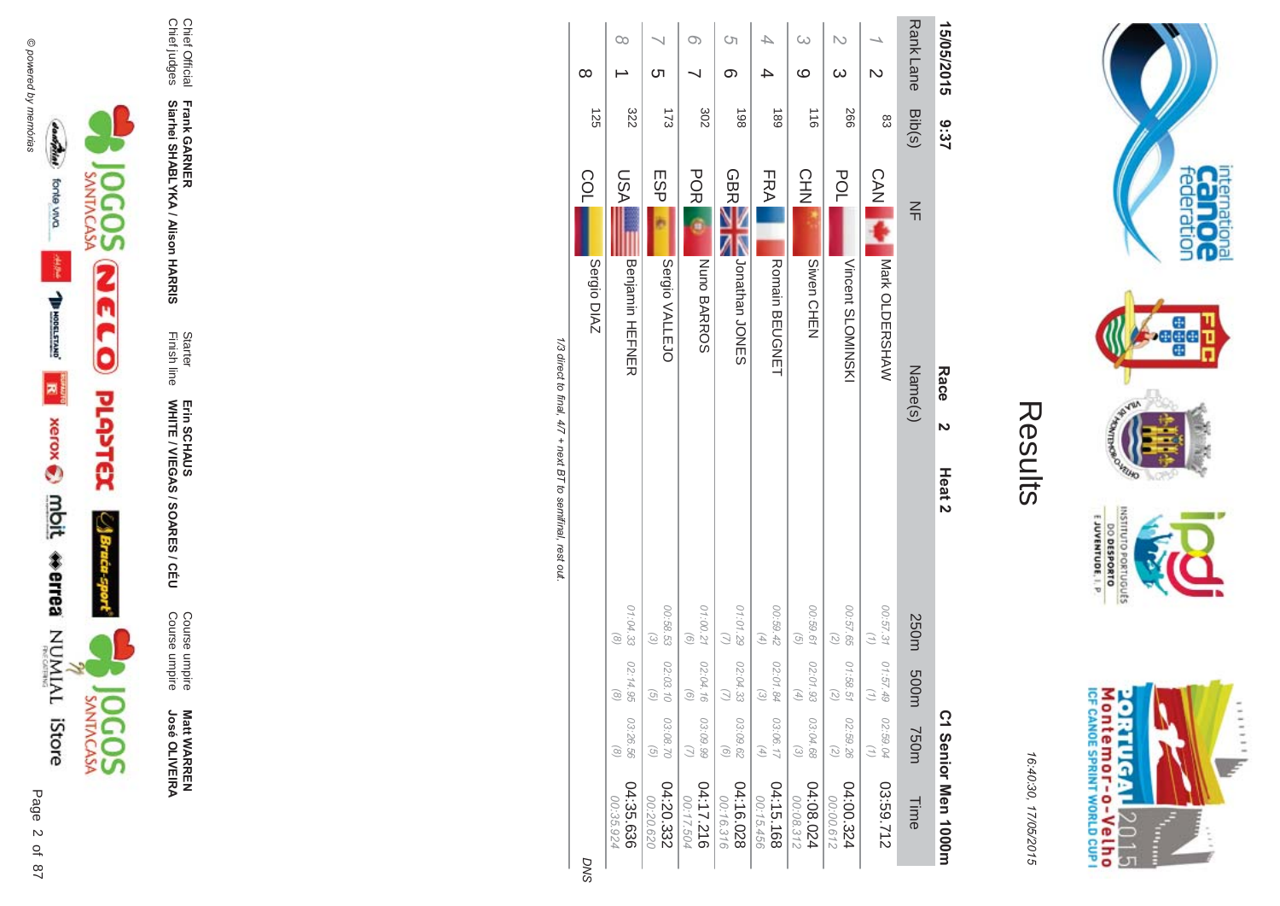

**Matt WARREN<br>José OLIVEIRA José OLIVEIR** 

Course umpire<br>Course umpire Course umpire Course umpire

WHITE / VIEGAS / SOAR Erin SCHAUS<br>WHITE / VIEGAS / SOARES / CÉU Erin SCHAUS

**Frank GAR - Siarhei SHABLYKA / Alison HAR** 

**-&**

Finish line Starter

Chief Official<br>Chief judges Chief judges Chief Official

| 15/05/2015              | 3:37           | Race<br>$\overline{a}$          | Heat <sub>2</sub>                                          |                                |                                          | C1 Senior Men 1000m    |
|-------------------------|----------------|---------------------------------|------------------------------------------------------------|--------------------------------|------------------------------------------|------------------------|
| <b>RankLane</b>         | Bib(s)         | $\leq$<br>Name(s)               | 250m                                                       | m005                           | <b>750m</b>                              | Time                   |
| $\overline{\mathsf{C}}$ | 83             | <b>CAN</b><br>Nark OLDERSHAW    | 00:57.31<br>$\binom{7}{2}$                                 | 01:57.49                       | 02:59.04<br>$\left(\frac{1}{2}\right)$   | 03:59.712              |
| $\infty$                | 997            | POL<br>Vincent SLOMINSKI        | 00:57.65<br>$\left(\begin{matrix} 2 \end{matrix}\right)$   | 01:58.51<br>G,                 | 02:59.26<br>$\binom{2}{2}$               | 04:00.324<br>00:00.612 |
| ω<br>ဖ                  | $\frac{1}{10}$ | <b>CHN</b><br>Siwen CHEN        | 00:59.61<br>$\widehat{G}$                                  | 02:01.93<br>F,                 | 03:04.68<br>$\mathcal{E}$                | 04:08.024<br>00:08.312 |
|                         | <b>189</b>     | FRA <br>Romain BEUGNET          | 00:59.42<br>$\left( \begin{matrix} 4 \end{matrix} \right)$ | 02:01.84<br>$\widehat{\omega}$ | 03:06.17<br>$\left( \frac{4}{4} \right)$ | 04:15.168<br>00:15.456 |
| Ćη<br>თ                 | 198            | <b>GBR</b><br>Jonathan<br>JONES | 01:01.29<br>$\bigcirc$                                     | 02:04.33                       | 03:09.62<br>$\odot$                      | 04:16.028<br>00:16.316 |
| $\infty$                | 302            | <b>POR</b><br>Nuno BARROS       | 01:00.21<br>$\left( 9\right)$                              | 02:04.16<br>ଚ                  | 03:09.99<br>$\bigcirc$                   | 04:17.216<br>00:17.504 |
| <u>(</u>                | 173            | ESP<br>Sergio VALLEJO           | 00:58.53<br>$\omega$                                       | 02:03.10<br>G                  | 03:08.70<br>$\overline{G}$               | 04:20.332<br>00:20.620 |
| $\infty$                | 322            | ASU<br><b>Benjamin HEFNER</b>   | 01:04.33<br>$\odot$                                        | 02:14.95<br>$\odot$            | 03:26.56<br>$\infty$                     | 04:35.636<br>00:35.924 |
| $\infty$                | 125            | COL<br>Sergio DIAZ              |                                                            |                                |                                          | <b>DNS</b>             |

1/3 direct to final, 4/7 + next BT to semifinal, rest out. /3 direct to final, 4  $/7$  + next BT to semifinal, rest out.

**DNS** 

M ontem or - o-Velh o<br>ICF canoE SPRINT WORLD CUP I **ORTUGAL** 2015 Ī  $\frac{1}{2}$ 

 $11111$ 

internation<br>Can OC<br>federation

**Page** 

**VELHO LCP** 

INSIN

orruguts

 $\frac{6!13001N3A0013}{0180653000}$ 

16:4 10:30, 1 7/05/2015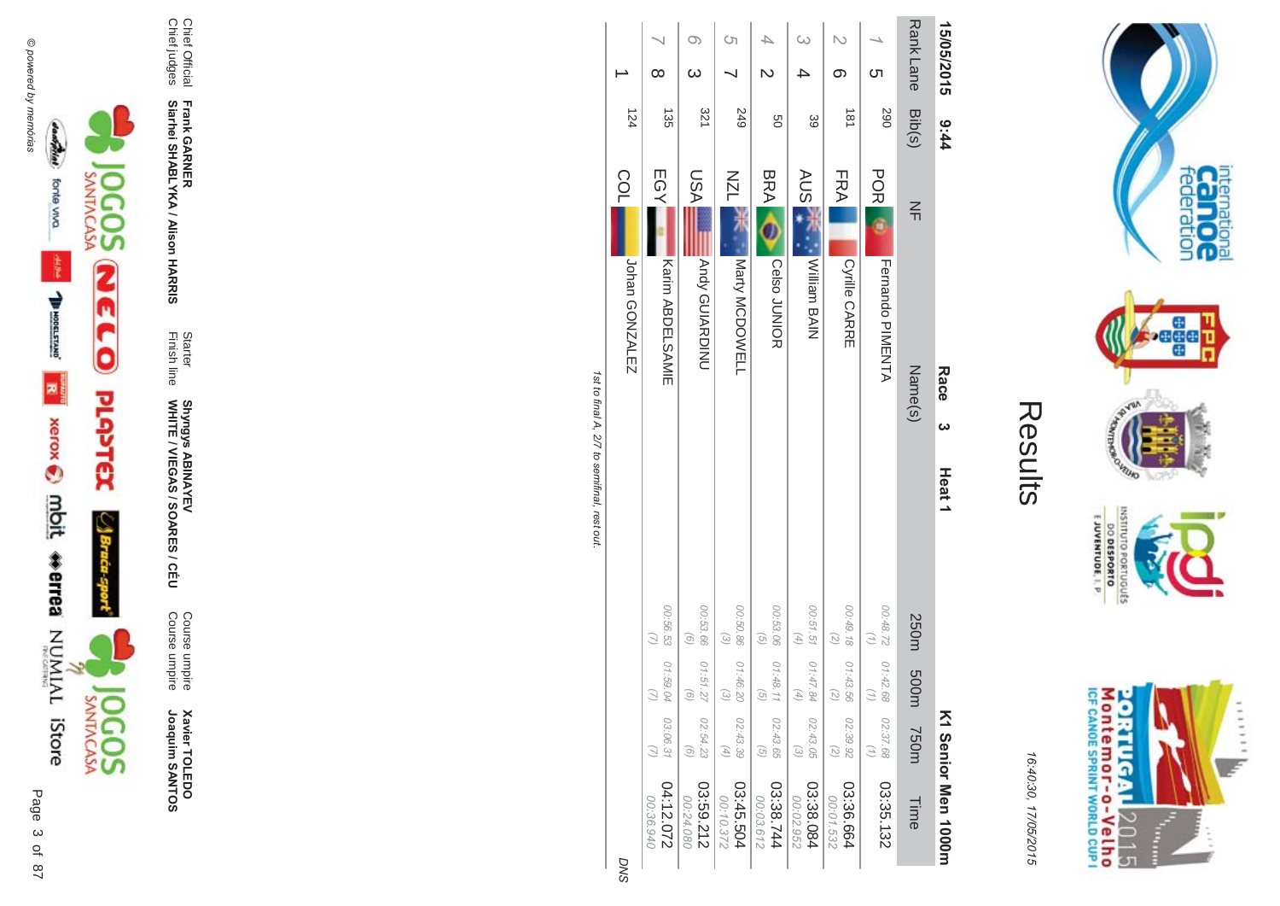

**Xavier TOLEDO**<br>Joaquim SANTOS Joaquim SANTOS **Xavier TOLEDO** 

Course umpire<br>Course umpire Course umpire Course umpire

Finish line Starter WHITE / VIEGAS / SOAR Shyngys ABINAYEV<br>WHITE / VIEGAS / SOARES / CÉU Shyngys ABINAYEV

**- -&**

Chief Official<br>Chief judges Chief judges

**Frank GAR Siarhei SHABLYKA / Alison HAR** 

Chief Official

| <b>DNS</b> |                          |                                               |                                          |                            |                   |          | Johan GONZALEZ          | COL        | 124 |                  |            |
|------------|--------------------------|-----------------------------------------------|------------------------------------------|----------------------------|-------------------|----------|-------------------------|------------|-----|------------------|------------|
|            | 270.212.072<br>02:36.940 | 03:06.31                                      | 01:59.04<br>3                            | 00:56.53                   |                   |          | <b>Karin ABDELSAMIE</b> | EGY        | 135 | ∞                |            |
|            | 03:59.212<br>00:24.080   | 02:54.23<br>$\odot$                           | 01:51.27<br>o)                           | 00:53.66<br>$\odot$        |                   |          | <b>Andy GUIARDINU</b>   | <b>USA</b> | 321 | $\omega$         |            |
|            | 03:45.504<br>00:10.372   | 02:43.39<br>$\begin{pmatrix} 4 \end{pmatrix}$ | 01:46.20<br>$\widehat{\omega}$           | 00:50.86<br>$\omega$       |                   |          | Narty MCDOWELL          | <b>NZN</b> | 249 |                  | S)         |
|            | 03:38.744<br>00:03.612   | 02:43.65<br>$\widehat{G}$                     | 01:48.11<br>$\overline{G}$               | 00:53.06<br>$\odot$        |                   |          | <b>Celso JUNIOR</b>     | <b>BRA</b> | g   |                  |            |
|            | 03:38.084<br>00:02.952   | 02:43.05<br>$\widetilde{\omega}$              | 01:47.84<br>$\left( \frac{4}{7} \right)$ | 00:51.51<br>$(4)$          |                   |          | William BAIN            | <b>AUS</b> | 89  |                  | $\omega$   |
|            | 03:36.664<br>00:01.532   | 02:39.92<br>$\binom{2}{2}$                    | 01:43.56<br>2                            | 00:49.18<br>$\binom{2}{2}$ |                   |          | Cyrille CARRE           | FRA        | 181 | ග                |            |
|            | 03:35.132                | 02:37.68<br>Ξ,                                | 01:42.68<br>Э                            | 228700                     |                   |          | <b>Ferrando PIMENTA</b> | POR        | 290 | Cл               |            |
|            | Time                     | <b>750m</b>                                   | m003                                     | 250m                       |                   |          | Name(s)                 | 즊          |     | Rank Lane Bib(s) |            |
|            | K1 Senior Men 1000H      |                                               |                                          |                            | Heat <sub>1</sub> | <b>ယ</b> | Race                    |            | 444 |                  | 15/05/2015 |

1st to final A, 2/7 to semifinal, rest out. st to final A, 2/7 to semifinal, rest out.

**DNS** 

M ontem or - o-Velh o<br>ICF canoE SPRINT WORLD CUP I **ORTUGAL** ...... 2015 **Figure** ŧ

internation<br>Can OC<br>federation

**bege** 

VEUID

DINILISM

Sangurac

E JUVENTUDE, I. P.

DO DESPORTO

**NORD** 

16:4 10:30, 1 7/05/2015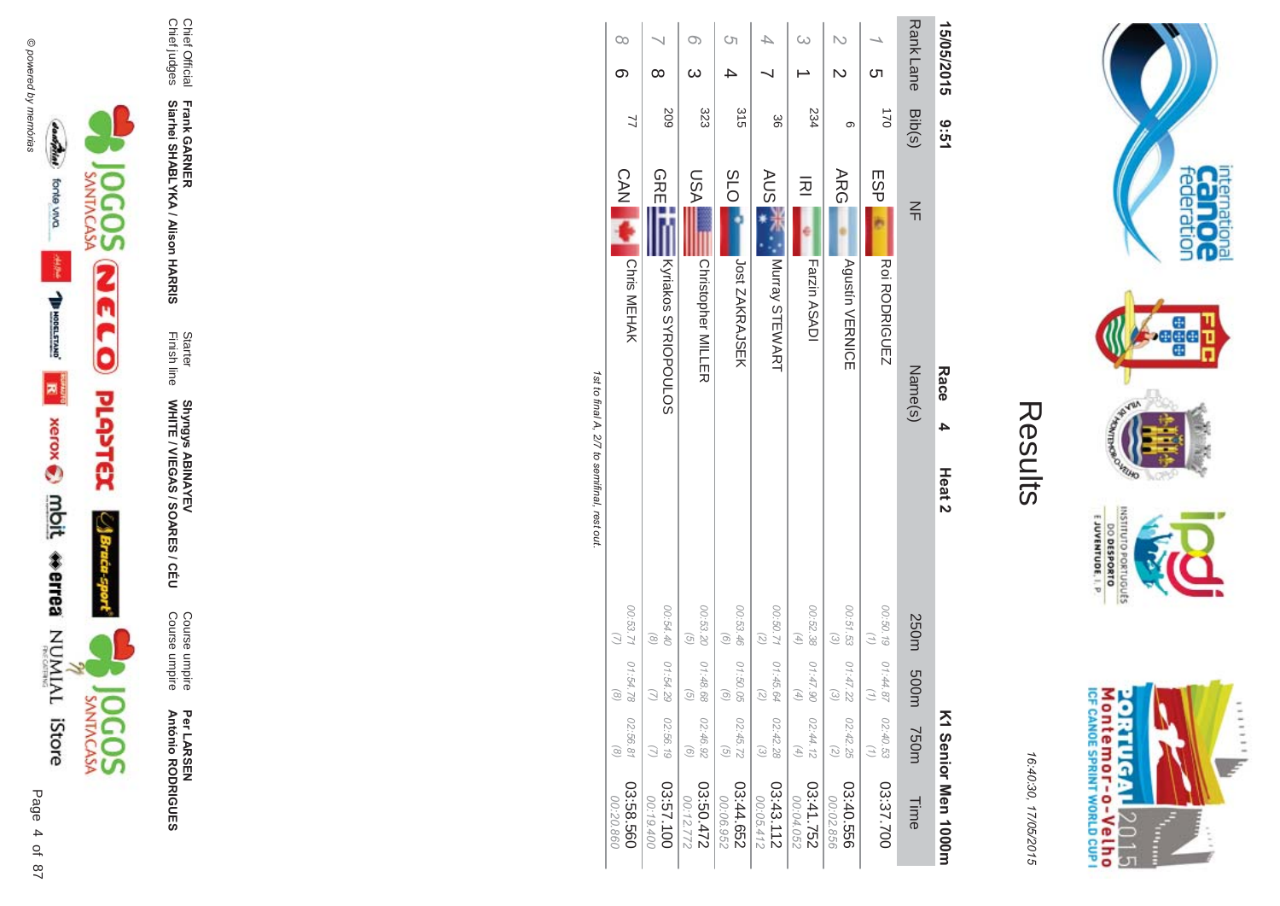

Per LAR SEN **António R \*0-B-DES** 

Course umpire<br>Course umpire Course umpire Course umpire

Finish line Starter WHITE / VIEGAS / SOAR Shyngys ABINAYEV<br>WHITE / VIEGAS / SOARES / CÉU Shyngys ABINAYEV

**-**

Chief Official<br>Chief judges Chief judges

**Frank GAR Siarhei SHABLYKA / Alison HAR -&**

Chief Official

| <b>19:61</b>     | Race<br>4                               |                                                                                           | K1 Senior Men 1000H                                                |
|------------------|-----------------------------------------|-------------------------------------------------------------------------------------------|--------------------------------------------------------------------|
|                  | $\leq$<br>Name(s)                       | 250m 500m                                                                                 | <b>750m</b><br>Time                                                |
| $\overline{021}$ | ESP<br><b>RODRIGUEZ</b>                 | 00:50.19<br>$\binom{7}{1}$<br>01:44.87<br>$\binom{7}{7}$                                  | 02:40.53<br>(1)<br>03:37.700                                       |
| တ                | ARG<br><b>Agustín VERNICE</b>           | 00:51.53<br>$\widehat{\omega}$<br>01:47.22<br>$\begin{pmatrix} 2 \end{pmatrix}$           | 02:42.25<br>$\binom{2}{2}$<br>03:40.556<br>00:02.856               |
| 234              | 远<br>Farzin ASADI                       | 00:52.38<br>$(4)$<br>01:47.90<br>$\left( 4\right)$                                        | 02:44.12<br>$(4)$<br>251.752<br>00:04.052                          |
| 88               | <b>AUS</b><br>Murray STEWART            | 00:50.71 01:45.64<br>(2)<br>$\left( \begin{smallmatrix} 2 \\ 2 \end{smallmatrix} \right)$ | 02:42.28<br>$\odot$<br>03:43.112<br>00:05.412                      |
| 315              | 5LO<br>Jost ZAKRAJSEK                   | 00:53.46<br>$\odot$<br>01:50.05<br>$\begin{pmatrix} 0 \end{pmatrix}$                      | 02:45.72<br>$\left( \frac{1}{2} \right)$<br>03:44.652<br>00:06.952 |
| 323              | <b>ASU</b><br><b>Christopher MILLER</b> | 00:53.20<br>$\overline{G}$<br>01:48.68<br>$\begin{pmatrix} 0 \end{pmatrix}$               | 02:46.92<br>$\odot$<br>22750.472<br>00:12.772                      |
| 209              | <b>GREET</b><br>Kyriakos SYRIOPOULOS    | 00:54.40<br>$\circledcirc$<br>01:54.29                                                    | 02:56.19<br>03:57.100<br>00:19.400                                 |
| 7                | <b>CAN LA</b><br>Chris MEHAK            | 00:53.71   01:54.78<br>$\circledcirc$                                                     | 02:56.81<br>$\mathcal{S}$<br>03:58.560<br>00:20.860                |
|                  | 15/05/2015<br>Bib(s)                    |                                                                                           | Heat <sub>2</sub>                                                  |

Results

internation<br>Can OC<br>federation

**bege** 

VEUID **NORS** 

INSNI

orruguts

 $\frac{6!13001N3A0013}{0180653000}$ 

M ontem or - o-Velh o<br>ICF canoE SPRINT WORLD CUP I

**ORTUGAL** 

2015

T È ......

y.

**Contract Contract** 

16:4 10:30, 1

7/05/2015

1st to final A, 2/7 to semifinal, rest out. st to final A, 2/7 to semifinal, rest out.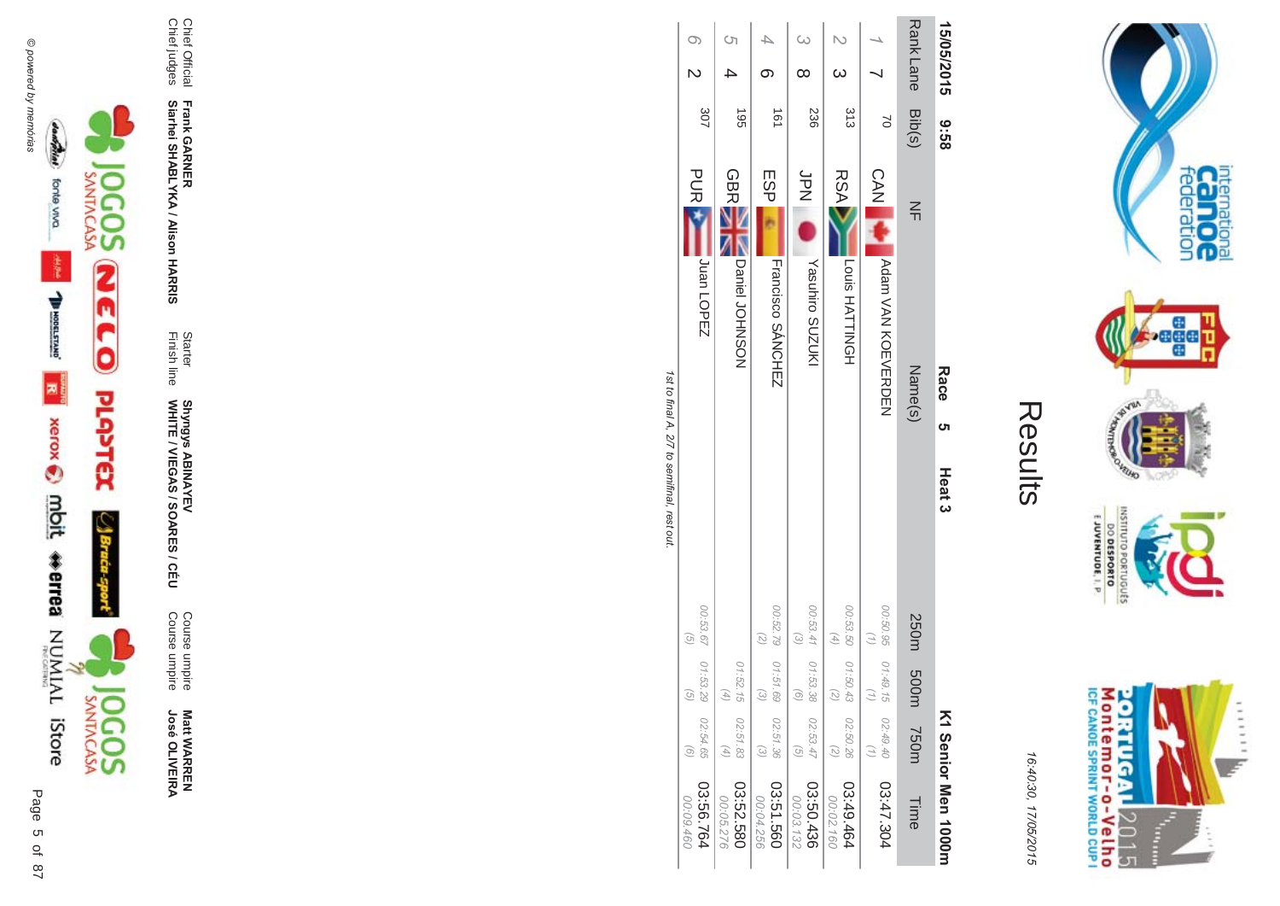



**Matt WARREN<br>José OLIVEIRA José OLIVEIR** 

Course umpire<br>Course umpire Course umpire Course umpire

Finish line Starter WHITE / VIEGAS / SOAR **Shyngys ABINAYEV<br>WHITE / VIEGAS / SOARES / CÉU** Shyngys ABINAYEV

**-**

**Frank GAR Siarhei SHABLYKA / Alison HAR -&**

Chief Official<br>Chief judges Chief judges Chief Official

|                        |                              |                                          |                              | きょうきょう プログラフィング こうきょう                 |                               |                  |                  |  |
|------------------------|------------------------------|------------------------------------------|------------------------------|---------------------------------------|-------------------------------|------------------|------------------|--|
| 13:56.764<br>00:09.460 | 02:54.65<br>o,               | 00:53.67  01:53.29<br>$\widehat{\sigma}$ | $\left( \frac{1}{2} \right)$ |                                       | <b>PORTS</b><br>Juan LOPEZ    | 307              |                  |  |
|                        |                              |                                          |                              |                                       |                               |                  |                  |  |
| 00:05.276              | $\left( \frac{4}{7} \right)$ |                                          |                              |                                       |                               |                  |                  |  |
| 03:52.580              | 02:51.83                     | 01:52.15                                 |                              | Daniel JOHNSON                        | <b>GBRE</b>                   | $-561$           |                  |  |
| 00:04.256              |                              | ದ                                        | $\widetilde{\omega}$         |                                       |                               |                  |                  |  |
| 03:51.560              | 02:51.36                     |                                          | 00:52.79   01:51.69          | Francisco SÁNCHEZ                     | ESP <sub>I</sub>              | $\overline{181}$ |                  |  |
| 00:03.132              | $\widehat{G}$                | $\widehat{\circ}$                        | $\widehat{\epsilon}$         |                                       |                               |                  |                  |  |
| 03:50.436              | 02:53.47                     |                                          | 00:53.41 01:53.38            |                                       | <b>SPN</b><br>Yasuhiro SUZUKI | 236              |                  |  |
| 00:02.160              | $\binom{2}{2}$               | $\widehat{\omega}$                       | $\tag{4}$                    |                                       |                               |                  | $\omega$         |  |
| 03:49.464              | 02:50.26                     |                                          | 00:53.50   01:50.43          |                                       | <b>RSA</b><br>Louis HATTNGH   | 313              |                  |  |
|                        |                              |                                          |                              |                                       |                               |                  |                  |  |
| 03:47.304              | 02:49.40                     | 00:50.95 01:49.15                        |                              | Notary NOW ACTION                     | <b>CAN AS</b>                 | $\approx$        |                  |  |
|                        |                              |                                          |                              |                                       |                               |                  |                  |  |
| Time                   | <b>750m</b>                  | 250m 500m                                |                              | Name(s)                               | $\leq$                        |                  | Rank Lane Bib(s) |  |
| K1 Senior Men 1000m    |                              |                                          |                              | <b>Race</b><br>ຕ<br>Heat <sub>3</sub> |                               | 83.6<br>8        | 15/05/2015       |  |
|                        |                              |                                          |                              |                                       |                               |                  |                  |  |

Results

internation<br>Can OC<br>federation

 $\frac{1}{2}$ 

VEUID **NORS** 

OLNILISNI

orruguts

EJUVENTUDE, I. P.

M ontem or - o-Velh o<br>ICF canoe sprint world cup i

**ORTUGAL** 

2015

......

y.

È

DO DESPORTO

16:4 10:30, 1

7/05/2015

**121 IU IIId** st to final A, 2/7 to semifinal, rest out. Ç  $\ddot{\mathbf{r}}$  $\overline{c}$  $1021$ nn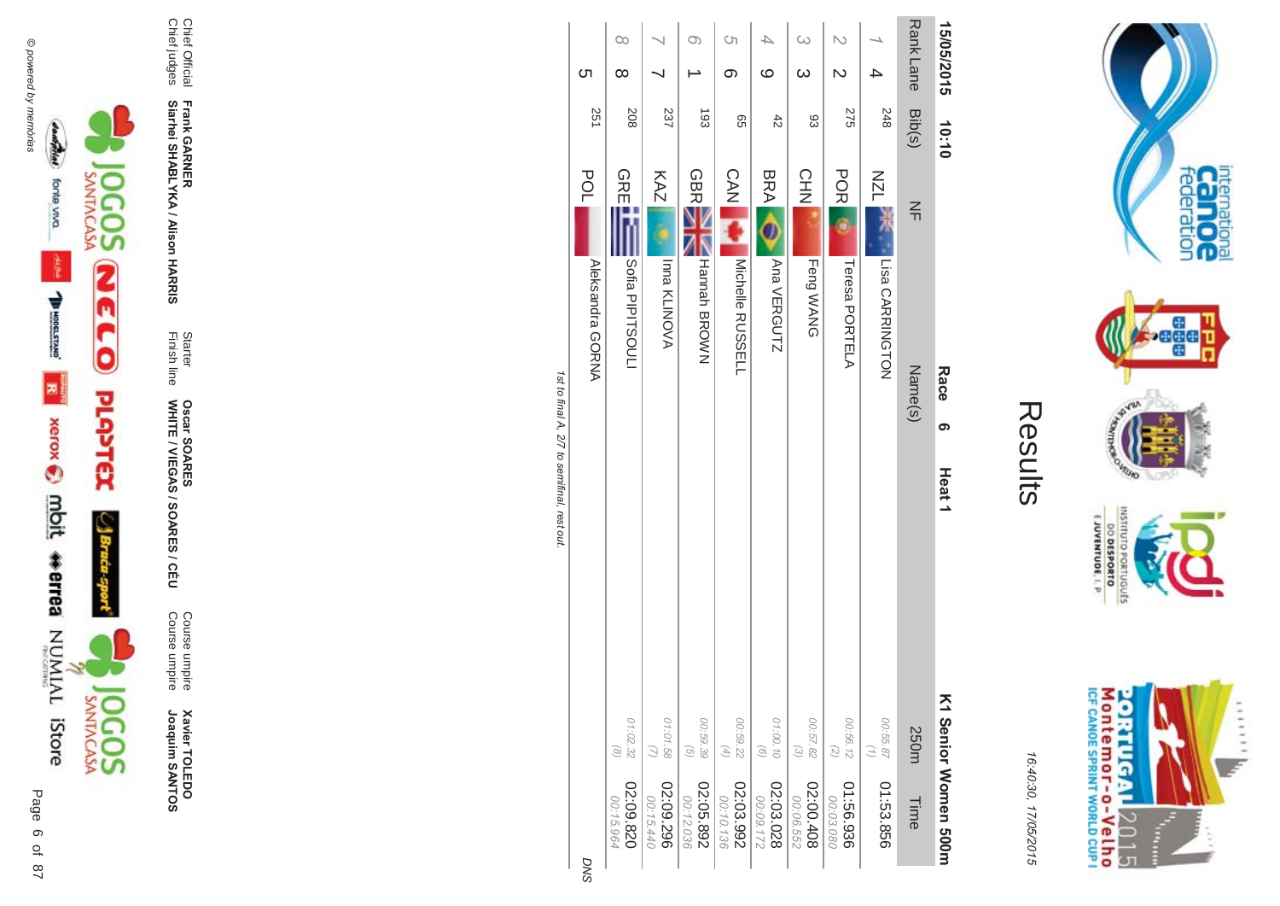

**Xavier TOLEDO**<br>Joaquim SANTOS

Course umpire<br>Course umpire

Starter<br>Finish line **Oscar SOARES<br>WHITE / VIEGAS / SOARES / CÉU** 

Frank GARNER<br>Siarhei SHABLYKA / Alison HARRIS

Chief Official<br>Chief judges

| D                      |                            | Aleksandra GORNA               | 2<br>POL                    |
|------------------------|----------------------------|--------------------------------|-----------------------------|
| 02:09.820<br>00:15.964 | 01:02.32<br>$\circledcirc$ | Sofia PIPITSOUL                | 8<br><b>GREL</b>            |
| 02:09.296<br>00:15.440 | 01:01.58                   | Inna KLINOVA                   | $\approx$<br>KAZ            |
| 02:05.892<br>00:12.036 | 00:59.39<br>$\mathcal{G}$  | NHannah BROWZ                  | ස<br><b>GBRE</b>            |
| 02:03.992<br>00:10.136 | 00:59.22<br>$(4)$          | <b>CAN</b><br>Michelle RUSSELL | ၛၟ                          |
| 02:03.028<br>22160:00  | 01:00.10<br>$\odot$        | BRACO<br>Ana VERGUTZ           | 42                          |
| 02:00.408<br>00:06.552 | 00:57.82<br>$\odot$        | Feng WANG                      | ස<br><b>CHN</b>             |
| 01:56.936<br>00:03.080 | 00:56.12<br>$\mathcal{O}$  | Teresa PORTELA                 | 95<br><b>POR</b>            |
| 01:53.856              | 00:55.87                   | Lisa CARRINGTON                | $\frac{4}{6}$<br><b>NZL</b> |
| Time                   | 250m                       | $\leq$<br>Name(s)              | $\sin(s)$                   |
| K1 Senior Momen 200H   |                            | Race<br>თ<br>Heat1             | 10:10                       |
|                        |                            |                                |                             |
| 16:40:30, 17/05/2015   |                            | Results                        |                             |

Rank Lane 15/05/2015

1st to tinal A, 2/ to semirinal, rest out.

 $\infty$ 

 $\infty$ 

208

ת

251

 $\infty$ 

 $\rightharpoonup$ 

සි

 $\overline{\phantom{0}}$ 

 $\overline{\phantom{0}}$ 

237

 $\circ$ 

 $\infty$ 

99

 $\overline{\mathcal{A}}$ 

 $\circ$ 

 $42$ 

 $\omega$ 

ယ

සි

 $\mathbb N$ 

 $\mathcal{D}$ 

**275** 

 $\overline{\phantom{a}}$ 

 $\rightarrow$ 

248 Bib(s)

**DNS** 



internation<br>Can OC<br>federation

**Page** 

nussu

<sup>8</sup>

**DESPORTO** priuguts

EJUVENTUDE, I. P.

16:40:30, 17/05/2015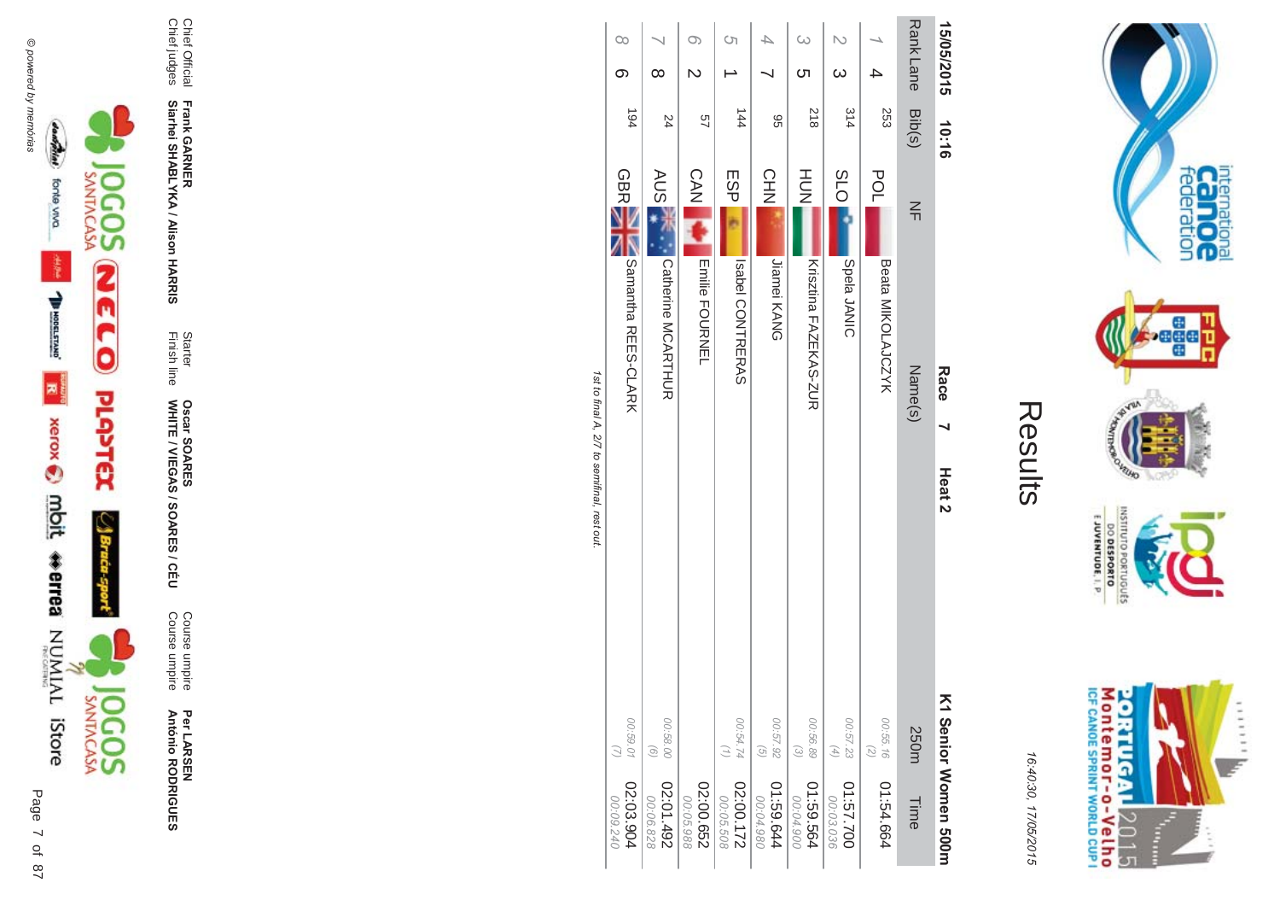

Per LAR SEN **António R \*0-B-DES** 

**ES/CEU** Course umpire<br>Course umpire Course umpire Course umpire

Finish line Starter WHITE / VIEGAS / SOAR **Oscar SOAR** 55

**Frank GAR - Siarhei SHABLYKA / Alison HAR -&**

Chief Official<br>Chief judges Chief judges Chief Official

|                        |                                                 | ユート・ション ココトラケ     |                            |               |                  |            |          |
|------------------------|-------------------------------------------------|-------------------|----------------------------|---------------|------------------|------------|----------|
| 02:03.904<br>00:09.240 | 00:59.01                                        |                   | <b>Samantha REES-CLARK</b> | <b>GBR</b>    | 194              | ග          | $\infty$ |
| 267'01.92<br>00:06.828 | 00:58.00<br>$\odot$                             |                   | Catherine MCARITUR         | AUS 7         | 24               | $\infty$   |          |
| 02:00.652<br>00:05.988 |                                                 |                   | <b>Enlie PODRNEL</b>       | <b>CAN</b>    | 97               | N          | O)       |
| 22:00.172<br>00:05.508 | 00:54.74                                        |                   | Isabel CONTRERAS           | ESP           | $\frac{1}{4}$    |            | S)       |
| 41:59.644<br>00:04.980 | 00:57.92<br>$\odot$                             |                   | Jiamei KANG                | <b>CHN</b>    | 96               |            |          |
| 41:59.564<br>00:04.900 | 00.56.89<br>$\widetilde{\omega}$                |                   | Krisztina FAZEKAS-ZUR      | HUT<br>N      | 818              | Cл         |          |
| 01:57.700<br>00:03.036 | 00:57.23<br>$\left( \frac{4}{\sqrt{2}} \right)$ |                   | Spela JANIC                | <b>PLO</b>    | 314              | $\omega$   |          |
| 1:54.664               | 00:55.16<br>$\overline{z}$                      |                   | Beata MIKOLAJCZYK          | POL           | 253              |            |          |
| Time                   | 250m                                            |                   | Name(s)                    | $\frac{2}{1}$ | Rank Lane Bib(s) |            |          |
| K1 Senior Momen 200H   |                                                 | Heat <sub>2</sub> | Race                       |               | 10:16            | 15/05/2015 |          |
|                        |                                                 |                   |                            |               |                  |            |          |

Results

internation<br>Can OC<br>federation

**bege** 

VEUID

OLNILISNI

E JUVENTUDE, I. P.

M ontem or - o-Velh o<br>ICF canoe sprint world cup i

**ORTUGAL** 

2015

**Figure** ŧ ......

DO DESPORTO orruguts **NORD** 

16:4 10:30, 1

7/05/2015

1st to final A, 2/7 to semifinal, rest out. st to final A, 2/7 to semifinal, rest out.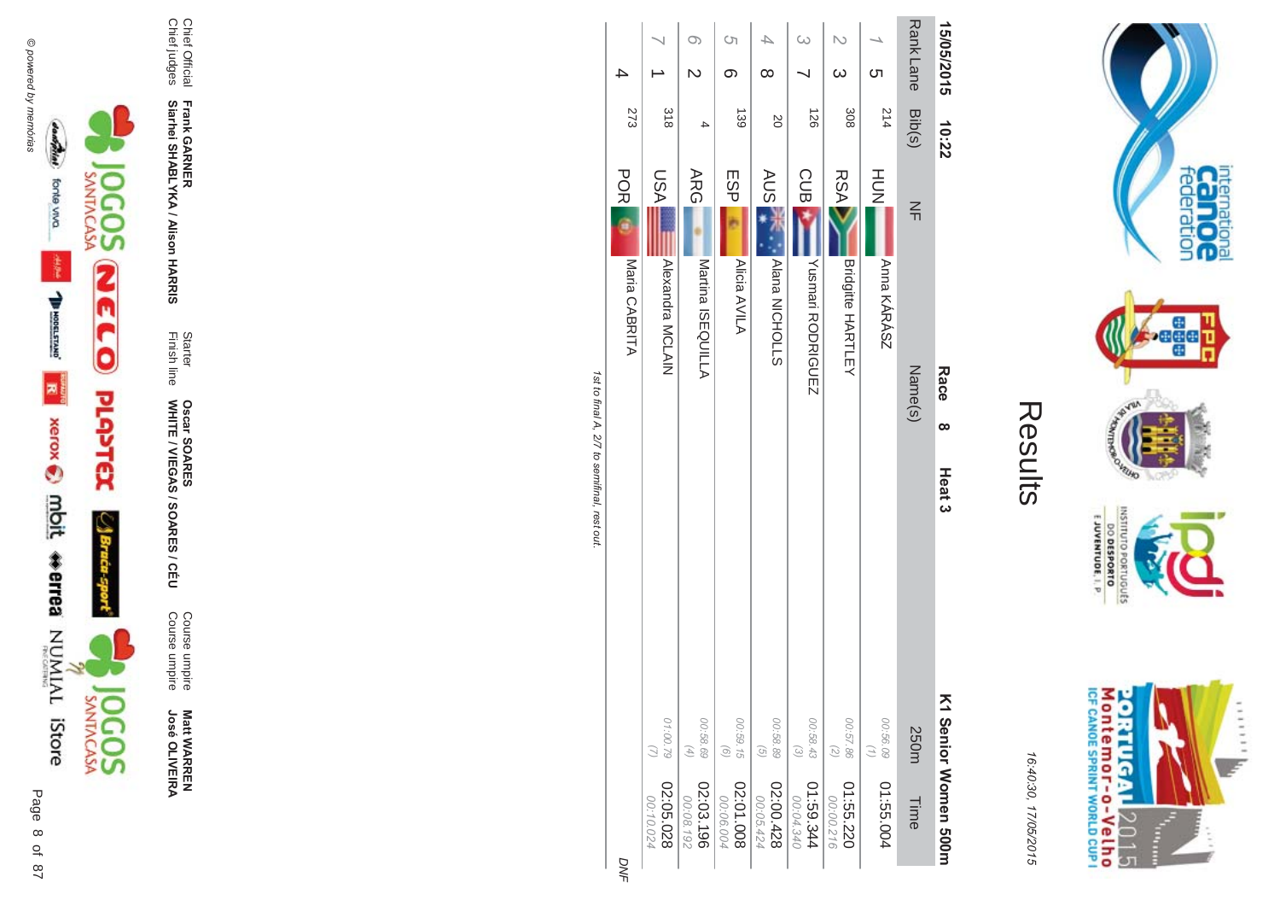



**ES/CEU** Course umpire<br>Course umpire Course umpire Course umpire

Finish line Starter WHITE / VIEGAS / SOAR **Oscar SOAR** 55

**Frank GAR - Siarhei SHABLYKA / Alison HAR** 

**-&**

Chief Official<br>Chief judges Chief judges Chief Official

| Rank Lane<br>15/05/2015 | Bib(s)<br>214<br>10:22 | $\leq$<br>Name(s)<br><b>Race</b><br>$\infty$ | Heat <sub>3</sub> | K1 29 hour Momen 500H<br>00:56.09<br>250m<br>01:55.004<br>Time |
|-------------------------|------------------------|----------------------------------------------|-------------------|----------------------------------------------------------------|
| cл                      |                        | HUH<br>N<br>Anna KÁRÁSZ                      |                   | $\binom{7}{1}$                                                 |
| $\omega$                | 308                    | <b>RSA</b><br><b>Bridgitte HARTLEY</b>       |                   | 00:57.86<br>$\binom{2}{2}$                                     |
|                         | $\overline{126}$       | <b>CUB</b><br>Yusmari RODRIGUEZ              |                   | 00:58.43<br>$\odot$                                            |
| ∞                       | <b>SO</b>              | <b>AUS</b><br>Alana NICHOLLS                 |                   | 00:58.89<br>$\left( 9\right)$                                  |
| Ċη<br>ග                 | 139                    | ESP<br>Alicia AVILA                          |                   | 00:59.15<br>$\left( 9\right)$                                  |
|                         | 4                      | <b>ARG</b><br>Martina ISEQUILLA              |                   | 00:58.69<br>$(4)$                                              |
|                         | 318                    | NSU<br>Alexandra MCLAIN                      |                   | 01:00.79                                                       |
| 4                       | 273                    | <b>POR</b><br>Maria CABRITA                  |                   |                                                                |

1st to final A, 2/7 to semifinal, rest out. st to final A, 2/7 to semifinal, rest out.

DNF

M ontem or - o-Velh o<br>ICF canoE SPRINT WORLD CUP I **ORTUGAL** 2015

internation<br>Can OC<br>federation

 $111111$ 

I È

 $\frac{1}{2}$ 

VILLAD **NORS** 

INSNI

priuguts

E JUVENTUDE, I. P.

DO DESPORTO

16:4 10:30, 1 7/05/2015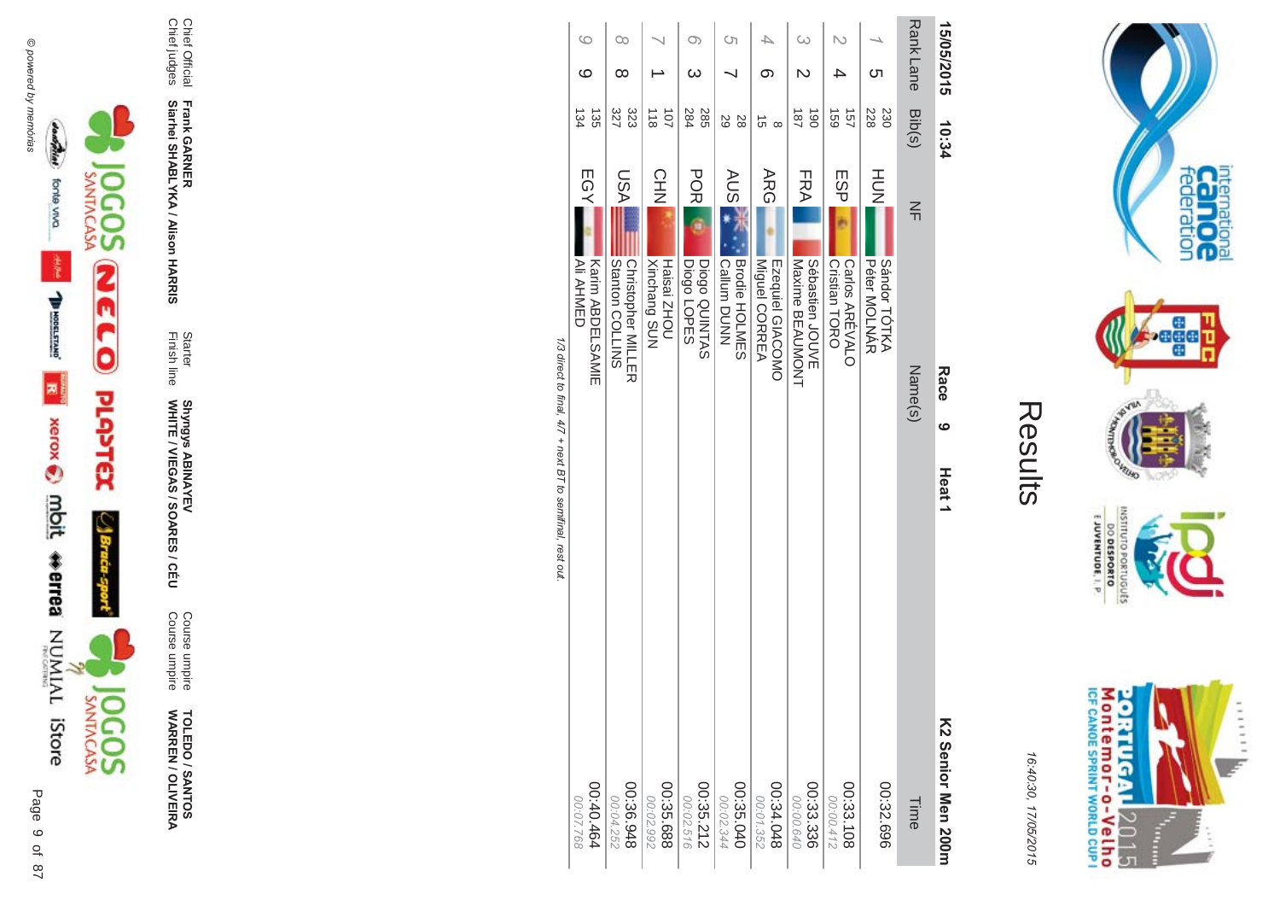

**TOLEDO / SANTOS<br>WARREN / OLIVEIRA** 

Course umpire<br>Course umpire

Starter<br>Finish line Shyngys ABINAYEV<br>WHITE / VIEGAS / SOARES / CÉU

Frank GARNER<br>Siarhei SHABLYKA / Alison HARRIS

Chief Official<br>Chief judges

|    | <b>Rank Lane</b><br>15/05/2015<br>Cл | Bib(s)<br>228<br>230<br>10:34   | HOH<br>$\frac{2}{1}$<br>Sándor TÓTKA<br><b>Péter MOLNAR</b><br>Name(s)<br>Race<br>ဖ<br>Heat <sub>1</sub> | K2 Senior Men 200m<br>00:32.696<br>Time |
|----|--------------------------------------|---------------------------------|----------------------------------------------------------------------------------------------------------|-----------------------------------------|
|    |                                      | 691<br>157                      | ESP<br>Cristian TORO<br>Carlos ARÉVALO                                                                   | 00:33.108<br>00:00.412                  |
| ω  | N                                    | $\vec{8}$<br>$\overline{181}$   | FRA <br>Maxime BEAUMONT<br>Sébastien<br>JOUVE                                                            | 00:33.336<br>00:00.640                  |
|    | တ                                    | G<br>$\infty$                   | ARG<br>Miguel CORREA<br>Ezequiel GIACOMO                                                                 | 8+0.34.048<br>00:01.352                 |
| Ċη |                                      | 29<br>28                        | <b>AUS</b><br><b>Brodie HOLMES</b><br>Callum DUNN                                                        | 00:35.040<br>00:02.344                  |
| O) | ω                                    | 285<br>284                      | <b>POR</b><br>Diogo QUINTAS<br>Diogo LOPES                                                               | $00:35.212$<br>00:35.212                |
|    |                                      | $\frac{1}{8}$<br>$\overline{5}$ | <b>CHN</b><br>Haisai ZHOU<br><b>Xinchang SUN</b>                                                         | 00:35.688<br>00:02.992                  |
| O0 | ∞                                    | 327<br>323                      | <b>ASU</b><br>SNITIOD unter<br><b>Christopher MILLING</b>                                                | 846.36.948<br>00:04.252                 |
| 6  | ပ                                    | 135<br>134                      | EGY<br>AII AHMED<br><b>Karin ABDELSAMIE</b>                                                              | 00:40.464<br>00:07.768                  |
|    |                                      |                                 | 1/3 direct to final. 4/7 + next BT to semifinal. rest out                                                |                                         |

a arrect to .<br>المناصر:<br>المناصر:  $\overline{a}$  $\tilde{\epsilon}$ j  $\frac{1}{2}$ 



internation<br>Can OC<br>federation

**Page** 

**RUID LCSP** 

nussu

DO DESPORTO

16:40:30, 17/05/2015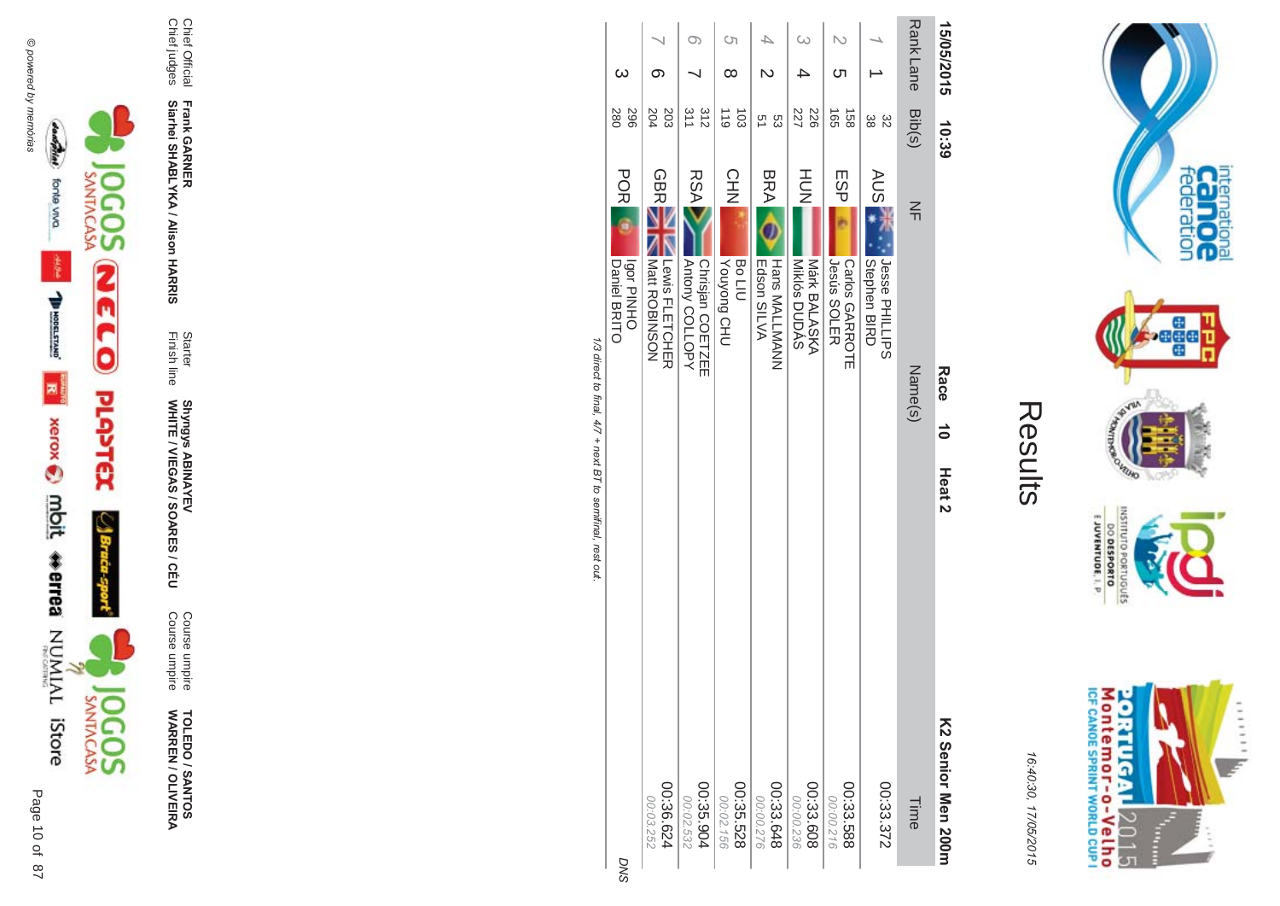



**TOLEDO / SANTOS<br>WARREN / OLIVEIRA** 

Course umpire<br>Course umpire

Starter<br>Finish line Shyngys ABINAYEV<br>WHITE / VIEGAS / SOARES / CÉU

Frank GARNER<br>Siarhei SHABLYKA / Alison HARRIS

Chief Official<br>Chief judges

| 15/05/2015 |                                   | 10:39<br>Race<br>$\vec{0}$                              | Heat <sub>2</sub> | K2 Senior Men 200m     |
|------------|-----------------------------------|---------------------------------------------------------|-------------------|------------------------|
|            | RankLane<br>Bib(s)                | $\leq$<br>Name(s)                                       |                   | Time                   |
|            | ယ္တ<br>82                         | <b>AUSE</b><br>Jesse PHILLIPS<br>Stephen BIRD           |                   | 00:33.372              |
| ഗ          | $\frac{1}{2}$<br>158              | ESP<br>Jesús SOLER<br>Carlos GARROTE                    |                   | 00:33.588<br>00:00.216 |
|            | 227<br>226                        | HU<br>N<br>Miklós DUDÁS<br>Márk BALASKA                 |                   | 00:33.608<br>00:00.236 |
|            | ς<br>ς1                           | <b>BRA</b><br>Edson SILVA<br><b>Hans MALLMANN</b>       |                   | 00:33.648<br>00:00.276 |
| Cη<br>∞    | $\frac{110}{1}$<br>$\overline{5}$ | CHN<br><b>UHO</b> buo/no <sub>A</sub><br>Bo LIU         |                   | 00:35.528<br>00:02.156 |
| O)         | 312<br>311                        | <b>RSA</b><br><b>Autony COLLOPY</b><br>Chrisjan COETZEE |                   | 00:35.904<br>00:02.532 |
| σ.         | 203<br>204                        | <b>GBRE</b><br>  Matt ROBINSON<br>Lewis FLETCHER        |                   | 00:36.624<br>00:03.252 |
| ω          | 967<br>280                        | POR<br><b>OHNHO</b><br>Daniel BRITO                     |                   |                        |
|            |                                   |                                                         |                   |                        |

 $\sim$ 

1/3 direct to final, 4/7 + next BT to semifinal, rest out.

DNS

M ontem or - o-Velh o<br>ICF canoE SPRINT WORLD CUP I **ORTUGAL** ...... uz. 2015 È

internation<br>Can OC<br>federation

**Page** 

**VELHO** 

OLNILISNI

EJUVENTUDE, I. P.

DO DESPORTO GRIUGUES **NORD** 

16:40:30, 17/05/2015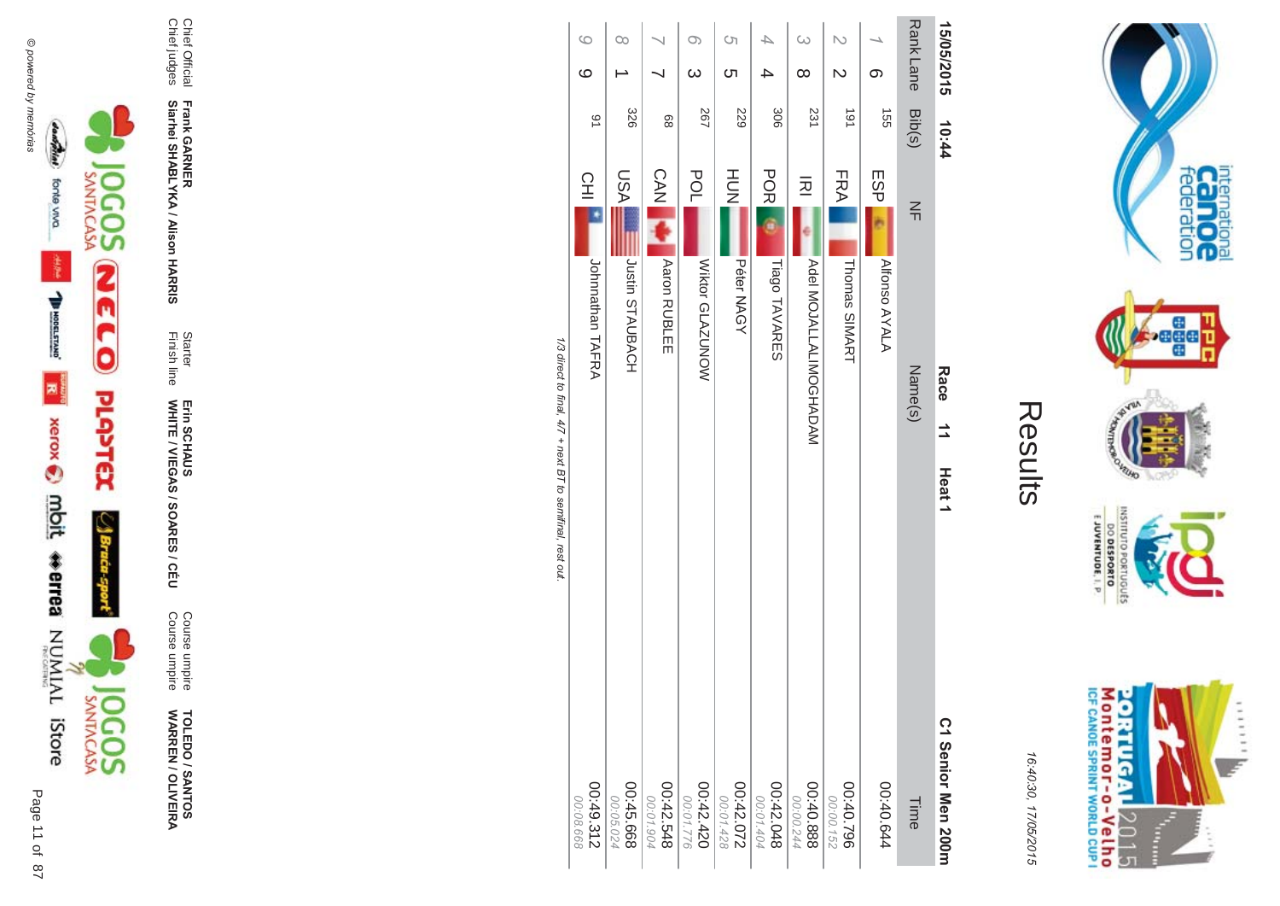

**TOLEDO / SANTOS WARR EN / OLIVEIR** ъ

Course umpire<br>Course umpire Course umpire Course umpire

Finish line Starter WHITE / VIEGAS / SOAR Erin SCHAUS<br>WHITE / VIEGAS / SOARES / CÉU Erin SCHAUS

**-&**

Chief Official<br>Chief judges Chief judges Chief Official **Siarhei SHABLYKA / Alison HAR Frank GAR -**

1/3 direct to final, 4/7 + next BT to semifinal, rest out. /3 direct to final, 4  $/7$  + next BT to semifinal, rest out.

> Montemor-o-Velho<br>Montemor-o-Velho **ORTUGAL** ...... y. 2015 Ŧ È

internation<br>Can OC<br>federation

**bege** 

VEUID **LOP** 

OLNILISNI

orrugusts

E JUVENTUDE, I. P

16:4 10:30, 1 7/05/2015

Results

**Contract Contract**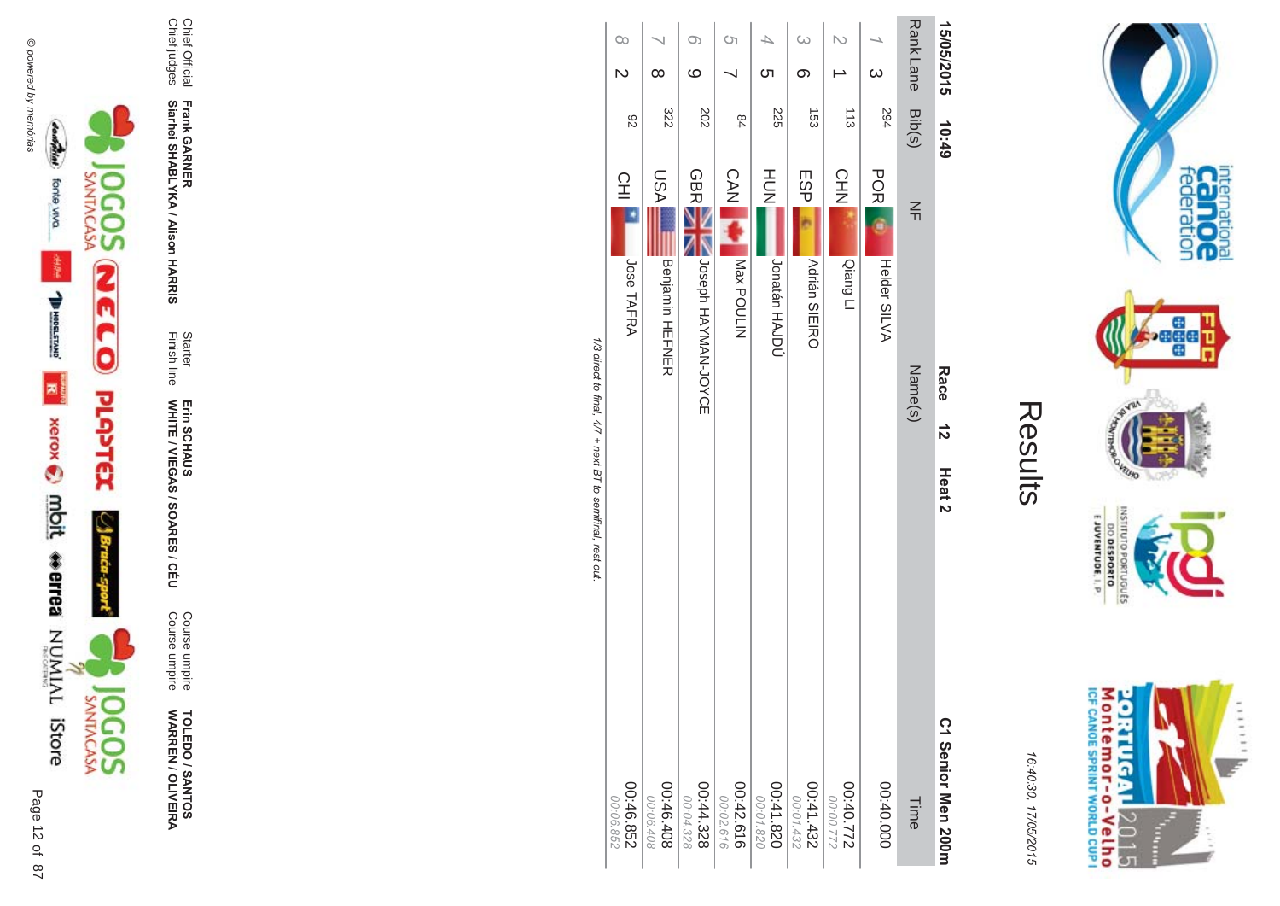



Course umpire<br>Course umpire Course umpire Course umpire

Finish line Starter WHITE / VIEGAS / SOAR Erin SCHAUS<br>WHITE / VIEGAS / SOARES / CÉU Erin SCHAUS

**Frank GAR - Siarhei SHABLYKA / Alison HAR** 

**-&**

Chief Official<br>Chief judges Chief judges Chief Official

|                                                            | $\infty$<br>$\overline{\mathsf{C}}$ | ∞                      | ි<br>ဖ                 | $\circ$                | C                      | $\omega$<br>တ        | N                  | $\omega$     |                  | 15/05/2015            |
|------------------------------------------------------------|-------------------------------------|------------------------|------------------------|------------------------|------------------------|----------------------|--------------------|--------------|------------------|-----------------------|
|                                                            | 82                                  | 322                    | 202                    | 84                     | 225                    | 153                  | 113                | 294          | Rank Lane Bib(s) | 10:49                 |
|                                                            | 오                                   | <b>ASU</b>             | <b>GBRE</b>            | <b>CAN</b>             | HU<br>N                | ESP                  | CHN                | <b>POR</b>   | $\frac{2}{1}$    |                       |
|                                                            | Jose TAFRA                          | <b>Benjamin HEFNER</b> | JOSeph HAYAN-JOYCE     | Max POULIN             | Jonatán HAJDÚ          | <b>Adrián SIEIRO</b> | Oiang LI           | Helder SILVA |                  |                       |
| 1/3 direct to final, 4/7 + next B T to semifinal, rest out |                                     |                        |                        |                        |                        |                      |                    |              | Name(s)          | Race<br>$\frac{1}{2}$ |
|                                                            |                                     |                        |                        |                        |                        |                      |                    |              |                  | Heat <sub>2</sub>     |
|                                                            |                                     |                        |                        |                        |                        |                      |                    |              |                  |                       |
|                                                            |                                     |                        |                        |                        |                        |                      |                    |              |                  |                       |
|                                                            |                                     |                        |                        |                        |                        |                      |                    |              |                  | C1 Senior Men 200m    |
|                                                            | 00:46.852<br>00:06.852              | 00:46.408<br>00:06.408 | 00:44.328<br>00:04.328 | 00:42.616<br>00:02.616 | 00:41.820<br>00:01.820 | 224.432<br>00:01.432 | 2/10:00<br>2/10:00 | 00:00:00     | Time             |                       |

 $\sqrt{7}$  + next BT to semifinal, rest out.



internation<br>Can OC<br>federation

 $\cdot$ ağa

VILLAD **NORS** 

INSILIO

priuguts

E JUVENTUDE, I. P.

DO DESPORTO

16:4 10:30, 1 7/05/2015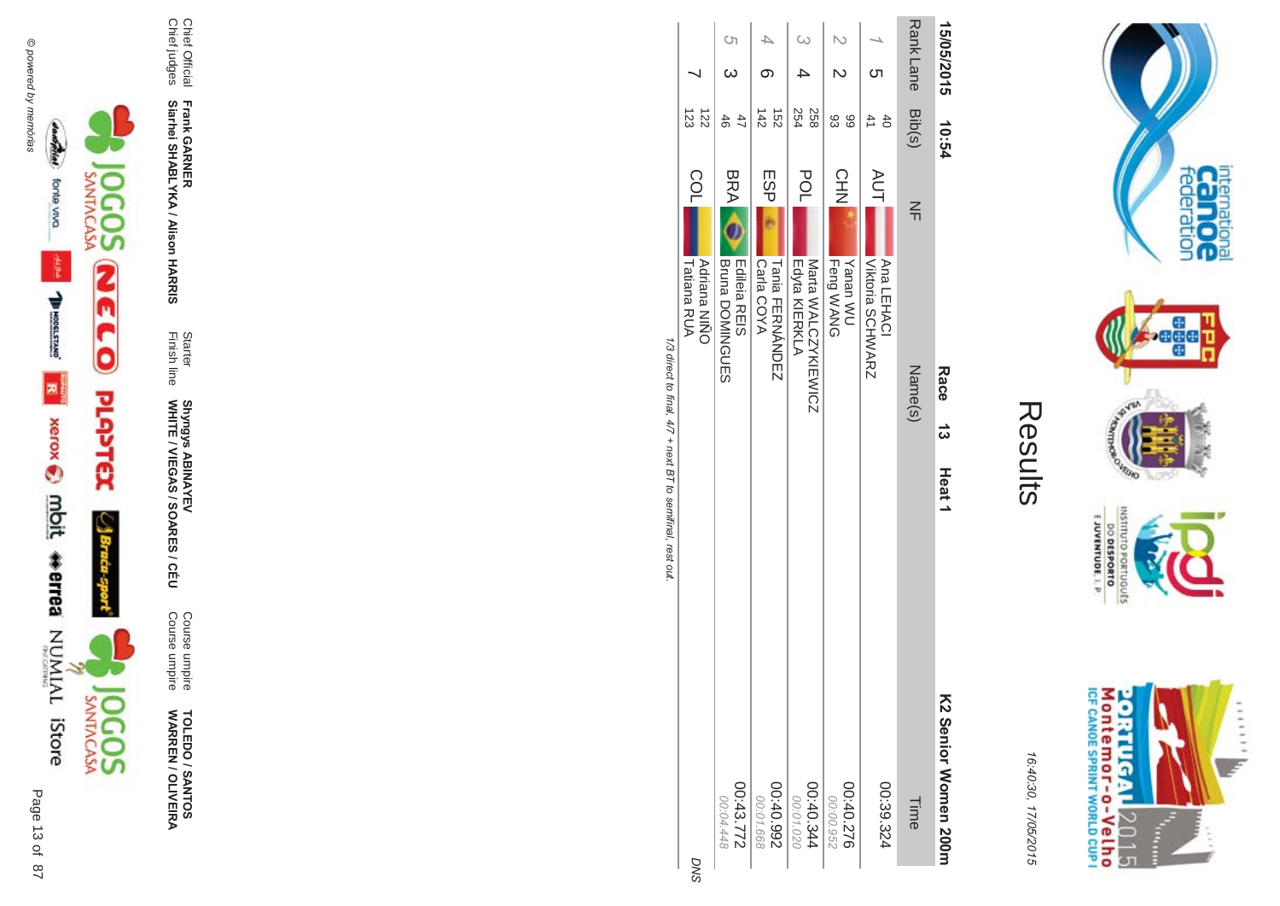



**TOLEDO / SANTOS<br>WARREN / OLIVEIRA** 

Course umpire<br>Course umpire

Starter<br>Finish line Shyngys ABINAYEV<br>WHITE / VIEGAS / SOARES / CÉU

Chief Official<br>Chief judges

Frank GARNER<br>Siarhei SHABLYKA / Alison HARRIS

| 15/05/2015 |              | 10:54                            |            |                                      | Race 13 | Heat <sub>1</sub> | K2 Senior Momen 200m   |
|------------|--------------|----------------------------------|------------|--------------------------------------|---------|-------------------|------------------------|
| Rank Lane  |              | Bib(s)                           | 즊          |                                      | Name(s) |                   | Time                   |
|            | ဟ            | $\overline{4}$<br>$\overline{6}$ | <b>AUT</b> | Viktoria SCHWARZ<br>Ana LEHACI       |         |                   | 00:39.324              |
| N          | $\mathsf{N}$ | 83<br>66                         | <b>CHN</b> | Feng WANG<br>UW nansY                |         |                   | 00:40.276<br>00:00.952 |
| $\omega$   |              | 254<br>258                       | POL        | Edyta KIERKLA<br>Marta WALCZYKIEWICZ |         |                   | 46.40.344<br>00:01.020 |
|            |              | 142<br>$\overline{25}$           | ESP        | Carla COYA<br>Tania FERNANDEZ        |         |                   | 266'0'30<br>00:01.668  |
| $\circ$    | $\omega$     | 47<br>46                         | <b>BRA</b> | Bruna DOMINGUES<br>Edileia REIS      |         |                   | 00:43.772<br>00:04.448 |
|            |              | 123<br>$\overline{z}$            | <b>COL</b> | Tatiana RUA<br><b>Adriana NIÑO</b>   |         |                   | ă                      |

**Contract Contract** 

internation<br>Can OC<br>federation

**Page** 

**VELHO NOR** 

OLNILISNI

orrugusts

E JUVENTUDE, I. P

Montemor-o-Velho<br>Montemor-o-Velho

**ORTUGAL** 

2015

È ......

y.

Results

16:40:30, 17/05/2015

1/3 direct to final, 4/7 + next BT to semifinal, rest out

ି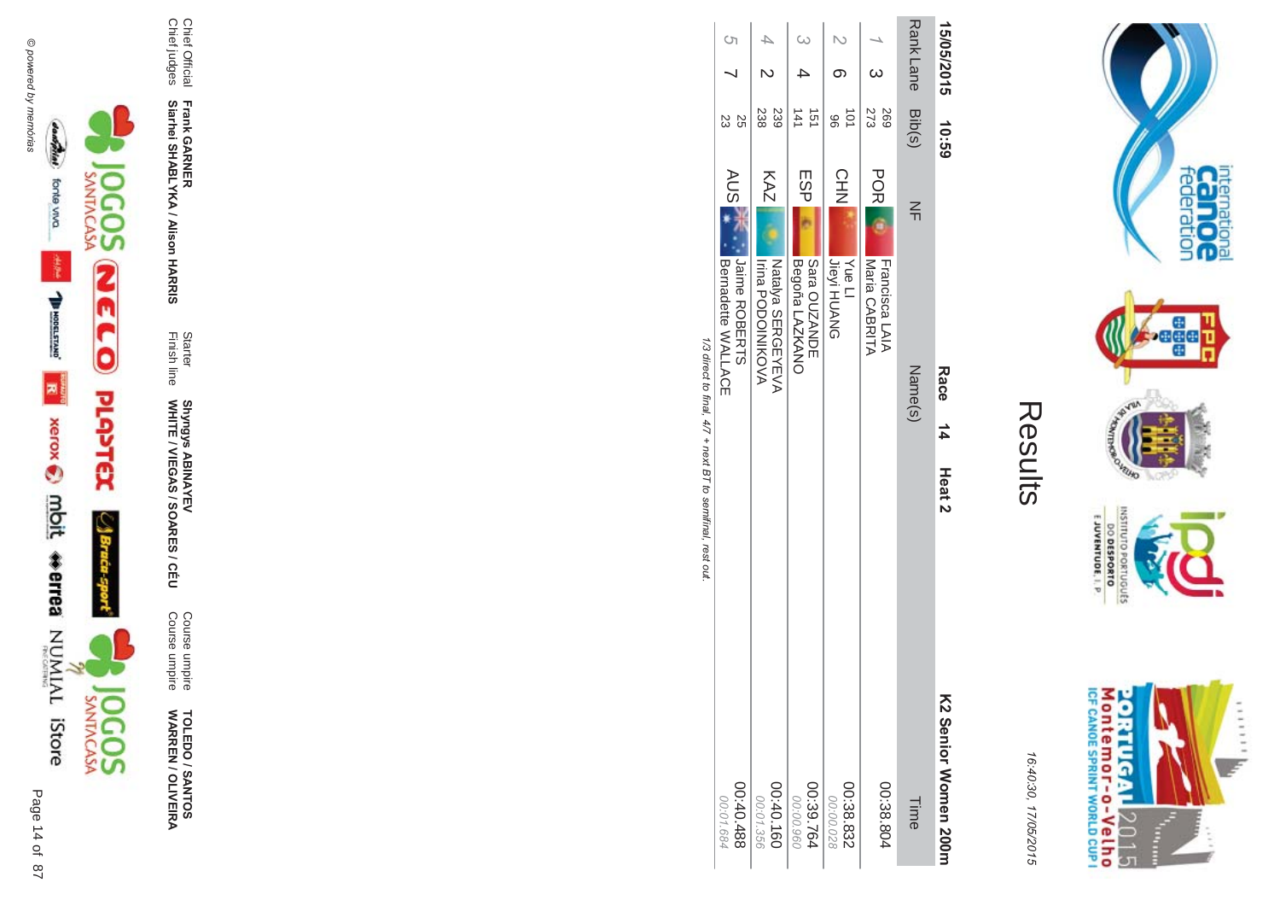

**TOLEDO / SANTOS NAR -EN / OLIVEIR** ७ व्

WHITE / VIEGAS / SOAR Shyngys ABINAYEV<br>WHITE / VIEGAS / SOARES / CÉU Shyngys ABINAYEV

**- Siarhei SHABLYKA / Alison HAR** 

Chief Official<br>Chief judges Chief judges Chief Official

| ĩ,<br>2<br>ì<br>Ľ |
|-------------------|
|                   |
|                   |
|                   |
|                   |
|                   |
|                   |

Course umpire<br>Course umpire Course umpire Course umpire

**-&** Finish line Starter

**Frank GAR** 

|          |                          | 15/05/2015 10:59 |                                                   | Race 14 Heat 2 | KS Senior Momen Sonr |                        |
|----------|--------------------------|------------------|---------------------------------------------------|----------------|----------------------|------------------------|
|          |                          | Rank Lane Bib(s) | 즊                                                 | Name(s)        |                      | Time                   |
|          | <sub>ယ</sub>             | 273<br>697       | <b>POR</b><br>Francisca LAIA<br>Maria CABRITA     |                |                      | 00:38.804              |
|          |                          | iot<br>96        | CHN<br>NH<br><b>Yue LI</b><br>Jieyi HUANG         |                |                      | 00:38.832<br>00:00.028 |
| $\omega$ |                          | 141<br>51        | ESP <br>Begoña LAZKANO<br>Sara OUZANDE            |                |                      | 00:39.764<br>00:00.960 |
|          | $\overline{6}$           | 238<br>239       | KAZ<br>NATIONS SERGEYEVA<br><b>Irina PODOINKO</b> |                |                      | 00:40.160<br>00:01.356 |
| $\circ$  | $\overline{\phantom{0}}$ | SS<br>23         | AUS<br>AUS<br>Bernadette WALLACE<br>Jaime ROBERTS |                |                      | 00:40.488<br>00:01.684 |

1/3 direct to final, 4/7 + next BT to semifinal, rest out /3 direct to final, 4  $/7$  + next BT to semifinal, rest out.

> M onte mor-o-Velho<br>ne canos sprint world cup i **ORTUGAL** ...... y. 2015 Ŧ È

internation<br>Can OC<br>federation

 $\cdot$ ağa

VILLAD **NORS** 

OLNILISNI

GRIUGUES

 $\frac{6!13001N3A0013}{0180653000}$ 

16:4 10:30, 1 7/05/2015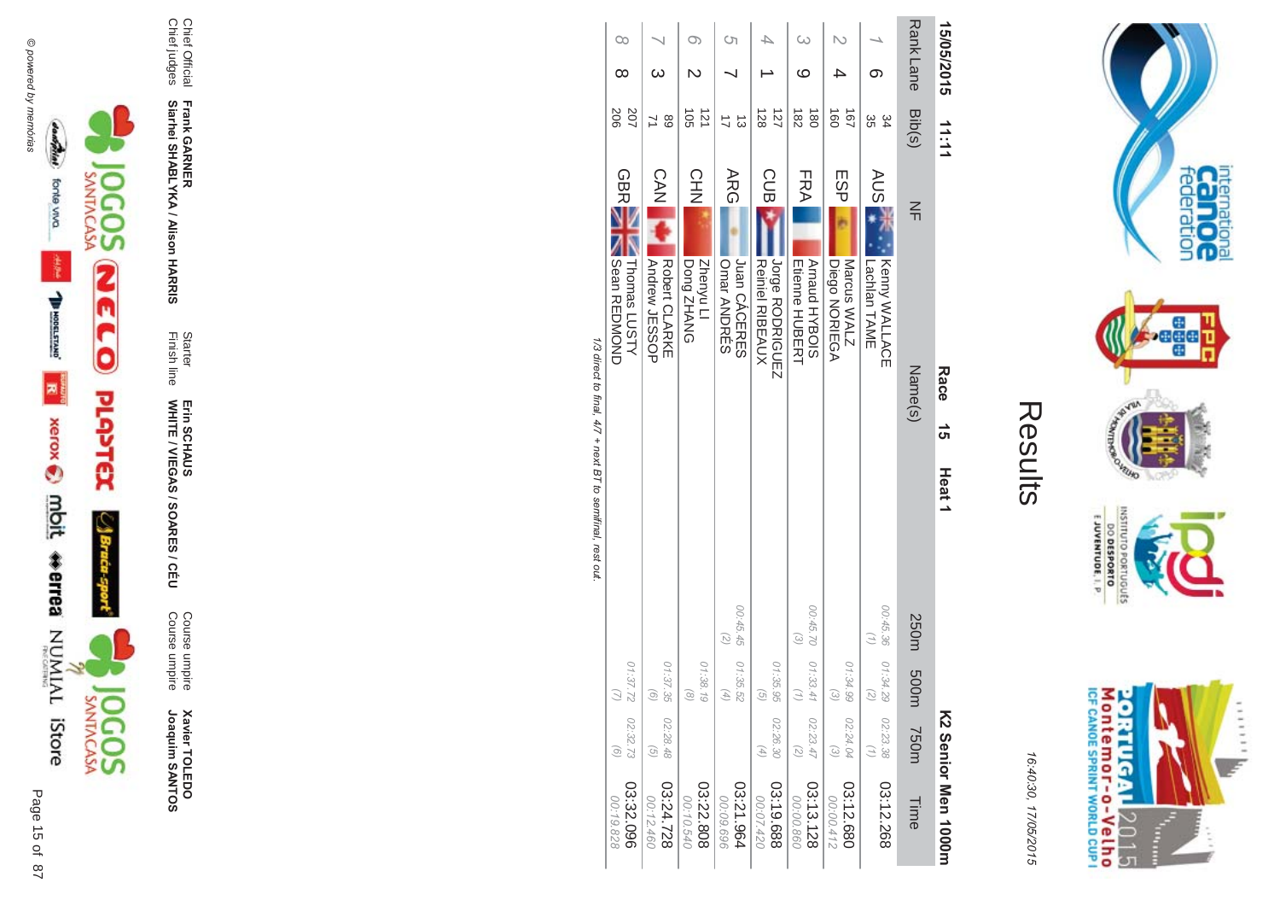



**Xavier TOLEDO**<br>Joaquim SANTOS Joaquim SANTOS **Xavier TOLEDO** 

Course umpire<br>Course umpire Course umpire Course umpire

Finish line Starter WHITE / VIEGAS / SOAR Erin SCHAUS<br>WHITE / VIEGAS / SOARES / CÉU Erin SCHAUS

**-**

**Siarhei SHABLYKA / Alison HAR -&**

Chief Official<br>Chief judges Chief judges Chief Official **Frank GAR** 

| 1/3 direct to final, 4/7 + next BT to semifinal, rest out | $\infty$<br>$\infty$<br>207<br>206<br><b>GBRE</b><br>Sean REDMOND<br>Thomas LUSTY<br>01:37.72<br>$\bigcirc$<br>02:32.73<br>o) | 68<br>$\frac{1}{2}$<br>Andrew JESSOP<br>Robert CLARKE<br>01:37.35<br>$\begin{pmatrix} 0 \end{pmatrix}$<br>02:28.48<br>$\odot$ | O)<br>ä<br>121<br>CHN<br>N<br>Zhenyu Ll<br>DONAHZ pnod<br>01:38.19<br>$\circledcirc$ | Cη<br>ದ<br><b>ARG</b><br>Juan CÁCERES<br>Omar ANDRÉS<br>00:45.45<br>$\binom{2}{2}$<br>01:35.52<br>$\left( \begin{matrix} 4 \end{matrix} \right)$ | 128<br>127<br><b>CUB</b><br><b>Reiniel RIBEAUX</b><br>Jorge RODRIGUEZ<br>01:35.95<br>$\odot$<br>02:26.30<br>$\left( \begin{matrix} 4 \end{matrix} \right)$ | ဖ<br>$\frac{182}{2}$<br>$\frac{1}{80}$<br>FRA<br>Arnaud HYBOIS<br><b>Etienne HUBERT</b><br>00:45.70<br>$\left(\frac{2}{2}\right)$<br>01:33.41<br>$\left( \gamma \right)$<br>02:23.47<br>$\widetilde{\omega}$ | $\overrightarrow{50}$<br>$\overline{67}$<br>ESP<br>Diego NORIEGA<br>Marcus WALZ<br>01:34.99<br>$\begin{pmatrix} 2 \end{pmatrix}$<br>02:24.04<br>$\omega$ | တ<br>ပ္တ<br>54<br><b>AUS</b><br>Kenny WALLACE<br>Lachlan TAME<br>00:45.36<br>01:34.29<br>$\overline{z}$<br>02:23.38 | Rank Lane<br>Bib(s)<br>$\leq$<br>Name(s)<br>250m 500m<br>750m | 15/05/2015<br>11:11<br>Race 15<br>Heat <sub>1</sub> |
|-----------------------------------------------------------|-------------------------------------------------------------------------------------------------------------------------------|-------------------------------------------------------------------------------------------------------------------------------|--------------------------------------------------------------------------------------|--------------------------------------------------------------------------------------------------------------------------------------------------|------------------------------------------------------------------------------------------------------------------------------------------------------------|--------------------------------------------------------------------------------------------------------------------------------------------------------------------------------------------------------------|----------------------------------------------------------------------------------------------------------------------------------------------------------|---------------------------------------------------------------------------------------------------------------------|---------------------------------------------------------------|-----------------------------------------------------|
|                                                           |                                                                                                                               |                                                                                                                               |                                                                                      |                                                                                                                                                  |                                                                                                                                                            |                                                                                                                                                                                                              |                                                                                                                                                          |                                                                                                                     |                                                               | KS Senior Men 1000m                                 |
|                                                           | 03:32.096<br>00:19.828                                                                                                        | 03:24.728<br>00:12.460                                                                                                        | 03:22.808<br>00:10.540                                                               | 03:21.964<br>00:09.696                                                                                                                           | 03:19.688<br>00:07.420                                                                                                                                     | 03:13.128<br>00:00.860                                                                                                                                                                                       | 03:12.680<br>00:00.412                                                                                                                                   | 03:12.268                                                                                                           | Time                                                          |                                                     |

Results

internation<br>Cal OC<br>federation

**Pege** 

GHTUND

OLNILISNI

GRIUGUES

 $\frac{6!13001N3A0013}{0180653000}$ 

Montemor-o-Velho<br>Montemor-o-Velho

**ORTUGAL** 

2015

T  $\frac{1}{2}$   $111111$ 

ie.

**NORD** 

**Contract Contract** 

16:4 10:30, 1

7/05/2015

/3 direct to final, 4  $\mathbf{u}$ ect  $\tilde{c}$ IIIlal  $1/4$  $\sqrt{7}$  + next BT to semifinal, rest out.  $+$  I/CXI  $\overline{a}$  $\tilde{c}$  $\overline{C}$ ρq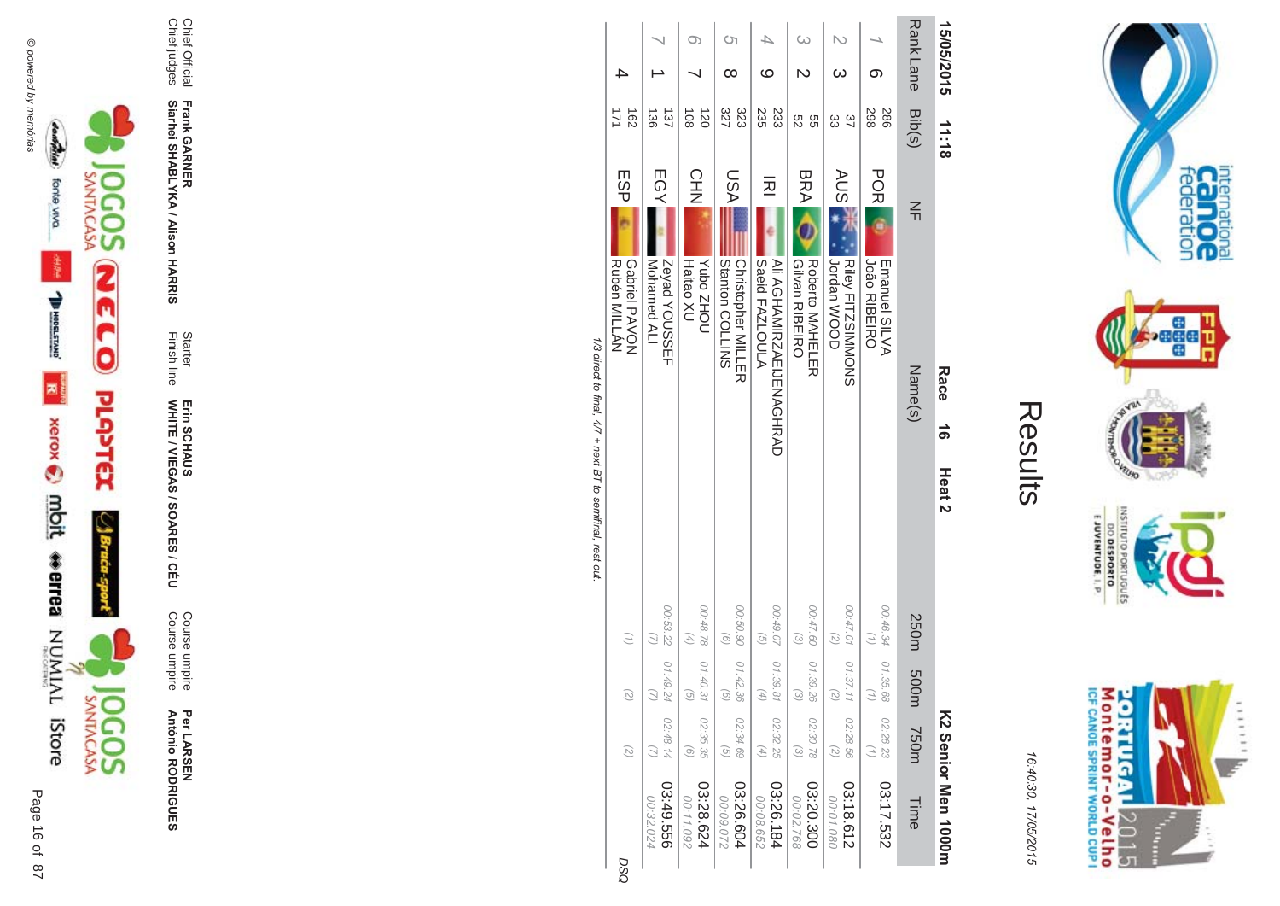



Course umpire<br>Course umpire

Starter<br>Finish line Erin SCHAUS<br>WHITE / VIEGAS / SOARES / CÉU

Chief Official<br>Chief judges

Frank GARNER<br>Siarhei SHABLYKA / Alison HARRIS

|                        |                                              |                                                                           |                                                        | 1/3 direct to final A/Z + Det to emmitize the control rest of the |                                                 |            |                                  |            |    |
|------------------------|----------------------------------------------|---------------------------------------------------------------------------|--------------------------------------------------------|-------------------------------------------------------------------|-------------------------------------------------|------------|----------------------------------|------------|----|
|                        | $\binom{2}{2}$                               | $\begin{pmatrix} 2 \end{pmatrix}$                                         | $\binom{n}{2}$                                         |                                                                   | Rubén MILLAN<br>Gabriel PAVON                   | ESP        | $\frac{162}{2}$<br>171           |            |    |
| 03:49.556<br>00:32.024 | 02:48.14                                     | 01:49.24<br>$\left(\begin{array}{c} \end{array}\right)$                   | 00:53.22                                               |                                                                   | Nohamed ALI<br>Zeyad YOUSSEF                    | EGY        | $\frac{38}{2}$<br>137            |            |    |
| 03:28.624<br>00:11.092 | 02:35.35<br>$\odot$                          | $\odot$                                                                   | 00:48.78 01:40.31<br>$\begin{pmatrix} 4 \end{pmatrix}$ |                                                                   | <b>UOHZ oduY</b><br>Haitao XU                   | CHN<br>NH  | $\frac{1}{2}$<br>$\overline{50}$ |            |    |
| 03:26.604<br>00:09.072 | 02:34.69<br>$\left( 9\right)$                | 01:42.36<br>$\odot$                                                       | 00:50.90<br>$\widehat{\Theta}$                         |                                                                   | Stanton COLLINS<br><b>Christopher MILLER</b>    | NSU        | 323<br>327                       | ∞          | Ċη |
| 03:26.184<br>00:08.652 | 02:32.25<br>$(4)$                            | 01:39.81<br>$\left( \begin{smallmatrix} 4 \\ 7 \end{smallmatrix} \right)$ | 00:49.07<br>$\widehat{G}$                              |                                                                   | Saeid FAZLOULA<br>AII AGHAMIRNAEULINAGHAAD      | 远          | 235<br>233                       | ဖ          |    |
| 03:20.300<br>00:02.768 | 02:30.78<br>$\omega$                         | 01:39.26<br>$\begin{pmatrix} 2 \end{pmatrix}$                             | 00:47.60<br>$\left( \frac{1}{2} \right)$               |                                                                   | <b>Gilvan RIBEIRO</b><br><b>Roberto MAHELER</b> | <b>BRA</b> | 9g<br>S2                         |            |    |
| 03:18.612<br>00:01.080 | 02:28.56<br>$\left( \frac{1}{\zeta} \right)$ | 01:37.11<br>$\left( \begin{smallmatrix} 2 \\ 2 \end{smallmatrix} \right)$ | 00:47.01<br>$\binom{2}{2}$                             |                                                                   | <b>COOM</b> uppac<br><b>Riley FITZSIMMONS</b>   | AUS        | ပ္လ<br>37                        | ω          |    |
| 03:17.532              | 02:26.23<br>(7)                              | 01:35.68<br>$\binom{7}{1}$                                                | 00:46.34                                               |                                                                   | <b>João RIBEIRO</b><br>Emanuel SILVA            | <b>POR</b> | 298<br>286                       |            |    |
| Time                   | m037                                         | m005                                                                      | 250m                                                   |                                                                   | Name(s)                                         | $\leq$     | Rank Lane Bib(s)                 |            |    |
| KS Senior Men 1000m    |                                              |                                                                           |                                                        | ക്<br>Heat <sub>2</sub>                                           | Race                                            |            | 11:18                            | 15/05/2015 |    |

 $\pi$ 

 $\tilde{c}$  $\mathbf{u}$ ect  $\tilde{c}$  $\ddot{u}$  $\frac{4}{4}$  $+$   $\frac{1}{16}$  $\tilde{c}$  $\overline{C}$ ρq

**DSO** 



internation<br>Can OC<br>federation

**page** 

**RUID NORS** 

INSILIO

priuguts

E JUVENTUDE, I. P.

DO DESPORTO

16:40:30, 17/05/2015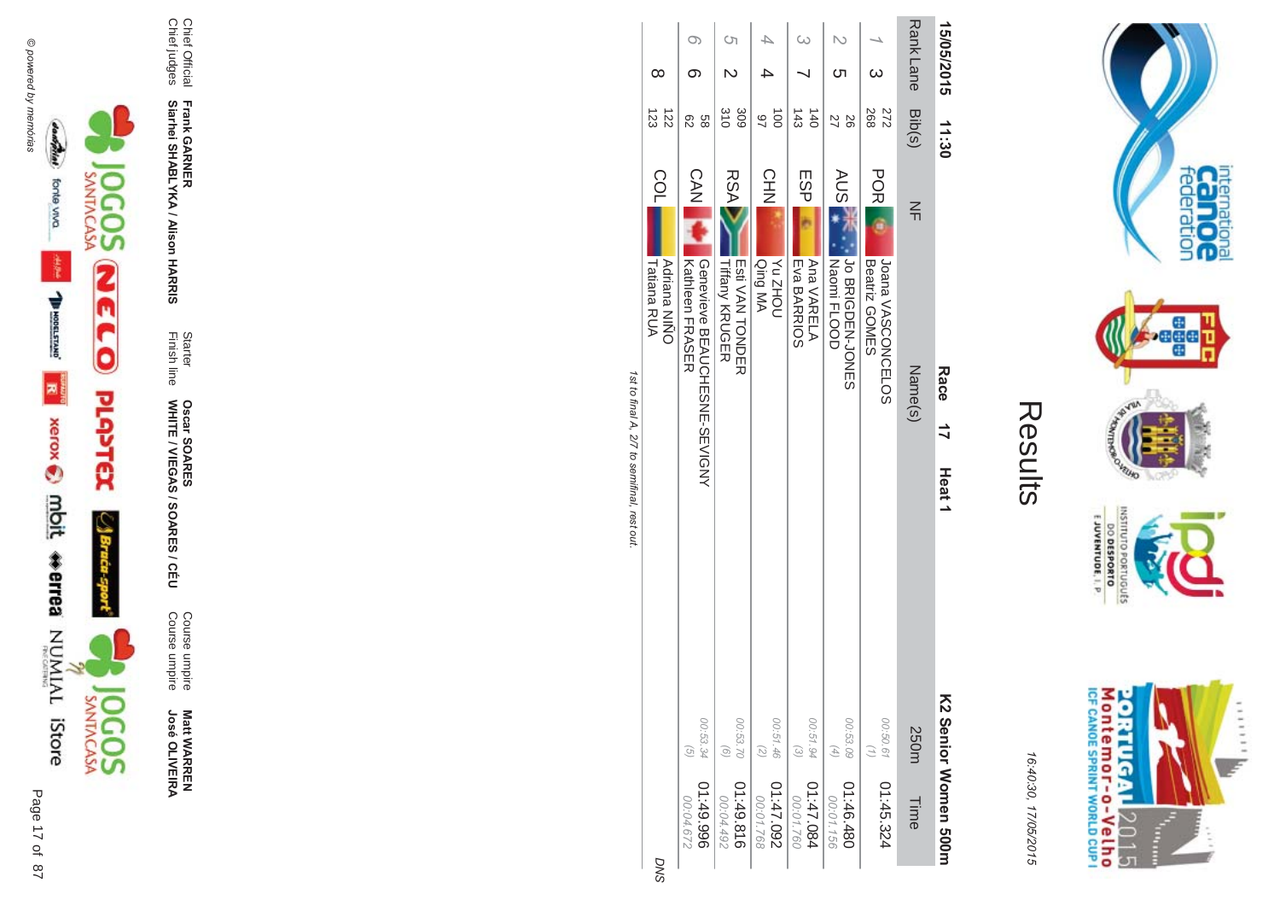



**Matt WARREN<br>José OLIVEIRA** 

Course umpire<br>Course umpire

Starter<br>Finish line Oscar SOARES<br>WHITE / VIEGAS / SOARES / CÉU

Frank GARNER<br>Siarhei SHABLYKA / Alison HARRIS

Chief Official<br>Chief judges

|                          |                                               |                   | Tatiana RUA<br><b>Adriana NIÑO</b>              | COL        | 123<br>122                         | ∞          |     |
|--------------------------|-----------------------------------------------|-------------------|-------------------------------------------------|------------|------------------------------------|------------|-----|
| 966'67:10<br>00:04.672   | 00:53.34<br>$\widehat{G}$                     |                   | Genevieve BEAUCHESNE-SEVIGNY<br>Kathleen FRASER | CAN        | 88<br>82                           | σ.         | O)  |
| 01:49.816<br>00:04.492   | 00:53.70<br>$\odot$                           |                   | <b>Tiffany KRUGER</b><br><b>To HONDER</b>       | <b>RSA</b> | $\frac{310}{10}$<br>309            |            | Ċ'n |
| 260.74:10<br>00:01.768   | 00:51.46<br>$\overline{z}$                    |                   | <b>NOHZ<sub>N</sub></b><br>Qing MA              | CHN        | $\vec{0}$<br>97                    |            |     |
| 11:47.084<br>00:01.760   | 00:51.94<br>$\begin{pmatrix} 2 \end{pmatrix}$ |                   | Ana VARELA<br>Eva BARRIOS                       | ESP        | $\frac{143}{2}$<br>$\overline{40}$ |            |     |
| 084.346.480<br>00:01.156 | 00:53.09<br>$(4)$                             |                   | Jo BRIGDEN-JONES<br>Naomi FLOOD                 | <b>AUS</b> | 92<br>22                           |            |     |
| 01:45.324                | 00:50.61<br>$\binom{7}{7}$                    |                   | JONDONCELOS<br>Beatriz GOMES                    | <b>POR</b> | 268<br>272                         |            |     |
| Time                     | 250m                                          |                   | Name(s)                                         | $\leq$     | Rank Lane Bib(s)                   |            |     |
| V2 Senior Momen 500n     |                                               | Heat <sub>1</sub> | Race<br>$\vec{r}$                               |            | 11:30                              | 15/05/2015 |     |

1st to final A, 2/7 to semifinal, rest out.





16:40:30, 17/05/2015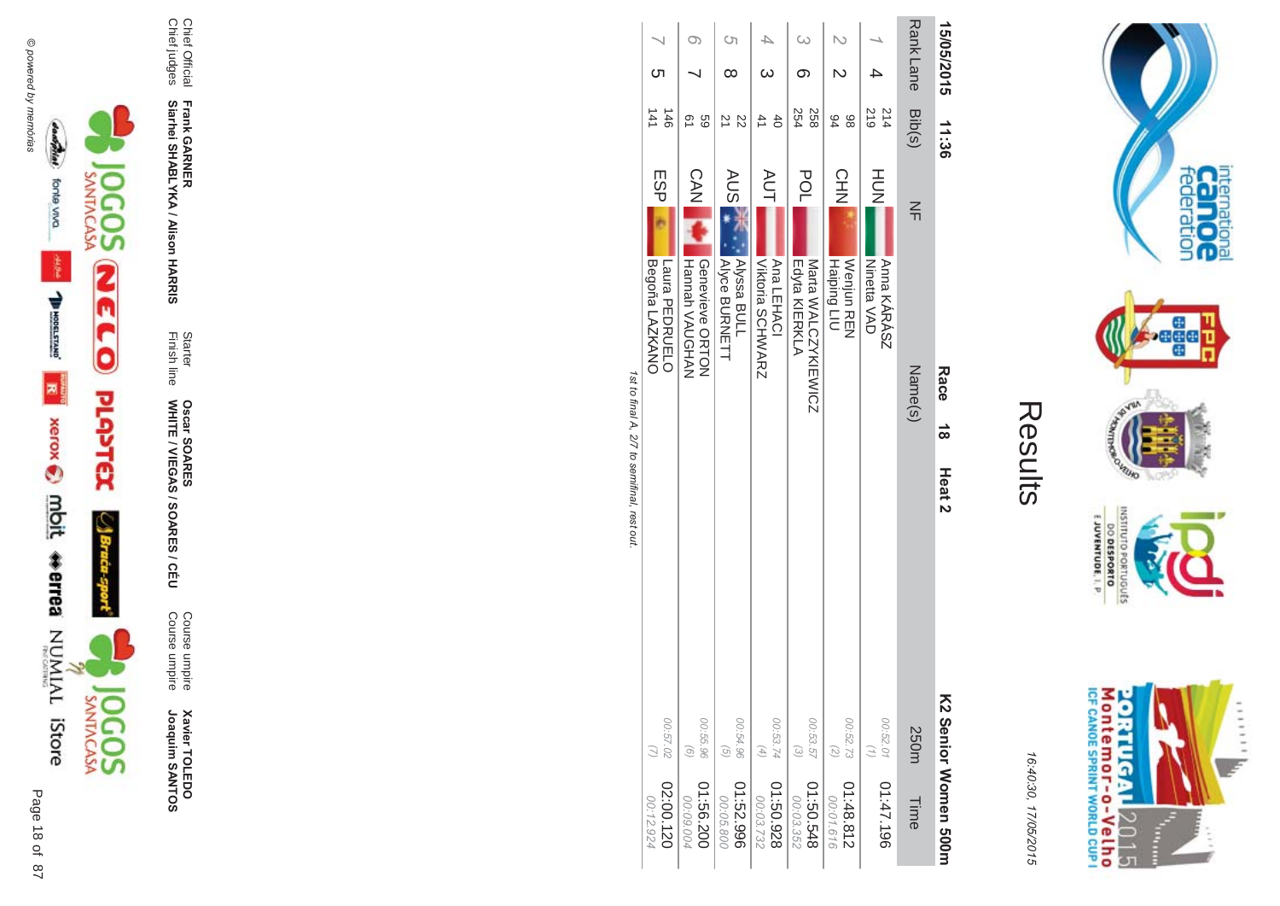

Course umpire<br>Course umpire **Xavier TOLEDO**<br>Joaquim SANTOS

Oscar SOARES<br>WHITE / VIEGAS / SOARES / CÉU

Starter<br>Finish line

Frank GARNER<br>Siarhei SHABLYKA / Alison HARRIS

Chief Official<br>Chief judges

| 00:03.732            | $\left( 4\right)$ |                   |                              | Viktoria SCHWARZ   | <b>AUT</b> | 41         |            |          |
|----------------------|-------------------|-------------------|------------------------------|--------------------|------------|------------|------------|----------|
| 826'0938             | 00:53.74          |                   |                              | Ana LEHACI         |            | $\ddot{d}$ |            |          |
|                      |                   |                   |                              |                    |            |            |            |          |
| 00:03.352            | $\omega$          |                   |                              | Edyta KIERKLA      | <b>POL</b> | 254        |            | $\omega$ |
| 845.05.548           | 00:53.57          |                   |                              | Mata WALCZYKIEWICZ |            | 258        |            |          |
| 00:01.616            | (7)               |                   |                              | Haiping LIU        |            | 84         | N          |          |
| 01:48.812            | 00:52.73          |                   |                              | Nepica REN         | CHN        | 86         |            |          |
|                      | $\left( 1\right)$ |                   |                              | <b>Ninetta VAD</b> |            | 219        |            |          |
| 01:47.196            | 00:52.01          |                   |                              | Anna KÁRÁSZ        | HUH<br>N   | 214        |            |          |
|                      |                   |                   |                              |                    |            |            |            |          |
| Time                 | 250m              |                   | Name(s)                      |                    | $\leq$     | Bib(s)     | Rank Lane  |          |
| KS Senior Momen 200m |                   | Heat <sub>2</sub> | <b>Race</b><br>$\frac{1}{8}$ |                    |            | 11:36      | 15/05/2015 |          |
|                      |                   |                   |                              |                    |            |            |            |          |

**Contract Contract** 

internation<br>Cal OC<br>federation

**Pege** 

**UNITED** 

OLNILISNI

GRIUGUES

 $\frac{6!13001N3A0013}{0180653000}$ 

Montemor-o-Velho<br>Montemor-o-Velho

**ORTUGAL** 

2015

 $\frac{1}{2}$  $\frac{1}{2}$   $111111$ 

y.

**NORD** 

Results

16:40:30, 17/05/2015

1st to final A, 2/7 to semifinal, rest out.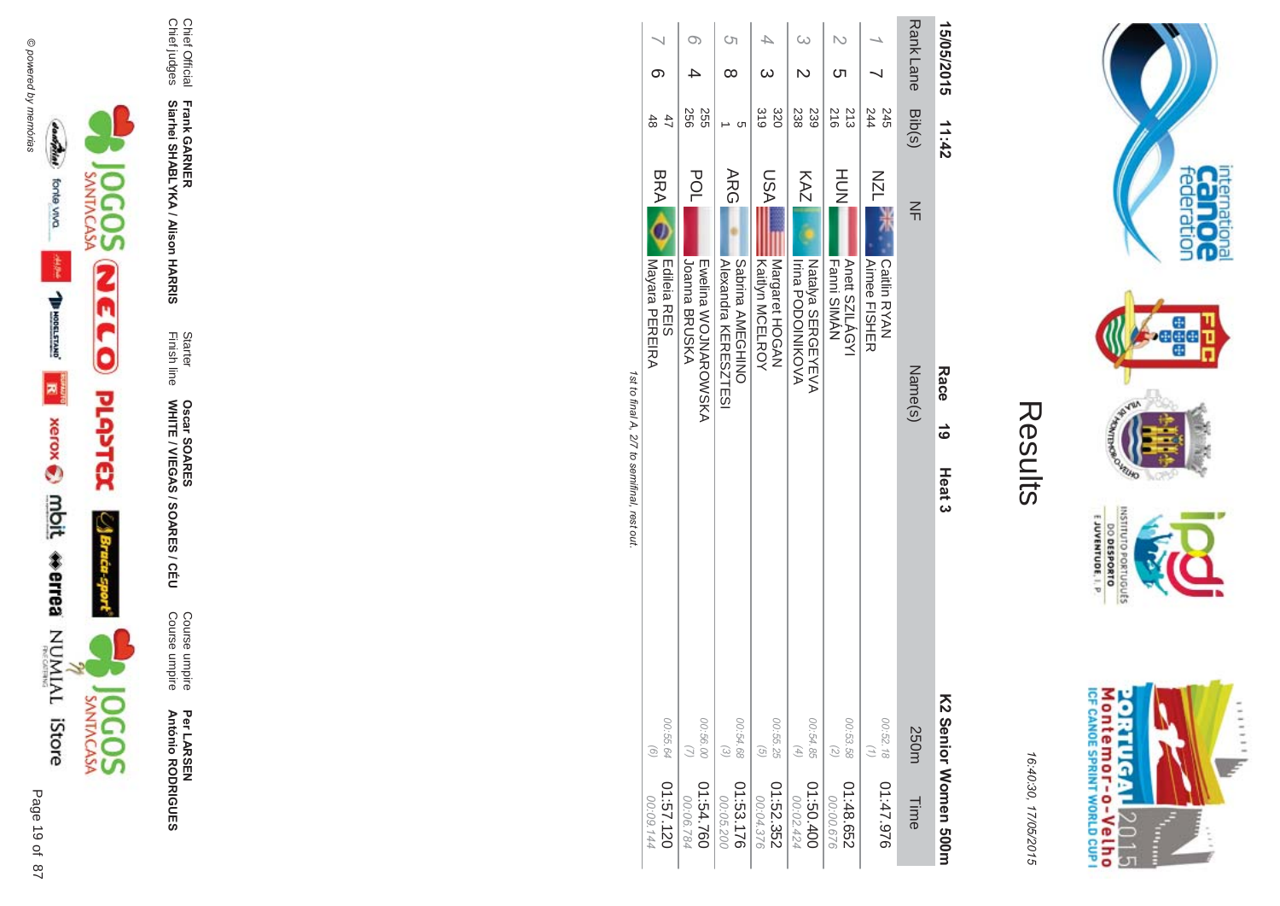

## Results

16:4 10:30, 1 7/05/2015

| 15/05/2015       | 11:42                  |                                                               | Race<br>යි | Heat <sub>3</sub> |                                          | <b>C2 Senior Momen 500H</b> |
|------------------|------------------------|---------------------------------------------------------------|------------|-------------------|------------------------------------------|-----------------------------|
| Rank Lane Bib(s) |                        | $\leq$                                                        | Name(s)    |                   | 250m                                     | Time                        |
|                  | 244<br>245             | NZL<br>Caitlin RYAN<br><b>Aimee FISHER</b>                    |            |                   | 00:52.18<br>$\binom{7}{2}$               | 01:47.976                   |
|                  | $\frac{216}{2}$<br>213 | HUH<br>N<br>Anett SZILÁGYI<br><b>Fanni SIMAN</b>              |            |                   | 00:53.58<br>$\binom{2}{2}$               | 01:48.652<br>00:00.676      |
|                  | 239<br>238             | KAZ<br><b>Irina PODOINKOVA</b><br>Natalya SERGEYEVA           |            |                   | 00:54.85<br>$(4)$                        | 01:50.400<br>00:02.424      |
|                  | $\frac{310}{5}$<br>320 | <b>ASU</b><br>Kaitlyn MCELROY<br>MAGGH HOGAN                  |            |                   | 00:55.25<br>$\left( \frac{1}{2} \right)$ | 01:52.352<br>00:04.376      |
| <b>(</b> ၂<br>∞  | ပာ                     | <b>ARG</b><br>Sabrina AMEGHINO<br><b>Alexandra KERESZTESI</b> |            |                   | 00:54.68<br>$\odot$                      | 01:53.176<br>00:05.200      |
|                  | 556<br>255             | <b>POL</b><br>Joanna BRUSKA<br><b>TANGITA SOJNAROSOKA</b>     |            |                   | 00:56.00<br>$\tilde{z}$                  | 01:54.760<br>00:06.784      |
|                  | 47<br>48               | <b>BRA</b><br>Mayara PEREIRA<br>Edileia REIS                  |            |                   | 00:55.64<br>$\odot$                      | 01:57.120<br>00:09.144      |

1st to final A, 2/7 to semifinal, rest out. st to final A, 2/7 to semifinal, rest out.





Page

 $\overline{a}$ 19 of 87

Per LAR SEN **António R \*0-B-DES** 

**ES/CEU** Course umpire<br>Course umpire Course umpire Course umpire

Finish line Starter WHITE / VIEGAS / SOAR **Oscar SOAR** 55

**- -&**

Chief Official<br>Chief judges Chief judges Chief Official

**Siarhei SHABLYKA / Alison HAR** 

**Frank GAR** 

Montemor-o-Velho<br>Montemor-o-Velho **ORTUGAL** 2015

E JUVENTUDE, I. P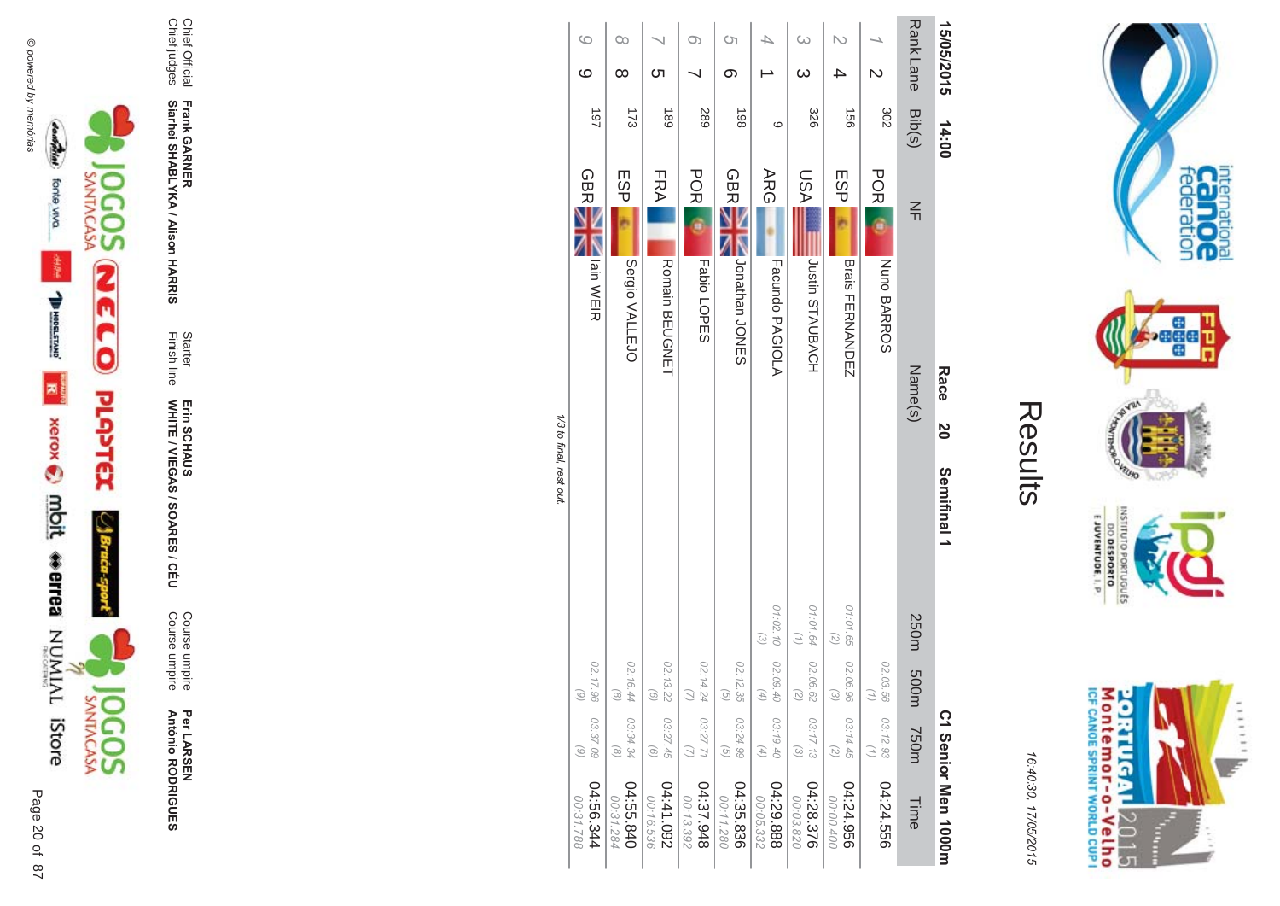



Per LAR SEN **António R \*0-B-DES** 

Course umpire<br>Course umpire Course umpire Course umpire

Finish line Starter WHITE / VIEGAS / SOAR Erin SCHAUS<br>WHITE / VIEGAS / SOARES / CÉU Erin SCHAUS

**-**

Chief Official<br>Chief judges Chief judges

**Siarhei SHABLYKA / Alison HAR -&**

Chief Official **Frank GAR** 

| 15/05/2015              | 14:00      | Race<br>20<br>Semifinal 1                  |                                                          |                                                   |                                                            | C <sub>1</sub> Senior Nen 1000m |
|-------------------------|------------|--------------------------------------------|----------------------------------------------------------|---------------------------------------------------|------------------------------------------------------------|---------------------------------|
| Rank Lane               | Bib(s)     | $\leq$<br>Name(s)                          | 250m                                                     | m005                                              | 750m                                                       | Time                            |
| $\overline{\mathsf{C}}$ | 302        | <b>POR</b><br>Nuno BARROS                  |                                                          | 02:03.56<br>(1)                                   | 03:12.93<br>$\binom{n}{2}$                                 | 04:24.556                       |
|                         | 991        | ESP <sub>I</sub><br><b>Brais FERNANDEZ</b> | 01:01.65<br>$\left(\begin{matrix} 2 \end{matrix}\right)$ | 02:06.96<br>$\omega$                              | 03:14.45<br>$\left(\begin{matrix} 2 \end{matrix}\right)$   | 04:24.956<br>00:00.400          |
| $\omega$<br>$\infty$    | 328        | <b>ASU</b><br><b>JUSHAUBACH</b>            | 01:01.64<br>$\binom{7}{7}$<br>02:06.62                   | $\left(\begin{matrix} 7 \\ 6 \end{matrix}\right)$ | 03:17.13<br>$\begin{pmatrix} 2 \\ 0 \end{pmatrix}$         | 04:28.376<br>00:03.820          |
|                         | ဖ          | <b>ARG</b><br><b>Facundo PAGIOLA</b>       | 01:02.10 02:09.40<br>$\begin{pmatrix} 2 \end{pmatrix}$   | $\left( \frac{4}{\sqrt{2}} \right)$               | 03:19.40<br>$\left( \begin{matrix} 4 \end{matrix} \right)$ | 04:29.888<br>00:05.332          |
| S)<br>တ                 | 198        | <b>GBRE</b><br>Jonathan<br>JONES           |                                                          | 02:12.35<br>$\textcircled{\scriptsize 2}$         | 03:24.99<br>$\odot$                                        | 04:35.836<br>00:11.280          |
| O)                      | <b>289</b> | <b>POR</b><br>Fabio LOPES                  |                                                          | 02:14.24                                          | 03:27.71                                                   | 84:37.948<br>00:13.392          |
| ת                       | 189        | FRA<br><b>Romain BEUGNET</b>               |                                                          | 02:13.22<br>$\odot$                               | 03:27.45<br>$\odot$                                        | 260'141<br>00:16.536            |
| $\infty$<br>$\infty$    | 173        | ESP<br>Sergio VALLEJO                      |                                                          | 02:16.44<br>$\textcircled{\scriptsize{8}}$        | 03:34.34<br>$\circledcirc$                                 | 04:55.840<br>00:31.284          |
| $\circ$<br>ဖ            | 197        | <b>GBRE</b><br>lain WEIR                   |                                                          | 02:17.96<br>$\odot$                               | 03:37.09<br>$\circ$                                        | 4:56.344<br>00:31.788           |
|                         |            | 1/3 to final, rest out.                    |                                                          |                                                   |                                                            |                                 |

/3 to final, rest out. /3 t0 1111 al, rest

> Montemor-o-Velho<br>Montemor-o-Velho **ORTUGAL**  $111111$ y. 2015 T Î,

internation<br>Cal OC<br>federation

 $\frac{1}{2}$ 

**Page** 

ONTEURO

OLNILISNI

Sanoniao

**DO DESPORTO** 

**NOPO** 

16:4 10:30, 1 7/05/2015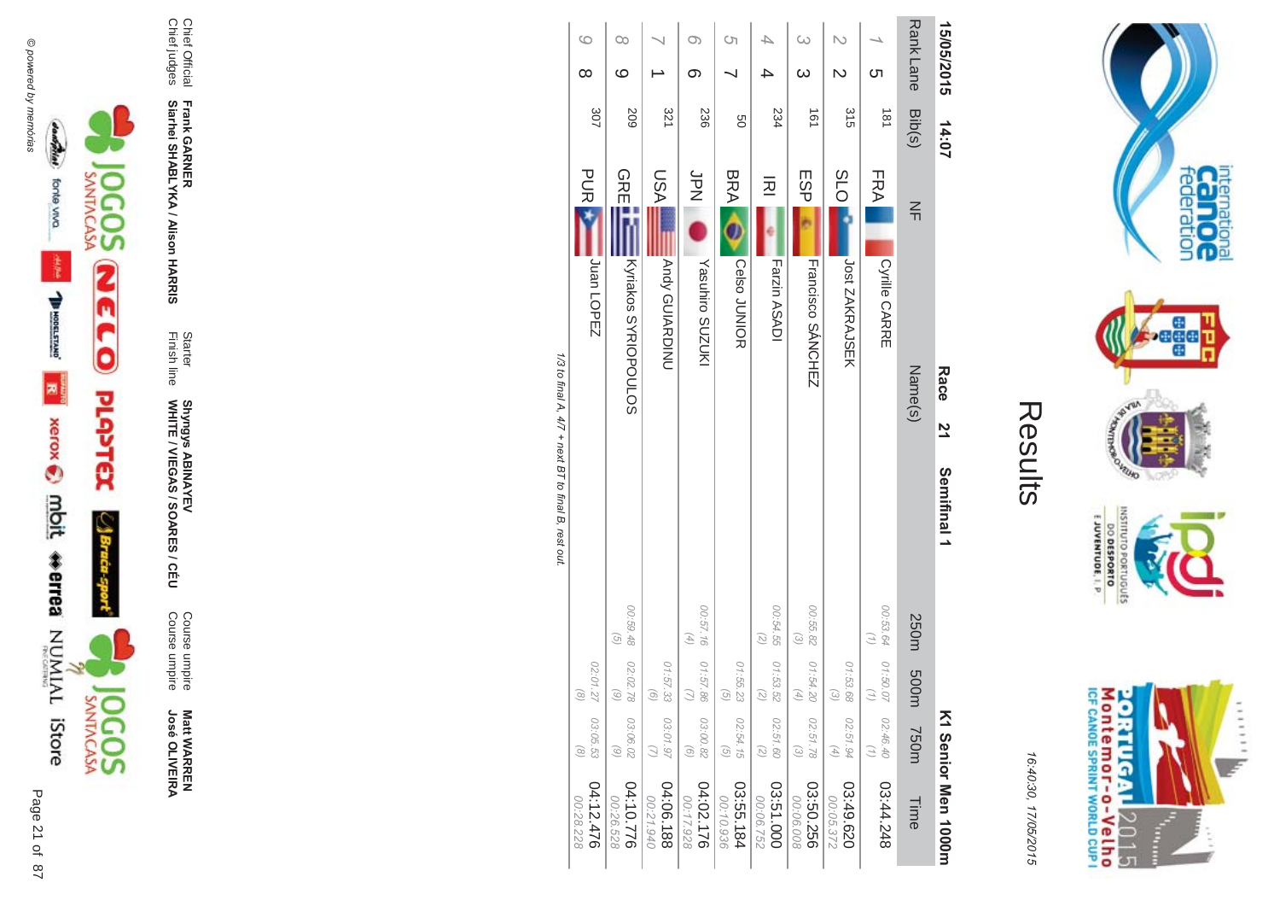

**Matt WARREN<br>José OLIVEIRA José OLIVEIR** 

Course umpire<br>Course umpire Course umpire Course umpire

WHITE / VIEGAS / SOAR Shyngys ABINAYEV<br>WHITE / VIEGAS / SOARES / CÉU Shyngys ABINAYEV

Finish line Starter

**Frank GAR - Siarhei SHABLYKA / Alison HAR -&**

Chief Official<br>Chief judges Chief judges Chief Official

| 15/05/2015                   | 14:07  |                                      | Race<br>$\vec{z}$<br>Semifinal 1 |                                               |                                |                                            | K1 Senior Men 1000H    |
|------------------------------|--------|--------------------------------------|----------------------------------|-----------------------------------------------|--------------------------------|--------------------------------------------|------------------------|
| <b>Rank Lane</b>             | Bib(s) | $\leq$                               | Name(s)                          |                                               | 250m 500m                      | <b>750m</b>                                | Time                   |
| <b>C</b> h                   | 181    | <b>FRA</b><br>Cyrille CARRE          |                                  | 00:53.64                                      | 01:50.07<br>Э                  | 02:46.40<br>$\binom{7}{7}$                 | 03:44.248              |
| N<br>$\overline{\mathsf{C}}$ | 315    | <b>SLO</b><br>Jost ZAKRAJSEK         |                                  |                                               | 01:53.68<br>$\widehat{\omega}$ | 02:51.94<br>$(4)$                          | 03:49.620<br>00:05.372 |
| $\omega$                     | 191    | <b>ESPI</b><br>Francisco SÁNCHEZ     |                                  | 00:55.82<br>$\odot$                           | 01:54.20<br>(4)                | 02:51.78<br>$\odot$                        | 03:50.256<br>00:06.008 |
|                              | 234    | 远<br>Farzin ASADI                    |                                  | 00:54.55<br>$\binom{2}{3}$                    | 01:53.52<br>$\binom{2}{3}$     | 02:51.60<br>$\binom{2}{3}$                 | 03:51.000<br>00:06.752 |
| Cη                           | 9g     | <b>BRA</b><br>Celso JUNIOR           |                                  |                                               | 01:55.23<br>$\odot$            | 02:54.15<br>$\left( \frac{1}{2} \right)$   | 03:55.184<br>00:10.936 |
| $\circ$<br>တ                 | 236    | b<br>N<br>N<br>Yasuhiro SUZUKI       |                                  | 00:57.16<br>$\left( 4\right)$                 | 01:57.86                       | 03:00.82<br>$\odot$                        | 04:02.176<br>00:17.928 |
|                              | 321    | LSA<br>Andy GUIARDINU                |                                  |                                               | 01:57.33<br>$\odot$            | 03:01.97                                   | 04:06.188<br>00:21.940 |
| $\infty$<br>ဖ                | 509    | <b>GREEN</b><br>Kyriakos SYRIOPOULOS |                                  | 00:59.48<br>$\begin{pmatrix} 5 \end{pmatrix}$ | 02:02.78<br>$\odot$            | 03:06.02<br>$\textcircled{\scriptsize{6}}$ | 04:10.776<br>00:26.528 |
| 6<br>∞                       | 307    | <b>PUR</b><br>Juan LOPEZ             |                                  |                                               | 02:01.27<br>$\odot$            | 03:05.53<br>$\circledcirc$                 | 04:12.476<br>00:28.228 |

1/3 to final A, 4/7 + next BT to final B, rest out. /3 to final A,  $4$  $77 +$  next BT to final B, rest out.

 $\mathbb{I}$ 



**riternational**<br>Cannoce<br>federation

**Page** 

**VEUID NORS** 

**NSTITU** 

E JUVENTUDE, I. P.

DO DESPORTO

16:4 10:30, 1 7/05/2015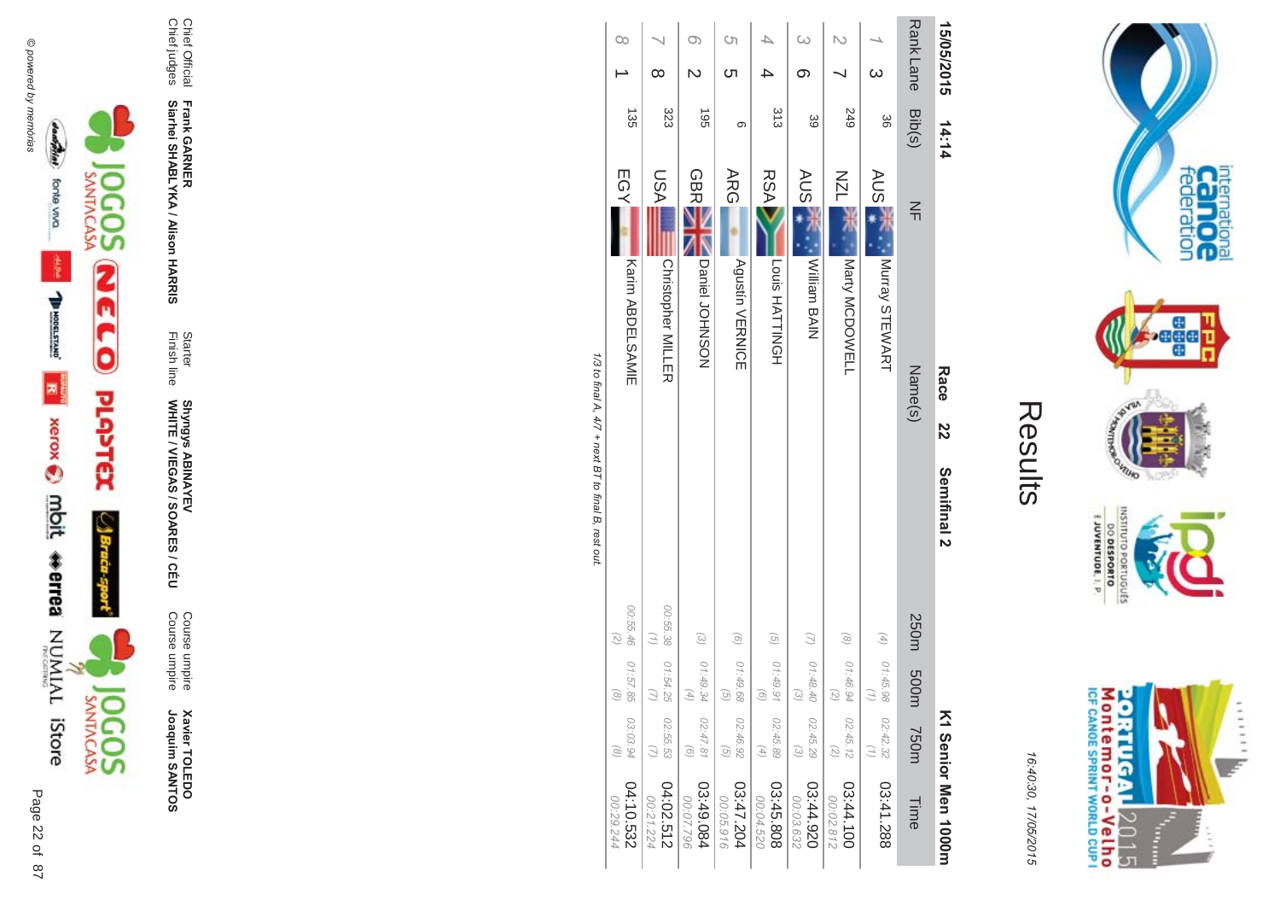

**Xavier TOLEDO**<br>Joaquim SANTOS Joaquim SANTOS **Xavier TOLEDO** 

Course umpire<br>Course umpire Course umpire Course umpire

Finish line Starter WHITE / VIEGAS / SOAR **Shyngys ABINAYEV<br>WHITE / VIEGAS / SOARES / CÉU** Shyngys ABINAYEV

**-**

**Frank GAR Siarhei SHABLYKA / Alison HAR -&**

Chief Official<br>Chief judges Chief judges Chief Official

| 15/05/2015                | 14:14      |                                         | Race    | 22 | Semifinal 2                                |                                                          |                                                                   |                                                            | K1 Senior Men 1000H    |
|---------------------------|------------|-----------------------------------------|---------|----|--------------------------------------------|----------------------------------------------------------|-------------------------------------------------------------------|------------------------------------------------------------|------------------------|
| Rank Lane Bib(s)          |            | $\frac{2}{1}$                           | Name(s) |    |                                            | 250m                                                     | m005                                                              | m0 <sub>3</sub> 7                                          | Time                   |
| $\omega$                  | 36         | AUS 7<br>Murray STEWART                 |         |    |                                            |                                                          | (4) $01.45.98$<br>3                                               | 02:42.32<br>$\left(1\right)$                               | 03:41.288              |
|                           | <b>249</b> | <b>NZL</b><br>Narty MCDOWELL            |         |    |                                            | $\circledcirc$                                           | 01:46.94<br>$\widetilde{\mathcal{L}}$                             | 02:45.12<br>$\binom{2}{2}$                                 | 03:44.100<br>00:02.812 |
| $\omega$<br>တ             | 39         | <b>AUSE</b><br><b>William BAIN</b>      |         |    |                                            | $\mathcal{Q}$                                            | 01:48.40<br>$\begin{array}{c} \textcircled{\small 2} \end{array}$ | 02:45.29<br>$\mathcal{E}$                                  | 02:44.920<br>00:03.632 |
|                           | 313        | <b>RSA</b><br>Louis HATTINGH            |         |    |                                            | $\odot$                                                  | 01:49.91<br>$\odot$                                               | 02:45.89<br>$\left( \begin{matrix} 4 \end{matrix} \right)$ | 03:45.808<br>00:04.520 |
| Ċη<br>C٦                  | တ          | <b>ARG</b><br><b>Agustín VERNICE</b>    |         |    |                                            | $\odot$                                                  | 01:49.68<br>$\begin{pmatrix} 0 \\ 0 \end{pmatrix}$                | 02:46.92<br>$\mathcal{G}$                                  | 03:47.204<br>00:05.916 |
| $\circ$<br>$\overline{C}$ | $-561$     | GBRE<br>Daniel JOHNSON                  |         |    |                                            | $\odot$                                                  | 01:49.34<br>$\left( \frac{4}{7} \right)$                          | 02:47.81<br>$\odot$                                        | 480.649<br>00:07.796   |
| ∞                         | 323        | <b>USA</b><br><b>Christopher MILLER</b> |         |    |                                            | 00:55.38 01:54.25<br>$\binom{7}{1}$                      | $\tilde{C}$                                                       | 02:55.53<br>$\cup$                                         | 04:02.512<br>00:21.224 |
| $\infty$                  | 135        | EGY<br>Karin ABDELSAMIE                 |         |    |                                            | 00:55.46<br>$\left(\begin{matrix} 7 \end{matrix}\right)$ | 01:57.85<br>$\odot$                                               | 03:03.94<br>$\odot$                                        | 04:10.532<br>00:29.244 |
|                           |            |                                         |         |    | 1/3 th final 4 d/7 + nast final R rest nit |                                                          |                                                                   |                                                            |                        |

Results

internation<br>Cal OC<br>federation

**Page** 

VEUID

OLNILISNI

oktuguts

EJUVENTUDE, I. P.

Montemor-o-Velho<br>Montemor-o-Velho

**ORTUGAL** 

2015

T ŧ ......

y.

DO DESPORTO

**NORS** 

16:4 10:30, 1

7/05/2015

170 li li lai A, /3 to final A,  $4$  $\frac{1}{4}$  $77 +$  next BT to final B, rest out.  $\frac{1}{2}$  $\geq$ <sub>ווח וו</sub>  $\tilde{\mathbf{p}}$ icor ρ<sub>α</sub>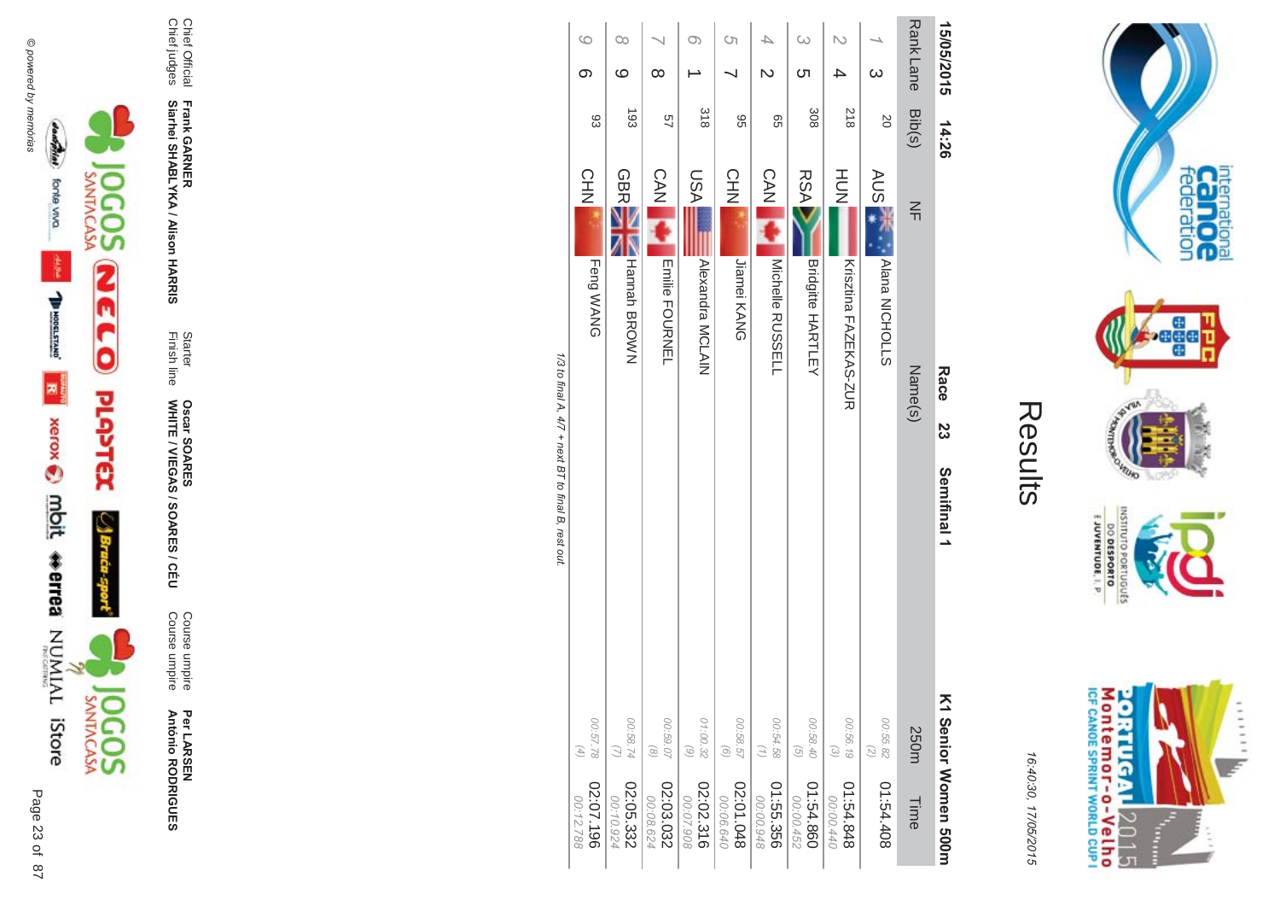

Per LAR SEN **António R \*0-B-DES** 

**ES/CEU** Course umpire<br>Course umpire Course umpire Course umpire

Finish line Starter WHITE / VIEGAS / SOAR **Oscar SOAR** 55

**Frank GAR - Siarhei SHABLYKA / Alison HAR** 

**-&**

Chief Official<br>Chief judges Chief judges Chief Official

|                        |                                               | <b>4 ^2 +,final - a -4 77 - ;n+ ロート,final -ロ ;n+ n+</b> |                |              |          |
|------------------------|-----------------------------------------------|---------------------------------------------------------|----------------|--------------|----------|
| 02:07.196<br>00:12.788 | 00:57.78<br>$\left( \mathcal{A}\right)$       | <b>CHN</b><br>Feng WANG                                 | 83             | တ            | G        |
| 02:05.332<br>00:10.924 | 00:58.74<br>$\omega$                          | GBRE<br>Hannah BROWN                                    | $\overline{5}$ | ပ            | CO       |
| 02:03.032<br>00:08.624 | 00:59.07<br>$\textcircled{\scriptsize{8}}$    | <b>CAN</b><br>Emilie FOURNEL                            | 49             | $\infty$     |          |
| 02:02.316<br>00:07.908 | 01:00.32<br>$\begin{pmatrix} 6 \end{pmatrix}$ | <b>ASU</b><br>Alexandra MCLAIN                          | 318            |              | $\infty$ |
| 02:01.048<br>00:06.640 | 00:58.57<br>$\odot$                           | CHN<br>Jiamei KANG                                      | 96             |              | S        |
| 01:55.356<br>00:00.948 | 00:54.58<br>$\left( \frac{1}{2} \right)$      | <b>CAN</b><br>Michelle RUSSELL                          | 99             | $\mathsf{D}$ | 4        |
| 01:54.860<br>00:00.452 | 00:58.40<br>$\textcircled{\scriptsize 2}$     | <b>RSA</b><br><b>Bridgitte HARTLEY</b>                  | 308            | <u>(</u>     | $\infty$ |
| 848.848<br>00:00.440   | 00:56.19<br>$\odot$                           | H<br>N<br>N<br>N<br>Krisztina FAZEKAO-ZUR               | 218            | 4            | $\sim$   |
| 01:54.408              | 00:55.82<br>$\binom{2}{3}$                    | AUS 3<br>Nana NICHOLLS                                  | SO             | $\infty$     |          |
| Time                   | 250m                                          | $\leq$<br>Name(s)                                       | Bib(s)         | Rank Lane    |          |
| K1 Senior Momen 500m   | Semifinal 1                                   | Race<br>23                                              | 14:26          | 15/05/2015   |          |
| 16:40:30, 17/05/2015   |                                               | Results                                                 |                |              |          |
|                        |                                               |                                                         |                |              |          |

1/3 to mal A, 4// + next B l to final B, rest out. /3 to final A,  $4$  $77 +$  next BT to final B, rest out.

E JUVENTUDE, I. P. priuguts M ontem or - o-Velh o<br>ICF canoE SPRINT WORLD CUP I **ORTUGAL** ...... 2015 I  $\frac{1}{2}$ 

internation<br>Can OC<br>federation

**Peger** 

nuiswi

DO DESPORTO

16:4 10:30, 1 7/05/2015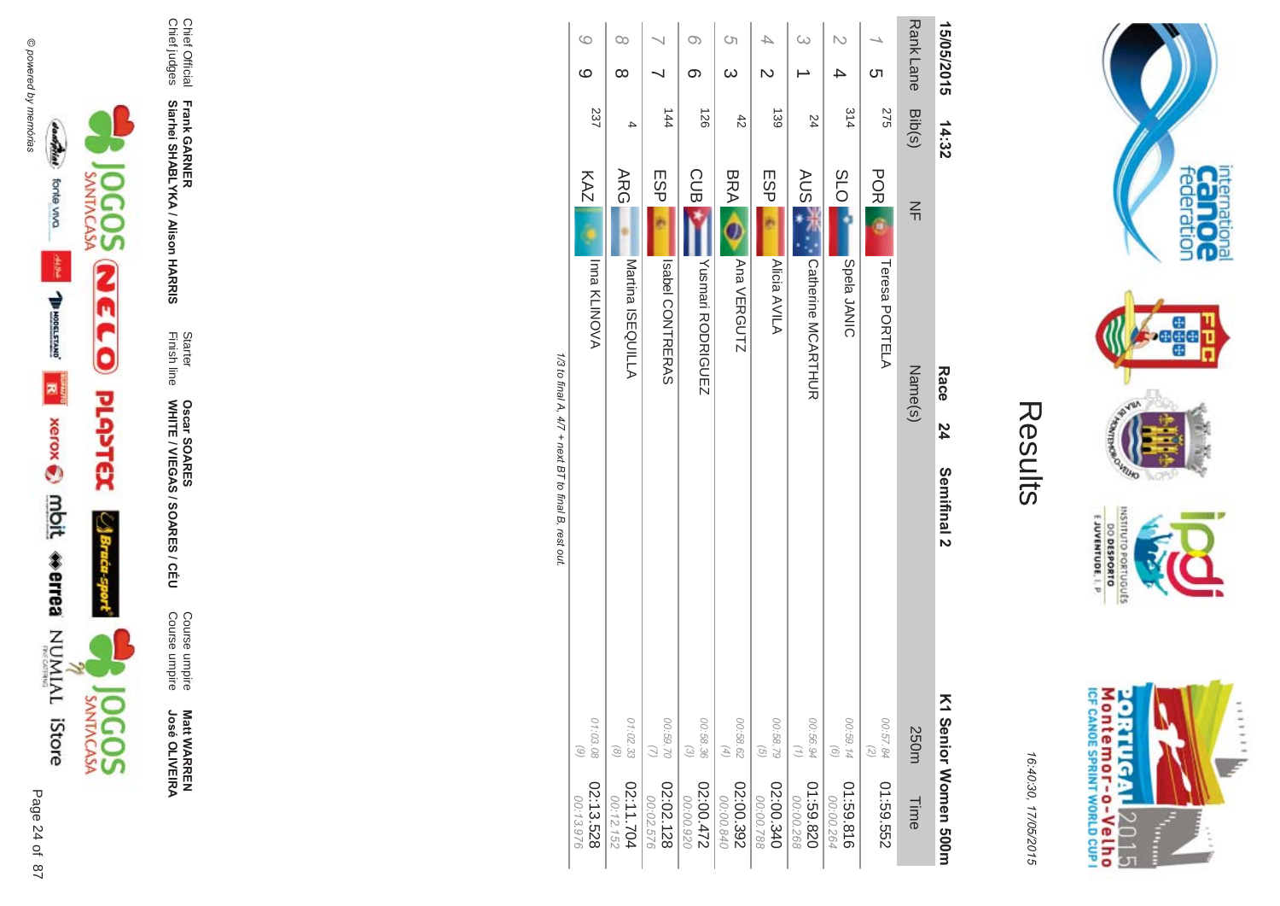

**Matt WARREN<br>José OLIVEIRA José OLIVEIR** 

**ES/CEU** Course umpire<br>Course umpire Course umpire Course umpire

Finish line Starter WHITE / VIEGAS / SOAR **Oscar SOAR** 53

**Frank GAR - Siarhei SHABLYKA / Alison HAR** 

**-&**

Chief Official<br>Chief judges Chief judges Chief Official

| Rank Lane Bib(s)<br>15/05/2015<br>N<br><b>C</b> h<br>4 | 14:32<br>314<br>275 | <b>SLO</b><br><b>POR</b><br>$\leq$<br>Spela JANIC<br>Teresa PORTELA<br>Name(s)<br>Race<br>24 | Semifinal 2 |  |
|--------------------------------------------------------|---------------------|----------------------------------------------------------------------------------------------|-------------|--|
|                                                        |                     |                                                                                              |             |  |
|                                                        | 24                  | <b>AUS</b><br><b>Catherine MCARHIUR</b>                                                      |             |  |
| $\overline{\mathsf{C}}$                                | 139                 | <b>ESP</b><br>Alicia AVILA                                                                   |             |  |
| S)<br>$\omega$                                         | $\ddot{42}$         | <b>BRA</b><br>Ana VERGUTZ                                                                    |             |  |
| $\circ$<br>တ                                           | 126                 | <b>CUB</b><br>Yushmari RODRIGUEZ                                                             |             |  |
|                                                        | $\frac{1}{4}$       | <b>ESP</b><br><b>ISBO CONTRERAS</b>                                                          |             |  |
| $\infty$<br>$\infty$                                   | 4                   | ARG<br>Martina ISEQUILLA                                                                     |             |  |
| $\circ$<br>$\circ$                                     | 237                 | KAZ<br><b>Inna KLINOVA</b>                                                                   |             |  |

1/3 to final A, 4/7 + next BT to final B, rest out. /3 to final A,  $4$  $77 +$  next BT to final B, rest out.

M ontem or - o-Velh o<br>ICF canoE SPRINT WORLD CUP I **ORTUGAL**  $11111$ 2015 T È

internation<br>Can OC<br>federation

 $\frac{1}{2}$ 

VILLAD **NORS** 

INSILIO

priuguts

 $\frac{6!13001N3A0013}{0180653000}$ 

16:4 10:30, 1 7/05/2015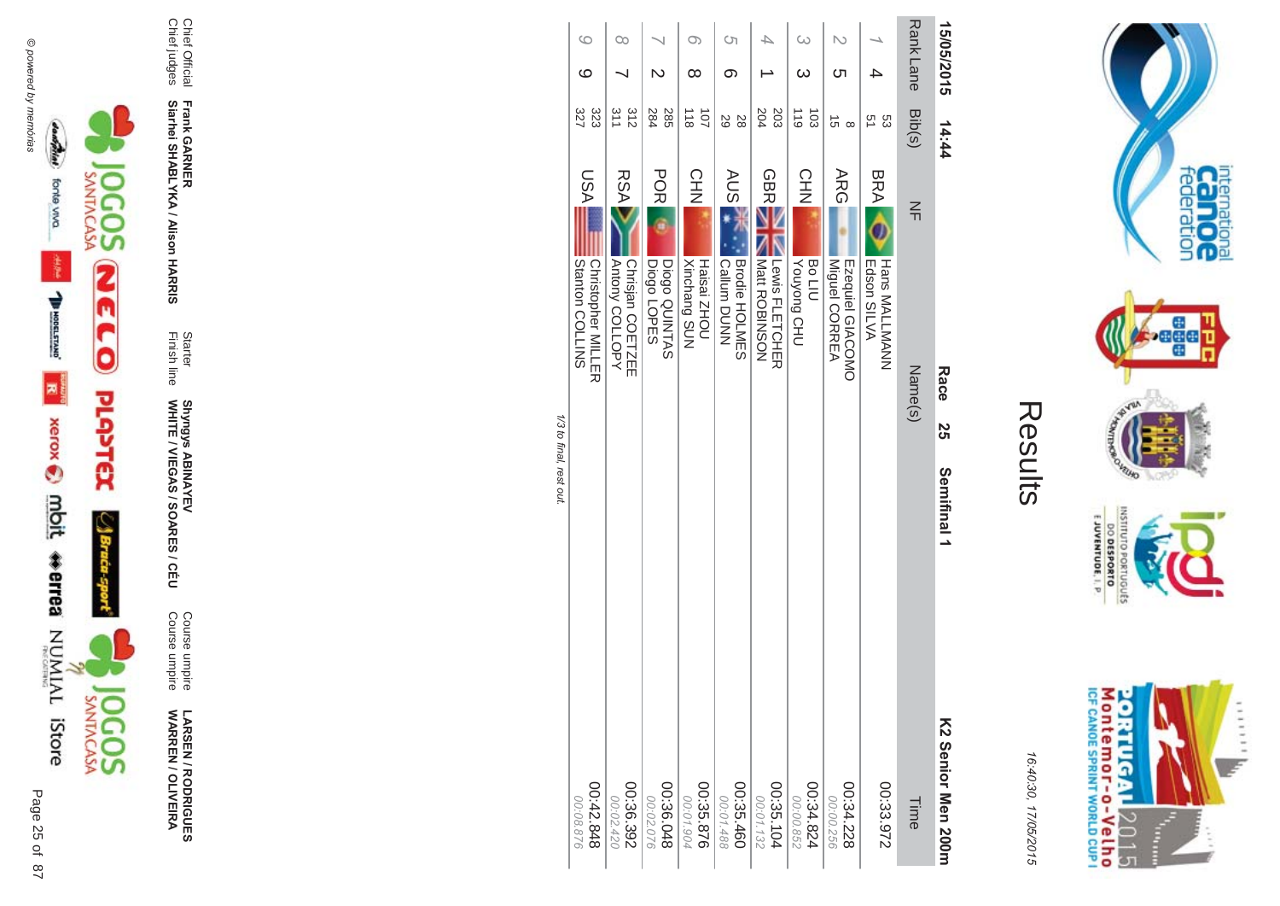



**LARSEN / RODRIGUES<br>WARREN / OLIVEIRA** 

Course umpire<br>Course umpire

Starter<br>Finish line Shyngys ABINAYEV<br>WHITE / VIEGAS / SOARES / CÉU

Frank GARNER<br>Siarhei SHABLYKA / Alison HARRIS

Chief Official<br>Chief judges

|                         | $\circ$                                              | $\infty$                                         |                                            | O)                                              | Ċη                                         |                                                  | $\infty$                                  | N                                               |                                            | <b>RankLane</b>   | 15/05/2015         |
|-------------------------|------------------------------------------------------|--------------------------------------------------|--------------------------------------------|-------------------------------------------------|--------------------------------------------|--------------------------------------------------|-------------------------------------------|-------------------------------------------------|--------------------------------------------|-------------------|--------------------|
|                         | ပ                                                    |                                                  | N                                          | ∞                                               | တ                                          |                                                  | ယ                                         | cл                                              |                                            |                   |                    |
|                         | 327<br>323                                           | 311<br>312                                       | 284<br>285                                 | 101<br>$\frac{1}{8}$                            | 29<br>28                                   | 204<br>203                                       | 103<br>$\frac{110}{10}$                   | 5Ì<br>$\infty$                                  | 51<br>ပ္လာ                                 | Bib(s)            | 14:44              |
|                         | NSN<br>SNITIOU COLLINS<br><b>Christopher MILLING</b> | <b>RSA</b><br>Autony COLLOPY<br>Chrisjan COETZEE | <b>POR</b><br>Diogo QUINTAS<br>Diogo LOPES | 오<br>보기<br><b>Xinchang SUN</b><br>Holdisai ZHOU | <b>AUS</b><br>Brodie HOLMES<br>Callum DUNN | <b>GBRE</b><br>I Matt ROBINSON<br>Lewis FLETCHER | CHN<br>NH<br><b>Vouyong CHU</b><br>Bo LIU | <b>ARG</b><br>Miguel CORREA<br>Ezequiel GIACOMO | <b>BRA</b><br>Hans MALLMANN<br>Edson SILVA | $\leq$<br>Name(s) | Race<br>2S         |
| 1/3 to final, rest out. |                                                      |                                                  |                                            |                                                 |                                            |                                                  |                                           |                                                 |                                            |                   | Semifinal 1        |
|                         | 848.242.00<br>00:08.876                              | 00:36.392<br>00:02.420                           | 00:36.048<br>00:02.076                     | 00:35.876<br>00:01.904                          | 00:35.460<br>00:01.488                     | 00:35.104<br>$00.01.132$                         | 428.4500<br>00:00.852                     | 00:34.228<br>00:00.256                          | 00:33.972                                  | Time              | K2 Serior Men 200H |

Results

M ontem or - o-Velh o<br>ICF canoE SPRINT WORLD CUP I **ORTUGAL** ...... y. 12015  $\frac{1}{2}$ 

internation<br>Can OC<br>federation

**Page** 

**VELHO** 

**DINILISNI** 

EJUVENTUDE, I. P.

DO DESPORTO orruguts

16:40:30, 17/05/2015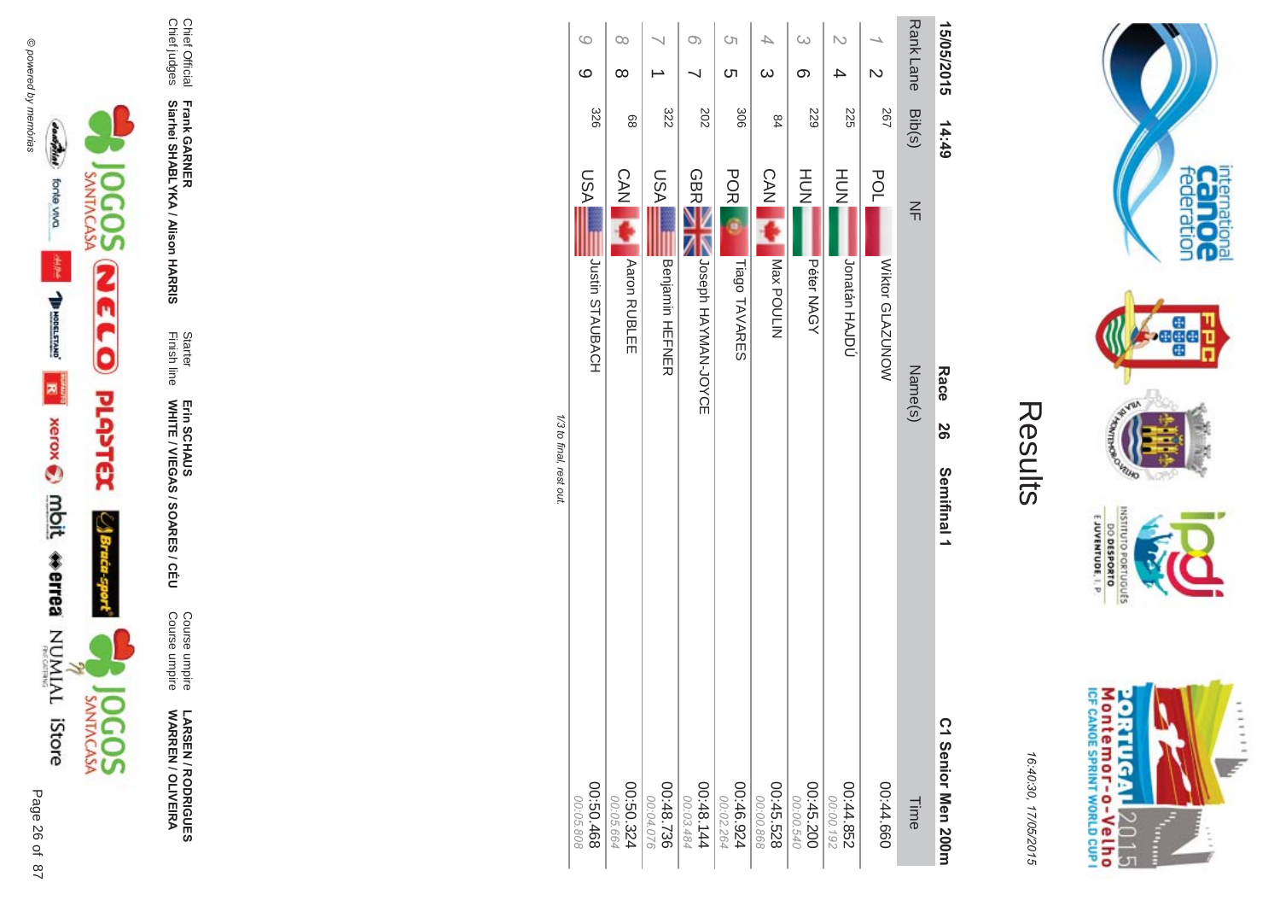

**LARSEN / RODRIGUES<br>WARREN / OLIVEIRA** 

Course umpire<br>Course umpire

Starter<br>Finish line Erin SCHAUS<br>WHITE / VIEGAS / SOARES / CÉU

Chief Official<br>Chief judges Frank GARNER<br>Siarhei SHABLYKA / Alison HARRIS

| 15/05/2015              | 14:49 |                                   | Race<br>50 | Semifinal 1 | C1 Senior Men 200m         |
|-------------------------|-------|-----------------------------------|------------|-------------|----------------------------|
| Rank Lane Bib(s)        |       | $\frac{2}{1}$                     | Name(s)    |             | Time                       |
| $\overline{\mathsf{C}}$ | 267   | POL<br>Wiktor GLAZUNOW            |            |             | 00:44.660                  |
| 4                       | 225   | HU<br>N<br>Jonatán HAJDÚ          |            |             | 258.44.00<br>26100.00      |
| $\infty$<br>ග           | 529   | HU<br>N<br>Péter NAGY             |            |             | 00:45.200<br>00:00.540     |
| 4<br>$\omega$           | 84    | <b>CAN</b><br>Max POULIN          |            |             | 00:45.528<br>00:00.868     |
| S)<br><u>(</u>          | 306   | <b>POR</b><br>Tiago TAVARES       |            |             | 46.945.924<br>00:02.264    |
| $\circ$                 | 202   | GBRE<br>NORPH HAYNAN-JOYCE        |            |             | $00:48.144$<br>$00:03.484$ |
|                         | 322   | ASU<br>Benjamin HEFNER            |            |             | 00:48.736<br>00:04.076     |
| $\infty$<br>$\infty$    | 88    | <b>CAN</b><br><b>Aaron RUBLEE</b> |            |             | 00:50.324<br>00:05.664     |
| $\circ$<br>$\circ$      | 328   | LSA<br>Justin STAUBACH            |            |             | 89709:00<br>00:05.808      |

1/3 to final, rest out.

00:05.808

 $\sim$ 

Results



internation<br>Can OC<br>federation

**bege** 

**VILLIO LOP** 

OLNILISNI

E JUVENTUDE, I. P.

DO DESPORTO orruguts

16:40:30, 17/05/2015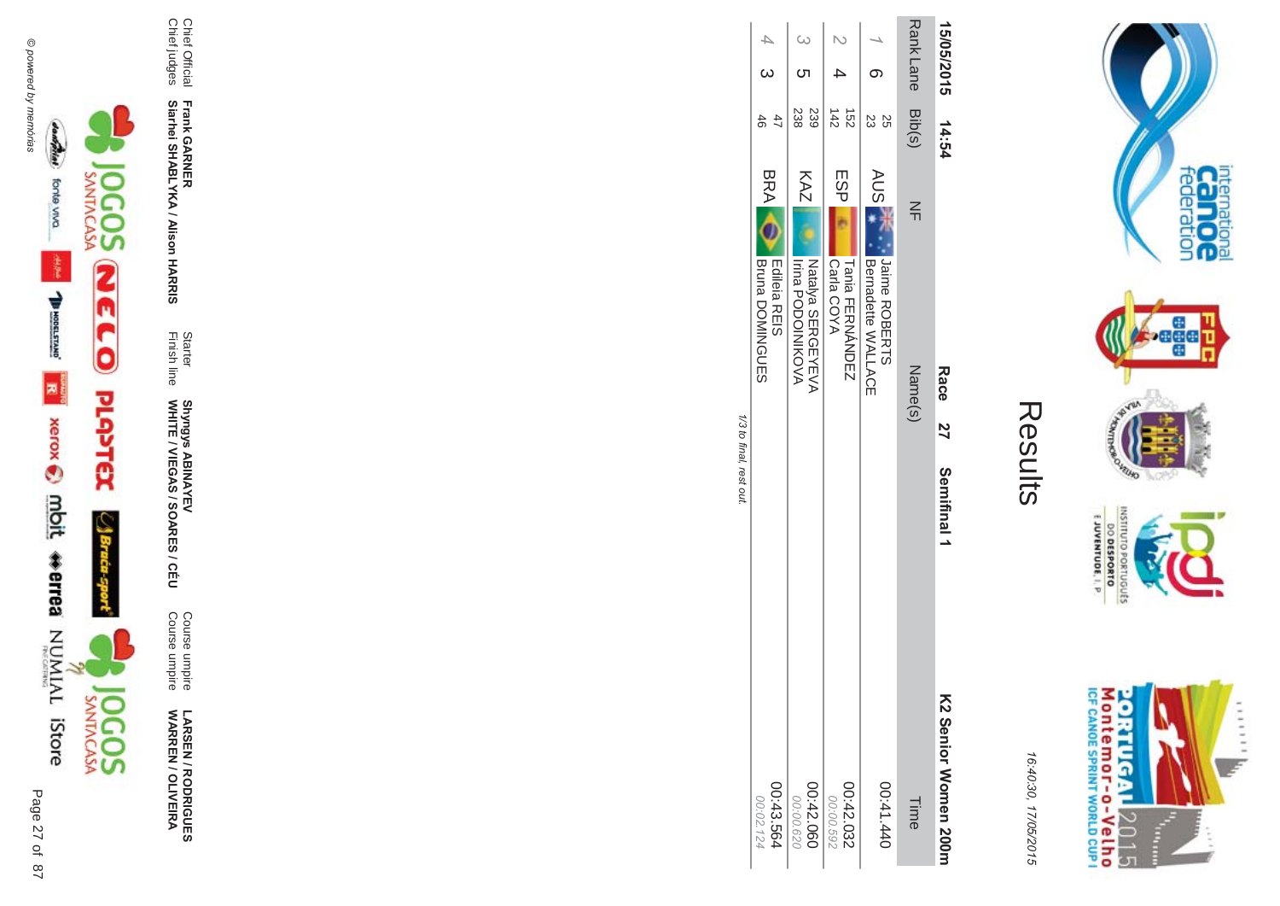

**!-SEN/R \*0-B-DES WARR EN / OLIVEIR** ъ

Course umpire<br>Course umpire Course umpire Course umpire

WHITE / VIEGAS / SOAR Shyngys ABINAYEV<br>WHITE / VIEGAS / SOARES / CÉU Shyngys ABINAYEV

**-**

**-&**

Finish line Starter

Chief Official<br>Chief judges Chief judges Chief Official **Siarhei SHABLYKA / Alison HAR Frank GAR** 

Results

Rank Lane Rank Lane Bib(s) NH NH Name(s) Name(s) こうしょうしょう Time 15/05/2015 15/05/2015 14:54 Race 27 ာ<br>၁ 4  $\overline{\phantom{a}}$  $\Gamma$ ane Bib(s) NF Bib(s) NF Bib(s)  $\infty$ 015 14:54  $\frac{185}{43}$ 238 Bib(s) Natalya SERGEYEVA 239 + 152 **25**<br>23 Jaime ROBERTS 25 14:54 AUS<sub>1</sub> KAZ ESP  $\mathsf{ESP}$   $\mathsf{Gal}_\mathsf{GOYA}$   $\mathsf{Gal}_\mathsf{COYA}$   $\mathsf{Gal}_\mathsf{COYA}$ 00:41.440 AUS KAZ | TIEB BODIOINICONIKOON | 1999 | 1999 | 1999 | 1999 | 1999 | 1999 | 1999 | 1999 | 1999 | 1999 | 1999 | 199<br>KAZ | Tieba Bodioinikoon | 1999 | 1999 | 1999 | 1999 | 1999 | 1999 | 1999 | 1999 | 1999 | 1999 | 1999 | 1999 |  $\leq$ A Natalya SERGEYEVA<br>Irina PODOINIKOVA Tania FERNÁNDEZ<br>Carla COYA Jaime ROBERTS<br>Bernadette WALLACE Irina PODOINIKOVA Carla COYA Tania FERNBernadette WALLACE Name(s) Race<sub>2</sub> Semifinal 1 Semifinal 1 <u>Σ</u> Senior Women 2 00:42.060 00:42.032 041.440 Time 00. 00:00.592  $00$ 029 **00m** 

1/3 to final, rest out /3 to final, rest out.

BRA E-direta nuclear de la construção de la construção de la construção de la construção de la construção de la construção de la construção de la construção de la construção de la construção de la construção de la construç

00:43.564 00:02.1 24

46

 $47$ 

 $\omega$ 

 $\overline{\rightarrow}$ 

47<br>And Download Edileia REIS

**BRA** 

Bruna DOMINGUES

Edileia REIS<br>Bruna DOMINGUES

Montemor-o-Velho<br>Montemor-o-Velho oatilen  $11111$  $\mathbb{Z}$ 2015

international<br>Canoce

**Page** 

nuiswi

EJUVENTUDE, I. P. **B** 

DESPORTO sanonua

16:4 10:30, 1 7/05/2015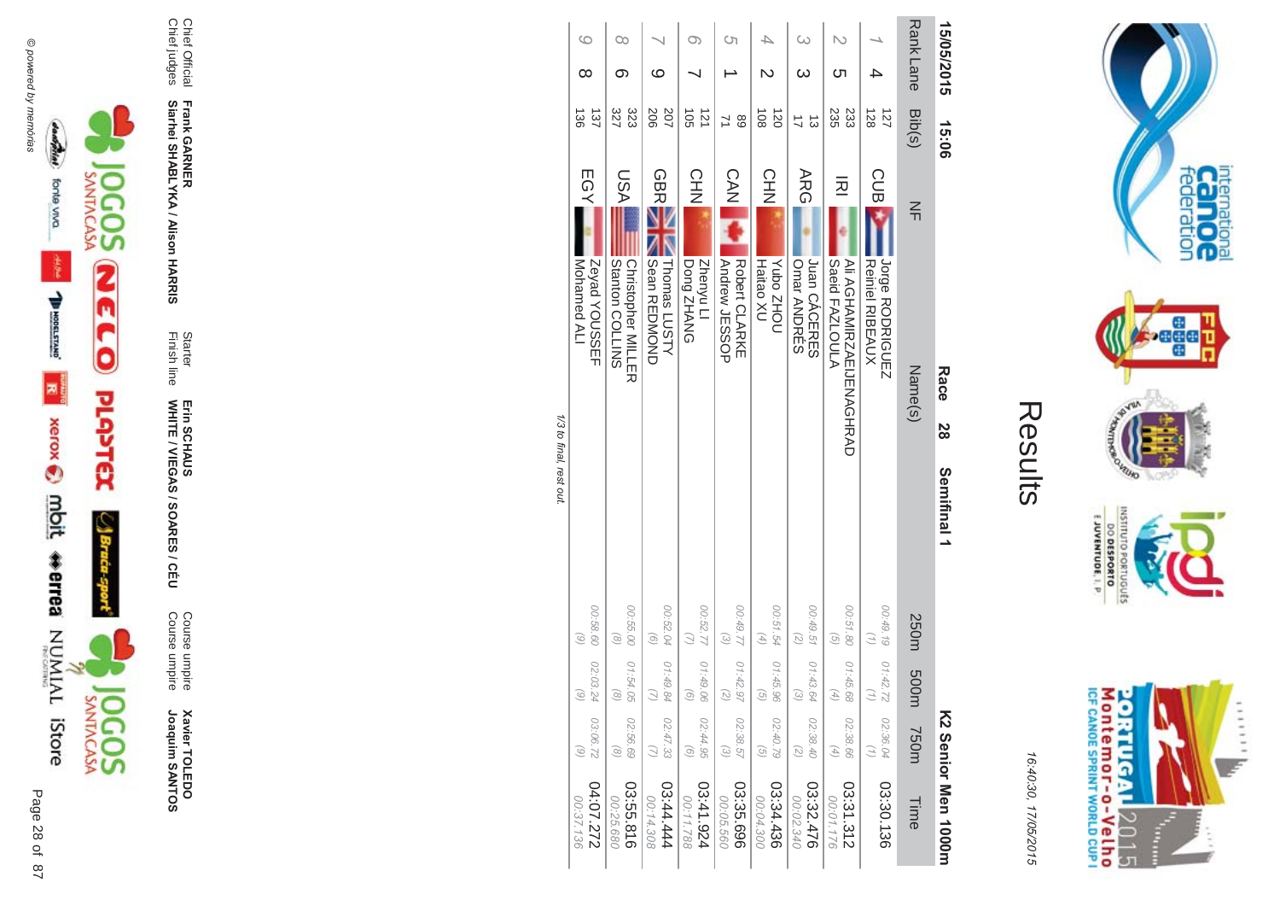

**Xavier TOLEDO**<br>Joaquim SANTOS

Course umpire<br>Course umpire

Erin SCHAUS<br>WHITE / VIEGAS / SOARES / CÉU

Chief Official<br>Chief judges

Starter<br>Finish line

Frank GARNER<br>Siarhei SHABLYKA / Alison HARRIS

|                        |                                        |                                |                                                            | すいせい こうきょう  |    |         |                                              |            |                             |                  |    |
|------------------------|----------------------------------------|--------------------------------|------------------------------------------------------------|-------------|----|---------|----------------------------------------------|------------|-----------------------------|------------------|----|
| 27.272<br>00:37.136    | 03:06.72<br>$\odot$                    | 02:03.24<br>$\widehat{\omega}$ | 00:58.60<br>$\odot$                                        |             |    |         | Zeyad YOUSSEF<br>Mohamed ALI                 | EGY        | 137<br>$\frac{36}{2}$       | ∞                | ဖ  |
| 03:55.816<br>00:25.680 | 02:56.69<br>$\circledcirc$             | 01:54.05                       | 00:55.00<br>$\left( \frac{8}{2} \right)$                   |             |    |         | Stanton COLLINS<br><b>Christopher MILLER</b> | ASU        | 327<br>323                  | ග                | Co |
| 144.4444<br>00:14.308  | 02:47.33                               | 01:49.84                       | 00:52.04<br>$\odot$                                        |             |    |         | Sean REDMOND<br>Thomas LUSTY                 | <b>GBR</b> | 207<br>206                  | ဖ                |    |
| 13:41.924<br>00:11.788 | 02:44.95<br>$\odot$                    | 01:49.06<br>ଚ                  | 00:52.77                                                   |             |    |         | Zhenyu LI<br>DONAHZ pnoQ                     | CHN        | 121<br>$\overrightarrow{5}$ |                  | ා  |
| 03:35.696<br>00:05.560 | 02:38.57<br>$\widehat{\omega}$         | 01.42.9                        | 77.9477<br>$\odot$                                         |             |    |         | Andrew JESSOP<br>Robert CLARKE               | <b>CAN</b> | 68<br>ュ                     |                  | Cл |
| 03:34.436<br>00:04.300 | 02:40.79<br>$\widehat{G}$              | 01:45.96<br>G                  | 00:51.54<br>$\left( \begin{matrix} 4 \end{matrix} \right)$ |             |    |         | <b>Haitao XU</b><br>Vubo ZHOU                | CHN        | $\frac{10}{2}$<br>120       |                  |    |
| 03:32.476<br>00:02.340 | 02:38.40<br>$\overline{z}$             | 01:43.64<br>ದ                  | 00:49.51<br>$\binom{2}{2}$                                 |             |    |         | Juan CACERES<br>Omar ANDRES                  | <b>ARG</b> | ದ                           | ω                | ω  |
| 03:31.312<br>00:01.176 | 02:38.66<br>$\left( 4\right)$          | 01:45.68<br>A,                 | 00:51.80<br>$\widehat{G}$                                  |             |    |         | Saeid FAZLOULA<br>Ali AGIAMIRZAEUENAGIRAD    | 远          | 233<br>235                  | ഗ                |    |
| 03:30.136              | 02:36.04<br>$\left(\frac{1}{2}\right)$ | 01:42.72                       | 00:49.19                                                   |             |    |         | Jorge RODRIGUEZ<br><b>Reiniel RIBEAUX</b>    | <b>CUB</b> | $\frac{1}{28}$<br>127       |                  |    |
| Time                   | <b>750m</b>                            | m005                           | 250m                                                       |             |    | Name(s) |                                              | $\leq$     | Bib(s)                      | <b>Rank Lane</b> |    |
| KS Senior Men 1000H    |                                        |                                |                                                            | Semifinal 1 | 28 | Race    |                                              |            | 15:06                       | 15/05/2015       |    |

1/3 to tinal, rest out.



internation<br>Can OC<br>federation

**bege** 

**UNITED** 

OLNILISNI

E JUVENTUDE, I. P.

DO DESPORTO GRIUGUES **NORD** 

16:40:30, 17/05/2015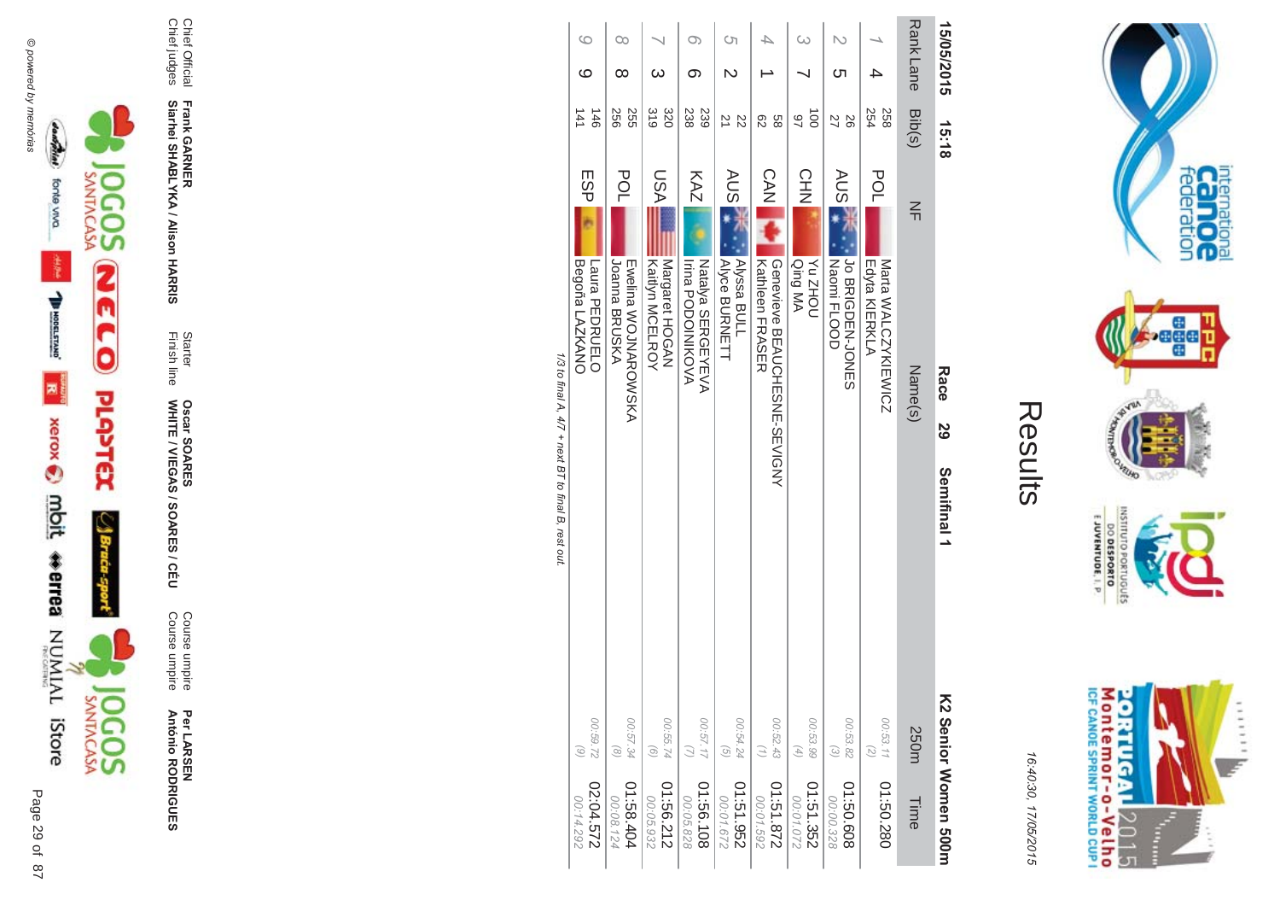

Per LARSEN<br>António RODRIGUES

Course umpire<br>Course umpire

Starter<br>Finish line **Oscar SOARES<br>WHITE / VIEGAS / SOARES / CÉU** 

Frank GARNER<br>Siarhei SHABLYKA / Alison HARRIS

Chief Official<br>Chief judges

|                      |                            | 1/3 to final 4 4/7 + next RT to final R rest out     |            |                       |
|----------------------|----------------------------|------------------------------------------------------|------------|-----------------------|
| 00:14.292            | $\odot$                    | Begoña LAZKANO                                       | ESP        | 141                   |
| 22:04.572            | 00:59.72                   | Laura PEDRUELO                                       |            | 146                   |
| 00:08.124            | $\circ$                    | Joanna BRUSKA                                        | POL        | 556                   |
| 404.88.404           | 00:57.34                   | <b>FINDINARONS WARDEN</b>                            |            | 255                   |
| 00:05.932            | $\odot$                    | Kaithn MCELROY                                       |            | 310                   |
| 21:56.212            | 00:55.74                   | Margaret HOGAN                                       | <b>ASU</b> | 320                   |
| 00:05.828            |                            | Irina PODOIZIKO <a< th=""><th></th><th>238</th></a<> |            | 238                   |
| 80136.108            | 00:57.17                   | NATIONS SERGENEVA                                    | KAZ        | 239                   |
| 00:01.672            | $\overline{G}$             | Alyce BURNETT                                        | AUS T      |                       |
| 251.51.952           | 00:54.24                   | <b>Alyssa BULL</b>                                   |            | $\frac{22}{21}$       |
| 00:01.592            | $\left(\frac{1}{2}\right)$ | <b>Kathleen FRASER</b>                               |            | 82                    |
| 278.131.0            | 00:52.43                   | Oenevieve BEANCHESNE-SENA                            | $C$ AN     | 89                    |
| 00:01.072            | $\left( 4\right)$          | Qing MA                                              |            | 97                    |
| 01:51.352            | 00:53.99                   | <b>NOHZ<sub>N</sub></b>                              | <b>CHN</b> | $\overrightarrow{00}$ |
| 00:00.328            | $\widehat{\omega}$         | Naomi FLOOD                                          | <b>AUS</b> |                       |
| 01:50.608            | 00:53.82                   | Lo BRIGDEN-JONES                                     |            | 26<br>27              |
|                      | $\overline{c}$             | Edyta KIERKLA                                        | POL        | 254                   |
| 01:50.280            | 00:53.11                   | Marta WALCZYKIEWICZ                                  |            | 258                   |
| Time                 | 250m                       | Name(s)                                              | $\leq$     | Bib(s)                |
| KS Senior Momen 200m | Semifinal 1                | Race<br>59                                           |            | 15:18                 |
|                      |                            |                                                      |            |                       |
|                      |                            |                                                      |            |                       |

Rank Lane 15/05/2015

1/3 t0 llia þ  $\mathbf{A}$ ÷

 $\circ$ 

 $\circ$ 

 $\infty$ 

 $\infty$ 

 $\circ$ 

ၜ

 $\overline{\phantom{0}}$ 

ယ

 $\circ$ 

 $\mathbb N$ 

 $\overline{\mathcal{A}}$ 

 $\overline{\phantom{a}}$ 

 $\omega$ 

 $\overline{\phantom{0}}$ 

 $\mathbb N$ 

ຕ

 $\overline{\phantom{a}}$ 

 $\rightarrow$ 



internation<br>Can OC<br>federation

**Bağad** 

**HOUND** 

nussu

E JUVENTUDE, I. P.

DO DESPORTO ortuguts

16:40:30, 17/05/2015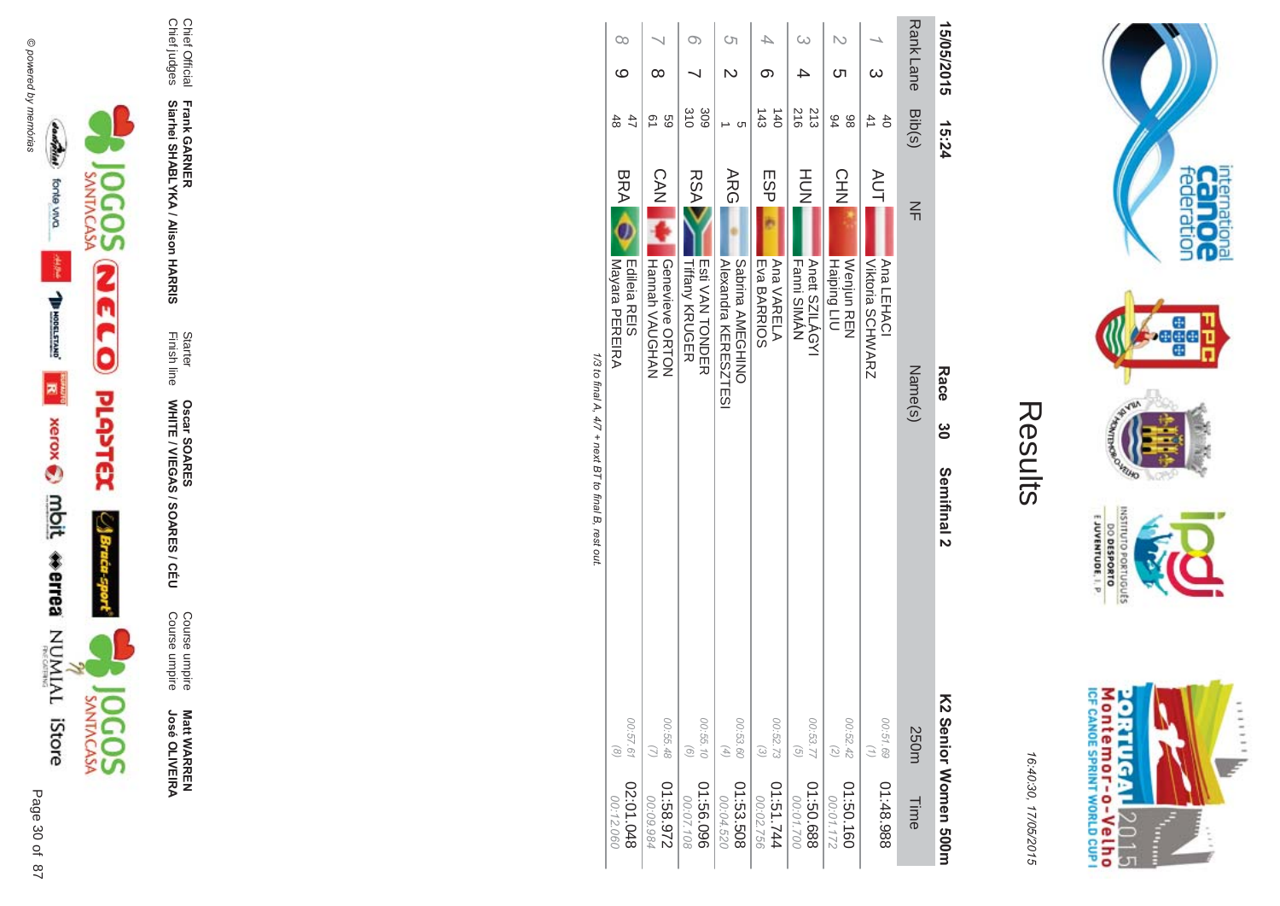

**Matt WARREN<br>José OLIVEIRA** 

Course umpire<br>Course umpire

Starter<br>Finish line Oscar SOARES<br>WHITE / VIEGAS / SOARES / CÉU

Frank GARNER<br>Siarhei SHABLYKA / Alison HARRIS

Chief Official<br>Chief judges

| 15/05/2015          | 15:24                              | Race<br>ဗ္ဓိ<br>Semifinal 2                                    |                                                            | KS Senior Momen 200m    |
|---------------------|------------------------------------|----------------------------------------------------------------|------------------------------------------------------------|-------------------------|
| Rank Lane           | Bib(s)                             | $\leq$<br>Name(s)                                              | 250m                                                       | Time                    |
| $\omega$            | 41<br>$\ddot{\sigma}$              | <b>AUT</b><br>Viktoria SCHWARZ<br>Ana LEHACI                   | 00:51.69                                                   | 886.84:10               |
| N<br>ഗ              | 84<br>86                           | <b>CHN</b><br>Haiping LIU<br><b>Neniun REN</b>                 | 00:52.42<br>$\overline{z}$                                 | 01:50.160<br>00:01.172  |
| $\overline{\omega}$ | 216<br>213                         | HU<br>N<br><b>Fanni SIMAN</b><br>Anett SZILÁGYI                | 00:53.77<br>$\begin{pmatrix} G \\ G \end{pmatrix}$         | 889'09:10<br>00:01.700  |
| ගා                  | $\frac{143}{2}$<br>$\overline{40}$ | ESP<br>Eva BARRIOS<br><b>Ana VARELA</b>                        | 00:52.73<br>$\odot$                                        | 174.51.744<br>00:02.756 |
| <b>(</b> ၂          | C                                  | <b>ARG</b><br>Alexandra KERESZTESI<br>Sabrina AMEGHINO         | 00:53.60<br>$\left( \begin{matrix} 4 \end{matrix} \right)$ | 01:53.508<br>00:04.520  |
| O)                  | 310<br>309                         | <b>RSA</b><br><b>Tiffany KRUGER</b><br><b>Hotal NAN HONDER</b> | 00:55.10<br>$\left( 9\right)$                              | 960'99:10<br>00:07.108  |
| ∞                   | Q1<br>69                           | CAN<br>Hannah VAUGHAN<br>Geneviewe ORTON                       | 00:55.48<br>$\mathcal{Q}$                                  | 226'89:10<br>00:09.984  |
| $\infty$<br>ဖ       | 47<br>48                           | BRA OR<br>Mayara PEREIRA<br>Edileia REIS                       | 00:57.61<br>$\binom{8}{}$                                  | 840.01.02<br>00:12.060  |
|                     |                                    | 1/3 to final A. 4/7 + next BT to final B. rest out             |                                                            |                         |

internation<br>Can OC<br>federation

**bege** 

**HOUND** 

OLNILISNI

orrugusts

E JUVENTUDE, I. P

Montemor-o-Velho<br>Montemor-o-Velho

**ORTUGAL** 

2015

F ŝ ......

uz.

**NORS** 

Results

16:40:30, 17/05/2015

o ura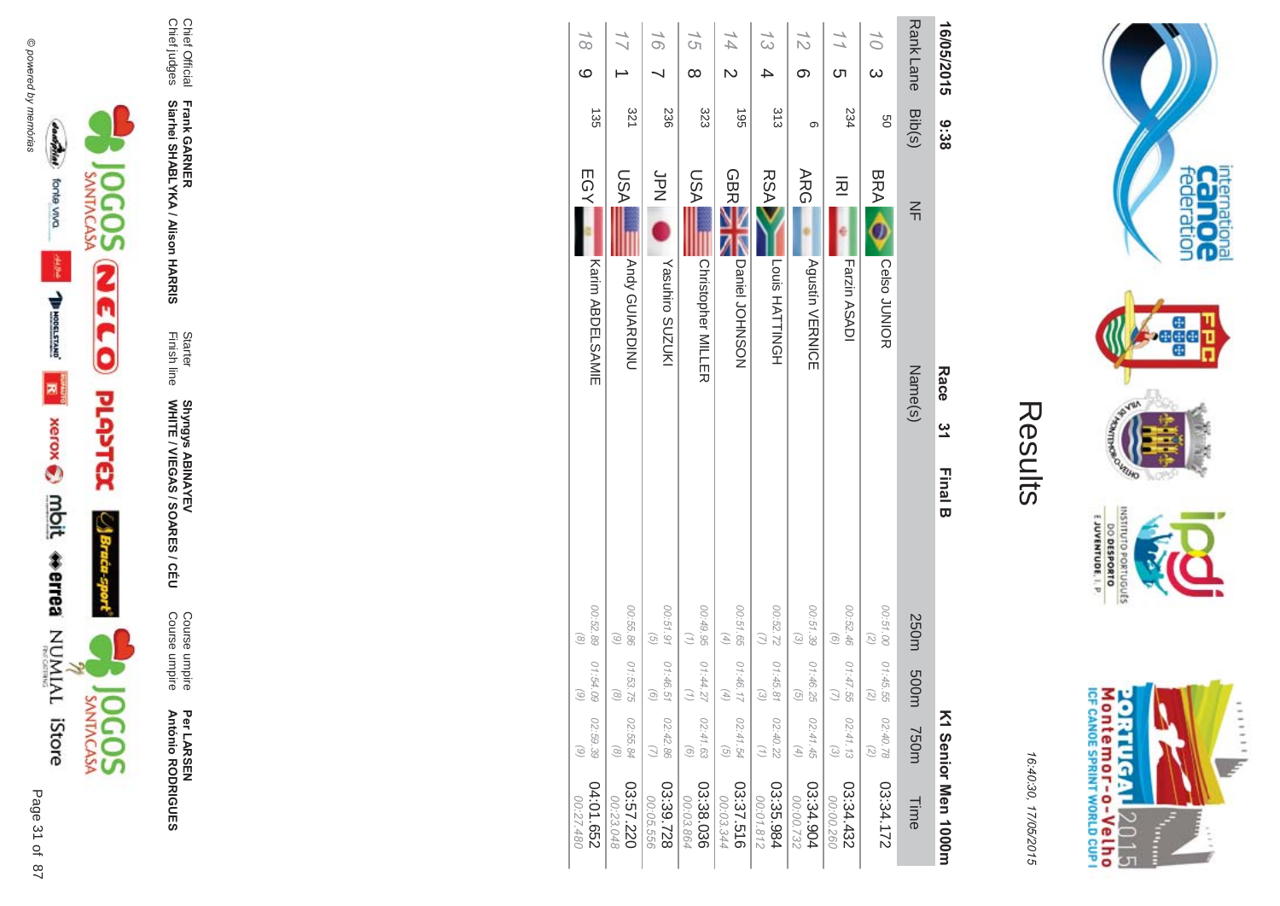





Per LAR SEN **António R \*0-B-DES** 

Course umpire<br>Course umpire Course umpire Course umpire

WHITE / VIEGAS / SOAR **Shyngys ABINAYEV<br>WHITE / VIEGAS / SOARES / CÉU** Shyngys ABINAYEV

**-&**

Finish line Starter

Chief judges

**Frank GAR - Siarhei SHABLYKA / Alison HAR** 

Chief Official<br>Chief judges

Chief Official

| 16/05/2015               | 9:38     | Race                                 | <u>یہ</u> | <b>Final B</b> |                                                |                                               |                                                                 | K1 Senior Men 1000m     |
|--------------------------|----------|--------------------------------------|-----------|----------------|------------------------------------------------|-----------------------------------------------|-----------------------------------------------------------------|-------------------------|
| <b>RankLane</b>          | Bib(s)   | $\leq$                               | Name(s)   |                | 250m                                           | m005                                          | T50m                                                            | Time                    |
| $\frac{1}{2}$<br>ω       | 9g       | <b>BRA</b><br><b>Celso JUNIOR</b>    |           |                | 00:51.00<br>$\left( \frac{2}{\sqrt{2}}\right)$ | 01:45.55<br>(5)                               | 02:40.78<br>$\binom{2}{2}$                                      | 03:34.172               |
| $\frac{1}{1}$<br>ຕ       | 234      | 远<br>Farzin ASADI                    |           |                | 00:52.46<br>$\odot$                            | 01:47.55                                      | 02:41.13<br>$\odot$                                             | 03:34.432<br>00:00.260  |
| 12<br>ග                  | တ        | <b>ARG</b><br><b>Agustín VERNICE</b> |           |                | 00:51.39<br>$\begin{pmatrix} 2 \end{pmatrix}$  | 01:46.25<br>$\odot$                           | 02:41.45<br>$\left( \begin{matrix} 4 \\ 1 \end{matrix} \right)$ | 03:34.904<br>00:00.732  |
| 13                       | 313      | <b>RSA</b><br>Louis HATTINGH         |           |                | 00:52.72                                       | 01:45.81<br>$\widehat{\omega}$                | 02:40.22<br>(1)                                                 | 03:35.984<br>00:01.812  |
| 14                       | <b>G</b> | <b>GBR</b><br>Daniel JOHNSON         |           |                | 00:51.65<br>$\left( \mathcal{A}\right)$        | 01:46.17<br>$\begin{pmatrix} 4 \end{pmatrix}$ | 02:41.54<br>$\begin{pmatrix} G \\ \end{pmatrix}$                | 03:37.516<br>00:03.344  |
| 15<br>$\infty$           | 323      | NSU<br><b>Christopher MILLER</b>     |           |                | 00:49.95                                       | 01:44.27<br>Э                                 | 02:41.63<br>$\odot$                                             | 03:38.036<br>00:03.864  |
| 16                       | 236      | SPN<br>N<br>Yasuhiro SUZUKI          |           |                | 00:51.91<br>$\widehat{G}$                      | 01:46.51<br>$\odot$                           | 02:42.86<br>$\omega$                                            | 03:39.728<br>00:05.556  |
|                          | 321      | IASU<br><b>Andy GUIARDINU</b>        |           |                | 00:55.86<br>$\odot$                            | 01:53.75<br>$\odot$                           | 02:55.84<br>$\circledcirc$                                      | 03:57.220<br>00:23.048  |
| $\frac{1}{8}$<br>$\circ$ | 135      | EGY<br><b>Karin ABDELSAMIE</b>       |           |                | 00:52.89<br>$\circledcirc$                     | 01:54.09<br>$\odot$                           | 02:59.39<br>$\odot$                                             | 04:01.652<br>087.27.480 |



internation<br>Can OC<br>federation

**Page** 

VILLAD **NORS** 

INSILIO

priuguts

 $\frac{6!13001N3A0013}{0180653000}$ 

16:4 10:30, 1 7/05/2015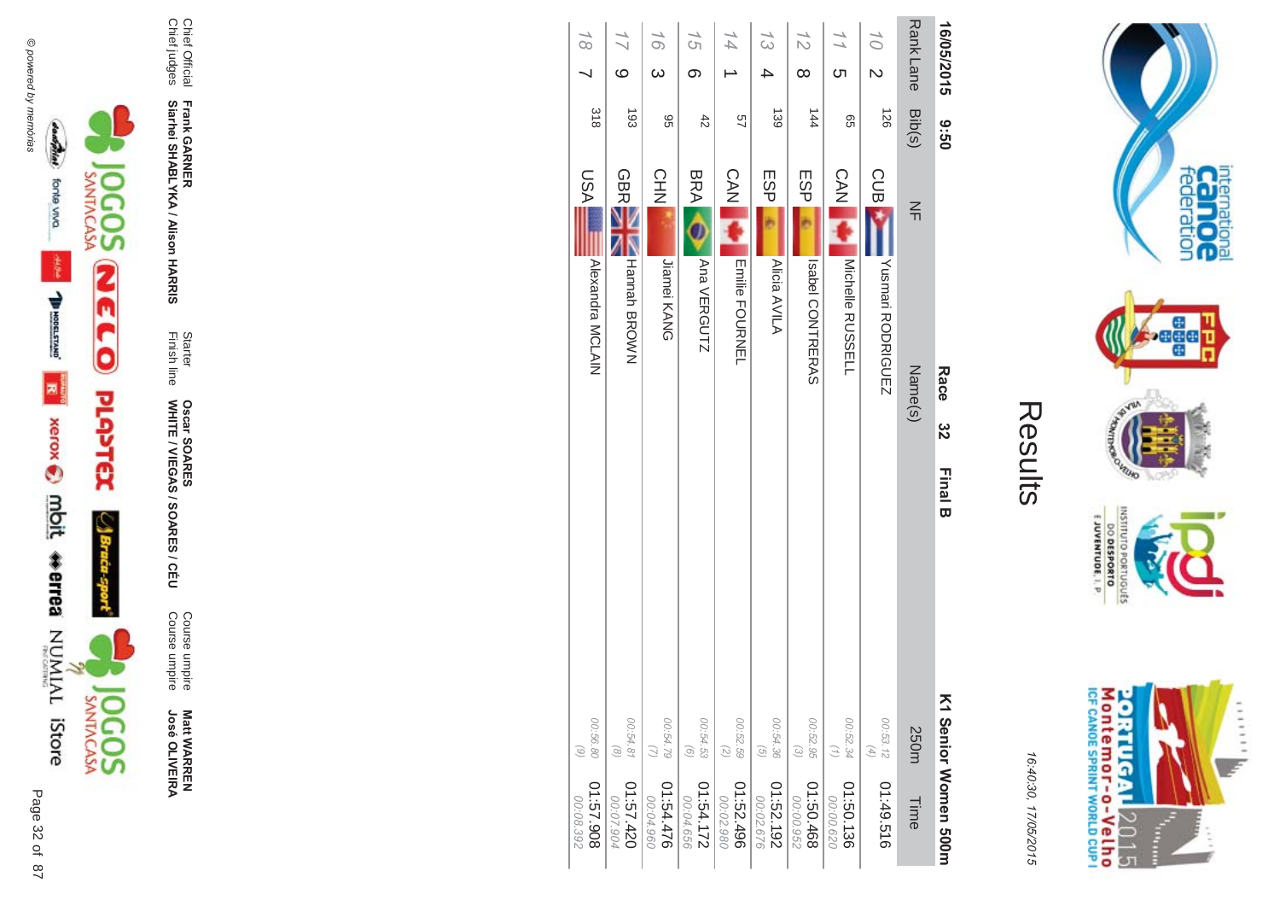

..... ie. **Figure** ŧ

internation<br>Can OC<br>federation

**bege** 

16:4 10:30, 1 7/05/2015

| י<br>$\mathbb{L}$ |
|-------------------|
|                   |
|                   |
|                   |

| 16/05/2015                        | 09:6          | Race<br>32<br><b>Final B</b>        |                                                            | K1 Serior Morner 500m   |
|-----------------------------------|---------------|-------------------------------------|------------------------------------------------------------|-------------------------|
| Rank Lane                         | Bib(s)        | $\frac{2}{1}$<br>Name(s)            | 250m                                                       | Time                    |
| 10 <sup>1</sup><br>$\overline{C}$ | 126           | <b>CUB</b><br>Yushmari RODRIGUEZ    | 00:53.12<br>$\left( \begin{matrix} 4 \end{matrix} \right)$ | 01:49.516               |
| <u>(</u>                          | 99            | <b>CAN</b><br>Michelle RUSSELL      | 00:52.34<br>$\binom{7}{7}$                                 | 01:50.136<br>00:00.620  |
| $\frac{7}{2}$<br>$\infty$         | $\frac{1}{4}$ | ESP<br>Isabel CONTRERAS             | 00:52.95<br>$\begin{pmatrix} 2 \end{pmatrix}$              | 897.09.10<br>00:00.952  |
| 13<br>△                           | 139           | <b>ESP</b><br>Alicia AVILA          | 00:54.36<br>$\left( \frac{1}{2} \right)$                   | 01:52.192<br>00:02.676  |
| $\overline{44}$                   | 49            | <b>CAN</b><br><b>Emilie FOURNEL</b> | 00:52.59<br>$\overline{z}$                                 | 01:52.496<br>00:02.980  |
| 15<br>$\infty$                    | $rac{4}{5}$   | <b>BRA</b><br>Ana VERGUTZ           | 00:54.53<br>$\odot$                                        | 271.54.172<br>00:04.656 |
| 16<br>$\omega$                    | 96            | <b>CHN</b><br>Jiamei KANG           | 00:54.79                                                   | 01:54.476<br>00:04.960  |
| ဖ                                 | $\frac{1}{3}$ | <b>GBR</b><br><b>Hannah BROWN</b>   | 00:54.81<br>$\circledcirc$                                 | 024.57.420<br>00:07.904 |
| $\overline{6}$                    | 318           | IASU<br>Alexandra MCLAIN            | 00:56.80<br>$\binom{6}{ }$                                 | 806'29'10<br>00:08.392  |



Chief Official

Chief judges

Chief Official<br>Chief judges

**Frank GAR** 

**-**

**Siarhei SHABLYKA / Alison HAR** 

**-&**

Finish line Starter

WHITE / VIEGAS / SOAR

**Oscar SOAR** 

55

**ES/CEU** 

Course umpire

Course umpire

Course umpire<br>Course umpire

**Matt WARREN<br>José OLIVEIRA** 

**José OLIVEIR**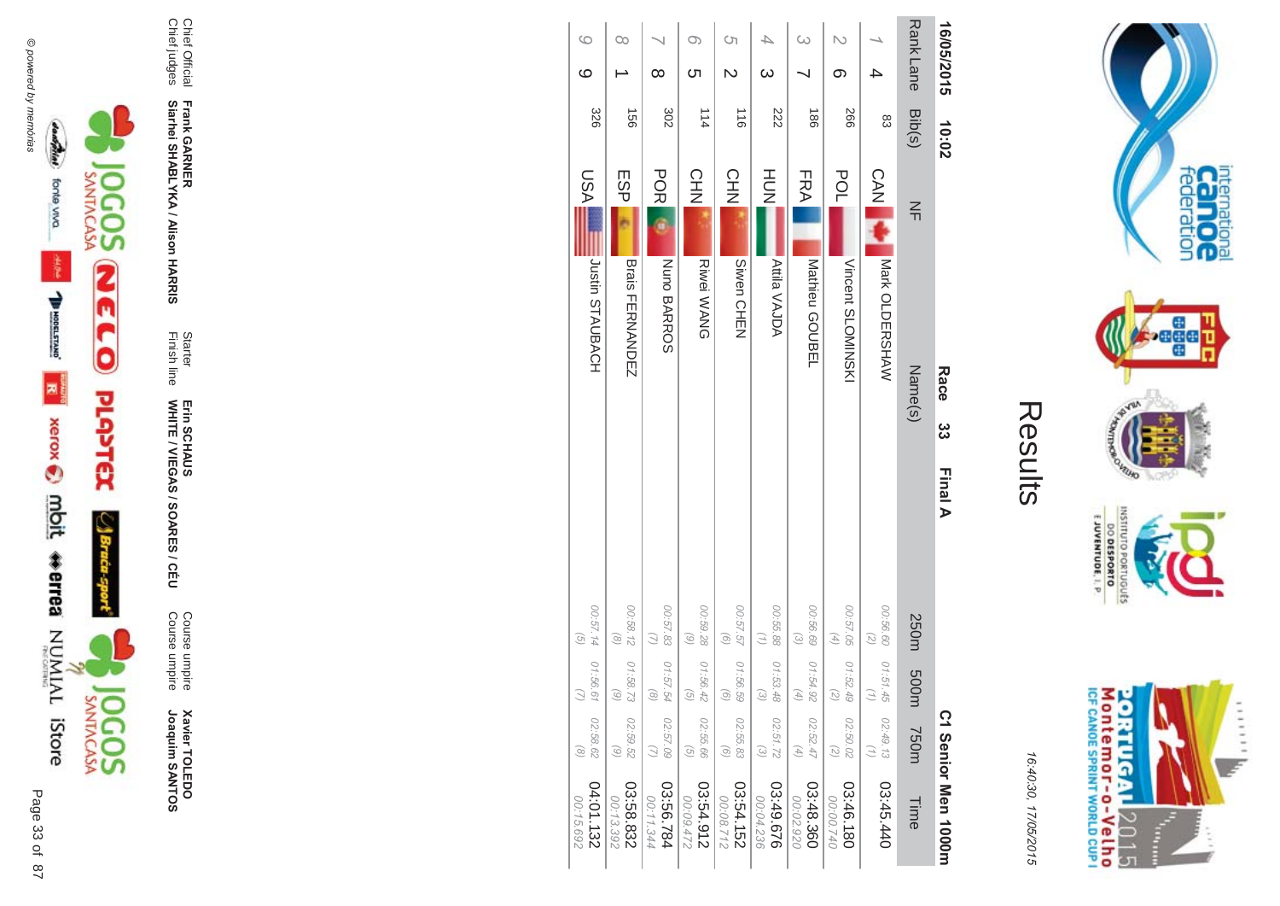



16:40:30, 17/05/2015

| ŗ. |  |
|----|--|
|    |  |
|    |  |

| 16/05/2015           | 10:02           | Race                        | ယ္လ<br>Final A                                  |                                |                                                                           | C1 Senior Men 1000m    |
|----------------------|-----------------|-----------------------------|-------------------------------------------------|--------------------------------|---------------------------------------------------------------------------|------------------------|
| Rank Lane            | Bib(s)          | $\leq$<br>Name(s)           | 250m                                            | m005                           | T50m                                                                      | Time                   |
|                      | 83              | CAN Mark OLDERSHAW          | 00:56.60<br>$\overline{z}$                      | 01:51.45<br>Ξ                  | 02:49.13<br>$\binom{7}{1}$                                                | 03:45.440              |
| N<br>တ               | 997             | POL<br><b>NISAINONINSKI</b> | 00:57.05<br>$\left( \frac{4}{\sqrt{2}} \right)$ | 01:52.49<br>$\binom{2}{3}$     | 02:50.02<br>$\binom{2}{2}$                                                | 03:46.180<br>00:00.740 |
|                      | $\frac{180}{2}$ | FRA<br>Mathieu GOUBEL       | 00:56.69<br>$\omega$                            | 01:54.92<br>F)                 | 02:52.47<br>$\left( \begin{smallmatrix} 4 \\ 4 \end{smallmatrix} \right)$ | 03:48.360<br>00:02.920 |
| $\infty$             | 222             | HOH<br><b>Atila VAJDA</b>   | 00:55.88<br>$\left(\frac{1}{2}\right)$          | 01:53.48<br>$\widehat{\omega}$ | 02:51.72<br>$\odot$                                                       | 03:49.676<br>00:04.236 |
| Cη<br>$\overline{C}$ | $\frac{1}{10}$  | CHN<br>Siwen CHEN           | 757.57<br>$\begin{pmatrix} 0 \end{pmatrix}$     | 01:56.59<br>$\odot$            | 02:55.83<br>$\odot$                                                       | 03:54.152<br>21230:00  |
| O)<br>ഗ              | 114             | CH<br>NH2<br>Riwei WANG     | 00:59.28<br>$\circ$                             | 01:56.42<br>$\mathcal{G}$      | 02:55.66<br>$\left(\frac{1}{2}\right)$                                    | 03:54.912<br>00:09.472 |
| $\infty$             | 302             | <b>POR</b><br>Nuno BARROS   | 00:57.83<br>$\overline{u}$                      | 01:57.54<br>$\odot$            | 02:57.09<br>$\overline{u}$                                                | 13:56.784<br>00:11.344 |
| œ                    | 991             | ESP<br>Brais FERNANDEN      | 00:58.12<br>$\circ$                             | 01:58.73<br>6)                 | 02:59.52<br>$\odot$                                                       | 03:58.832<br>00:13.392 |
| $\circ$<br>ဖ         | 326             | IASU<br>Justin STAUBACH     | 00:57.14<br>$\left(\frac{1}{2}\right)$          | 01:56.61                       | 02:58.62<br>$\odot$                                                       | 04:01.132<br>00:15.692 |



Chief Official<br>Chief judges

Frank GARNER<br>Siarhei SHABLYKA / Alison HARRIS

Starter<br>Finish line

Erin SCHAUS<br>WHITE / VIEGAS / SOARES / CÉU

Course umpire<br>Course umpire

**Xavier TOLEDO**<br>Joaquim SANTOS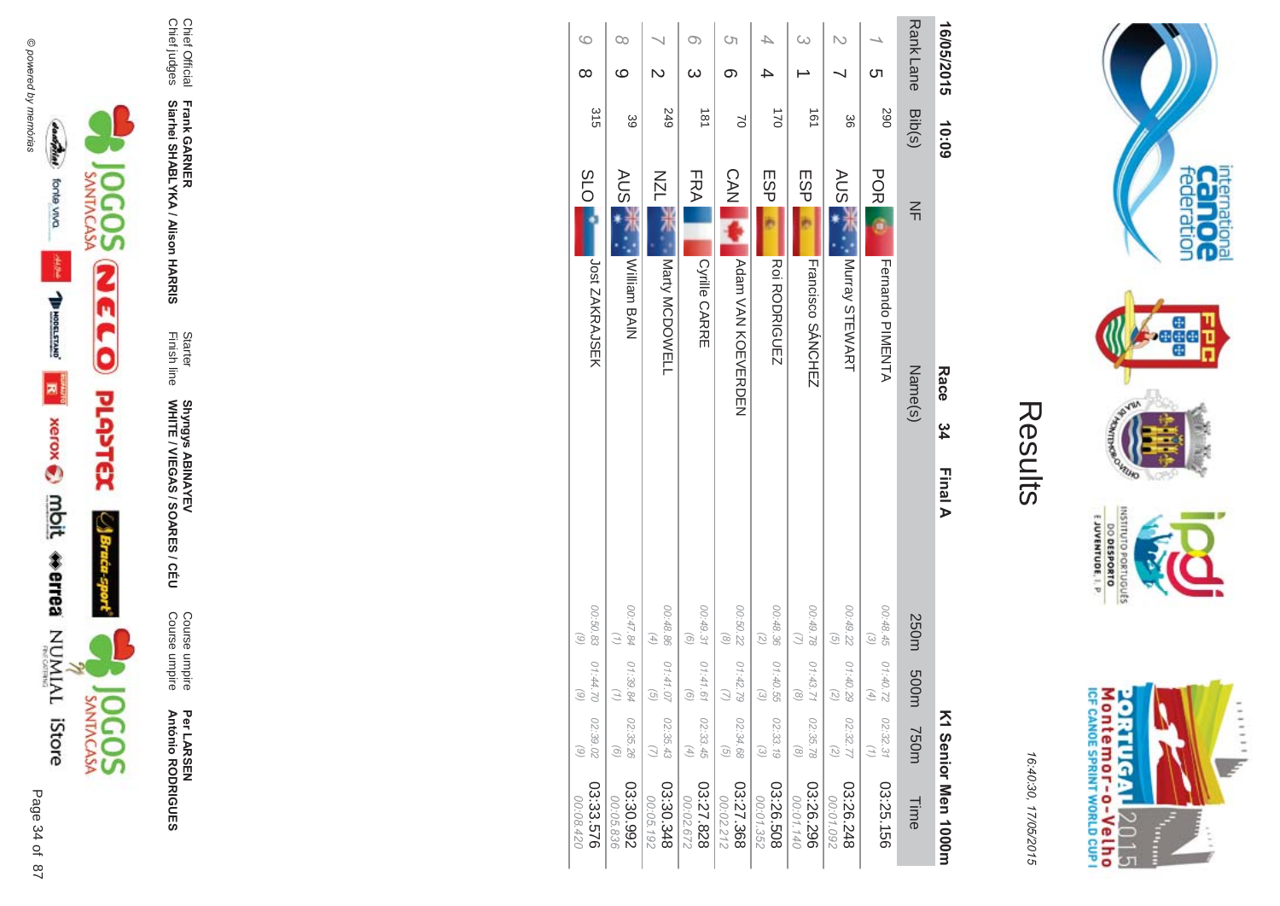



Per LAR SEN **António R \*0-B-DES** 

Course umpire<br>Course umpire Course umpire Course umpire

WHITE / VIEGAS / SOAR **Shyngys ABINAYEV<br>WHITE / VIEGAS / SOARES / CÉU** Shyngys ABINAYEV

**Frank GAR - Siarhei SHABLYKA / Alison HAR** 

**-&**

Finish line Starter

Chief Official<br>Chief judges Chief judges Chief Official

| 16/05/2015      |                         | 10:09          |                  | Race                     | 34 | Final A |                                               |                                |                                | K1 Senior Men 1000H    |
|-----------------|-------------------------|----------------|------------------|--------------------------|----|---------|-----------------------------------------------|--------------------------------|--------------------------------|------------------------|
| <b>RankLane</b> |                         | Bib(s)         | $\leq$           | Name(s)                  |    |         | 250m                                          | m005                           | <b>750m</b>                    | Time                   |
|                 | <u>(</u>                | 067            | <b>POR</b>       | Fernando PIMENTA         |    |         | 00:48.45<br>$\odot$                           | 01:40.72                       | 02:32.31                       | 03:25.156              |
| N               |                         | 98             | AUS JT           | Murray STEWART           |    |         | 00:49.22<br>$\odot$                           | 01:40.29<br>G,                 | 02:32.77<br>$\binom{2}{2}$     | 03:26.248<br>00:01.092 |
| ω               |                         | $\frac{1}{2}$  | ESP <sub>I</sub> | <b>Francisco SANCHEZ</b> |    |         | 00:49.78<br>$\bigcirc$                        | 01:43.7<br>$\alpha$            | 02:35.78<br>$\binom{8}{ }$     | 03:26.296<br>00:01.140 |
|                 |                         | $\overline{2}$ | ESP              | Roi RODRIGUEZ            |    |         | 00:48.36<br>$\overline{z}$                    | 01:40.55<br>ત્વિ               | 02:33.19<br>$\widehat{\omega}$ | 03:26.508<br>00:01.352 |
| Ċη              | ග                       | $\approx$      | <b>CAN</b>       | Adam VAN KOMVERDEN       |    |         | 00:50.22<br>$\circledcirc$                    | 01:42.79                       | 02:34.68<br>$\overline{G}$     | 03:27.368<br>00:02.212 |
| O)              | $\omega$                | 181            | FRA              | Cyrille CARRE            |    |         | 00:49.31<br>$\odot$                           | 01.41.6<br>ଚ                   | 02:33.45<br>$(4)$              | 03:27.828<br>00:02.672 |
|                 | $\overline{\mathsf{C}}$ | <b>249</b>     | <b>NZL</b>       | Narty MCDOWELL           |    |         | 00:48.86<br>$\left( 4\right)$                 | 01.41.0<br>$\widehat{\sigma}$  | 02:35.43                       | 03:30.348<br>00:05.192 |
| Co              | ဖ                       | 39             | AUS<br>A         | Niliam BAIN              |    |         | 00:47.84<br>$\left( \frac{1}{2} \right)$      | 01:39.84                       | 02:35.26<br>$\odot$            | 03:30.992<br>00:05.836 |
| $\circ$         | $\infty$                | 315            | <b>SLO</b>       | Jost ZAKRAJSEK           |    |         | 00:50.83<br>$\begin{pmatrix} 6 \end{pmatrix}$ | 07.44.70<br>$\widehat{\omega}$ | 02:39.02<br>$\binom{6}{ }$     | 03:33.576<br>00:08.420 |



internation<br>Can OC<br>federation

**Page** 

VILLAD **LCP** 

INSHIP

EJUVENTUDE, I. P.

DO DESPORTO orrugusts

16:4 10:30, 1 7/05/2015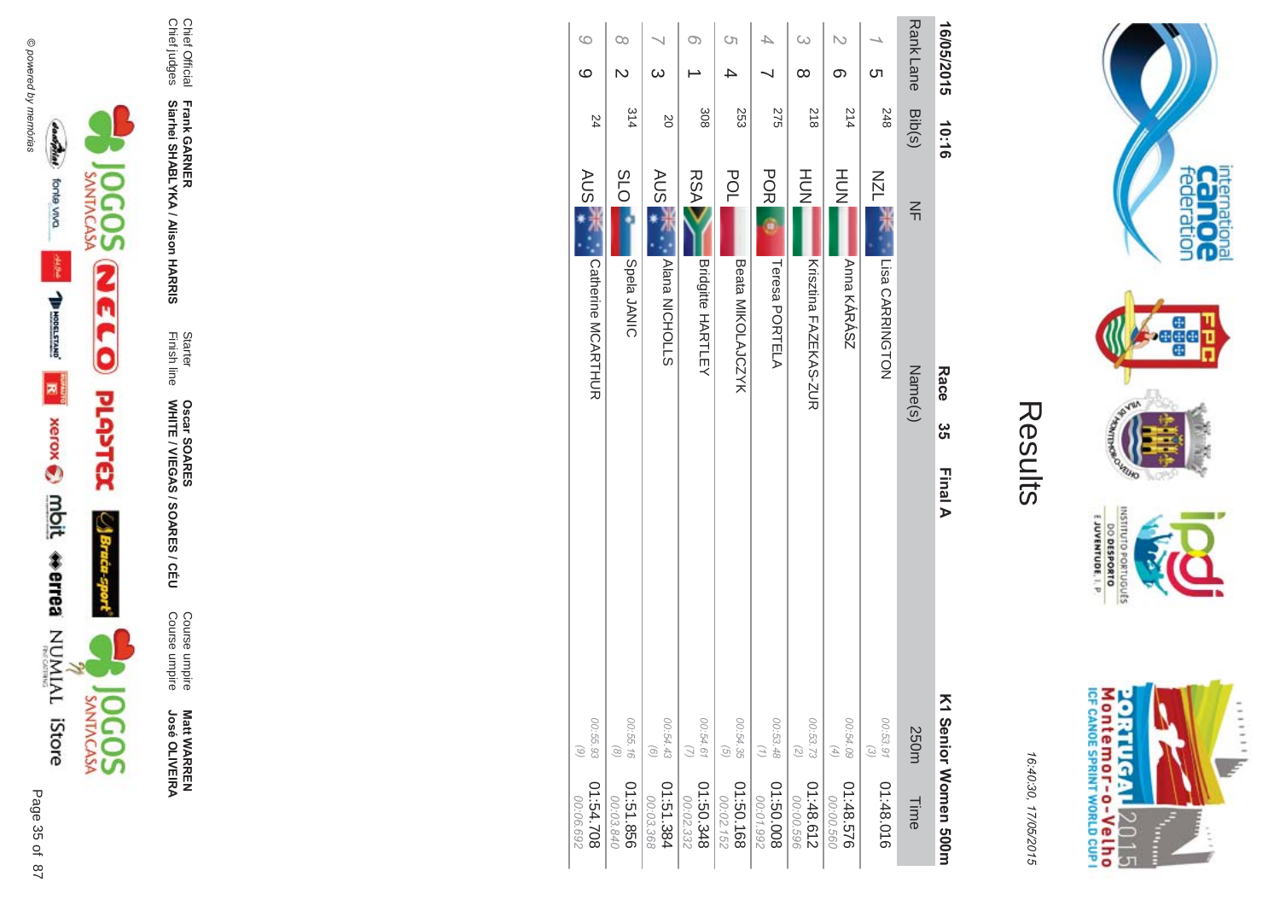



**Matt WARREN<br>José OLIVEIRA José OLIVEIR** 

**ES/CEU** Course umpire<br>Course umpire Course umpire Course umpire

WHITE / VIEGAS / SOAR **Oscar SOAR** 55

**Frank GAR - Siarhei SHABLYKA / Alison HAR** 

**-&**

Finish line Starter

Chief Official<br>Chief judges Chief judges Chief Official

| 16/05/2015           | 10:16  | Race<br>ပ္ပ<br><b>Final A</b>          |                                                            | 즈1 Senior Women 500m   |
|----------------------|--------|----------------------------------------|------------------------------------------------------------|------------------------|
| <b>RankLane</b>      | Bib(s) | $\leq$<br>Name(s)                      | 250m                                                       | Time                   |
| <b>C</b> h           | 248    | <b>NZL</b><br>Lisa CARRINGTON          | 00:53.91<br>$\odot$                                        | 01:48.016              |
| $\mathcal{L}$<br>တ   | 214    | HU<br>N<br>Anna KÁRÁSZ                 | 00:54.09<br>$\left( \begin{matrix} 4 \end{matrix} \right)$ | 01:48.576<br>00:00.560 |
| $\infty$<br>$\infty$ | 818    | HUT<br>N<br>Krisztina FAZEKAS-ZUR      | 00:53.73<br>$\left(\begin{matrix} 2 \end{matrix}\right)$   | 2138.612<br>00:00.596  |
|                      | 275    | <b>POR</b><br>Teresa PORTELA           | 00:53.48<br>$\left(\frac{1}{2}\right)$                     | 800.03:10<br>00:01.992 |
| S)                   | 253    | <b>POL</b><br><b>Beata MIKOLAJCZYK</b> | 00:54.35<br>$\overline{G}$                                 | 891.09:10<br>00:02.152 |
| O)                   | 308    | <b>RSA</b><br><b>Bridgitte HARTLEY</b> | 00:54.61                                                   | 845.05.10<br>00:02.332 |
| $\infty$             | SO     | AUS <sup>-</sup><br>Alana NICHOLLS     | 00:54.43<br>$\odot$                                        | 1:51.384<br>00:03.368  |
| $\infty$             | 314    | <b>SLO</b><br>Spela JANIC              | 00:55.16<br>$\circ$                                        | 01:51.856<br>00:03.840 |
| G<br>ဖ               | 24     | AUS 7<br>Catherine MCARTHUR            | 00:55.93<br>$\odot$                                        | 01:54.708<br>00:06.692 |



internation<br>Can OC<br>federation

**Page** 

VILLAD **LOP** 

OLNILISNI

16:4 10:30, 1 7/05/2015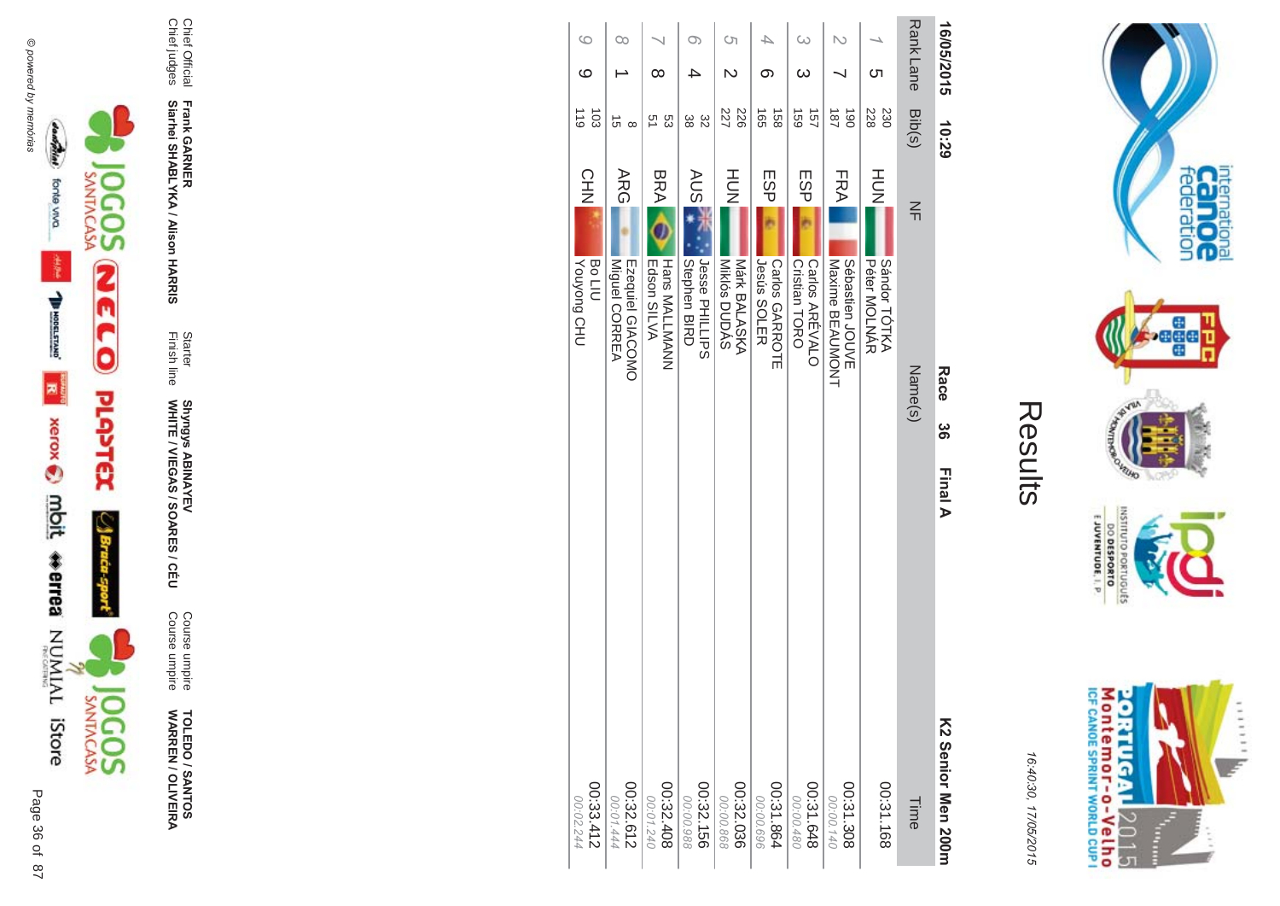



16:40:30, 17/05/2015

| l  |
|----|
| ŗ. |
|    |
|    |
|    |

| 16/05/2015           | 10:29                                | Race<br>ပ္တ                                         | <b>Final A</b><br>K2 Senior Men 200r |
|----------------------|--------------------------------------|-----------------------------------------------------|--------------------------------------|
| Rank Lane Bib(s)     |                                      | $\leq$<br>Name(s)                                   | Time                                 |
| Cл                   | 228<br>230                           | HOH<br>Sándor TÓTKA<br>Péter MOLNAR                 | 00:31.168                            |
|                      | $\overline{061}$<br>$\overline{187}$ | FRA <br>Sébastien<br>JOUVE<br>Maxime BEAUMONT       | 00:21.308<br>00:00.140               |
| ယ                    | 157<br>691                           | ESP<br>Cristian TORO<br>Carlos ARÉVALO              | 00:31.648<br>00:00.480               |
| ග                    | 158<br>ά                             | ESP<br><b>Jesús SOLER</b><br><b>Carlos GARROTE</b>  | 00:31.864<br>00:00.696               |
| S)<br>$\overline{C}$ | 226<br>227                           | HOH<br>Miklós DUDÁS<br>Márk BALASKA                 | 00:32.036<br>00:00.868               |
| O)                   | 32<br>28                             | <b>AUS</b><br>Jesse PHILLIPS<br><b>Stephen BIRD</b> | 00:32.156<br>00:00.988               |
| $\infty$             | 53<br>53                             | <b>BRA</b><br>Hans MALLMANN<br>Edson SILVA          | 00:32.408<br>00:01.240               |
| $\infty$             | ີ ຕ<br>$\infty$                      | <b>ARG</b><br>Ezequiel GIACOMO<br>Miguel CORREA     | 00:32.612<br>00:01.444               |
| $\circ$<br>ဖ         | $\overline{5}$<br>$\frac{1}{10}$     | CHN<br><b>Vouyong CHU</b><br><b>Bo LIU</b>          | 00:33.412<br>00:02.244               |



Chief Official<br>Chief judges

Frank GARNER<br>Siarhei SHABLYKA / Alison HARRIS

Starter<br>Finish line

Shyngys ABINAYEV<br>WHITE / VIEGAS / SOARES / CÉU

Course umpire<br>Course umpire

**TOLEDO / SANTOS<br>WARREN / OLIVEIRA**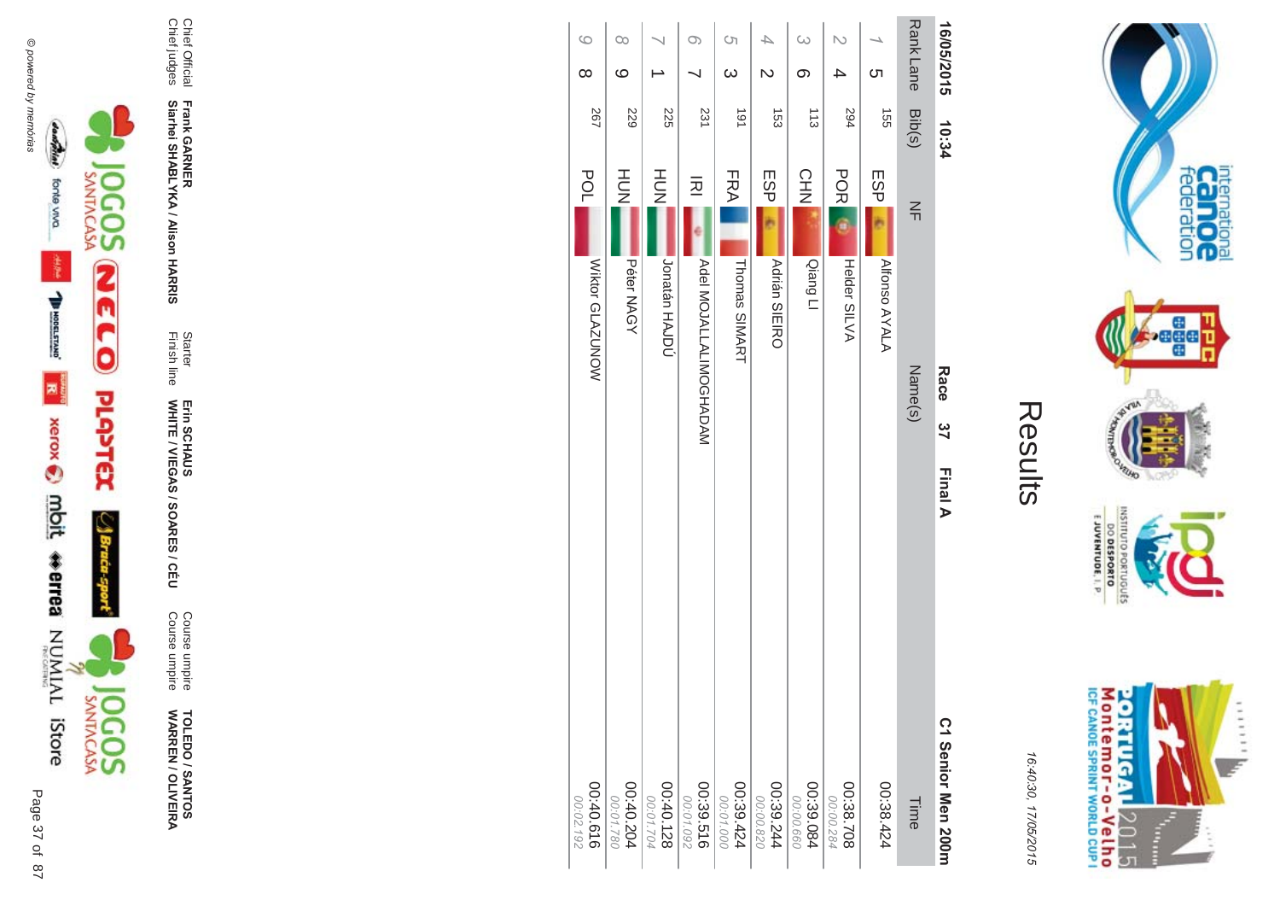



**TOLEDO / SANTOS<br>WARREN / OLIVEIRA** 

Course umpire<br>Course umpire

Starter<br>Finish line Erin SCHAUS<br>WHITE / VIEGAS / SOARES / CÉU

Frank GARNER<br>Siarhei SHABLYKA / Alison HARRIS

Chief Official<br>Chief judges

| 6<br>$\infty$          | $\infty$<br>$\circ$    |                        | Ō                      | S)<br>$\omega$         | $\overline{\mathsf{C}}$ | $\infty$<br>တ          | $\overline{\mathsf{C}}$<br>4 | <b>C</b> h           | <b>RankLane</b> | 16/05/2015         |
|------------------------|------------------------|------------------------|------------------------|------------------------|-------------------------|------------------------|------------------------------|----------------------|-----------------|--------------------|
|                        |                        |                        |                        |                        |                         |                        |                              |                      |                 |                    |
| 267                    | 529                    | 225                    | 231                    | 161                    | $\overline{53}$         | 113                    | 594                          | 455                  | Bib(s)          | 10:34              |
| POL                    | HUT<br>N               | HU<br>N                | 远                      | FRA                    | ESP                     | <b>CHN</b>             | <b>POR</b>                   | <b>ESP</b>           |                 |                    |
|                        |                        |                        |                        |                        |                         |                        |                              |                      | $\leq$          |                    |
|                        |                        |                        |                        |                        |                         | Qiang Ll               |                              |                      |                 |                    |
| Wiktor GLAZUNOW        | Péter NAGY             | <b>Jonatán HAJDÚ</b>   | MADOMILALINOSHADAM     | Thomas SIMART          | <b>Adrián SIEIRO</b>    |                        | Helder SILVA                 | <b>Alfonso AYALA</b> |                 |                    |
|                        |                        |                        |                        |                        |                         |                        |                              |                      |                 | Race               |
|                        |                        |                        |                        |                        |                         |                        |                              |                      | Name(s)         | $\frac{2}{7}$      |
|                        |                        |                        |                        |                        |                         |                        |                              |                      |                 |                    |
|                        |                        |                        |                        |                        |                         |                        |                              |                      |                 | Final A            |
|                        |                        |                        |                        |                        |                         |                        |                              |                      |                 |                    |
|                        |                        |                        |                        |                        |                         |                        |                              |                      |                 |                    |
|                        |                        |                        |                        |                        |                         |                        |                              |                      |                 |                    |
|                        |                        |                        |                        |                        |                         |                        |                              |                      |                 |                    |
|                        |                        |                        |                        |                        |                         |                        |                              |                      |                 | C1 Senior Men 200m |
| 00:40.616<br>00:02.192 | 00:40.204<br>00:01.780 | 00:40.128<br>00:01.704 | 00:39.516<br>00:01.092 | 00:39.424<br>00:01.000 | 00:39.244<br>00:00.820  | 00:39.084<br>00:00.660 | 00:38.708<br>00:00.284       | 00:38.424            | Time            |                    |



internation<br>Can OC<br>federation

**Page** 

**RUID LOP** 

OLNILISNI

EJUVENTUDE, I. P.

DO DESPORTO orrugusts

16:40:30, 17/05/2015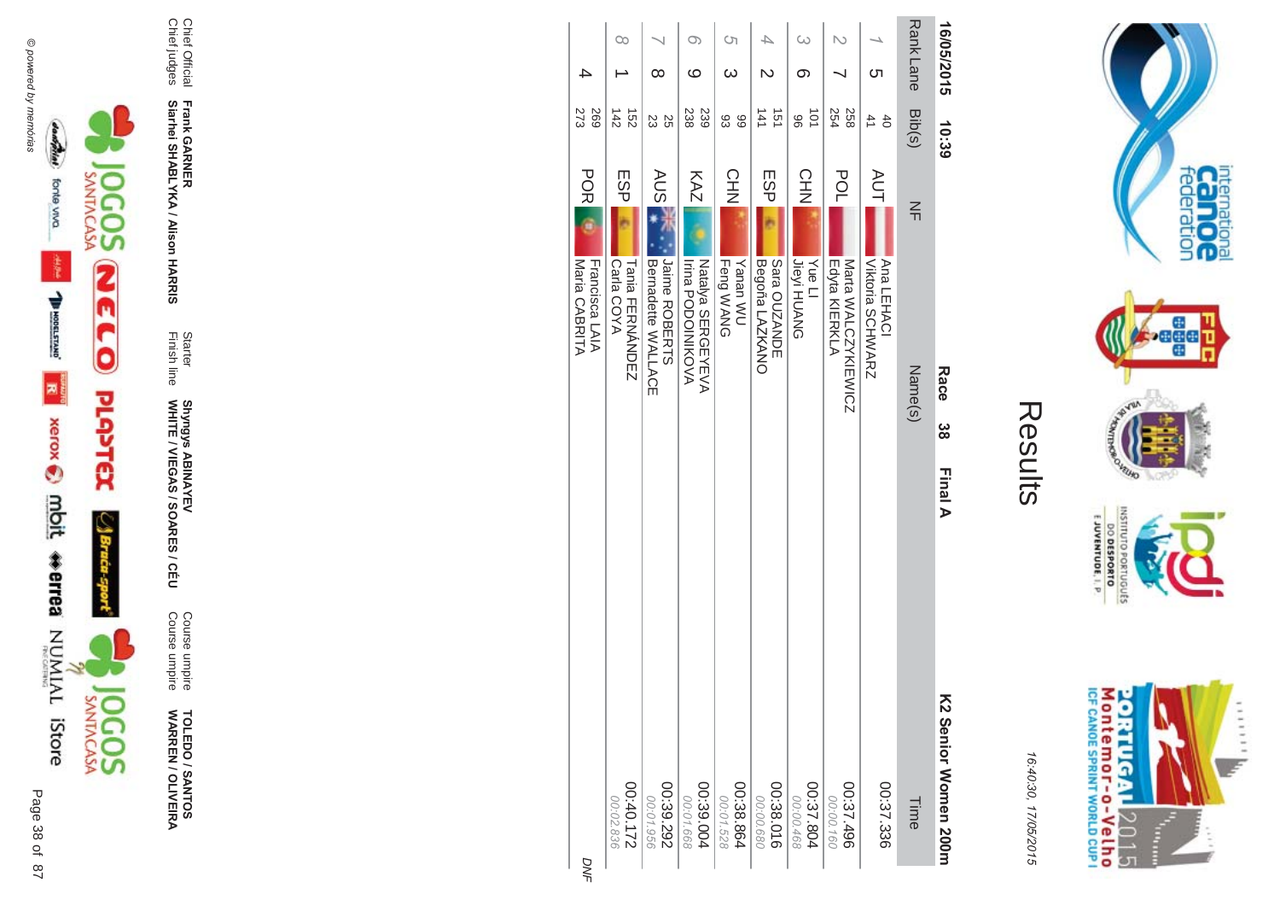



**TOLEDO / SANTOS<br>WARREN / OLIVEIRA** 

Course umpire<br>Course umpire

Starter<br>Finish line Shyngys ABINAYEV<br>WHITE / VIEGAS / SOARES / CÉU

Frank GARNER<br>Siarhei SHABLYKA / Alison HARRIS

Chief Official<br>Chief judges

| 16/05/2015       | 10:39                  | Race<br>ယ္က                                        | Final A | K2 Senior Momen 200m   |
|------------------|------------------------|----------------------------------------------------|---------|------------------------|
| <b>Rank Lane</b> | Bib(s)                 | $\leq$<br>Name(s)                                  |         | Time                   |
| <u>(</u>         | 40<br>$\overline{4}$   | <b>AUT</b><br>Viktoria SCHWARZ<br>Ana LEHACI       |         | 00:37.336              |
|                  | 254<br>258             | POL<br>Edyta KIERKLA<br>Mata WALCZYKIEWICZ         |         | 00:37.496<br>00:00.160 |
| ω                | 101<br>96              | CHN<br><b>Jieyi HUANG</b><br><b>Yue Ll</b>         |         | 00:37.804<br>00:00.468 |
| ₽<br>N           | 141<br>151             | ESP<br>Begoña LAZKANO<br>Sara OUZANDE              |         | 00:38.016<br>00:00.680 |
| S<br>ω           | 66<br>83               | <b>CHN</b><br>Feng WANG<br><b>Vanan WU</b>         |         | 00:38.864<br>00:01.528 |
| $\infty$<br>ဖ    | 238<br>239             | KAZ<br>NATIONS SERGEYEVA<br>Irina PODOIZIKO<>      |         | 00:39.004<br>00:01.668 |
| ∞                | 55<br>23               | <b>AUSE</b><br>Jaime ROBERTS<br>Bernadette WALLACE |         | 00:39.292<br>00:01.956 |
| $\infty$         | 142<br>$\frac{152}{2}$ | ESP<br>Carla COYA<br><b>Tania HERNANDEZ</b>        |         | 00:40.172<br>00:02.836 |
|                  | 273<br>569             | <b>POR</b><br>Maria CABRITA<br>Francisca LAIA      |         |                        |
|                  |                        |                                                    |         |                        |



internation<br>Cal OC<br>federation

**Bağad** 

**VELHO** 

OLNILISNI

E JUVENTUDE, I. P.

DO DESPORTO orruguts **NORD** 

16:40:30, 17/05/2015

Results

DNF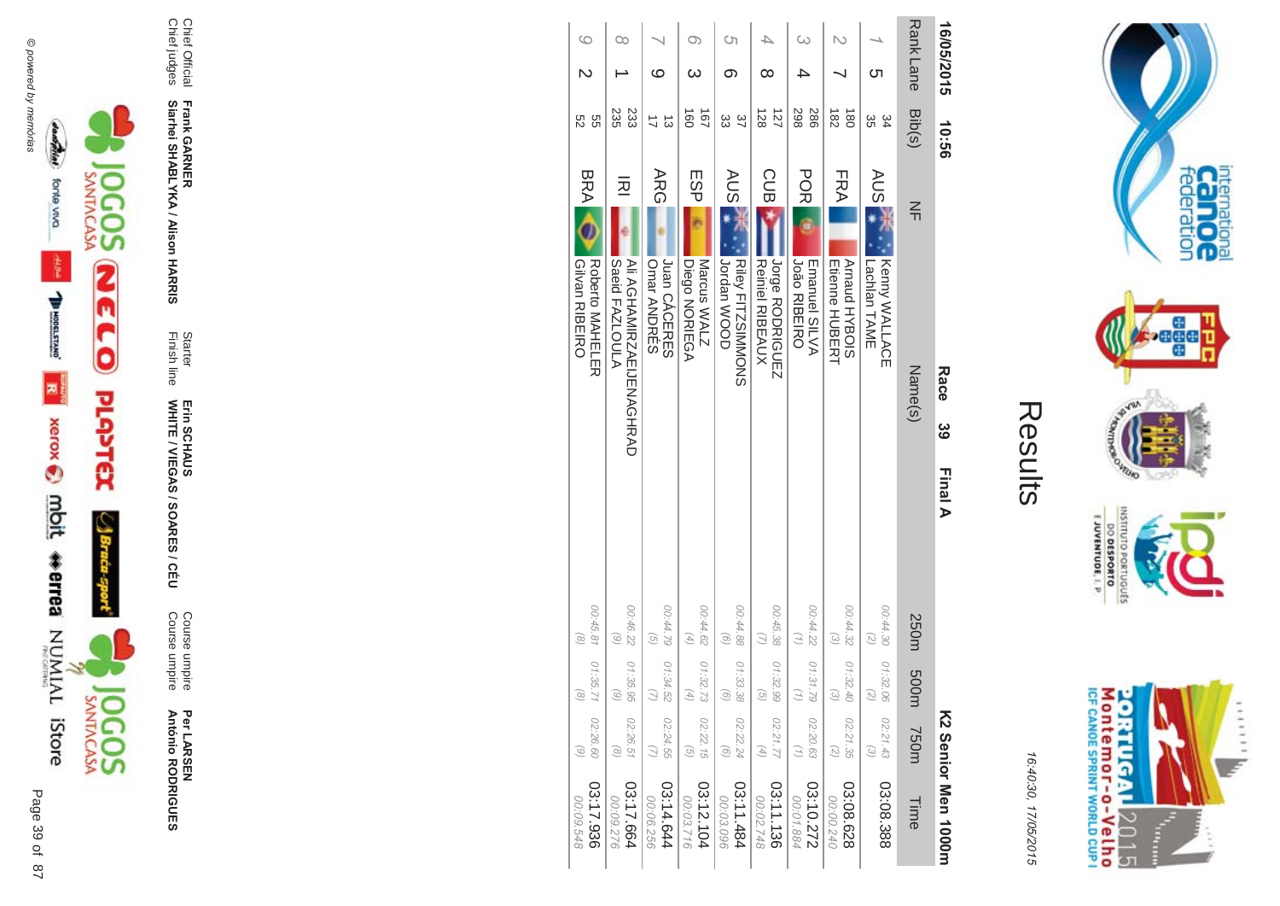



16:40:30, 17/05/2015

| ſ.<br>L |
|---------|
|         |
|         |
|         |

| 16/05/2015                         | 99:01                              | Race                                                          | ဖိ | Final A |                                        |                                          |                                         | K2 Serior Men 1000m    |
|------------------------------------|------------------------------------|---------------------------------------------------------------|----|---------|----------------------------------------|------------------------------------------|-----------------------------------------|------------------------|
| Rank Lane                          | Bib(s)                             | $\leq$<br>Name(s)                                             |    |         | 250m                                   | m005                                     | <b>750m</b>                             | Time                   |
| Cл                                 | 34<br>ပ္တ                          | AUS 7<br>Kenny WALLACE<br>Lachlan TAME                        |    |         | 00:44.30<br>(5)                        | 01:32.06<br>$\overline{c}$               | 02:21.43<br>$\widehat{\omega}$          | 03:08.388              |
|                                    | $\frac{182}{2}$<br>$\frac{180}{2}$ | FRA<br>Arnaud HYBOIS<br><b>Etienne HUBERT</b>                 |    |         | 00:44.32<br>$\omega$                   | 01:32.40<br>$\widehat{\epsilon}$         | 02:21.35<br>$\left( \mathcal{Z}\right)$ | 03:08.628<br>00:00.240 |
|                                    | 298<br>286                         | <b>PORI</b><br><b>João RIBEIRO</b><br>Emanuel SILVA           |    |         | 00:44.22                               | 01:31.79                                 | 02:20.63<br>$\left(\frac{1}{2}\right)$  | 03:10.272<br>00:01.884 |
| ∞                                  | 128<br>127                         | <b>CUB</b><br>Jorge RODRIGUEZ<br><b>Reiniel RIBEAUX</b>       |    |         | 00:45.38                               | 01:32.99<br>$\widehat{G}$                | 02:21.77<br>$(4)$                       | 03:11.136<br>00:02.748 |
| ্য<br>თ                            | 37<br>జ                            | <b>AUS</b><br><b>Jordan WOOD</b><br><b>Riley FITZSIMMONS</b>  |    |         | 00:44.88<br>$\odot$                    | 01:33.38<br>$\odot$                      | 02:22.24<br>$\odot$                     | 13:11.484<br>00:03.096 |
| ω                                  | $\overline{5}$<br>ēo               | ESP<br>Marcus WALZ<br>Diego NORIEGA                           |    |         | 00:44.62<br>$(4)$                      | 01:32.73<br>$\left( \frac{4}{7} \right)$ | 02:22.15<br>$\left( 5\right)$           | 03:12.104<br>00:03.716 |
| ဖ                                  | ದ                                  | <b>ARG</b><br>Juan CÁCERES<br>Omar ANDRES                     |    |         | 00:44.79<br>$\left(\frac{1}{2}\right)$ | 01:34.52                                 | 02:24.55<br>$\mathcal{Q}$               | 03:14.644<br>00:06.256 |
| œ                                  | 235<br>233                         | 远<br>Saeid FAZLOULA<br>Aii AGHAMHANAEINAGHAAD                 |    |         | 00:46.22<br>$\odot$                    | 01:35.95<br>6)                           | 02:26.51<br>$\circledcirc$              | 03:17.664<br>00:09.276 |
| $\circ$<br>$\overline{\mathsf{C}}$ | 9g<br>S2                           | <b>BRA</b><br><b>Roberto MAHELER</b><br><b>Gilvan RIBEIRO</b> |    |         | 00:45.81<br>$\odot$                    | 01:35.71<br>$\odot$                      | 02:26.60<br>$\odot$                     | 03:17.936<br>00:09.548 |



Chief Official<br>Chief judges

Frank GARNER<br>Siarhei SHABLYKA / Alison HARRIS

Starter<br>Finish line

Erin SCHAUS<br>WHITE / VIEGAS / SOARES / CÉU

Course umpire<br>Course umpire

Per LARSEN<br>António RODRIGUES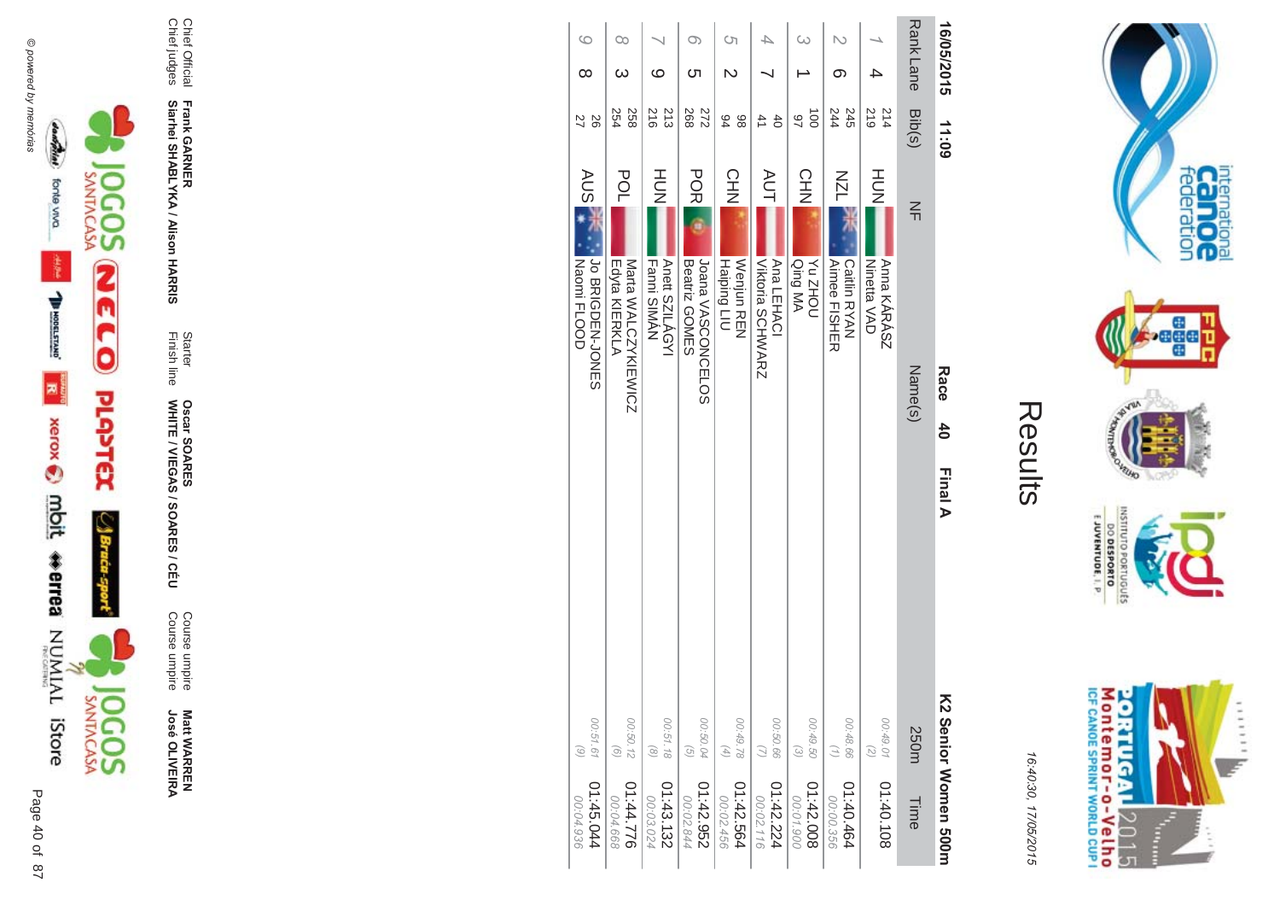





Course umpire<br>Course umpire **Matt WARREN<br>José OLIVEIRA** 

Starter<br>Finish line Oscar SOARES<br>WHITE / VIEGAS / SOARES / CÉU

Chief Official<br>Chief judges Frank GARNER<br>Siarhei SHABLYKA / Alison HARRIS

| 16/05/2015      | <b>11:09</b>                     |                                                     | Race<br>$\frac{4}{0}$ | Final A |                                                            | K2 Senior Women 500m   |
|-----------------|----------------------------------|-----------------------------------------------------|-----------------------|---------|------------------------------------------------------------|------------------------|
| <b>RankLane</b> | Bib(s)                           | $\leq$                                              | Name(s)               |         | 250m                                                       | Time                   |
|                 | 214<br>219                       | HOH<br>Anna KÁRÁSZ<br><b>Ninetta VAD</b>            |                       |         | 00:49.01<br>$\overline{z}$                                 | 01:40.108              |
| N<br>ග          | 244<br>245                       | <b>NZN</b><br>Caitlin RYAN<br><b>Aimee FISHER</b>   |                       |         | 00:48.66<br>$\left(\frac{1}{2}\right)$                     | 1:40.464<br>00:00.356  |
| $\infty$        | $\overrightarrow{0}$<br>46       | <b>CHN</b><br>UOHZ NA<br>Qing MA                    |                       |         | 00:49.50<br>$\odot$                                        | 01:42.008<br>00:01.900 |
|                 | $\overline{4}$<br>$\overline{6}$ | <b>AUT</b><br><b>Viktoria SCHWARZ</b><br>Ana LEHACI |                       |         | 00:50.66                                                   | 01:42.224<br>00:02.116 |
| Cη              | 94<br>86                         | CHN<br>Haiping LIU<br><b>Wenjun REN</b>             |                       |         | 00:49.78<br>$\left( \begin{matrix} 4 \end{matrix} \right)$ | 01:42.564<br>00:02.456 |
| O)<br>Cл        | 272<br>268                       | <b>POR</b><br>JOBIN VASCONCELOS<br>Beatriz GOMES    |                       |         | 00:50.04<br>$\overline{G}$                                 | 256'75'10<br>00:02.844 |
| ဖ               | 213<br>216                       | H <sub>D</sub> H<br>Anett SZILÁGYI<br>Fanni SIMAN   |                       |         | 00:51.18<br>$\left( \frac{8}{2} \right)$                   | 01:43.132<br>00:03.024 |
| ೦೦              | 254<br>258                       | POL<br>Edyta KIERKLA<br>Marta WALCZYKIEWICZ         |                       |         | 00:50.12<br>$\circ$                                        | 07.44.776<br>00:04.668 |
| 6<br>$\infty$   | 8<br>27                          | AUS.<br><b>PONESSION-JONES</b><br>Naomi FLOOD       |                       |         | 00:51.61<br>$\binom{6}{ }$                                 | 45.044<br>00:04.936    |



internation<br>Can OC<br>federation

**Page** 

**RUID LOP** 

INSNI

orruguts

EJUVENTUDE, I. P.

DO DESPORTO ā

16:40:30, 17/05/2015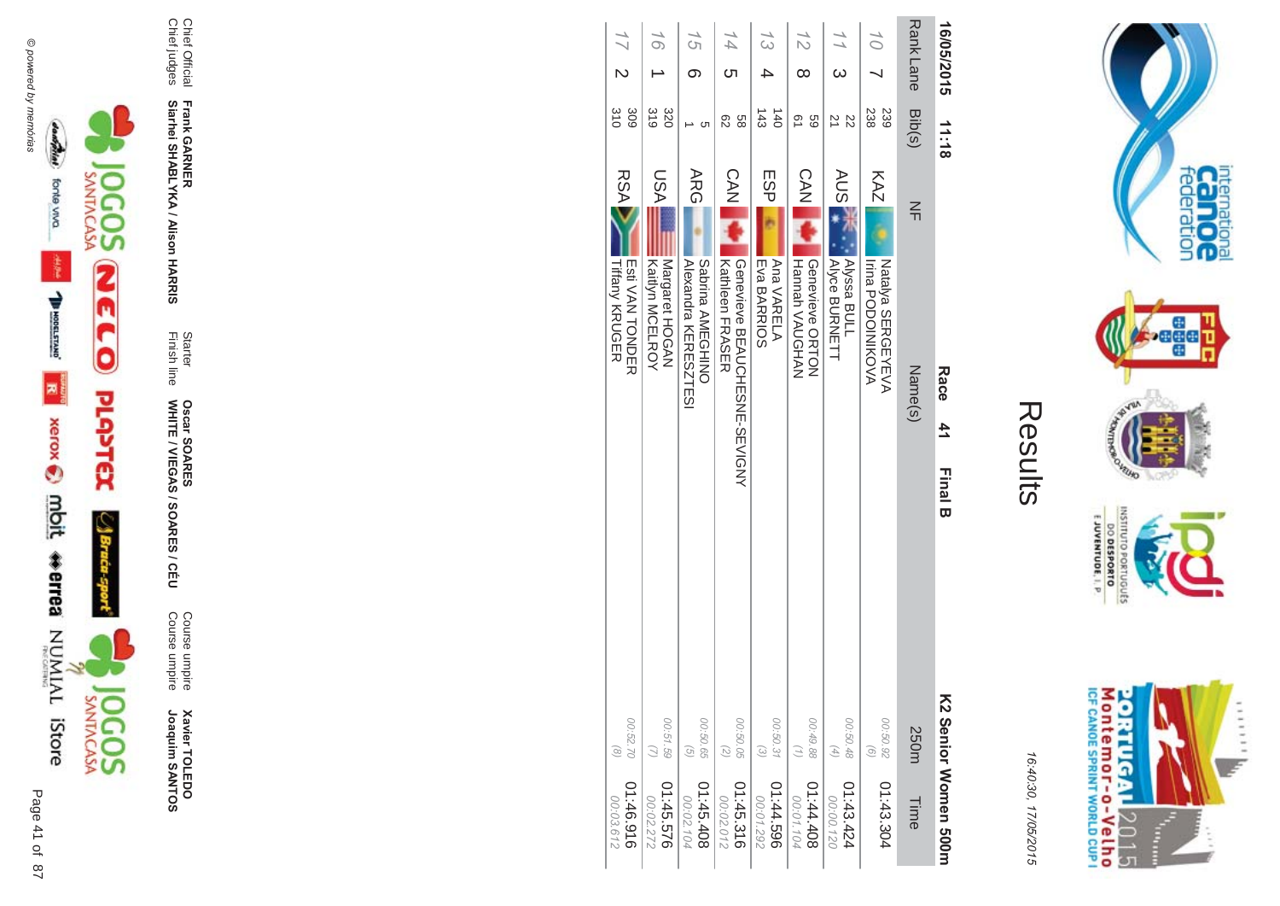



16:4 10:30, 1 7/05/2015

| ŗ.<br>$\mathbb{L}$ |
|--------------------|
|                    |
|                    |
|                    |

| 16/05/2015                      | 11:18                           | Race<br>41<br><b>Final B</b>                                         |                                                                 | K2 Serior Momen 500m   |
|---------------------------------|---------------------------------|----------------------------------------------------------------------|-----------------------------------------------------------------|------------------------|
| <b>Rank Lane</b>                | Bib(s)                          | $\leq$<br>Name(s)                                                    | 250m                                                            | Time                   |
| $\widetilde{\mathcal{O}}$       | 238<br>239                      | KAZ<br><b>Irina PODOINIKOVA</b><br>Natalya SERGEYEVA                 | 00:50.92<br>$\odot$                                             | 01:43.304              |
| $\frac{1}{1}$<br>$\omega$       | 21<br>ZZ                        | <b>AUSI</b><br><b>Alyssa BULL</b><br><b>Alyce BURNETT</b>            | 00:50.48<br>$\left( \begin{matrix} 4 \\ 1 \end{matrix} \right)$ | 01:43.424<br>00:00.120 |
| 12<br>∞                         | 21<br>69                        | <b>CAN</b><br>Genevieve ORTON<br>Hunnah VAUGHAN                      | 00:49.88<br>(1)                                                 | 01:44.408<br>00:01.104 |
| 13                              | $\frac{4}{3}$<br>$\frac{1}{40}$ | ESP<br>Eva BARRIOS<br>Ana VARELA                                     | 00:50.31<br>$\odot$                                             | 01:44.596<br>00:01.292 |
| $\overline{44}$<br><b>ာ</b>     | 89<br>82                        | <b>CAN</b><br>Oenevieve BEACOHESNE-SEVIQNY<br><b>Kathleen FRASER</b> | 00:50.05<br>(2)                                                 | 01:45.316<br>00:02.012 |
| 15<br>ග                         | C                               | ARG<br>Alexandra KERESZTESI<br>Sabrina AMEGHINO                      | 00:50.65<br>$\left( \frac{1}{2} \right)$                        | 01:45.408<br>00:02.104 |
| 16                              | 319<br>320                      | NSN<br>Margaret HOGAN<br>Kaitlyn MCELAOA                             | 00:51.59<br>$\omega$                                            | 01:45.576<br>00:02.272 |
| $\frac{1}{2}$<br>$\overline{C}$ | $\frac{310}{2}$<br>309          | <b>RSA</b><br><b>Tiffany KRUGER</b><br><b>To ANY HONDER</b>          | 00:52.70<br>$\odot$                                             | 916.94:10<br>00:03.612 |



Chief Official

Chief judges

Chief Official<br>Chief judges

**Frank GAR** 

**-**

**Siarhei SHABLYKA / Alison HAR** 

**-&**

Finish line Starter

WHITE / VIEGAS / SOAR

**Oscar SOAR** 

55

**ES/CEU** 

Course umpire

Course umpire

Course umpire<br>Course umpire

**Xavier TOLEDO** 

Joaquim SANTOS

**Xavier TOLEDO**<br>Joaquim SANTOS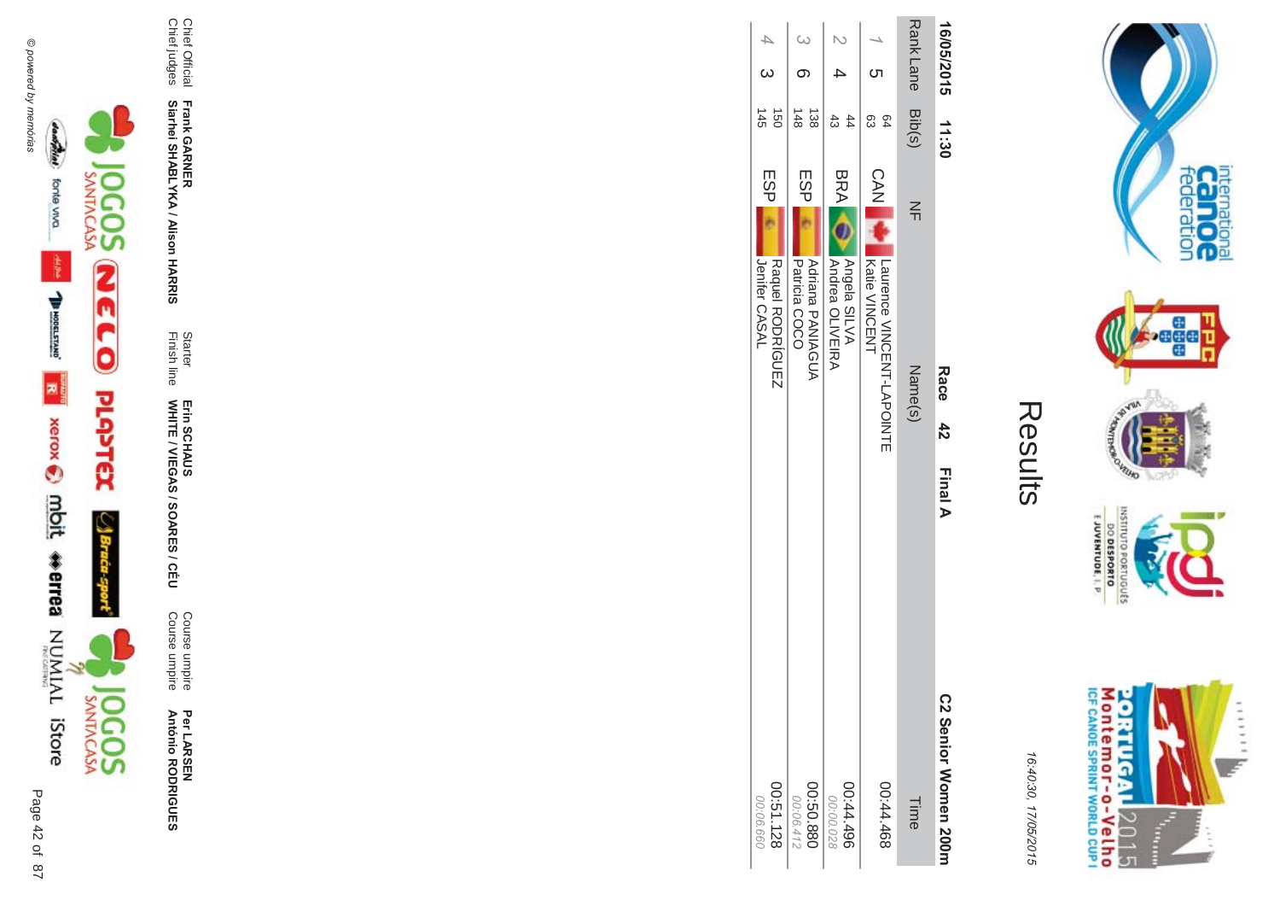



Per LAR SEN **António R \*0-B-DES** 

Course umpire<br>Course umpire Course umpire Course umpire

WHITE / VIEGAS / SOAR Erin SCHAUS<br>WHITE / VIEGAS / SOARES / CÉU Erin SCHAUS

Finish line Starter

**Frank GAR - Siarhei SHABLYKA / Alison HAR -&**

Chief Official<br>Chief judges Chief judges Chief Official

Results

16:4 10:30, 1 7/05/2015

|          |                  | 16/05/2015 11:30       |                                                              | <b>Race 42</b> | <b>Final A</b> | C2 Senior Women 200m   |
|----------|------------------|------------------------|--------------------------------------------------------------|----------------|----------------|------------------------|
|          | Rank Lane Dip(s) |                        | $\leq$                                                       | Name(s)        |                | Time                   |
|          | ຕ                | සි<br>54               | CAN V<br>Interactor NINGENT-LAPOIXHE<br>Katie VINCENT        |                |                | 897'44'00              |
|          | $\ddot{}$        | සි<br>$^{44}$          | BRA O<br><b>Andrea OLIVEIRA</b><br><b>Angela SILVA</b>       |                |                | 00:44.496<br>00:00.028 |
| $\omega$ | တ                | 148<br>$\frac{138}{2}$ | ESP <sub>I</sub><br>Patricia COCO<br><b>Adriana PANIAGUA</b> |                |                | 088'09:00<br>00:06.412 |
| $4 - 3$  |                  | $rac{1}{48}$           | ESPI<br>Jenifer CASAL<br>Raquel RODRÍGUEZ                    |                |                | 00:51.128<br>00:06.660 |





priuguts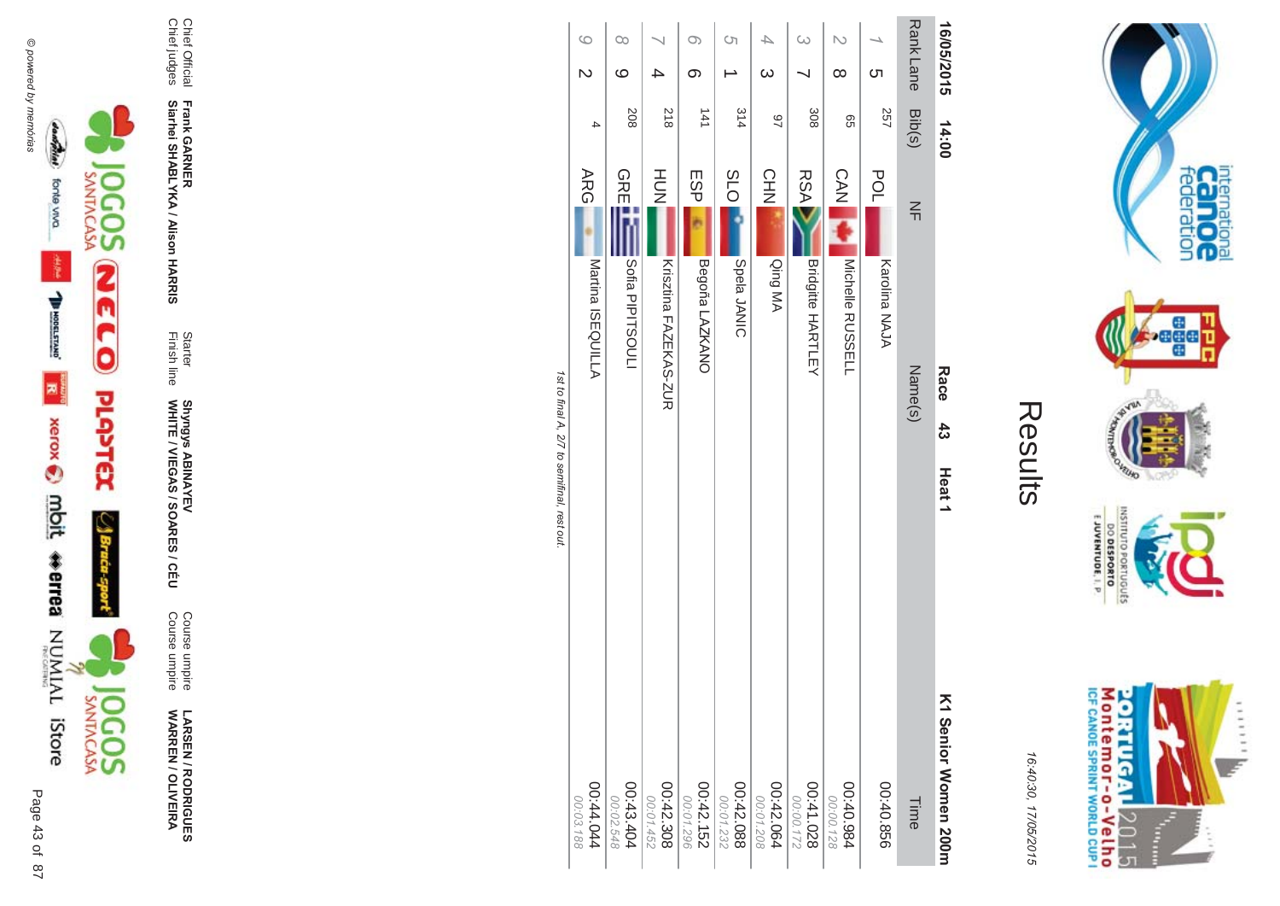

LARSEN / RODRIGUES<br>WARREN / OLIVEIRA

Course umpire<br>Course umpire

Starter<br>Finish line Shyngys ABINAYEV<br>WHITE / VIEGAS / SOARES / CÉU

Frank GARNER<br>Siarhei SHABLYKA / Alison HARRIS

Chief Official<br>Chief judges

| $\circ$                 | $\infty$               |                        | $\circ$                | S)                     | 4                      | $\infty$                 | N                        |               | <b>Rank Lane</b> | 16/05/2015           |
|-------------------------|------------------------|------------------------|------------------------|------------------------|------------------------|--------------------------|--------------------------|---------------|------------------|----------------------|
| $\overline{\mathsf{C}}$ | ဖ                      |                        | တ                      |                        | $\infty$               |                          | $\infty$                 | <b>C</b> h    |                  |                      |
| 4                       | 208                    | 218                    | 141                    | 314                    | $\overline{2}$         | 308                      | 99                       | 257           | Bib(s)           | 14:00                |
| <b>ARG</b>              | GRE                    | H <sub>D</sub> H       | ESP                    | <b>SLO</b>             | CHN                    | <b>RSA</b>               | CAN                      | <b>POL</b>    | $\leq$           |                      |
| Martina ISEQUILLA       | Sofia PIPTSOUL         | Krisztina FAZEKAS-ZUR  | Begoña LAZKANO         | Spela JANIC            | Qing MA                | <b>Bridgitte HARTLEY</b> | Michelle RUSSELL         | Karolina NAJA |                  |                      |
|                         |                        |                        |                        |                        |                        |                          |                          |               | Name(s)          | Race                 |
|                         |                        |                        |                        |                        |                        |                          |                          |               |                  | $\frac{4}{3}$        |
|                         |                        |                        |                        |                        |                        |                          |                          |               |                  | Heat1                |
|                         |                        |                        |                        |                        |                        |                          |                          |               |                  |                      |
| 44.044<br>00:03.188     | 00:43.404<br>00:02.548 | 00:42.308<br>00:01.452 | 00:42.152<br>00:01.296 | 00:42.088<br>00:01.232 | 00:42.064<br>00:01.208 | 00:41.028<br>22100.00    | 486.040.984<br>00:00.128 | 00:40.856     | Time             | K1 Senior Momen 200m |



internation<br>Can OC<br>federation

**Page** 

**RUID NORS** 

INSNI

DO DESPORTO

16:40:30, 17/05/2015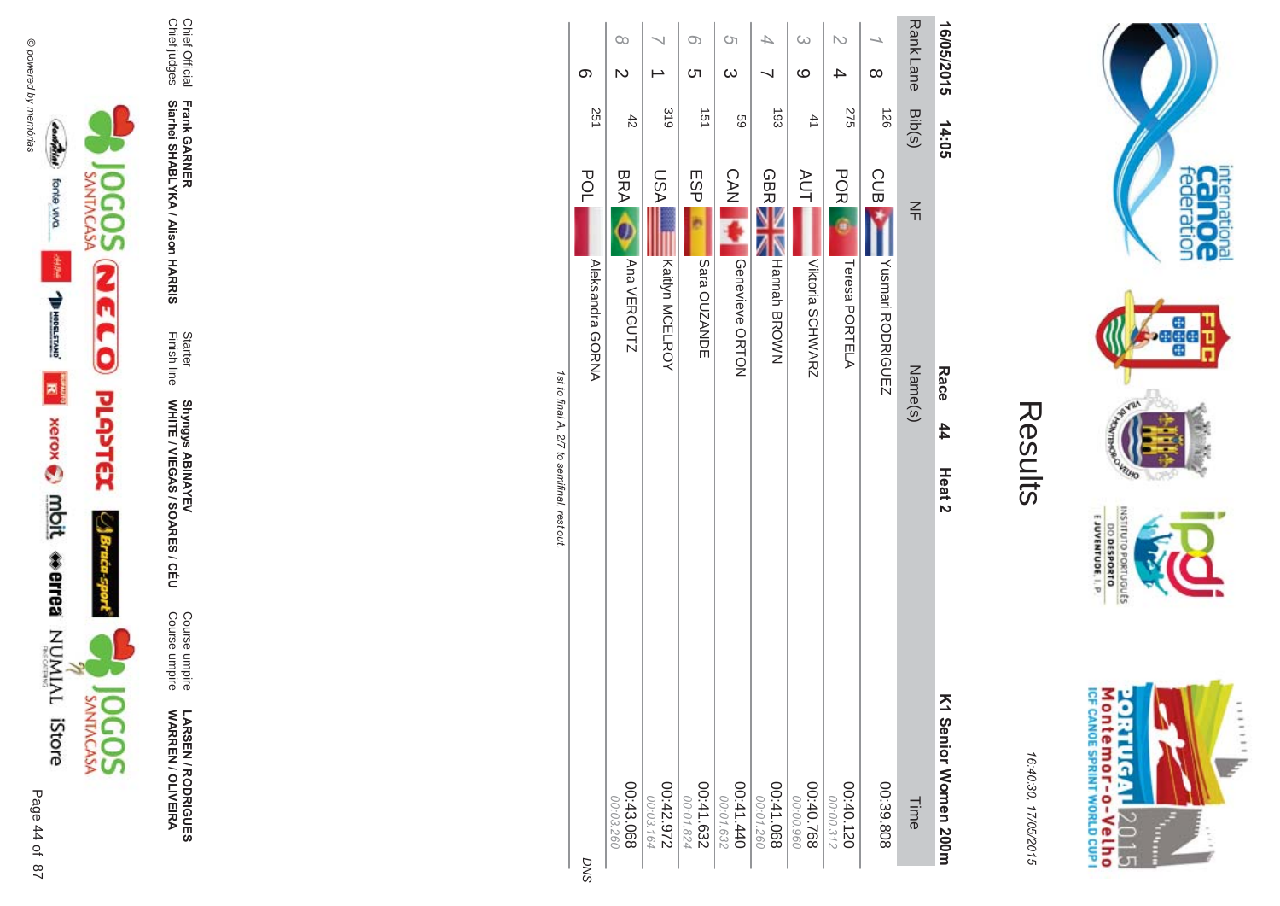

**!-SEN/R \*0-B-DES WARR EN / OLIVEIR** ъ

Course umpire<br>Course umpire Course umpire Course umpire

Shyngys ABINAYEV

**Siarhei SHABLYKA / Alison HAR** 

Chief Official<br>Chief judges Chief judges Chief Official

**-&** Finish line Starter

**-**

WHITE / VIEGAS / SOAR

Shyngys ABINAYEV<br>WHITE / VIEGAS / SOARES / CÉU

**Frank GAR** 

**22.10** st to final A, 2/7 to semifinal, rest out.

**DNS** 



internation<br>Can OC<br>federation

**Pege** 

**PAVER** 

VEUID **NORS** 

OLNILISNI

E JUVENTUDE, I. P.

DO DESPORTO orruguts

16:4 10:30, 1 7/05/2015

Results

**Contract Contract**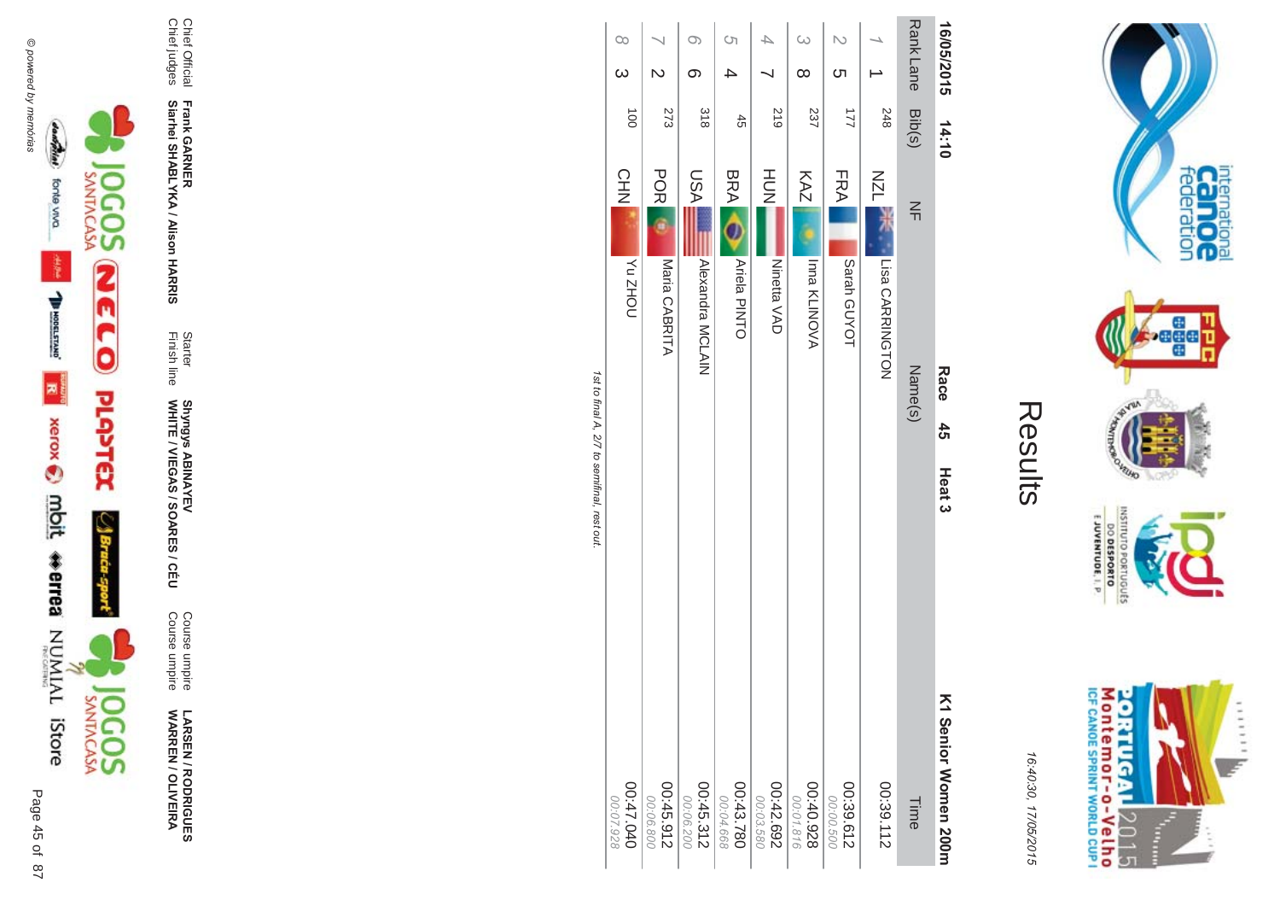

**!-SEN/R \*0-B-DES WARR EN / OLIVEIR** ъ

Course umpire<br>Course umpire Course umpire Course umpire

Finish line Starter WHITE / VIEGAS / SOAR Shyngys ABINAYEV<br>WHITE / VIEGAS / SOARES / CÉU Shyngys ABINAYEV

**Frank GAR - Siarhei SHABLYKA / Alison HAR** 

**-&**

Chief Official<br>Chief judges Chief judges Chief Official

| $\infty$<br>$\omega$    | $\overline{C}$         | O)                     | Ċη                     |                        | $\omega$               |                        |                 | <b>RankLane</b> | 16/05/2015           |
|-------------------------|------------------------|------------------------|------------------------|------------------------|------------------------|------------------------|-----------------|-----------------|----------------------|
|                         |                        | ග                      |                        |                        | ∞                      | <u>(</u>               |                 |                 |                      |
| $\vec{0}$               | 273                    | 318                    | $\ddot{r}$             | 617                    | 237                    | $\overline{2}$         | 248             | Bib(s)          | 14:10                |
| <b>CHN</b>              | <b>POR</b>             | NSU                    | <b>BRA</b>             | HUH<br>N               | KAZ                    | <b>FRA</b>             | <b>NZL</b>      | $\leq$          |                      |
| <b>NOHZ<sub>N</sub></b> | Maria CABRITA          | Alexandra MCLAIN       | Ariela PINTO           | Ninetta VAD            | Inna KLINOVA           | Sarah GUYOT            | Lisa CARRINGTON |                 |                      |
|                         |                        |                        |                        |                        |                        |                        |                 | Name(s)         | Race                 |
|                         |                        |                        |                        |                        |                        |                        |                 |                 | $\frac{4}{5}$        |
|                         |                        |                        |                        |                        |                        |                        |                 |                 | Heat <sub>3</sub>    |
| 047.040<br>00:07.928    | 00:45.912<br>00:06.800 | 00:45.312<br>00:06.200 | 00:43.780<br>00:04.668 | 00:42.692<br>00:03.580 | 00:40.928<br>00:01.816 | 00:39.612<br>00:00.500 | 00:39.112       | Time            | K1 Senior Women 200r |



internation<br>Can OC<br>federation

**bege** 

VILLAD **NORD** 

INSILIO

priuguts

EJUVENTUDE, I. P.

DO DESPORTO

16:4 10:30, 1 7/05/2015

Results

꼬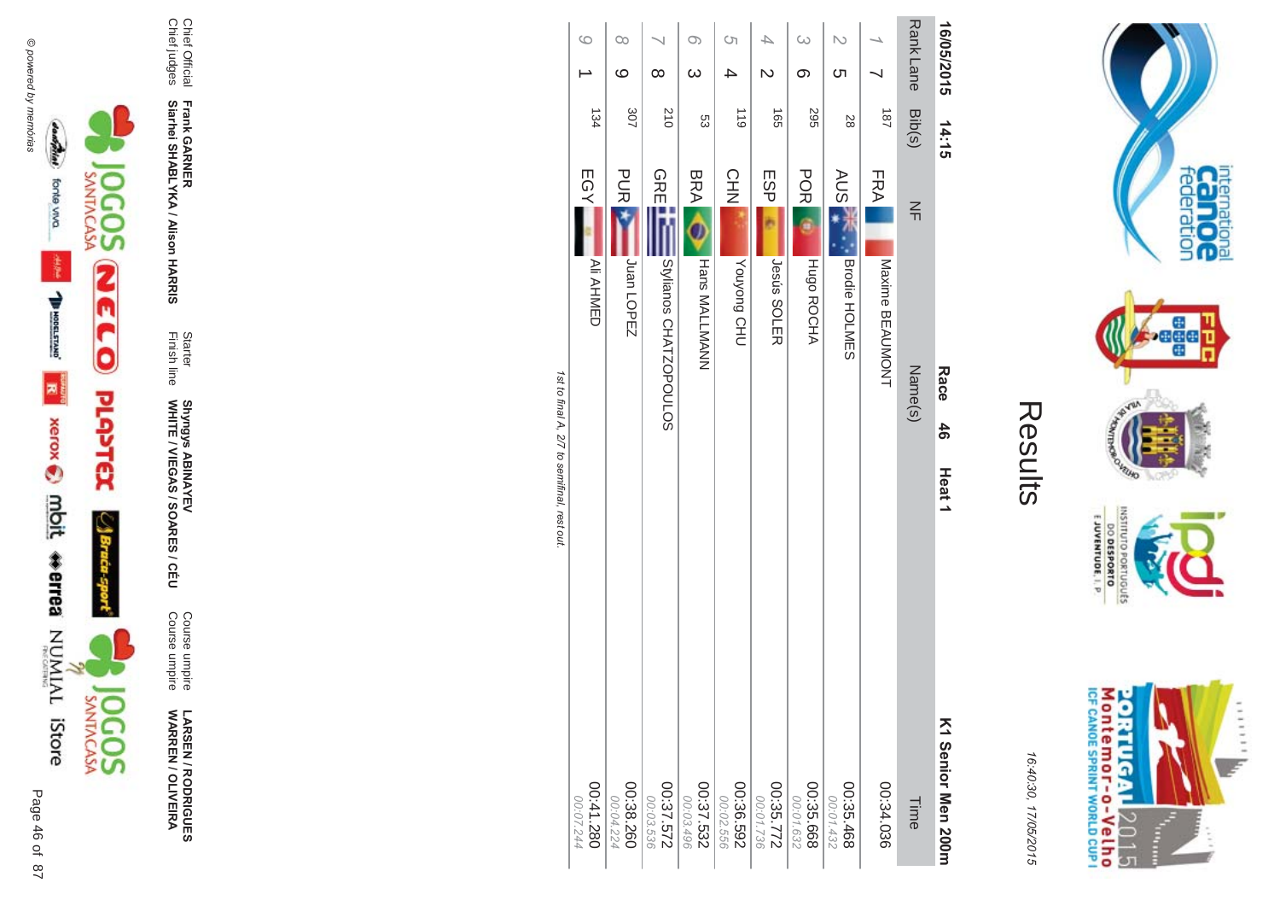

**LARSEN / RODRIGUES<br>WARREN / OLIVEIRA** 

Course umpire<br>Course umpire

Starter<br>Finish line Shyngys ABINAYEV<br>WHITE / VIEGAS / SOARES / CÉU

Chief Official<br>Chief judges Frank GARNER<br>Siarhei SHABLYKA / Alison HARRIS

| G                | $\infty$    |                        | $\circ$              | <u>(</u>           |             | $\omega$          |               |                          |
|------------------|-------------|------------------------|----------------------|--------------------|-------------|-------------------|---------------|--------------------------|
|                  | $\circ$     | $\infty$               | $\omega$             |                    |             |                   | ທ             |                          |
| 134              | 307         | 510                    | ပ္ပ                  | 611                | <b>165</b>  | 295               | 82            |                          |
| EGYL             | <b>PURE</b> | <b>OREEN</b>           | <b>BRA</b>           | <b>CHN</b>         | <b>ESP</b>  | <b>POR</b>        | <b>AUS 7</b>  | FRA                      |
| <b>Ali AHMED</b> | Juan LOPEZ  | Stylianos CHATZOPOULOS | <b>Hans MALLMANN</b> | <b>UHO</b> buoknox | Jesús SOLER | <b>Hugo ROCHA</b> | Brodie HOLMES | INDUSTRIATED AT CITATION |

| EGY<br><b>GREIL</b><br><b>POR</b><br><b>PURE</b><br><b>BRA</b><br>CHN<br>ESP<br><b>AUSE</b><br><b>FRA</b><br>$\leq$<br>Brodie HOLMES<br>Juan LOPEZ<br>HUGO ROCHA<br>Stylianos CHATZOPOULOS<br>Hans MALLMANN<br>Maxime BEAUMONT<br><b>Nouyong CHU</b><br><b>Jesús SOLER</b><br>Name(s)<br>Race<br>$\frac{4}{6}$<br>Heat <sub>1</sub><br>K1 Senior Men Soorn<br>27.572<br>00:37.532<br>00:38.260<br>265.592<br>00:35.772<br>00:35.668<br>00:35.468<br>00:34.036<br>00:02.556<br>00:01.736<br>00:01.632<br>00:01.432<br>00:04.224<br>00:03.536<br>00:03.496<br>Time |
|------------------------------------------------------------------------------------------------------------------------------------------------------------------------------------------------------------------------------------------------------------------------------------------------------------------------------------------------------------------------------------------------------------------------------------------------------------------------------------------------------------------------------------------------------------------|
| <b>Ali AHMED</b><br>082.14200<br>00:07.244                                                                                                                                                                                                                                                                                                                                                                                                                                                                                                                       |
|                                                                                                                                                                                                                                                                                                                                                                                                                                                                                                                                                                  |
|                                                                                                                                                                                                                                                                                                                                                                                                                                                                                                                                                                  |
|                                                                                                                                                                                                                                                                                                                                                                                                                                                                                                                                                                  |
|                                                                                                                                                                                                                                                                                                                                                                                                                                                                                                                                                                  |

Rank Lane 16/05/2015

 $\overline{181}$ Bib(s)



internation<br>Can OC<br>federation

**Page** 

**RUFO** 

INSILIO

priuguts

EJUVENTUDE, I. P.

DO DESPORTO

16:40:30, 17/05/2015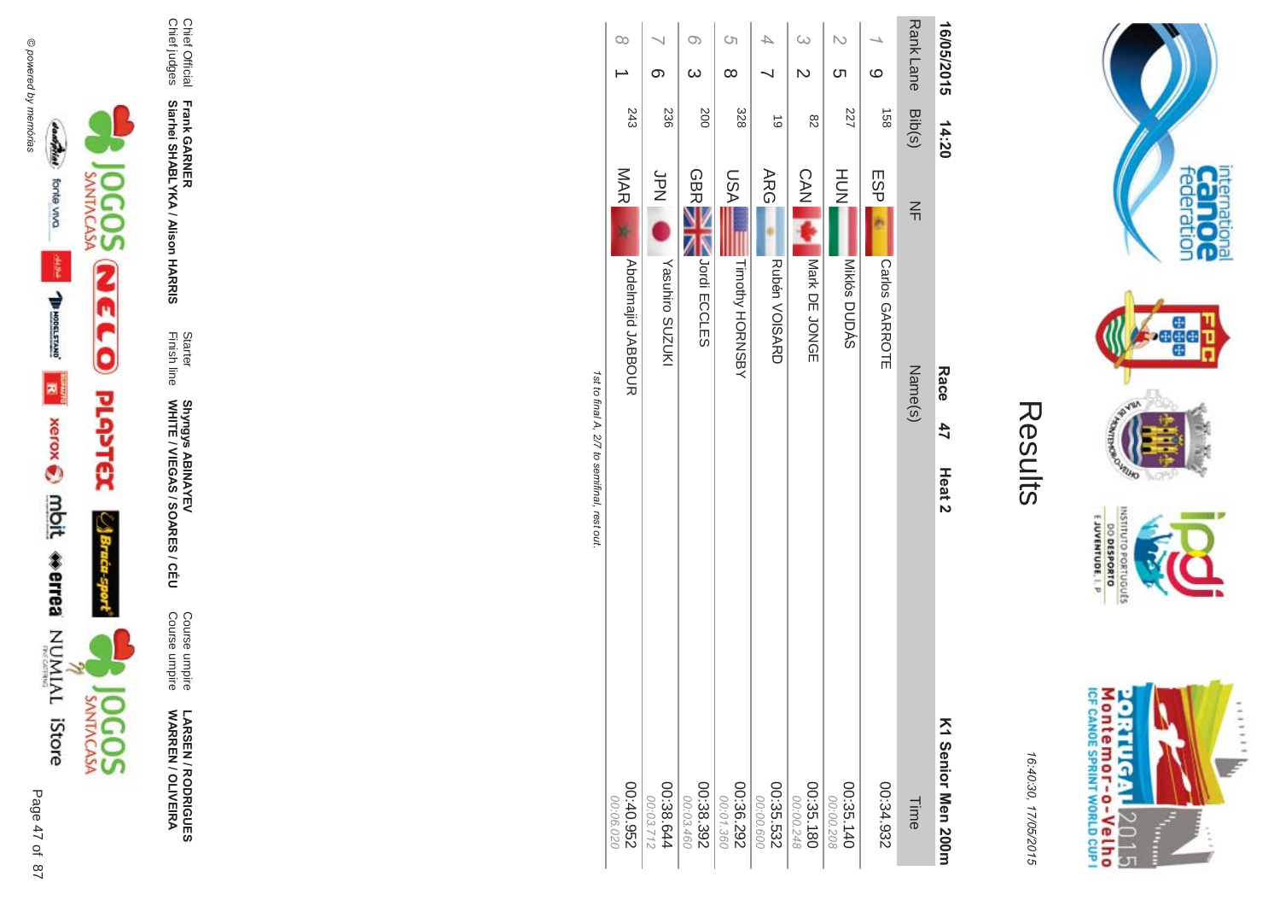

**!-SEN/R \*0-B-DES WARR EN / OLIVEIR** ъ

Course umpire<br>Course umpire Course umpire Course umpire

Finish line Starter WHITE / VIEGAS / SOAR Shyngys ABINAYEV<br>WHITE / VIEGAS / SOARES / CÉU Shyngys ABINAYEV

**Frank GAR - Siarhei SHABLYKA / Alison HAR** 

**-&**

Chief Official<br>Chief judges Chief judges Chief Official

|           | ග<br>236                    | O)<br>$\omega$<br>200       | <u>(</u><br>$\infty$<br>328 | 6                           | 82                          | ᢗᠮ<br>227               | $\circ$<br>158        | Rank Lane Bib(s)  | 16/05/2015                               |
|-----------|-----------------------------|-----------------------------|-----------------------------|-----------------------------|-----------------------------|-------------------------|-----------------------|-------------------|------------------------------------------|
|           | SPN<br>N<br>Yasuhiro SUZUKI | <b>GBRE</b><br>Jordi ECCLES | NSU<br>Timothy HORNSBY      | <b>ARG</b><br>Rubén VOISARD | <b>CAN</b><br>Nark DE JONGE | HU<br>N<br>Miklós DUDÁS | ESP<br>Carlos GARROTE | $\leq$<br>Name(s) | 14:20<br>Race<br>47<br>Heat <sub>2</sub> |
| 00:40.952 | 00:38.644<br>00:03.712      | 00:38.392<br>00:03.460      | 00:36.292<br>00:01.360      | 00:35.532<br>00:00.600      | 00:35.180<br>00:00.248      | 00:35.140<br>00:00.208  | 24.932                | Time              | K1 Senior Men 200m                       |

ים וכ st to final A, 2/7 to semifinal, rest out.





16:4 10:30, 1 7/05/2015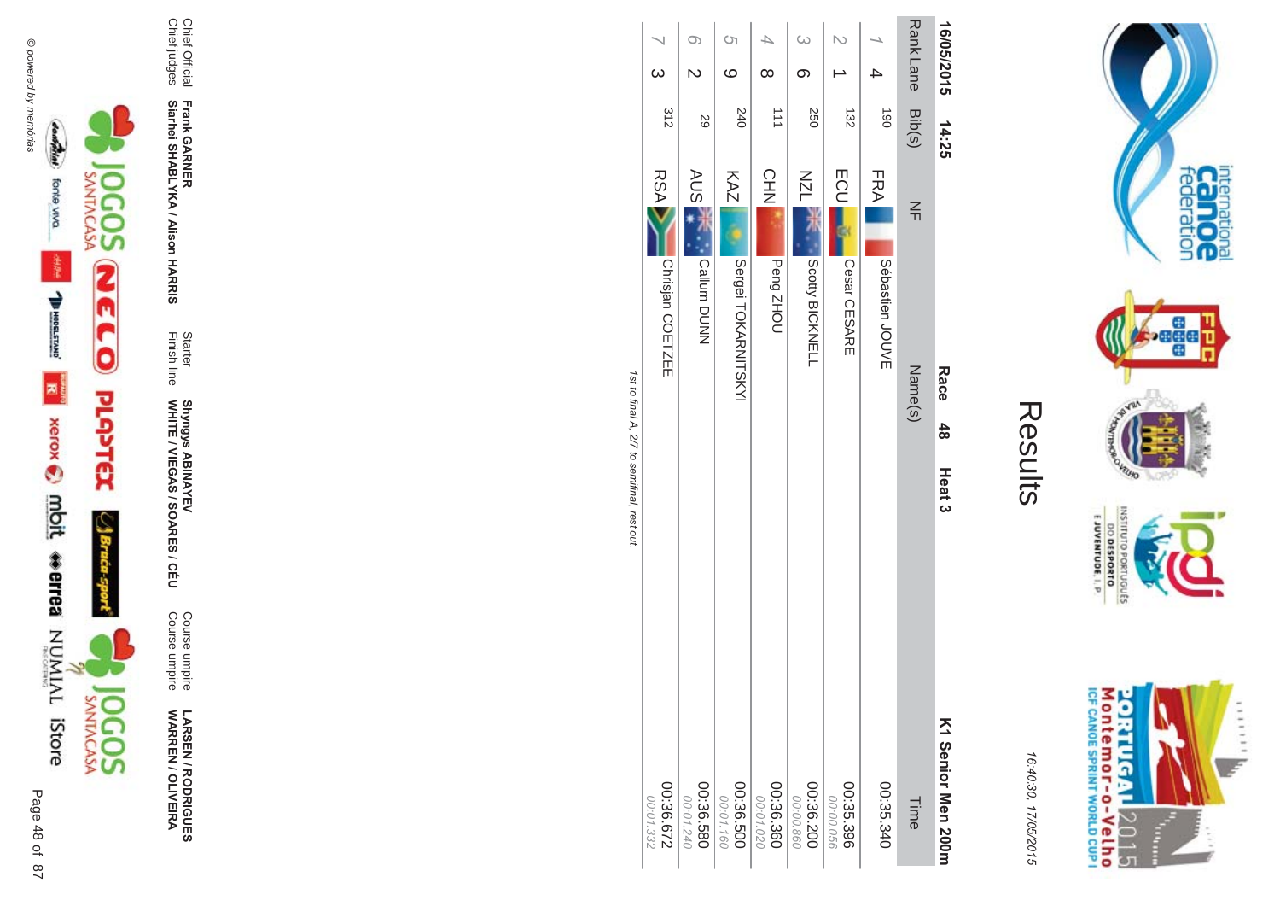





**LARSEN / RODRIGUES<br>WARREN / OLIVEIRA** 

Course umpire<br>Course umpire

Starter<br>Finish line Shyngys ABINAYEV<br>WHITE / VIEGAS / SOARES / CÉU

Chief Official<br>Chief judges

Frank GARNER<br>Siarhei SHABLYKA / Alison HARRIS

| 16/05/2015       | 14:25      | Race<br>$48$<br>Heat <sub>3</sub> | K1 Senior Men 200      |
|------------------|------------|-----------------------------------|------------------------|
| Rank Lane Bib(s) |            | $\leq$<br>Name(s)                 | Time                   |
|                  | <b>190</b> | <b>FRA</b><br>Sébastien<br>JOUVE  | 00:35.340              |
|                  | 132        | <b>ECU</b><br>Cesar CESARE        | 00:35.396<br>00:00.056 |
|                  | 250        | <b>NZL</b><br>Scotty BICKNELL     | 00:36.200<br>00:00.860 |
|                  | 111        | <b>CHN</b><br>Peng ZHOU           | 00:36.360<br>00:01.020 |
| S)<br>$\circ$    | 240        | KAZ<br>Sergei TOKARNITSKYI        | 00:36.500<br>00:01.160 |
| O)               | 59         | <b>AUS</b><br>Callum DUNN         | 085.580<br>00:01.240   |
| ω                | 312        | <b>RSA</b><br>Chrisjan COETZEE    | 229'98:00<br>00:01.332 |

1st to final A, 2/7 to semifinal, rest out



internation<br>Can OC<br>federation

**Pege** 

**VELHO LOP** 

**DINILISNI** 

EJUVENTUDE, I. P.

DO DESPORTO orruguts

16:40:30, 17/05/2015

en 200m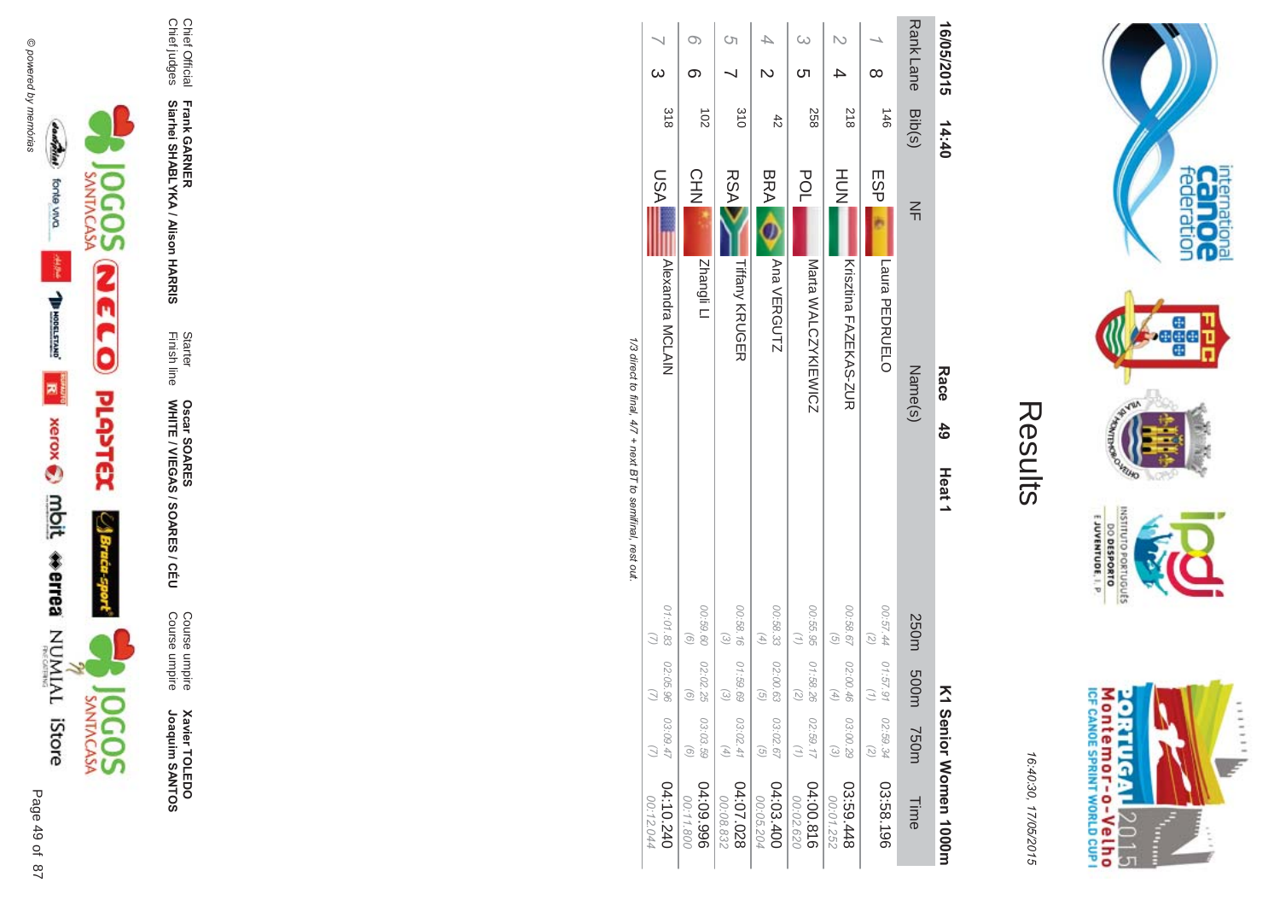





**Xavier TOLEDO**<br>Joaquim SANTOS Joaquim SANTOS **Xavier TOLEDO** 

**ES/CEU** Course umpire<br>Course umpire Course umpire Course umpire

Finish line Starter WHITE / VIEGAS / SOAR **Oscar SOAR** 53

**-**

Chief Official **Frank GAR Siarhei SHABLYKA / Alison HAR -&**

Chief Official<br>Chief judges Chief judges

| 16/05/2015       | 14:40          | Race<br>$\frac{4}{9}$<br>Heat <sub>1</sub> | Σ                                                                                                                                                                      | Senior Women 1000m      |
|------------------|----------------|--------------------------------------------|------------------------------------------------------------------------------------------------------------------------------------------------------------------------|-------------------------|
| Rank Lane Bib(s) |                | $\leq$<br>Name(s)                          | 250m<br>500m<br>m037                                                                                                                                                   | Time                    |
| $\infty$         | $3+1$          | <b>ESP</b><br>Laura PEDRUELO               | 00:57.44<br>$\binom{2}{3}$<br>01:57.91<br>$\left(\frac{1}{2}\right)$<br>02:59.34<br>$\binom{2}{2}$                                                                     | 03:58.196               |
|                  | 812            | HUH<br>N<br>Krisztina FAZEKAS-ZUR          | 00:58.67<br>$\overline{G}$<br>02:00.46<br>$\left( 4\right)$<br>03:00.29<br>$\omega$                                                                                    | 844.69.548<br>00:01.252 |
|                  | 258            | POL<br>Marta WALCZYKIEWICZ                 | 00:55.95 01:58.26<br>$\overline{z}$<br>02:59.17<br>$\binom{7}{1}$                                                                                                      | 04:00.816<br>00:02.620  |
|                  | $rac{4}{5}$    | <b>BRA</b><br>Ana VERGUTZ                  | $(4)$<br>$\overline{G}$<br>03:02.67<br>$\widehat{G}$                                                                                                                   | 04:03.400<br>00:05.204  |
| Ċη               | 310            | <b>RSA</b><br><b>Tiffany KRUGER</b>        | 00:58.16<br>$\begin{pmatrix} \mathcal{L} \\ \mathcal{L} \end{pmatrix}$<br>01:59.69<br>$\widehat{c}$<br>03:02.41<br>$\left( \begin{matrix} 4 \\ 1 \end{matrix} \right)$ | 04:07.028<br>00:08.832  |
|                  | $\overline{5}$ | <b>CHN</b><br>Zhangli Ll                   | 00:59.60<br>$\circ$<br>02:02.25<br>$\left( 9\right)$<br>03:03.59<br>$\odot$                                                                                            | 966'00:70<br>00:11.800  |
|                  | 318            | LSA<br>Alexandra MCLAIN                    | 01:01.83<br>02:05.96<br>$\tilde{C}$<br>03:09.47                                                                                                                        | 04:10.240<br>00:12.044  |

Results

internation<br>Can OC<br>federation

**Page** 

**VEUID LOP** 

INSNI

priuguts

E JUVENTUDE, I. P.

M ontem or - o-Velh o<br>ICF canoE SPRINT WORLD CUP I

**ORTUGAL** 

2015

T  $\frac{1}{2}$   $11111$ 

DO DESPORTO

16:4 10:30, 1

7/05/2015

1/3 direct to final, 4/7 + next BT to semifinal, rest out /3 direct to final, 4  $\sqrt{7}$  + next BT to semifinal, rest out.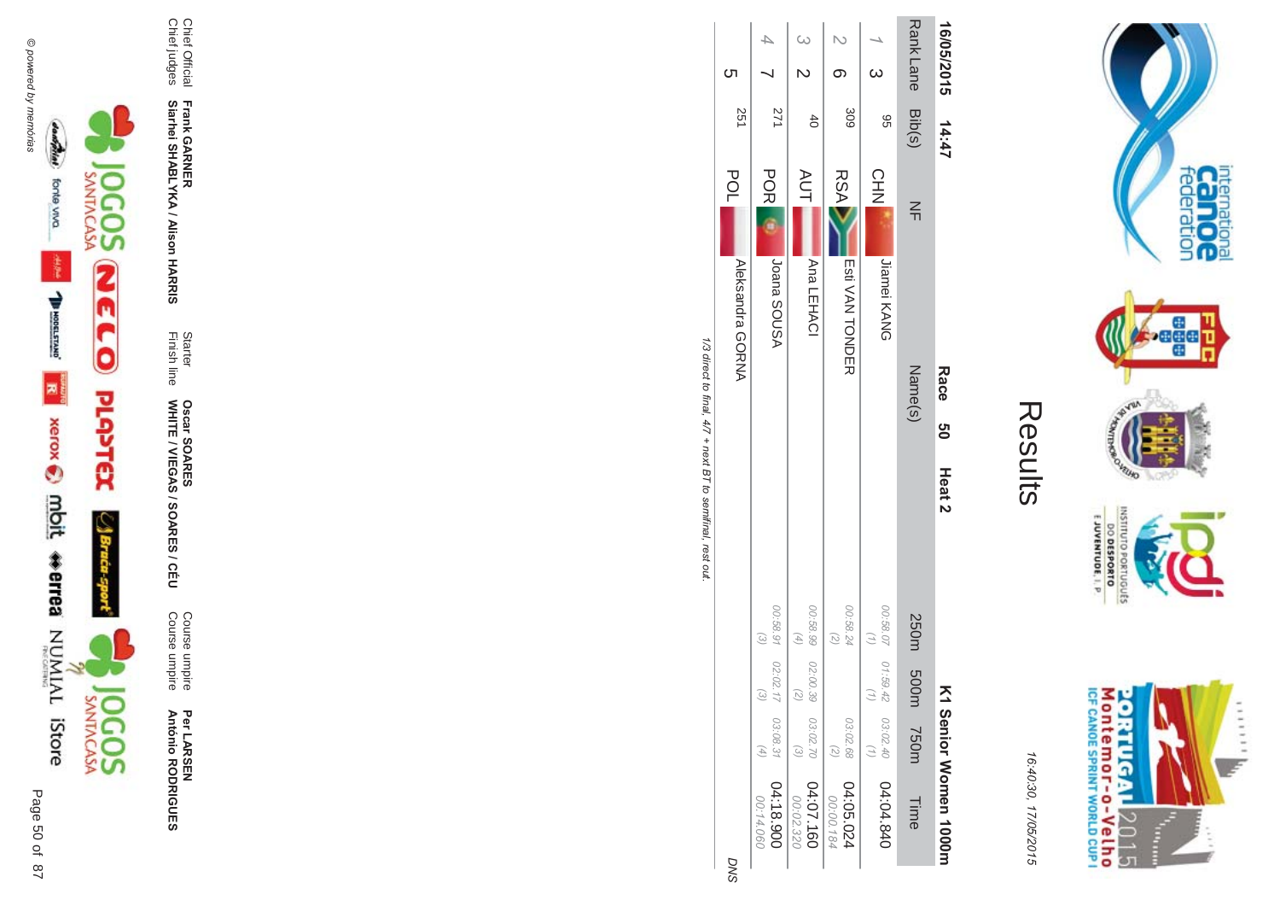

Per LARSEN<br>António RODRIGUES

Course umpire<br>Course umpire

**Oscar SOARES<br>WHITE / VIEGAS / SOARES / CÉU** 

Frank GARNER<br>Siarhei SHABLYKA / Alison HARRIS

Chief Official<br>Chief judges

Starter<br>Finish line

Results

internation<br>Can OC<br>federation

......

y.

**Page** 

**VELHO NORS** 

OLNILISNI

GRIUGUES

20R1UGAL2015<br>Montemor-o-Velho<br>IcF canos SPRINT WORLD CUP I

È

E JUVENTUDE, I. P

| ٨<br>,<br>í<br>г<br>r<br>ч |
|----------------------------|
| $\mathfrak{c}$             |

| 16/05/2015       | 14:47       |                                | Race 50 | Heat 2 |                                                        | Σ                                 |                            | Serior Momen 1000H              |
|------------------|-------------|--------------------------------|---------|--------|--------------------------------------------------------|-----------------------------------|----------------------------|---------------------------------|
| Rank Lane Bib(s) |             | $\leq$                         | Name(s) |        | 250m 500m                                              |                                   | 750m                       | Time                            |
| <sub>ယ</sub>     | 9G          | <b>CHN</b><br>Jiamei KANG      |         |        | 00:58.07 01:59.42<br>$\binom{7}{1}$                    | $\begin{pmatrix} 1 \end{pmatrix}$ | 03:02.40<br>$(\tau)$       | 04:04.840                       |
|                  | 309         | <b>RSA</b><br>Esti VAN TONDER  |         |        | 00:58.24                                               |                                   | 03:02.68<br>$\overline{z}$ | 04:05.024<br>00:00.184          |
|                  | $rac{4}{5}$ | <b>AUT</b><br>Ana LEHACI       |         |        | 00.58.99 02:00.39<br>$\begin{pmatrix} 4 \end{pmatrix}$ | $\binom{2}{2}$                    | $\odot$                    | 03:02.70 04:07.160<br>00:02.320 |
| $\overline{4}$   | 171         | <b>POR</b><br>ASUOS BOISA      |         |        | 00.58.91 02:02.17<br>$\mathcal{E}$                     | $\omega$                          |                            | 03:08.31 04:18.900<br>00:14.060 |
| <b>(</b> ၂       | 251         | <b>POL</b><br>Aleksandra GORNA |         |        |                                                        |                                   |                            | <b>DNS</b>                      |

1/3 direct to final, 4/7 + next BT to semifinal, rest out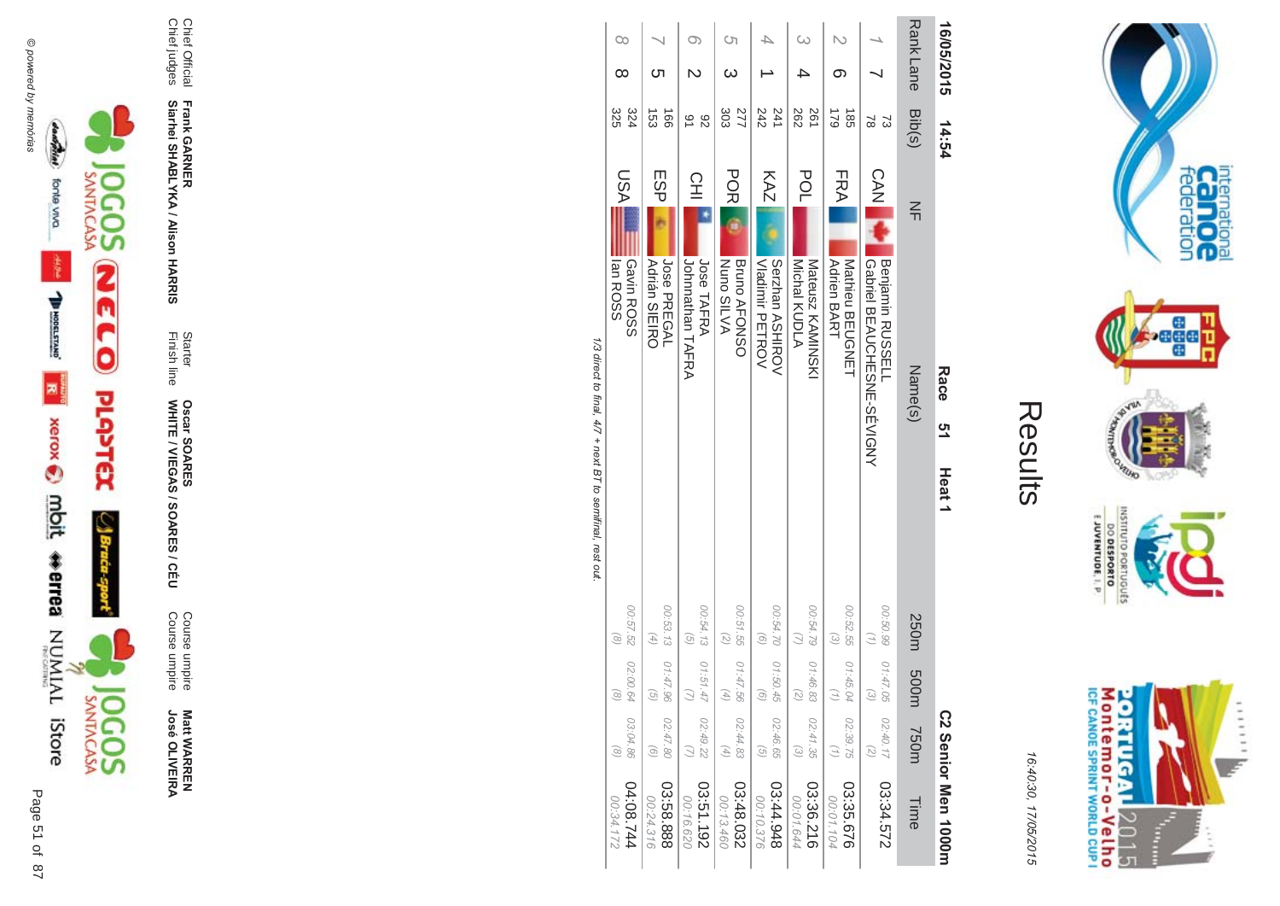



**ES/CEU** Course umpire<br>Course umpire Course umpire Course umpire

Finish line Starter WHITE / VIEGAS / SOAR **Oscar SOAR** 53

**Frank GAR - Siarhei SHABLYKA / Alison HAR** 

**-&**

Chief Official<br>Chief judges Chief judges Chief Official

| 16/05/2015           | 14:54                             | Race<br><u>ღ</u><br>Heat <sub>1</sub>                          |                                                                                                   |                                                                        | C2 Senior Men 1000m    |
|----------------------|-----------------------------------|----------------------------------------------------------------|---------------------------------------------------------------------------------------------------|------------------------------------------------------------------------|------------------------|
| <b>RankLane</b>      | Bib(s)                            | $\frac{2}{1}$<br>Name(s)                                       | 250m<br>m00d                                                                                      | m037                                                                   | Time                   |
|                      | 8<br>S)                           | <b>CAN</b><br>I Gabriel BEAUCHESNE-SEVIGNY<br>Benjamin RUSSELL | 00:50.99<br>$\binom{7}{2}$<br>01:47.05<br>$\begin{pmatrix} 2 \end{pmatrix}$                       | 02:40.17<br>$\mathcal{L}$                                              | 03:34.572              |
| ග                    | 621<br>$\frac{185}{25}$           | FRA<br><b>Adrien BART</b><br>Nathieu BECONET                   | 00:52.55<br>$\omega$<br>01:45.04<br>$\binom{7}{7}$                                                | 02:39.75<br>$\binom{7}{7}$                                             | 03:35.676<br>00:01.104 |
|                      | 282<br>261                        | POL<br>Michal KUDLA<br><b>Nateusz KAMINSKI</b>                 | 00:54.79<br>01:46.83<br>$\left( \begin{smallmatrix} 2 \\ 2 \end{smallmatrix} \right)$             | 02:41.35<br>$\odot$                                                    | 03:36.216<br>00:01.644 |
|                      | 242<br>241                        | KAZ<br>Vladinir PETROV<br>Serzhan ASHIROV                      | 00:54.70<br>$\widehat{a}$<br>01:50.45<br>$\odot$                                                  | 02:46.65<br>$\left(\frac{1}{2}\right)$                                 | 844.948<br>00:10.376   |
| <b>(</b> ၂           | 303<br>277                        | <b>POR</b><br><b>Bruno AFONSO</b><br><b>Nuno SILVA</b>         | 00:51.55<br>$\left( \frac{1}{\sqrt{2}}\right)$<br>01:47.56<br>$\left( 4\right)$                   | 02:44.83<br>$(4)$                                                      | 03:48.032<br>00:13.460 |
|                      | 82<br>$\overline{6}$              | 오<br>그<br>Jose TAFRA<br>Johnnathan TAFRA                       | 00:54.13<br>$\left( \frac{1}{2} \right)$<br>01:51.47<br>$\bigcirc$                                | 02:49.22                                                               | 03:51.192<br>00:16.620 |
| ת                    | $\overline{53}$<br>$\overline{5}$ | ESP<br><b>Adrián SIEIRO</b><br><b>Jose PREGAL</b>              | 00:53.13<br>$\begin{pmatrix} 4 \end{pmatrix}$<br>01:47.96<br>$\begin{pmatrix} G \\ \end{pmatrix}$ | 02:47.80<br>$\left( 9\right)$                                          | 03:58.888<br>00:24.316 |
| $\infty$<br>$\infty$ | 325<br>324                        | LSA<br>lan ROSS<br>Gavin ROSS                                  | 00:57.52<br>$\left( \frac{8}{2} \right)$<br>02:00.64<br>$\circledcirc$                            | 03:04.86<br>$\begin{array}{c} \textcircled{\scriptsize 8} \end{array}$ | 14:08.744<br>00:34.172 |

1/3 direct to final, 4/7 + next BT to semifinal, rest out /3 direct to final, 4  $\sqrt{7}$  + next BT to semifinal, rest out.

M ontem or - o-Velh o<br>ICF canoE SPRINT WORLD CUP I **ORTUGAL** ...... y. 2015 I ŧ

internation<br>Can OC<br>federation

 $\frac{1}{2}$ 

**Pege** 

GHTUND

**DINILISNI** 

orruguts

 $\frac{6!13001N3A0013}{0180653000}$ 

**NORS** 

16:4 10:30, 1 7/05/2015

Results

**Contract Contract**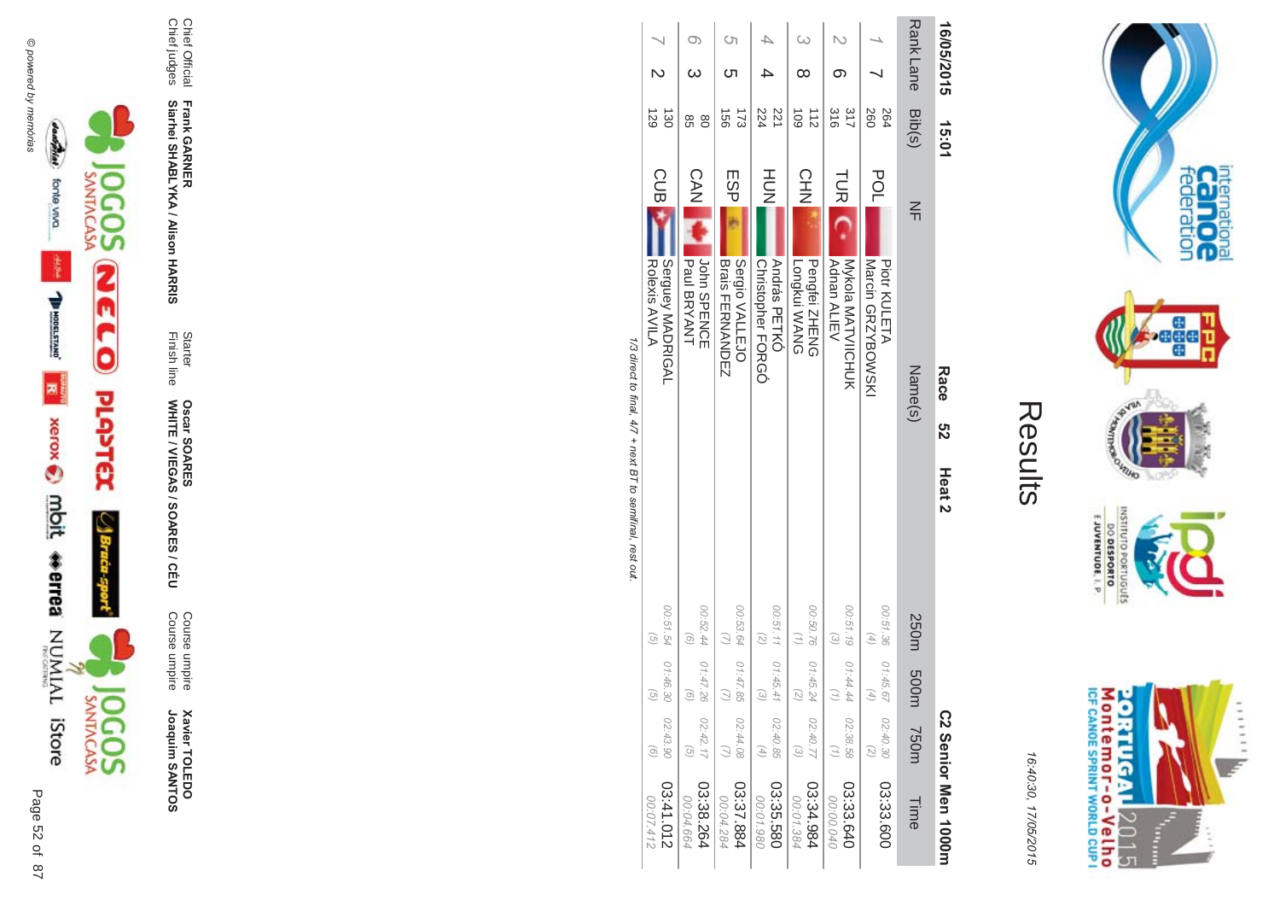



16:40:30, 17/05/2015

| ŗ.<br>$\mathbb{L}$ |
|--------------------|
|                    |
|                    |
|                    |

 $\pi$ 

| 00:07.412           |                            |                                                               |                                                 |                   |        |                       |            |                 |            |   |
|---------------------|----------------------------|---------------------------------------------------------------|-------------------------------------------------|-------------------|--------|-----------------------|------------|-----------------|------------|---|
|                     | $\left($ o                 | $\begin{array}{c} \textcircled{\scriptsize{1}} \end{array}$   | $\left(\begin{matrix} 0\\ 0\end{matrix}\right)$ |                   |        | Rolexis AVILA         |            | 129             |            |   |
| 03:41.012           | 02:43.90                   | 01:46.30                                                      | 00:51.54                                        |                   |        | Serguey MADRIGAL      | <b>CUB</b> | $\frac{1}{30}$  |            |   |
|                     |                            |                                                               |                                                 |                   |        |                       |            |                 |            |   |
| 00:04.664           | $\overline{G}$             | $\odot$                                                       | (9)                                             |                   |        | Paul BRYANT           | CAN I      | 98              |            |   |
| 03:38.264           | 02:42.17                   | 01:47.26                                                      | 00:52.44                                        |                   |        | John SPENCE           |            | $\frac{8}{2}$   |            |   |
| 00:04.284           | $\binom{1}{2}$             | $\bigcirc$                                                    |                                                 |                   |        | <b>Brais THRANDEN</b> |            | $\overline{56}$ |            |   |
| 03:37.884           | 02:44.08                   |                                                               | 00:53.64 01:47.85                               |                   |        | Sergio VALLEJO        | ESP        | 57              |            | Ġ |
| 00:01.980           | $\left(\frac{4}{3}\right)$ | $\mathcal{E}$                                                 | $\overline{z}$                                  |                   |        | OBGDF FORGO           |            | 224             |            |   |
| 03:35.580           | 02:40.85                   |                                                               | 00:51.11 01:45.41                               |                   |        | András PETKÓ          | HUH<br>M   | 221             |            |   |
| 00:01.384           | $\omega$                   | $\left( \begin{smallmatrix} 2 \\ 2 \end{smallmatrix} \right)$ |                                                 |                   |        | Longkui WANG          |            | $\frac{1}{2}$   |            |   |
| 03:34.984           | 02:40.77                   | 01:45.24                                                      | 00:50.76                                        |                   |        | Pengfei ZHENG         | CHIV<br>NH | $\frac{1}{2}$   |            |   |
| 00:00.040           | $\binom{7}{1}$             | $\left( \frac{1}{2} \right)$                                  | $\mathcal{E}$                                   |                   |        | Adnan ALIEV           |            | $\frac{8}{916}$ |            |   |
| 03:33.640           | 02:38.58                   | 01:44.44                                                      | 00:51.19                                        |                   |        | Nykola MAHVIIOHUK     | <b>NA</b>  | 317             |            |   |
|                     | (2)                        | $\left( 4\right)$                                             | $\left( 4\right)$                               |                   |        | Narcin GRZYBOWSKI     |            | 260             |            |   |
| 03:33.600           | 02:40.30                   | 01:45.67                                                      | 00:51.36                                        |                   |        | Piotr KULETA          | POL        | 264             |            |   |
|                     |                            |                                                               |                                                 |                   |        |                       |            |                 |            |   |
| Time                | m037                       | 250m 500m                                                     |                                                 |                   |        | Name(s)               | $\leq$     | Bib(s)          | Rank Lane  |   |
| C2 Senior Men 1000m |                            |                                                               |                                                 | Heat <sub>2</sub> | ღ<br>N | Race                  |            | 15:01           | 16/05/2015 |   |
|                     |                            |                                                               |                                                 |                   |        |                       |            |                 |            |   |

1/3 direct to final, 4/7 + next BT to semifinal, rest out



Chief Official<br>Chief judges

Frank GARNER<br>Siarhei SHABLYKA / Alison HARRIS

Starter<br>Finish line

Oscar SOARES<br>WHITE / VIEGAS / SOARES / CÉU

Course umpire<br>Course umpire

**Xavier TOLEDO**<br>Joaquim SANTOS



Page 52 of 87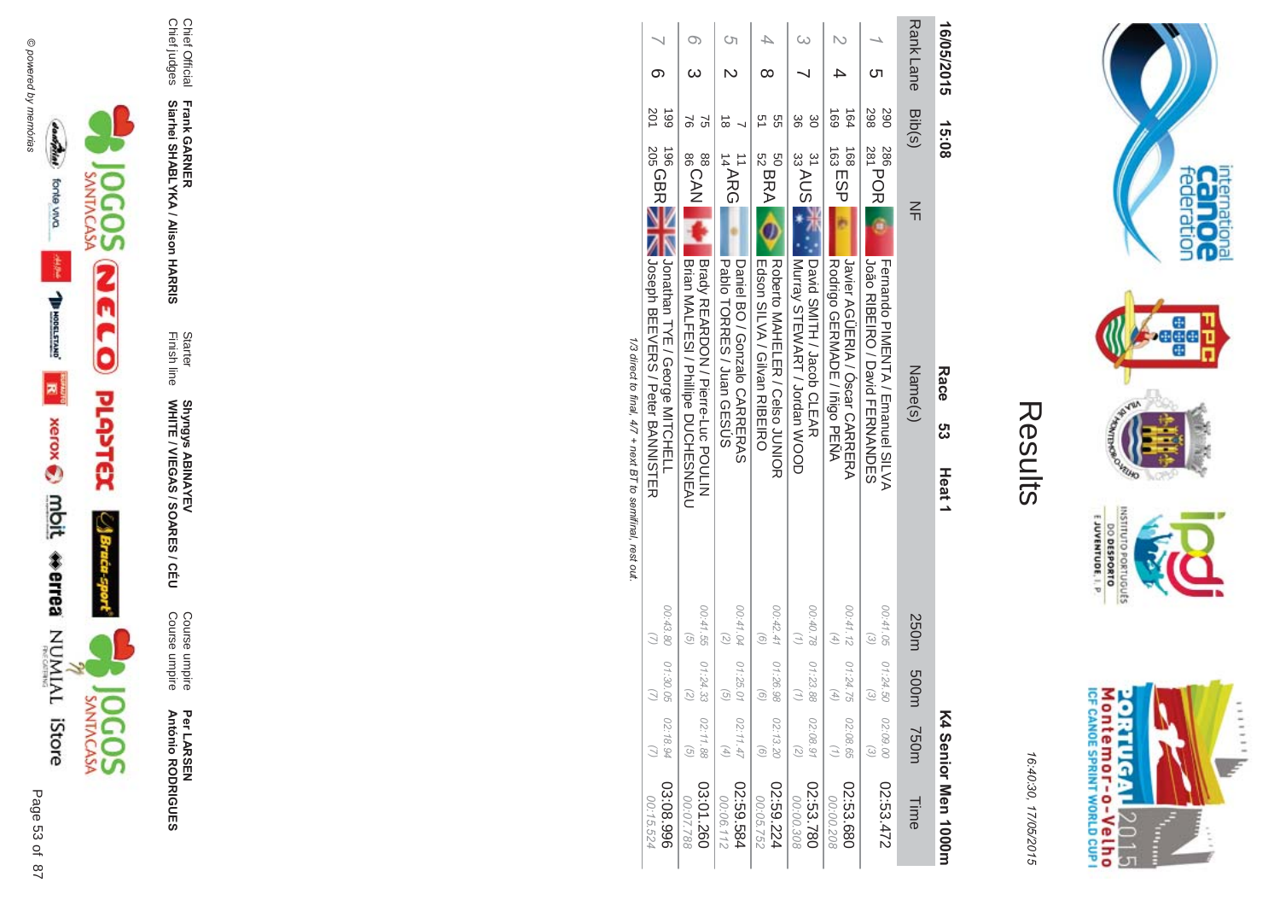



16:4 10:30, 1 7/05/2015

| ί<br>L<br>ŗ. |  |
|--------------|--|
|              |  |
|              |  |

| 16/05/2015       | 15:08                 |                                                | Race<br>ღ<br>ლ                                                             | Heat <sub>1</sub>                       |                                          |                                                            | K4 Senior Men 1000m    |
|------------------|-----------------------|------------------------------------------------|----------------------------------------------------------------------------|-----------------------------------------|------------------------------------------|------------------------------------------------------------|------------------------|
| Rank Lane Bib(s) |                       | $\leq$                                         | Name(s)                                                                    | 250m                                    | m003                                     | <b>750m</b>                                                | Time                   |
| <b>C</b> h       | 298<br>067            | 286<br>281 POR                                 | João RIBEIRO / David FERNANDES<br>Fernando PIMENTA / Emanuel SILVA         | 00:41.05<br>$\left( \mathcal{E}\right)$ | 01:24.50<br>$\widehat{\epsilon}$         | 02:09.00<br>$\widehat{\omega}$                             | 27:53.472              |
|                  | 691<br>$\frac{64}{3}$ | 168<br>163<br>163                              | Rodrigo GERMADE / Inigo PENA<br>Javier AGUEKIA / Oscar CAKKEKA             | 00:41.12<br>$(4)$                       | 01:24.75<br>$\left( \frac{4}{7} \right)$ | 02:08.65<br>$\binom{7}{1}$                                 | 02:53.680<br>00:00.208 |
|                  | 88<br>ပ္တ             | 31 AUS 3<br>David SMIHH / Jacob OLLAR          | INDITIAL VARY VARY VOODD                                                   | 00:40.78 01:23.88                       |                                          | 02:08.91<br>$\overline{c}$                                 | 02:53.780<br>00:00.308 |
|                  | 9g<br>21              | $^{50}_{52}$ BRA                               | Edson SILVA / Gilvan RIBEIRO<br>Roberto MAHELER / Celso JUNIOR             | 00:42.41<br>$\widehat{S}$               | 01:26.98<br>o,                           | 02:13.20<br>$\widetilde{\Theta}$                           | 42:59.224<br>00:05.752 |
|                  | $\vec{8}$             | $\frac{1}{14}$ ARG                             | Daniel BO / Gonzalo CARRERAS<br><b>Papio TORRES / Juan GESUS</b>           | 00:41.04<br>$\overline{z}$              | 01:25.01<br>G                            | 02:11.47<br>$\left( \begin{matrix} 4 \end{matrix} \right)$ | 489.594<br>00:06.112   |
|                  | ನ<br>51               | <b>BSCAN</b>                                   | Brian MALTESI / Phillipe DUCHESNEAU<br>  Brady REARDON / Pierre-Luc POULIN | 00:41.55<br>$\widehat{G}$               | 01:24.33<br>$\left( \frac{1}{2} \right)$ | 02:11.88<br>$\overline{G}$                                 | 03:01.260<br>00:07.788 |
|                  | 201<br>661            | 205 QBR NAMA Looseph BEEVERS / Peter BANNISHER |                                                                            | 00:43.80 01:30.05                       |                                          | 02:18.94                                                   | 03:08.996<br>00:15.524 |

1/3 direct to final, 4/7 + next BT to semifinal, rest out /3 direct to final, 4  $\sqrt{7}$  + next BT to semifinal, rest out.

 $\mathbb{L}$ 





Page

 $\overline{a}$ 87 53

Per LAR SEN **António R \*0-B-DES** 

Course umpire<br>Course umpire Course umpire Course umpire

Finish line Starter WHITE / VIEGAS / SOAR **Shyngys ABINAYEV<br>WHITE / VIEGAS / SOARES / CÉU** Shyngys ABINAYEV

**- -&**

Chief Official<br>Chief judges Chief judges Chief Official

**Siarhei SHABLYKA / Alison HAR** 

**Frank GAR**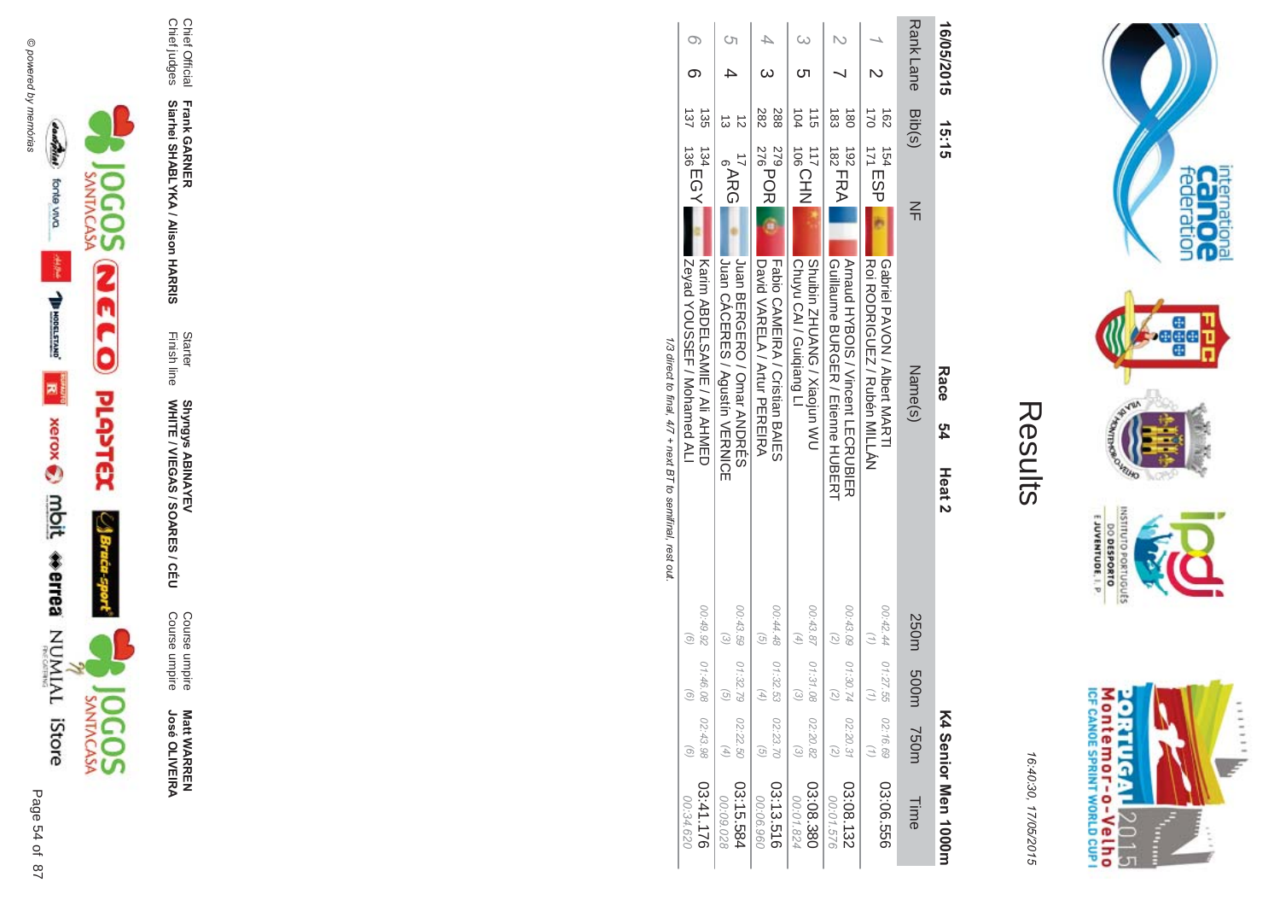



Course umpire **Matt WARREN<br>José OLIVEIRA José OLIVEIR** 

Shyngys ABINAYEV<br>WHITE / VIEGAS / SOARES / CÉU

**- -&**

Chief Official<br>Chief judges Chief judges

**Frank GAR Siarhei SHABLYKA / Alison HAR** 

Chief Official

Course umpire<br>Course umpire Course umpire

WHITE / VIEGAS / SOAR Shyngys ABINAYEV

Finish line Starter

|                        |                                   |                            |                           | 1/2 yirest through the SHD through the SHD to the SHD through the SHD to the SHD through the SHD to the SHD the SHD through the SHD through the SHD through the SHD through the SHD through the SHD through the SHD through th |                                                    |                              |                  |  |
|------------------------|-----------------------------------|----------------------------|---------------------------|--------------------------------------------------------------------------------------------------------------------------------------------------------------------------------------------------------------------------------|----------------------------------------------------|------------------------------|------------------|--|
| 03:41.176<br>00:34.620 | $\widehat{\circ}$                 | 01:46.08 02:43.98          | 26'67.00<br>ē             | I Zevad YOUSSEE / Mohamed AL<br>Karin ABDEL2AMIE / Ali AHMED                                                                                                                                                                   | $^{134}_{136}$ EGY                                 | 137<br>435                   |                  |  |
| 03:15.584<br>00:09.028 | $\begin{pmatrix} 4 \end{pmatrix}$ | 00:43.59 01:32.79 02:22.50 | $\widetilde{\varepsilon}$ | I Juan CACERES / Agustin VERMICE<br>Juan BERGERO / Omar ANDRES                                                                                                                                                                 | <b>ARG</b>                                         |                              |                  |  |
| 03:13.516<br>096.90.00 | $\overline{G}$                    | 01:32.53 02:23.70          | 00:44.48<br>$\widehat{G}$ | David NARELA / Artur PERENA<br>Fabio CAMEIRA / Cristian BAIE2                                                                                                                                                                  | $\frac{279}{276}$ POR                              | 282<br>288                   |                  |  |
| 03:08.380<br>00:01.824 |                                   | 00:43.87 01:31.08 02:20.82 | 4                         | Chuyu CAI / Guiqiang LI<br><b>NW nucles / SNAUR SNAUR</b>                                                                                                                                                                      | <b>TITOBOTIN</b>                                   | $\frac{1}{2}$<br>104         |                  |  |
| 03:08.132<br>00:01.576 |                                   | 00:43.09 01:30.74 02:20.31 |                           | Arnaud HYBOIS / Vincent LECRUBIER<br>Gorilaume BURGER / Etienne HUBERH                                                                                                                                                         | $\begin{array}{c}\n192 \\ 182 \\ 182\n\end{array}$ | 183<br>$\overrightarrow{80}$ |                  |  |
| 92:06.556              |                                   | 00:42.44 01:27.55 02:16.69 |                           | Roi RODRIGUEN / Rubén MILLAN<br>Gapriel PAVON / Albert MARHI                                                                                                                                                                   | $171$ ESP<br>154                                   | 170<br>$\overline{62}$       |                  |  |
| Time                   | <b>750m</b>                       | m005                       | 250m                      | $\frac{2}{1}$<br>Name(s)                                                                                                                                                                                                       |                                                    | Bib(s)                       | <b>Rank Lane</b> |  |
| K4 Senior Men 1000m    |                                   |                            |                           | Race<br>54<br>Heat <sub>2</sub>                                                                                                                                                                                                | 15:15                                              |                              | 16/05/2015       |  |

**I/J** all burding /3 direct to final, 4  $\frac{1}{4}$  $\sqrt{7}$  + next BT to semifinal, rest out.  $+116X$  $\overline{\mathbf{c}}$  $\tilde{c}$  $\ddot{\cdot}$ pri

Montemor-o-Velho<br>Montemor-o-Velho **ORTUGAL** 2015 T È

 $111111$ 

**SET** 

internation<br>Cal OC<br>federation

**ATAVIA** 

ONTEURO

OLNILISNI

orrugu£s

**DO DESPORTO** 

**NOPO** 

16:4 10:30, 1 7/05/2015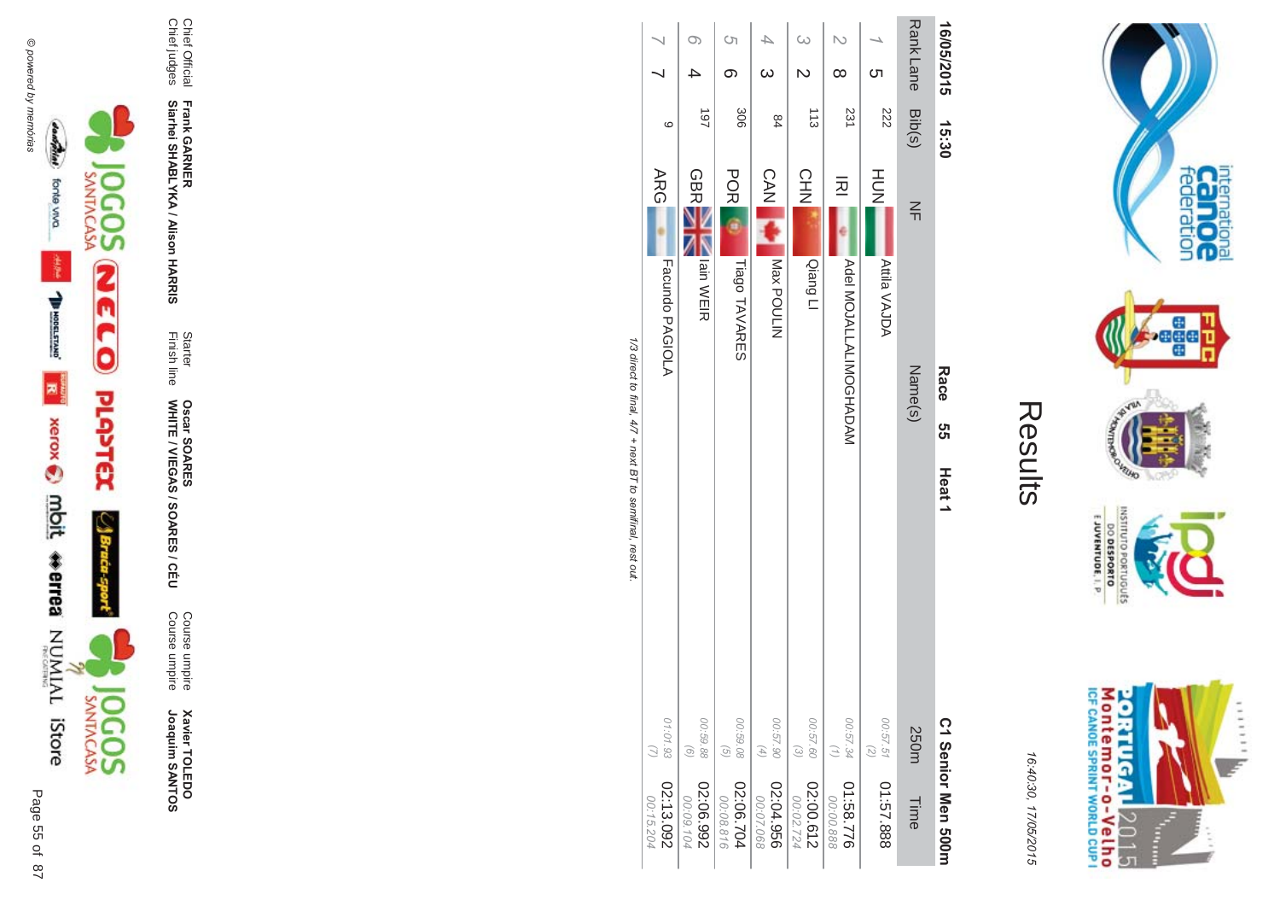



16:40:30, 17/05/2015

| ŗ<br>ţ |
|--------|
|        |
|        |
|        |

| 16/05/2015       | 15:30         | <b>Race</b><br>თ<br>თ           | Heat <sub>1</sub>                                           | C1 Senior Men 500m     |
|------------------|---------------|---------------------------------|-------------------------------------------------------------|------------------------|
| Rank Lane Bib(s) |               | $\leq$<br>Name(s)               | 250m                                                        | Time                   |
| ဟ                | 222           | HUT<br>N<br><b>Attila VAJDA</b> | 00:57.51<br>$\left( \mathcal{L}\right)$                     | 01:57.888              |
| ∞                | 231           | 远<br><b>MADALIALIANINOSHADA</b> | 00:57.34<br>(1)                                             | 01:58.776<br>00:00.888 |
| $\overline{C}$   | $\frac{1}{3}$ | CHN<br>Qiang LI                 | 00:57.60<br>$\odot$                                         | 02:00.612<br>00:02.724 |
| $\omega$         | 84            | <b>CAN LIST</b><br>NITIOUTIN    | 00:57.90<br>$(4)$                                           | 02:04.956<br>00:07.068 |
| <b>(</b> ၂<br>თ  | 306           | POR<br>Tiago TAVARES            | 00:59.08<br>$\begin{pmatrix} 0 \\ 0 \end{pmatrix}$          | 02:06.704<br>00:08.816 |
| O)               | 187           | <b>GBR</b><br>Iain WEIR         | 00:59.88<br>$\begin{pmatrix} 0 \end{pmatrix}$               | 02:06.992<br>00:09.104 |
|                  | ပ             | <b>ARG</b><br>Facundo PAGIOLA   | 01:01.93                                                    | 02:13.092<br>00:15.204 |
|                  |               |                                 | 1/3 direct to final, 4/7 + next B T to semifinal, rest out. |                        |

 $\ddot{z}$ ≝.





Page 55 of 87

**Xavier TOLEDO**<br>Joaquim SANTOS

Course umpire<br>Course umpire

Starter<br>Finish line **Oscar SOARES<br>WHITE / VIEGAS / SOARES / CÉU** 

Chief Official<br>Chief judges

Frank GARNER<br>Siarhei SHABLYKA / Alison HARRIS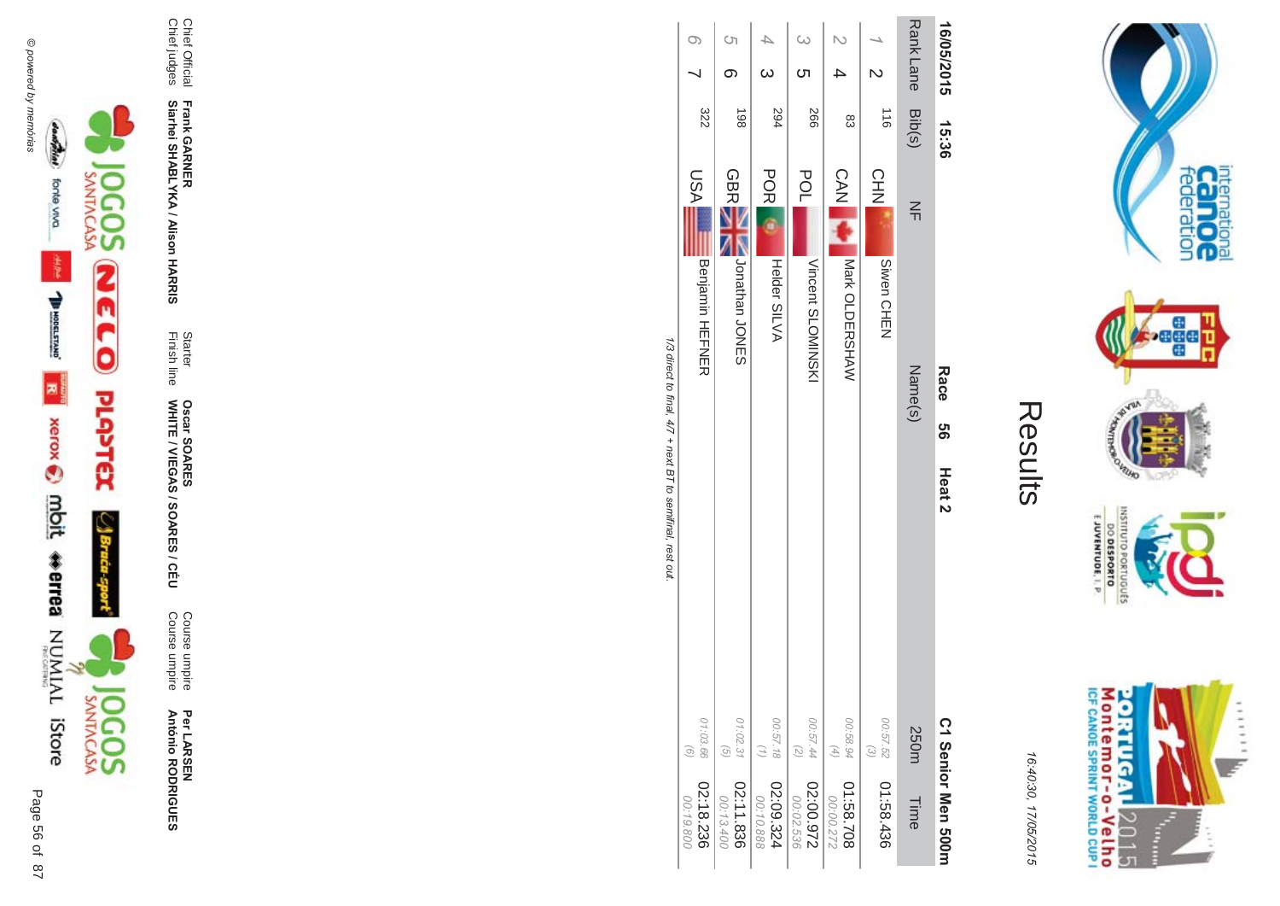

Per LAR SEN **António R \*0-B-DES** 

**ES/CEU** Course umpire<br>Course umpire Course umpire Course umpire

WHITE / VIEGAS / SOAR **Oscar SOAR** 55

**- Siarhei SHABLYKA / Alison HAR** 

Chief Official<br>Chief judges Chief judges Chief Official

**-&** Finish line Starter

**Frank GAR** 

|                                                            |                                      | <u>(</u>                                 |                               | $\omega$<br>ŌТ                         |                                 |                     | Rank Lane Bib(s)  | 16/05/2015                |
|------------------------------------------------------------|--------------------------------------|------------------------------------------|-------------------------------|----------------------------------------|---------------------------------|---------------------|-------------------|---------------------------|
|                                                            | 322                                  | 198                                      | 594                           | 566                                    | ထိ                              | $\frac{1}{9}$       |                   |                           |
|                                                            | <b>USA</b><br><b>Benjamin HEFNER</b> | <b>GBRE</b><br>Nuorathan<br>CONG         | <b>POR</b><br>Helder SILVA    | POL<br>Vincent SLOMINSKI               | <b>CAN IN</b><br>Nark OLDERSHAW | CHN<br>Siwen CHEN   | $\leq$<br>Name(s) | 15:36<br>Race<br>ပ္ပ<br>တ |
| 1/3 direct to final, 4/7 + next BT to semifinal, rest out. |                                      |                                          |                               |                                        |                                 |                     |                   | Heat <sub>2</sub>         |
|                                                            | 01:03.66<br>$\odot$                  | 01:02.31<br>$\left( \frac{1}{2} \right)$ | 00:57.18<br>$\left( 1\right)$ | 00:57.44<br>$\left(\mathcal{L}\right)$ | 00:58.94<br>$\left( 4\right)$   | 00:57.52<br>$\odot$ | <b>250m</b>       |                           |
|                                                            | 02:18.236<br>00:19.800               | 02:11.836<br>00:13.400                   | 02:09.324<br>00:10.888        | 02:00.972<br>00:02.536                 | 807.58.70<br>00:00.272          | 01:58.436           | Time              | C 1 Senior Men 2001       |

Results

internation<br>Can OC<br>federation

**Page** 

VEUID **NOR** 

OLNILISNI

orruguts

E JUVENTUDE, I. P

Montemor-o-Velho<br>Montemor-o-Velho

**ORTUGAL** 

2015

T È ......

uz.

16:4 10:30, 1

7/05/2015

/3 direct to final, 4  $\sqrt{7}$  + next BT to semifinal, rest out.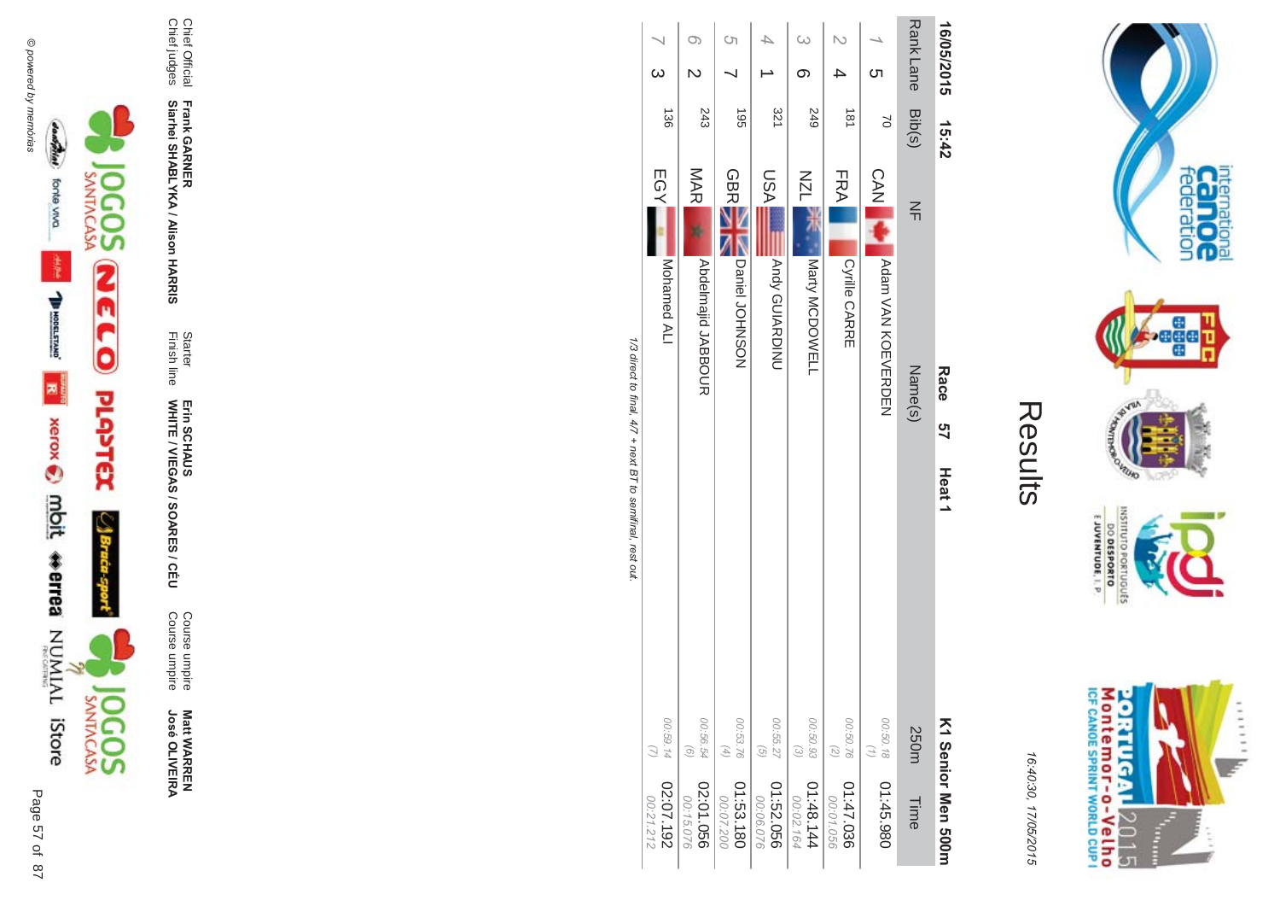

**Matt WARREN<br>José OLIVEIRA José OLIVEIR** 

Course umpire<br>Course umpire Course umpire Course umpire

Finish line Starter WHITE / VIEGAS / SOAR Erin SCHAUS<br>WHITE / VIEGAS / SOARES / CÉU Erin SCHAUS

**Frank GAR - Siarhei SHABLYKA / Alison HAR** 

**-&**

Chief Official<br>Chief judges Chief judges Chief Official

| 16/05/2015       | 15:42            | Race<br>91<br>7<br>Heat <sub>1</sub>        | K1 Senior Men 2001                                                 |
|------------------|------------------|---------------------------------------------|--------------------------------------------------------------------|
| Rank Lane Bib(s) |                  | $\leq$<br>Name(s)                           | 250m<br>Time                                                       |
| Cл               | $\approx$        | CAN NA<br>Notary NOW NOW THAT A RAIN STATES | 00:50.18<br>$\binom{7}{1}$<br>01:45.980                            |
|                  | $\frac{181}{18}$ | FRA<br>Cyrille CARRE                        | 00:50.76<br>(2)<br>01:47.036<br>00:01.056                          |
|                  | 249              | NZL<br>Marty MCDOWELL                       | 00:50.93<br>$\odot$<br>148.144<br>00:02.164                        |
|                  | 321              | <b>NSU</b><br>Andy GUIARDINU                | 00:55.27<br>$\left( \frac{1}{2} \right)$<br>950'25.09<br>00:06.076 |
| Ċη               | $-561$           | <b>GBRE</b><br>Daniel JOHNSON               | 00:53.76<br>$(4)$<br>01:53.180<br>00:07.200                        |
|                  | 243              | MAR<br><b>Abdelmaild JABDOCR</b>            | 00:56.54<br>$\odot$<br>02:01.056<br>00:15.076                      |
|                  | $\frac{130}{2}$  | EGY]<br>Mohamed ALI                         | 00:59.14<br>02:07.192<br>00:21.212                                 |

1/3 direct to final, 4/7 + next BT to semifinal, rest out. /3 direct to final, 4  $\sqrt{7}$  + next BT to semifinal, rest out.

......

y.

internation<br>Can OC<br>federation

 $\frac{1}{2}$ 

VILLAD **LOP** 

OLNILISNI

orruguts

E JUVENTUDE, I. P

16:4 10:30, 1 7/05/2015

Results

**Contract Contract**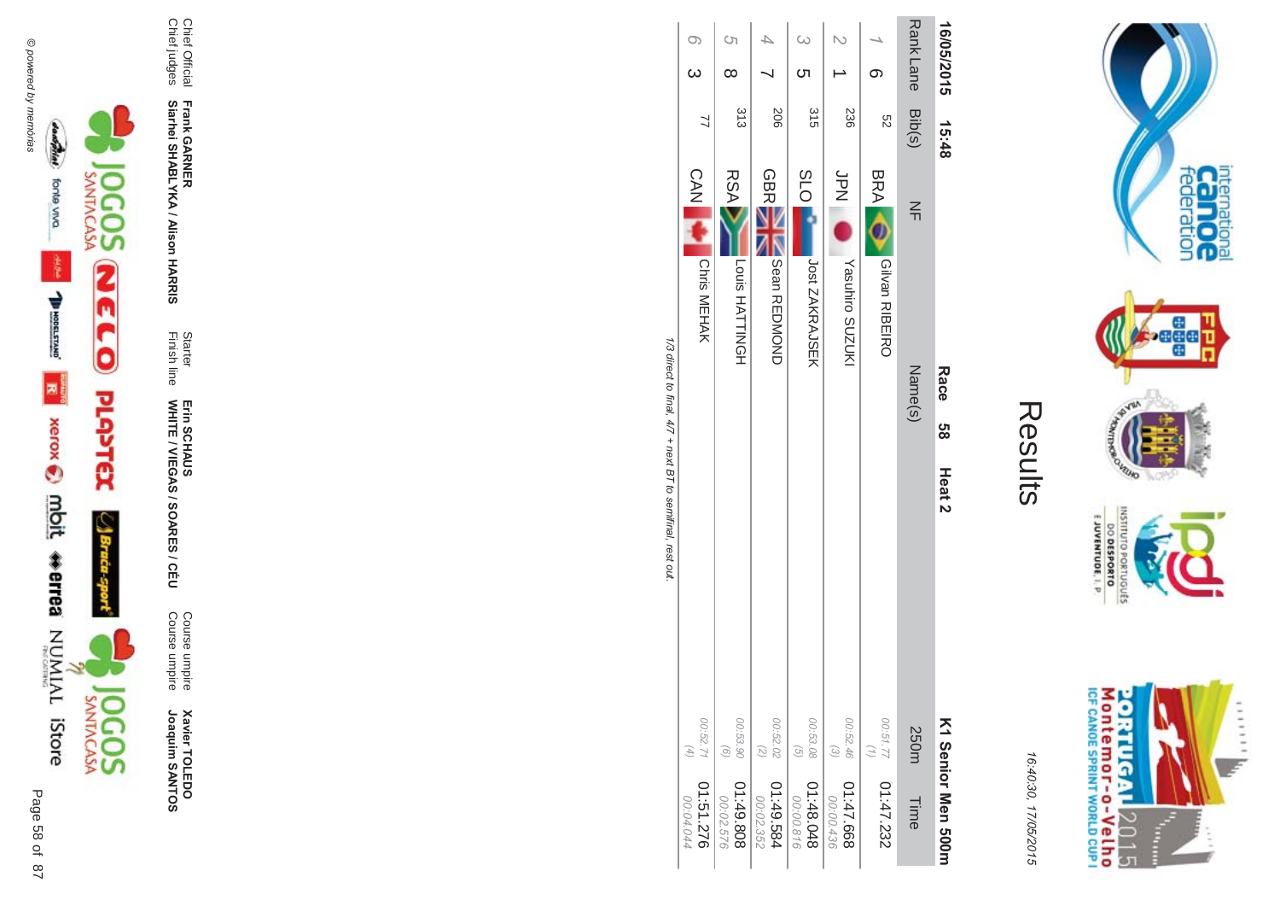

**Xavier TOLEDO**<br>Joaquim SANTOS Joaquim SANTOS **Xavier TOLEDO** 

Course umpire<br>Course umpire Course umpire Course umpire

Finish line Starter WHITE / VIEGAS / SOAR Erin SCHAUS<br>WHITE / VIEGAS / SOARES / CÉU Erin SCHAUS

**Frank GAR - Siarhei SHABLYKA / Alison HAR** 

**-&**

Chief Official<br>Chief judges Chief judges Chief Official

| 16/05/2015 15:48 |                |                              | Race<br>88<br>Heat 2 |                                                                     | K1 Senior Men 2001     |
|------------------|----------------|------------------------------|----------------------|---------------------------------------------------------------------|------------------------|
| Rank Lane Bib(s) |                | $\leq$<br>Name(s)            |                      | <b>250m</b>                                                         | Time                   |
|                  | S2             | BRA O<br>Gilvan RIBEIRO      |                      | $\begin{pmatrix} 1 \end{pmatrix}$                                   | 282.77 01:47.232       |
|                  | 236            | Spring<br>Yasuhiro SUZUKI    |                      | 00:52.46<br>$\widetilde{\omega}$                                    | 01:47.668<br>00:00.436 |
|                  | 315            | <b>SLO</b><br>Jost ZAKRAJSEK |                      | 00:53.08<br>$\left(\begin{matrix} \overline{G} \end{matrix}\right)$ | 840.8410<br>00:00.816  |
|                  | 206            | <b>GBRE</b><br>Noted REDNOND |                      | 00:52.02<br>$\widetilde{z}$                                         | 41:49.584<br>00:02.352 |
| <sup>ດ</sup> າ   | 313            | <b>RSA</b><br>Louis HATTINGH |                      | 00:53.90<br>$\odot$                                                 | 808.64:10<br>00:02.576 |
| $\circ$          | $\overline{2}$ | CAN Chris MEHAK              |                      | 00:52.71<br>$(4)$                                                   | 01:51.276<br>00:04.044 |

Results

internation<br>Can OC<br>federation

**bege** 

VILLAD **LCP** 

OLNILISNI

EJUVENTUDE, I. P.

M ontem or - o-Velh o<br>ICF canoE SPRINT WORLD CUP I

**ORTUGAL** 

2015

Ŧ È ......

DO DESPORTO orruguts

16:4 10:30, 1

7/05/2015

1/3 direct to final, 4/7 + next BT to semifinal, rest out. /3 direct to final, 4  $\sqrt{7}$  + next BT to semifinal, rest out.

00:04  $044$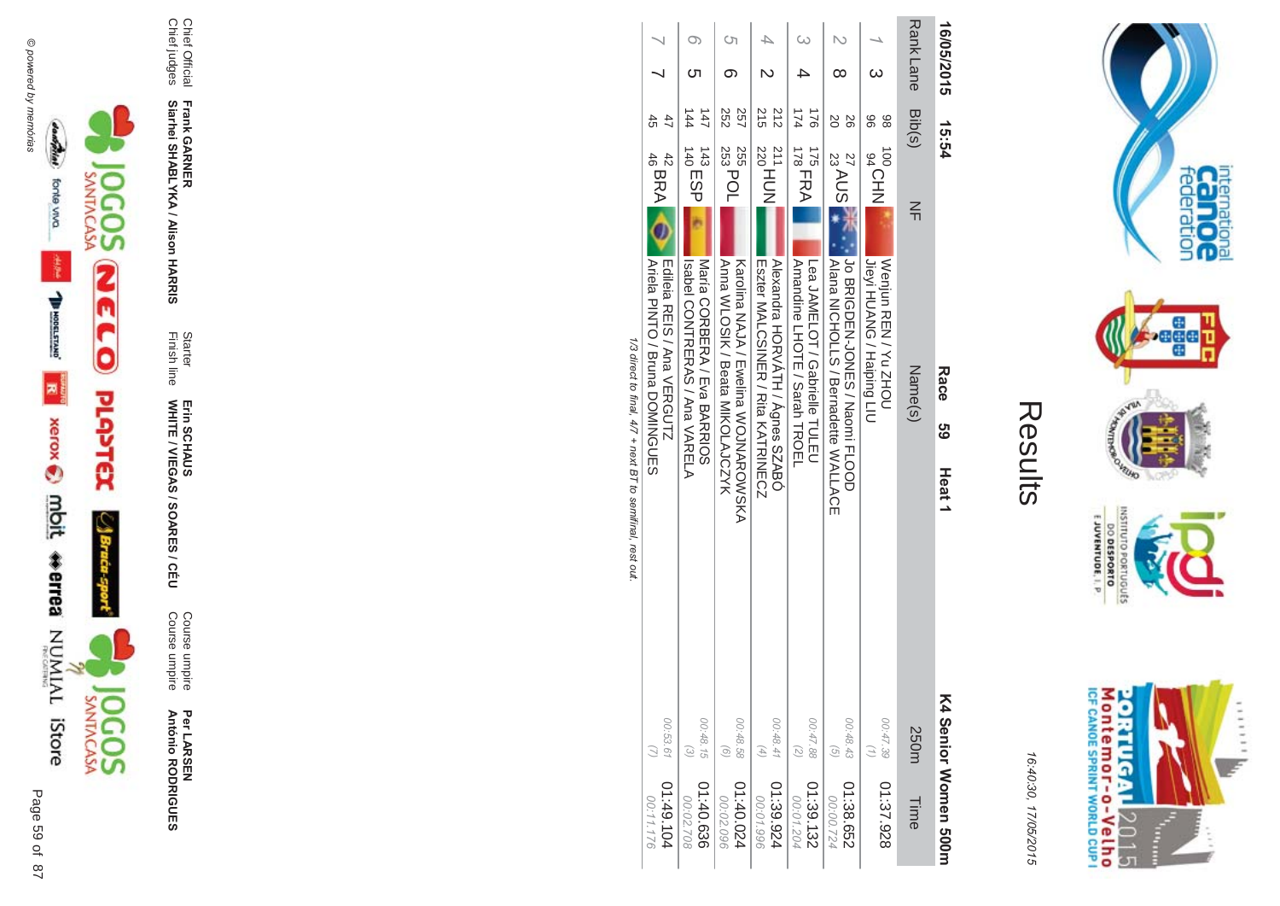



16:40:30, 17/05/2015

| C<br>$\mathbb{L}$ |
|-------------------|
|                   |
|                   |
|                   |

| 16/05/2015       | 15:54                                        | Race<br>თ<br>ს<br>Heat <sub>1</sub>                                                                                                                                                            | K4 Senior Women 500m                                       |
|------------------|----------------------------------------------|------------------------------------------------------------------------------------------------------------------------------------------------------------------------------------------------|------------------------------------------------------------|
| <b>Rank Lane</b> | Bib(s)<br>$\leq$                             | Name(s)                                                                                                                                                                                        | 250m<br>Time                                               |
|                  | 86<br>96<br><b>JOOCHN</b>                    | <b>ULANO / Faiping LLO</b><br>Wenjun REN/YC NHOU                                                                                                                                               | 00:47.39<br>$\binom{7}{1}$<br>01:37.928                    |
|                  | SO<br>92<br>27 AUS <sup>3</sup>              | Jo BRIGDEN-JONES / Naomi FLOOD<br> Alana NOHOLLS / Bernadette NALLYOH                                                                                                                          | 00:48.43<br>$\widehat{G}$<br>01:38.652<br>00:00.724        |
|                  | 174<br>321<br>$\frac{175}{178}$ FRA          | Amandine LHOTE / Sarah TROEL<br>Lea JANELOH / Gaprielle TULEU                                                                                                                                  | 00:47.88<br>$\binom{2}{2}$<br>01:39.132<br>00:01.204       |
|                  | 215<br>212<br>$^{211}_{220}$ HUN             | <b>Nexandra HORVATH / Agnes SZABO</b><br>Eszter MALCSINEK / Kita KATKINECZ                                                                                                                     | 00:48.41<br>$\left( 4\right)$<br>01:39.924<br>00:01.996    |
|                  | 257<br>252<br>255<br>253 POL                 | Ama WLOSIK / Beata MIKOLAJCZYK<br>Karolina NAJA / Ewelina WOJNAROWSKA                                                                                                                          | 00:48.58<br>$\odot$<br>01:40.024<br>00:02.096              |
| ౮                | $\overline{47}$<br>144<br>$^{143}_{140}$ ESP | Maria CORBEKA / Flya BARKIO2<br>Isspei CONTREAS / Ana VARELA                                                                                                                                   | 00:48.15<br>$\widehat{\epsilon}$<br>01:40.636<br>00:02.708 |
|                  | 45<br>47<br>$^{42}_{46}$ BRA $\bigcirc$      | Ariela PINTO / Bruna DOMINGUES<br><b>Equision REIS / And NERGOLTZ</b><br><b>1/2 / 1/2 / 1/2 / 1/2 / 1/2 / 1/2 / 1/2 / 1/2 / 1/2 / 1/2 / 1/2 / 1/2 / 1/2 / 1/2 / 1/2 / 1/2 / 1/2 / 1/2 / 1/</b> | 00:53.61<br>01:49.104<br>00:11.176                         |

1/3 direct to final,  $4/7 +$  next B I to semmnal, rest out.



Chief Official<br>Chief judges

Frank GARNER<br>Siarhei SHABLYKA / Alison HARRIS

Starter<br>Finish line

Erin SCHAUS<br>WHITE / VIEGAS / SOARES / CÉU

Course umpire<br>Course umpire

Per LARSEN<br>António RODRIGUES



Page 59 of 87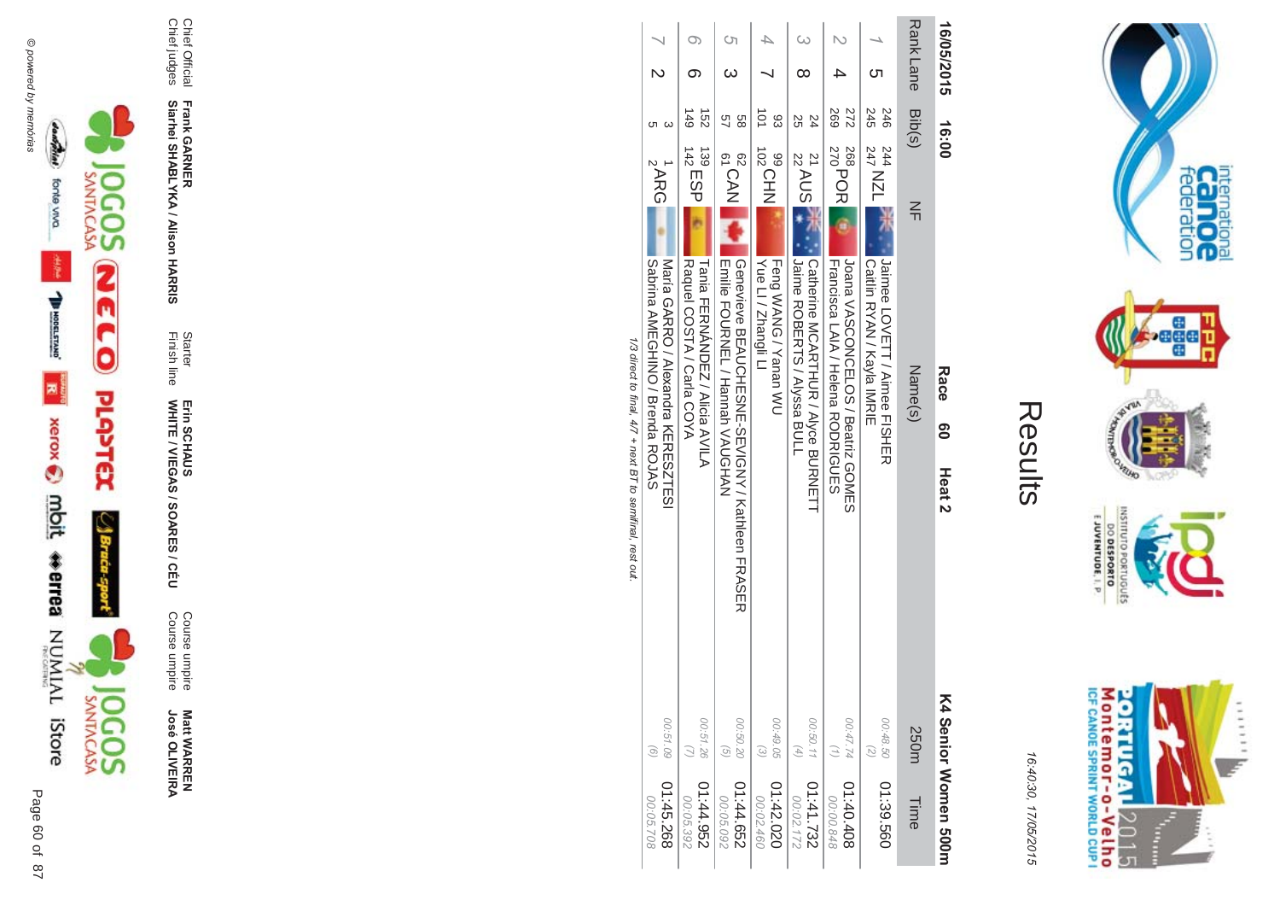



16:4 10:30, 1 7/05/2015

| Ĺ |
|---|
|   |
| L |
|   |

| 16/05/2015      | 16:00<br>Race<br><u>၅</u><br>Heat <sub>2</sub>                                                                           | K4 Senior Women 500m                                               |
|-----------------|--------------------------------------------------------------------------------------------------------------------------|--------------------------------------------------------------------|
| RankLane Bib(s) | $\leq$<br>Name(s)                                                                                                        | 250m<br>Time                                                       |
|                 | 245<br>246<br>244<br>247 NZL<br> Jaimee LOVETT / Aimee FISHER<br>  Caitiin RYAN / Kayla IMRIE                            | 00:48.50<br>$\binom{2}{2}$<br>01:39.560                            |
|                 | <b>269</b><br>272<br>268<br>270<br>270<br>Loana VASCONCELOS / Beatriz GOMES<br><b>Francisca LAIA / Helena RODRIGUES</b>  | 00:47.74<br>01:40.408<br>00:00.848                                 |
|                 | 24<br>25<br>$\frac{21}{22}$ AUS<br>  Catherine MCAK1HUK / Alyce BUKNETT<br>Turine ROBERTS / Alyssa BULL                  | 00:50.11<br>$(\n4)$<br>01:41.732<br>00:02.172                      |
|                 | $\overrightarrow{01}$<br>83<br>102CHN<br>Yue Ll / Zhangli Ll<br><b>Feng WANG / Yanan WU</b>                              | 00:49.05<br>$\widehat{\omega}$<br>020.42.020<br>00:02.460          |
|                 | 89<br>97<br>62<br>CAN<br>  Emilie FOURNEL / Hannah VAUGHAN<br> Genevieve BEAUCHESNE-SEVIGNY / Kathleen FRASER            | 00:50.20<br>$\left( \frac{1}{2} \right)$<br>01:44.652<br>00:05.092 |
|                 | $\frac{149}{1}$<br>$\vec{5}$<br>$139$<br>$142$ ESP<br>Raquel COSTA / Carla COYA<br><b>Tania FERNANDEZ / Alicia AVILA</b> | 00:51.26<br>$\omega$<br>256'74'10<br>00:05.392                     |
|                 | <b>ARG</b><br>SAGDINE AMEGHIND / Buenda ROJAS<br>Naria GARRO / Mexandra KERESZHESI                                       | 00:51.09<br>$\odot$<br>01:45.268<br>00:05.708                      |

1/3 direct to final, 4/7 + next BT to semifinal, rest out /3 direct to final, 4  $\sqrt{7}$  + next BT to semifinal, rest out.





Page

 $\overline{a}$ 87 67 **Matt WARREN<br>José OLIVEIRA José OLIVEIR** 

Course umpire<br>Course umpire Course umpire Course umpire

WHITE / VIEGAS / SOAR Erin SCHAUS<br>WHITE / VIEGAS / SOARES / CÉU Erin SCHAUS

**-&**

Finish line Starter

Chief Official<br>Chief judges Chief judges Chief Official

**Siarhei SHABLYKA / Alison HAR** 

**Frank GAR -**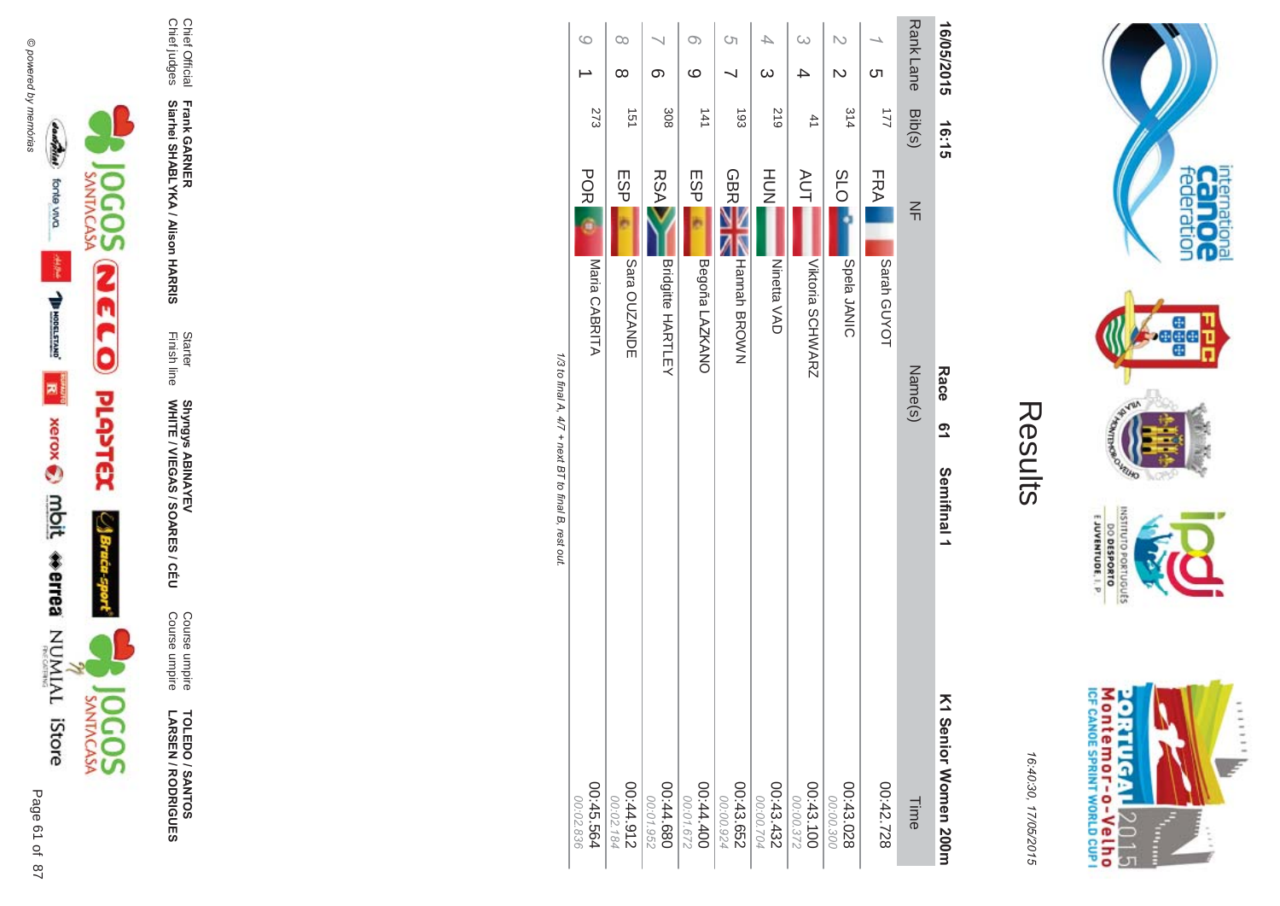

**TOLEDO / SANTOS<br>LARSEN / RODRIGUES** 

Course umpire<br>Course umpire

Starter<br>Finish line Shyngys ABINAYEV<br>WHITE / VIEGAS / SOARES / CÉU

Frank GARNER<br>Siarhei SHABLYKA / Alison HARRIS

Chief Official<br>Chief judges

|                                                     | $\circ$                | $\infty$               |                          | $\infty$               | Ġ                      | 4                      | $\infty$                | N                      |                | Rank Lane |                      |
|-----------------------------------------------------|------------------------|------------------------|--------------------------|------------------------|------------------------|------------------------|-------------------------|------------------------|----------------|-----------|----------------------|
|                                                     |                        | $\infty$               | တ                        | ဖ                      |                        | $\infty$               | ≏                       | $\mathsf{N}$           | <u>ဟ</u>       |           | 16/05/2015           |
|                                                     | 273                    | 151                    | 308                      | 141                    | $\overline{5}$         | 219                    | 41                      | 314                    | $\overline{2}$ | Bib(s)    | 16:15                |
|                                                     | <b>POR</b>             | ESP                    | <b>RSA</b>               | ESP                    | <b>GBR</b>             | HU<br>N                | <b>AUT</b>              | O <sub>1</sub> S       | FRA            | $\leq$    |                      |
|                                                     | Maria CABRITA          | Sara OUZANDE           | <b>Bridgitte HARTLEY</b> | Begoña LAZKANO         | <b>Hannah BROWN</b>    | Ninetta VAD            | <b>Viktoria SCHWARZ</b> | Spela JANIC            | Sarah GUYOT    |           |                      |
|                                                     |                        |                        |                          |                        |                        |                        |                         |                        |                | Name(s)   | Race                 |
|                                                     |                        |                        |                          |                        |                        |                        |                         |                        |                |           | <b>91</b>            |
| 1/3 to final A, 4/7 + next BT to final B, rest out. |                        |                        |                          |                        |                        |                        |                         |                        |                |           | Semifinal 1          |
|                                                     | 00:45.564<br>00:02.836 | 216'14'00<br>00:02.184 | 089' tt:00<br>00:01.952  | 00:44.400<br>00:01.672 | 00:43.652<br>00:00.924 | 00:43.432<br>00:00.704 | 00:43.100               | 00:43.028<br>00:00.300 | 00:42.728      | Time      | K1 Senior Women 200m |

M ontem or - o-Velh o<br>ICF canoE SPRINT WORLD CUP I **ORTUGAL**  $11111$ 2015 Ì

internation<br>Can OC<br>federation

**Page** 

**RUFO** 

nussu

priuguts

EJUVENTUDE, I. P.

DO DESPORTO

16:40:30, 17/05/2015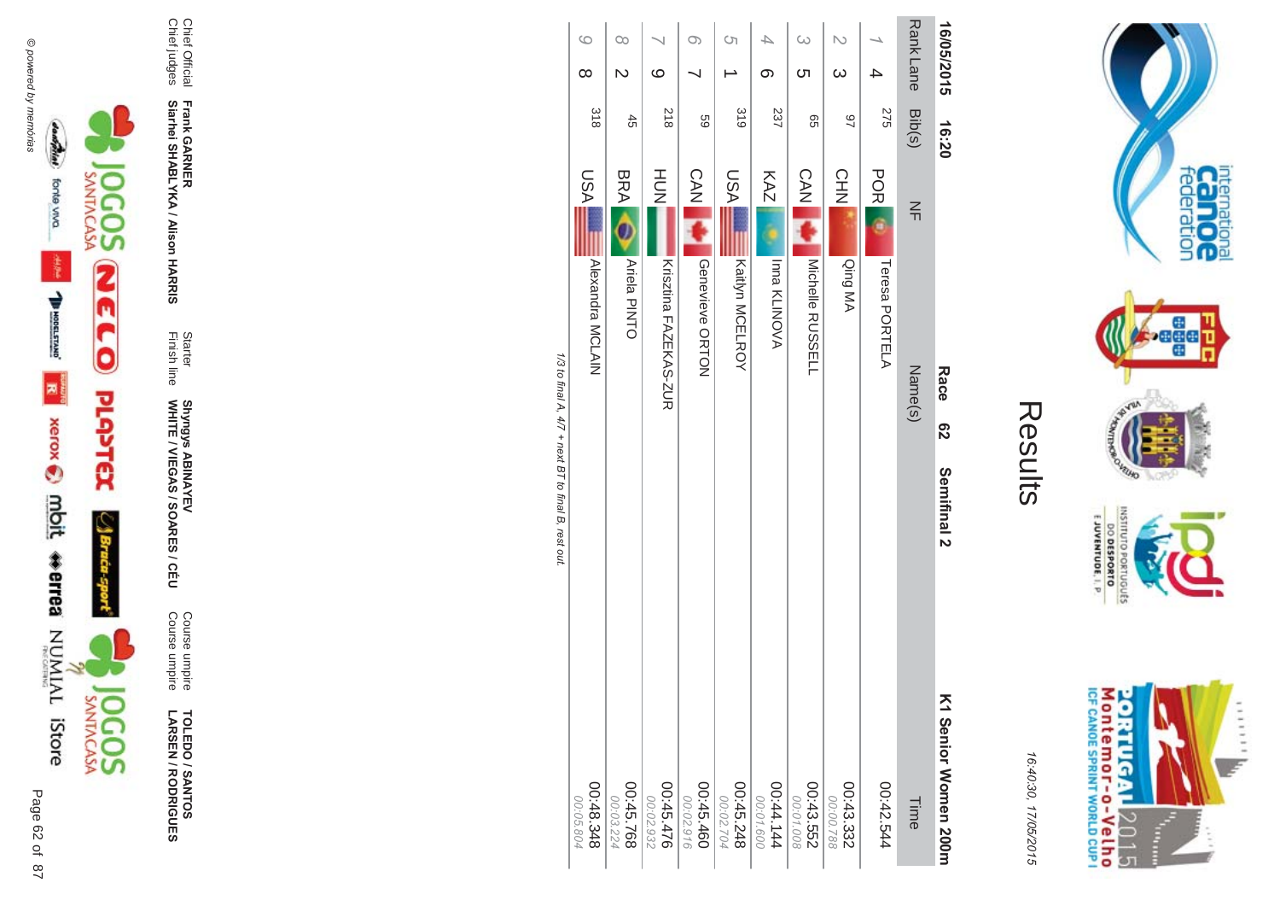

**TOLEDO / SANTOS<br>LARSEN / RODRIGUES** 

Starter<br>Finish line

Frank GARNER<br>Siarhei SHABLYKA / Alison HARRIS

Chief Official<br>Chief judges

Course umpire<br>Course umpire

Shyngys ABINAYEV<br>WHITE / VIEGAS / SOARES / CÉU

| 16/05/2015                          |     | 16:20 |            | Race                  | စ္လ<br>Semifinal 2                               | <b>&lt;1 Senior Women 200m</b> |
|-------------------------------------|-----|-------|------------|-----------------------|--------------------------------------------------|--------------------------------|
| Rank Lane Bib(s)                    |     |       | $\leq$     | Name(s)               |                                                  | Time                           |
|                                     | 275 |       | <b>POR</b> | Teresa PORTELA        |                                                  | 00:42.544                      |
| N<br>$\infty$                       | 46  |       | CHN        | Qing MA               |                                                  | 00:43.332<br>00:00.788         |
|                                     | 99  |       | <b>CAN</b> | Michelle RUSSELL      |                                                  | 00:43.552                      |
| $\infty$<br><b>ဟ</b>                |     |       |            |                       |                                                  | 00:01.008                      |
| တ                                   | 237 |       | KAZ        | Inna KLINOVA          |                                                  | 00:44.144<br>00:01.600         |
| S)                                  | 319 |       | IASU       | Kaitlyn MCELROY       |                                                  | 00:45.248<br>00:02.704         |
|                                     | 69  |       | <b>CAN</b> | Geneviewe ORTON       |                                                  | 00:45.460                      |
| $\circ$                             |     |       |            |                       |                                                  | 00:02.916                      |
| ဖ                                   | 818 |       | HU<br>N    | Krisztina FAZEKAS-NUR |                                                  | 00:45.476<br>00:02.932         |
|                                     | 45  |       | <b>BRA</b> | <b>Ariela PINTO</b>   |                                                  | 00:45.768                      |
| $\infty$<br>$\overline{\mathsf{C}}$ |     |       |            |                       |                                                  | 00:03.224                      |
| $\circ$<br>$\infty$                 | 318 |       | NSU        | Alexandra MCLAIN      |                                                  | 878.348                        |
|                                     |     |       |            |                       |                                                  | 00:05.804                      |
|                                     |     |       |            |                       | 1/3 to final A 4/7 + next BT to final B rest out |                                |

T/3 to fina Ç,  $\frac{1}{4}$ - 2 ÷  $\overline{z}$ 



internation<br>Can OC<br>federation

**Page** 

**RUID NORS** 

INSNI

priuguts

E JUVENTUDE, I. P.

DO DESPORTO

16:40:30, 17/05/2015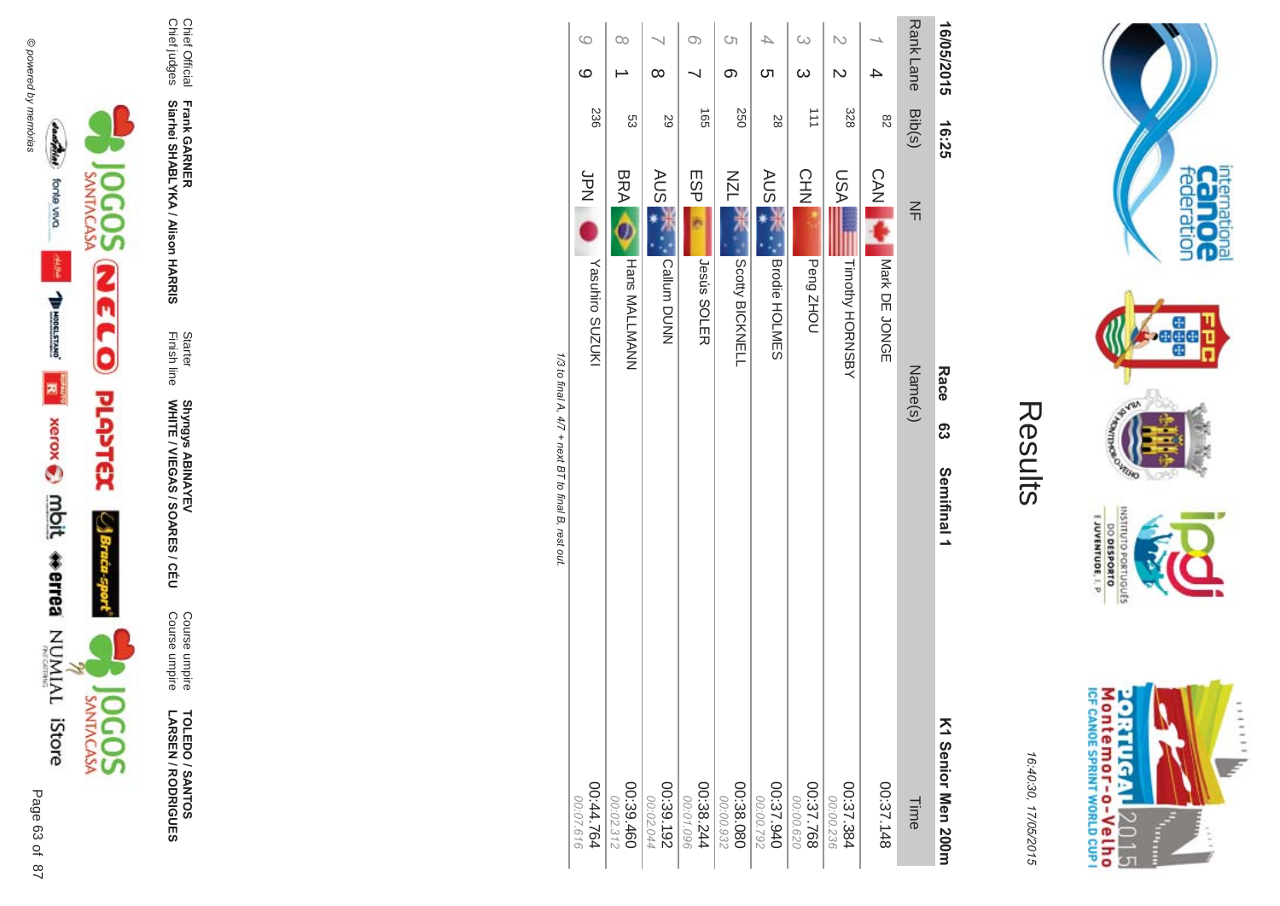

**TOLEDO / SANTOS !-SEN/R \*0-B-DES** 

Course umpire<br>Course umpire Course umpire Course umpire

Finish line Starter WHITE / VIEGAS / SOAR Shyngys ABINAYEV<br>WHITE / VIEGAS / SOARES / CÉU Shyngys ABINAYEV

**-**

**-&**

Chief Official<br>Chief judges Chief judges Chief Official **Siarhei SHABLYKA / Alison HAR Frank GAR** 

**-**16/05/2015 16:25<br> **CO Bace Bace Bace Bace Bace Bace Bace Bace Bace Bace Bace Bace Bace Bace Bace Bace Bace Bace Bace Bace Bace Bace Bace Bace Bace Bace Bace Bace Ba** ហ JesSemifinal 1

 $77 +$  next BT to final B, rest out.

|                        | 00                     | ∞                      | O)                     | Ċη<br>တ                 | 4<br><u>(</u>          | $\infty$<br>$\infty$ | N<br>Z                 |               | Rank Lane | 16/05/2015         |
|------------------------|------------------------|------------------------|------------------------|-------------------------|------------------------|----------------------|------------------------|---------------|-----------|--------------------|
| 236                    | S3                     | 29                     | $\overrightarrow{55}$  | 250                     | 28                     | 111                  | 328                    | 82            | Bib(s)    | 16:25              |
| JPN PD                 | <b>BRA</b>             | <b>AUS</b>             | ESP                    | <b>NZL</b>              | <b>AUS</b>             | CHN                  | <b>ASU</b>             | <b>CAN</b>    | $\leq$    |                    |
| Yasuhiro SUZUKI        | <b>Hans MALLMANN</b>   | Callum DUNN            | <b>Jesús SOLER</b>     | Scotty BICKNELL         | Brodie HOLMES          | Peng ZHOU            | Timothy HORNSBY        | Nark DE JONGE | Name(s)   | Race<br>စ္ပ        |
|                        |                        |                        |                        |                         |                        |                      |                        |               |           | Semifinal 1        |
| 00:44.764<br>00:07.616 | 00:39.460<br>00:02.312 | 00:39.192<br>00:02.044 | 00:38.244<br>00:01.096 | 080.38.080<br>00:00.932 | 06:37.940<br>00:00.792 | 029'00:00            | 00:37.384<br>00:00.236 | 00:37.148     | Time      | K1 Senior Men 200m |



internation<br>Cal OC<br>federation

 $\frac{1}{2}$ 

**Page** 

**PAVER** 

OVEURO

OLNILISNI

EJUVENTUDE, I. P.

DO DESPORTO orruguts **NORD** 

16:4 10:30, 1 7/05/2015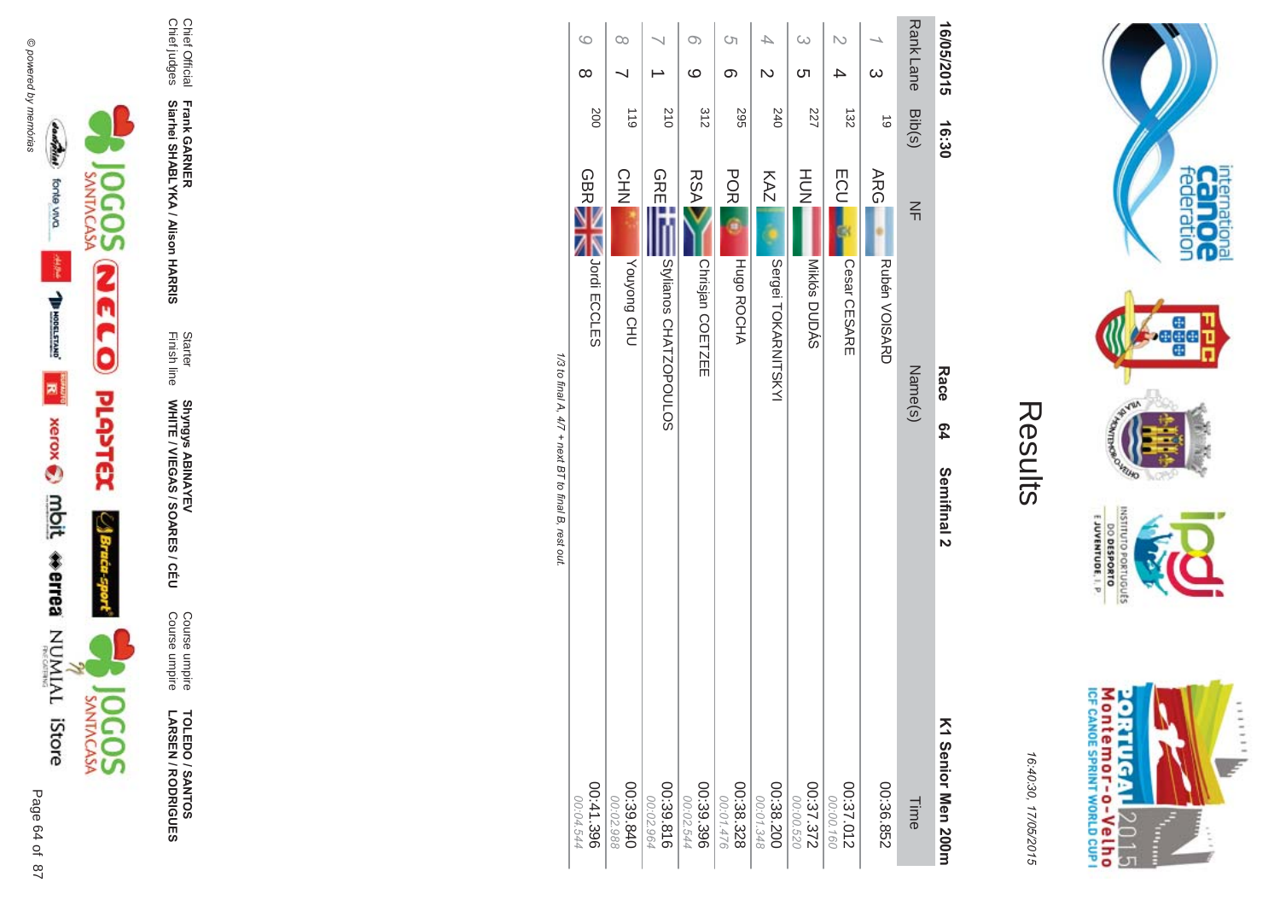

**TOLEDO / SANTOS<br>LARSEN / RODRIGUES** 

Course umpire<br>Course umpire

Shyngys ABINAYEV<br>WHITE / VIEGAS / SOARES / CÉU

Frank GARNER<br>Siarhei SHABLYKA / Alison HARRIS

Chief Official<br>Chief judges

Starter<br>Finish line

| 16/05/2015           | 16:30     | Race<br><b>64</b>                      | Semifinal 2<br>Σ |
|----------------------|-----------|----------------------------------------|------------------|
| Rank Lane            | Bib(s)    | $\frac{2}{11}$<br>Name(s)              |                  |
| $\infty$             | $\vec{0}$ | <b>ARG</b><br><b>Rubén VOISARD</b>     |                  |
| N<br>4               | 132       | <b>ECU</b><br>Cesar CESARE             |                  |
| $\omega$<br><u>ဟ</u> | 227       | H <sub>D</sub> N<br>Miklós DUDÁS       |                  |
| ┶<br>N               | 240       | KAZ<br>Sergei TOKARNITSKYI             |                  |
| S)<br>တ              | 295       | <b>POR</b><br><b>HUGO ROCHA</b>        |                  |
| $\infty$<br>ဖ        | 312       | <b>RSA</b><br>Chrisjan COETZEE         |                  |
|                      | 210       | <b>GREET</b><br>Stylianos CHATZOPOULOS |                  |
| $\infty$             | 611       | CHN<br><b>UHO</b> buo/nox              |                  |
| $\circ$<br>$\infty$  | 200       | GBRE<br>Jordi ECCLES                   |                  |

 $00.38.328$ <br>8.328

00:39.396

00:02

 $.544$ 

00:39.816

00:39.840

S

886

00:41.396

00:04.544

00:38.200

S

Ś

348

00:37.012

00:00.160

00:36.852

Time

00:37.372

00:00

520

1/3 to final A,  $4/7$  + next BT to final B, rest out.

M ontem or - o-Velh o<br>ICF canoE SPRINT WORLD CUP I **ORTUGAL** ...... 12015 È

internation<br>Can OC<br>federation

 $\frac{1}{2}$ 

**RUID** 

nuiswi

priuguts

E JUVENTUDE, I. P.

DO DESPORTO

16:40:30, 17/05/2015

Senior Men 200m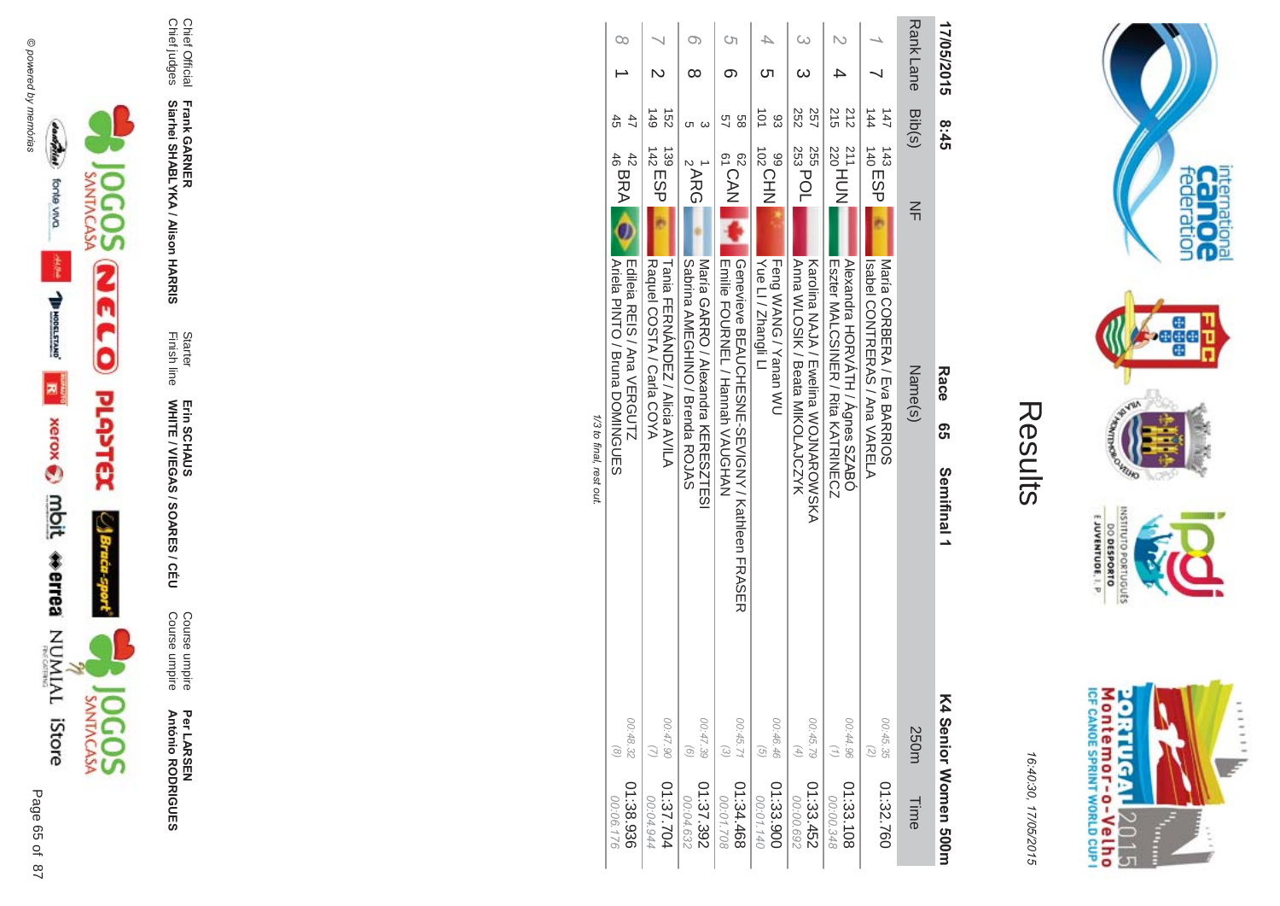



16:4 10:30, 1 7/05/2015

| ı |
|---|
| ί |
|   |
|   |
|   |

| $\infty$<br>45<br>47<br>$^{42}_{46}$ BRA $^{42}_{46}$<br><b>Edieia RENS / Ana VERGULTZ</b> | $\frac{149}{1}$<br>$\overline{52}$<br>139<br>142<br>142<br><b>Tania FIERNANDENA / Alicia AVILA</b><br>Raquel COSTA / Carla COYA | O)<br>∞<br>ω<br>ပာ<br>$\frac{1}{2}$ ARG<br>SANG AMEGHINO / Buenda ROJAS<br>Maria GARRO / Mexandra KERESZIESI | ্য<br>თ<br>89<br>5h<br>62<br>CAN<br>Emilie FOURNEL / Hannah VAUGHAN | ౮<br>$\frac{1}{2}$<br>83<br><b>NHO<sup>201</sup></b><br>Yue LI / Zhangli LI<br><b>Long WANG / Yanan WU</b> | 252<br>257<br>253 POL<br>255<br>ANDONY ABaata MIKOLAJCZYK<br>Karolina NAJA / Ewelina WOJNAROWSKA | 215<br>212<br>211<br>220<br>220<br>Alexandra HORVATH / Agnes SZABO<br>Eszter MALCSINEK / Kita KATKINECZ | $\frac{1}{4}$<br>$\overline{47}$<br>$140$ ESP<br>143<br>Naria CORBEKA / Fiva BARKION<br>Isapel CONTRERAS / Ana VARELA | <b>Rank Lane</b><br>Bib(s)<br>$\leq$<br>Name(s) | 17/05/2015<br>8:45<br>Race<br>თ<br>ე<br>Semifinal 1 |
|--------------------------------------------------------------------------------------------|---------------------------------------------------------------------------------------------------------------------------------|--------------------------------------------------------------------------------------------------------------|---------------------------------------------------------------------|------------------------------------------------------------------------------------------------------------|--------------------------------------------------------------------------------------------------|---------------------------------------------------------------------------------------------------------|-----------------------------------------------------------------------------------------------------------------------|-------------------------------------------------|-----------------------------------------------------|
| <b>Ariela PINTO / Bunna DOMINGOLES</b>                                                     |                                                                                                                                 |                                                                                                              | Genevieve BEAUCHESNE-SEVIGNY / Kathleen FRASER                      |                                                                                                            |                                                                                                  |                                                                                                         |                                                                                                                       |                                                 |                                                     |
| 00:48.32<br>$\odot$                                                                        | 06.47.90                                                                                                                        | 00:47.39<br>$\odot$                                                                                          | 00:45.71<br>$\omega$                                                | 00:46.46<br>$\left( \frac{1}{2} \right)$                                                                   | 00:45.79<br>$\left( \begin{matrix} 4 \end{matrix} \right)$                                       | 00:44.96<br>$\left(\frac{1}{2}\right)$                                                                  | 00:45.35                                                                                                              | 250m                                            |                                                     |
| 01:38.936<br>00:06.176                                                                     | 01:37.704<br>00:04.944                                                                                                          | 01:37.392<br>00:04.632                                                                                       | 01:34.468<br>00:01.708                                              | 01:33.900<br>00:01.140                                                                                     | 01:33.452<br>00:00.692                                                                           | 01:33.108<br>00:00.348                                                                                  | 01:32.760                                                                                                             | Time                                            | <b>&lt;4 Senior Women 500m</b>                      |

 $\overline{\phantom{0}}$ /3 to final, rest out.





Per LAR SEN **António R \*0-B-DES** 

Course umpire<br>Course umpire Course umpire Course umpire

WHITE / VIEGAS / SOAR Erin SCHAUS<br>WHITE / VIEGAS / SOARES / CÉU Erin SCHAUS

**-&** Finish line Starter

Chief Official<br>Chief judges Chief judges Chief Official

**Siarhei SHABLYKA / Alison HAR** 

**Frank GAR -**

Page

 $\overline{a}$ 65 of 87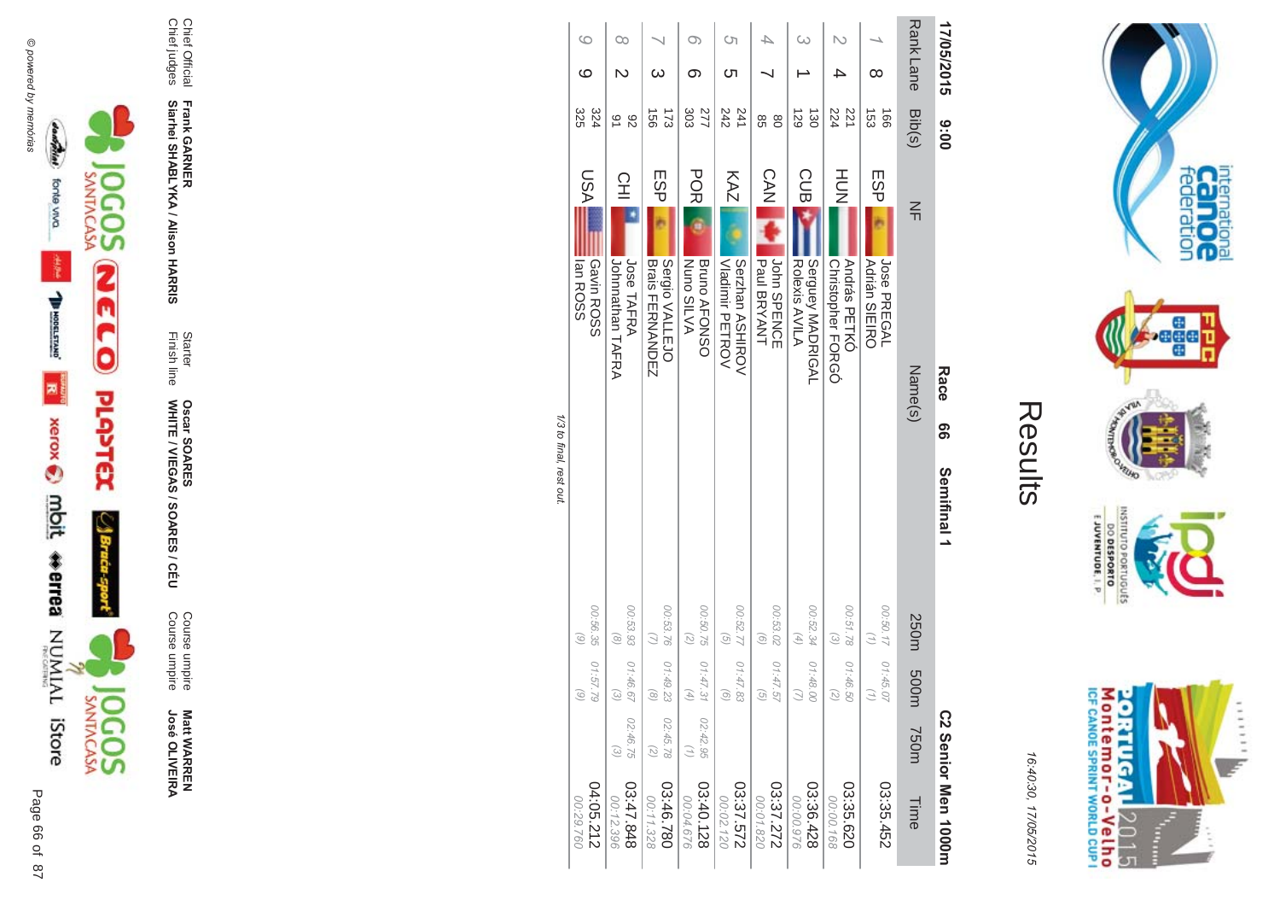



**Matt WARREN<br>José OLIVEIRA** 

Course umpire<br>Course umpire

Starter<br>Finish line Oscar SOARES<br>WHITE / VIEGAS / SOARES / CÉU

Frank GARNER<br>Siarhei SHABLYKA / Alison HARRIS

Chief Official<br>Chief judges

Results

internation<br>Can OC<br>federation

 $\cdot$ ağa

**VELHO** 

OLNILISNI

GRIUGUES

E JUVENTUDE, I. P

Montemor-o-Velho<br>Montemor-o-Velho

**ORTUGAL** 

2015

È ......

y.

**NORS** 

| ۱<br>í                                                               |
|----------------------------------------------------------------------|
| ׇ֖֖֖֚֚֚֚֚֚֚֚֚֚֚֚֚֬֕֡֡֡֬֝֬֝֬֝֬֝֬֝֬֝֬֝֬֝֓֬֝֬֝֓֬֝֬֓֬֝֓֬֝֬֓֬֝֬֝֬֝֬<br>C) |

| 17/05/2015       | 00:6                         |                                                         | Race<br>99 | Semifinal 1 |                                                            |                                                                           |                                               | C2 Senior Men 1000m           |
|------------------|------------------------------|---------------------------------------------------------|------------|-------------|------------------------------------------------------------|---------------------------------------------------------------------------|-----------------------------------------------|-------------------------------|
| <b>Rank Lane</b> | Bib(s)                       | $\leq$                                                  | Name(s)    |             | 250m                                                       | m003                                                                      | 750m                                          | Time                          |
| ∞                | $\overline{53}$<br>$-160$    | ESP<br>Jose PREGAL<br><b>Adrián SIEIRO</b>              |            |             | 00:50.17                                                   | 01:45.07<br>$\binom{n}{2}$                                                |                                               | 03:35.452                     |
|                  | 224<br>221                   | HU<br>N<br>András PETKÓ<br>Christopher FORGÓ            |            |             | 00:51.78<br>$\widehat{\epsilon}$                           | 01:46.50<br>$\left( \begin{matrix} \mathbb{Z} \end{matrix} \right)$       |                                               | 03:35.620<br>00:00.168        |
| $\omega$         | 129<br>$\overline{30}$       | CUB<br>Serguey MADRIGAL<br>Rolexis AVILA                |            |             | 00:52.34<br>$\left( \begin{matrix} 4 \end{matrix} \right)$ | 01:48.00<br>$\supset$                                                     |                                               | 03:36.428<br>00:00.976        |
|                  | 86<br>$\overline{8}$         | $C$ AN<br>John SPENCE<br>Paul BRYANT                    |            |             | 00:53.02<br>$\widehat{g}$                                  | 01:47.57<br>$\begin{pmatrix} 0 \\ 0 \end{pmatrix}$                        |                                               | 27.272<br>00:01.820           |
| Ċη<br>Cл         | 242<br>241                   | KAZ<br>Serzhan ASHIROV<br>Vladimir PETROV               |            |             | 00:52.77<br>$\widehat{G}$                                  | 01:47.83<br>$\odot$                                                       |                                               | 22'37.572<br>00:02.120        |
| ග                | 277<br>303                   | <b>PORI</b><br><b>Bruno AFONSO</b><br><b>Nuno SILVA</b> |            |             | 00:50.75<br>(5)                                            | 01:47.31<br>$\left( \begin{smallmatrix} 4 \\ 7 \end{smallmatrix} \right)$ | 02:42.95<br>(1)                               | 03:40.128<br>00:04.676        |
| ယ                | 173<br>$\overrightarrow{50}$ | ESP<br>Sergio VALLEJO<br><b>Brais FIENWANDEN</b>        |            |             | 00:53.76                                                   | 01:49.23<br>$\circledcirc$                                                | 02:45.78<br>$\begin{pmatrix} 2 \end{pmatrix}$ | 03:46.780<br>00:11.328        |
| Оa               | 91<br>82                     | 오<br>그<br>Jose TAFRA<br>Johnnathan TAFRA                |            |             | 00:53.93<br>$\circ$                                        | 01:46.67<br>$\odot$                                                       | 02:46.75<br>$\odot$                           | 848.47.848<br>00:12.396       |
| G<br>$\circ$     | 325<br>324                   | LSA<br>lan ROSS<br>Gavin ROSS                           |            |             | 00:56.35<br>(6)                                            | 01:57.79<br>$\odot$                                                       |                                               | 04:05.212<br><b>092 66.00</b> |

1/3 to final, rest out.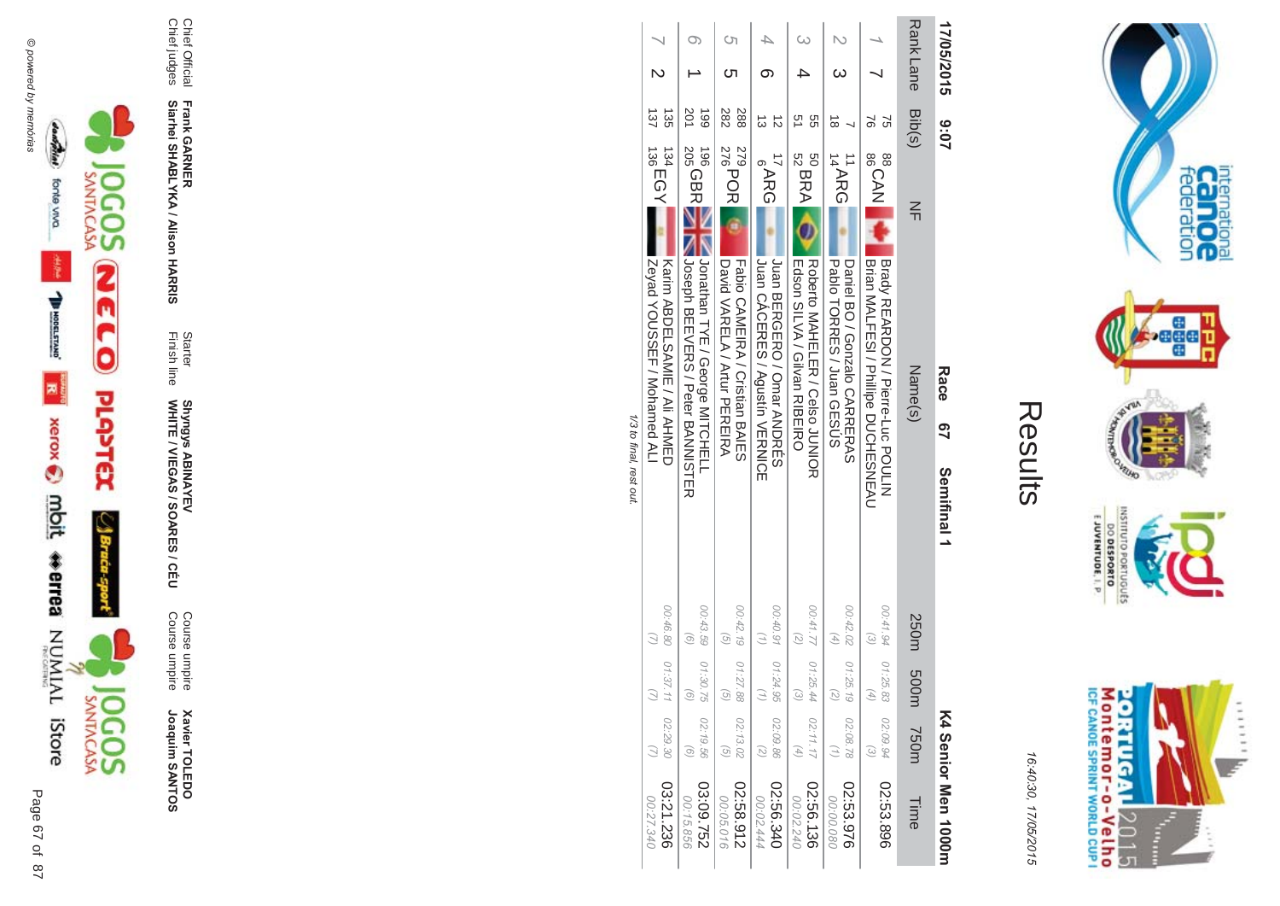



16:4 10:30, 1 7/05/2015

| Ĺ |
|---|
|   |
|   |
|   |

| 17/05/2015      | 20:6       | Race<br>97<br>Semifinal 1                                                                                     |                                  |                |                                                                                   | K4 Senior Men 1000H     |
|-----------------|------------|---------------------------------------------------------------------------------------------------------------|----------------------------------|----------------|-----------------------------------------------------------------------------------|-------------------------|
| RankLane Bib(s) |            | $\leq$<br>Name(s)                                                                                             | 250m                             | m005           | <b>750m</b>                                                                       | Time                    |
|                 | S<br>97    | BSCAN<br>BSCAN<br> Brady REARDON / Pierre-Luc POULIN<br>  Brian MALTESI / Phillipe DUCHESNEAU                 | 00:41.94<br>$\widehat{\epsilon}$ | 01:25.83<br>Æ, | 02:09.94<br>$\left(\begin{matrix} \mathcal{E} \\ \mathcal{E} \end{matrix}\right)$ | 02:53.896               |
|                 | $\vec{0}$  | 11<br>14<br>14<br>14<br>RG<br>Paplo TORRES / Juan GESCS<br>Daniel BO / Gonzalo CARRERAS                       | 00:42.02<br>(4)                  | 01:25.19<br>Q, | 02:08.78<br>$\binom{7}{1}$                                                        | 02:53.976<br>080.00.080 |
|                 | 9g<br>ă    | 50<br>52 BRA<br><b>EIBELINDA / Gilvan RIBELIRO</b><br>Roberto MAHELER / Celso JUNIOR                          | 00:41.77 01:25.44                | $\omega$       | 02:11.17<br>$\left( 4\right)$                                                     | 02:56.136<br>00:02.240  |
|                 |            | <b>PARG</b><br>IJONCERES / Agustin VERNICE<br>Juan BERGERO / Omar ANDRES                                      | 00:40.91                         | 01:24.95       | 02:09.86<br>$\left( \mathcal{L}\right)$                                           | 02:56.340<br>00:02.444  |
|                 | 282<br>288 | 279<br>278<br>276<br>276<br>  Fabio CAMEIRA / Cristian BAIE S<br>David NARELA / Attri PERENA                  | 00:42.19<br>$\circ$              | 01:27.88<br>G  | 02:13.02<br>$\widehat{G}$                                                         | 2:58.912<br>00:05.016   |
|                 | 201<br>661 | $205$ GBR<br>196 <sup>1</sup><br>Number 2001 Contract / George MITCHELL<br>  Joseph BEEVERS / Peter BANNISTER | 00:43.59<br>$\left( 0 \right)$   | 01:30.75<br>ō  | 02:19.56<br>$\odot$                                                               | 03:09.752<br>00:15.856  |
|                 | 137<br>್ಲೆ | $^{134}_{136}$ EGY<br>INP/ad YOUSSER / Mohamed ALI<br>Karin ABDELSAMIE / Ali AHMED                            | 00:46.80                         | 01:37.11       | 02:29.30                                                                          | 03:21.236<br>02:27.340  |

1/3 to final, rest out. /3 to final, rest out.



Chief Official

Chief judges

Chief Official<br>Chief judges

**Frank GAR** 

**-**

**Siarhei SHABLYKA / Alison HAR** 

**-&**

Finish line Starter

WHITE / VIEGAS / SOAR **Shyngys ABINAYEV<br>WHITE / VIEGAS / SOARES / CÉU** 

Shyngys ABINAYEV

Course umpire

Course umpire

Course umpire<br>Course umpire

**Xavier TOLEDO** 

Joaquim SANTOS

**Xavier TOLEDO**<br>Joaquim SANTOS



Page

 $\overline{a}$ 87 67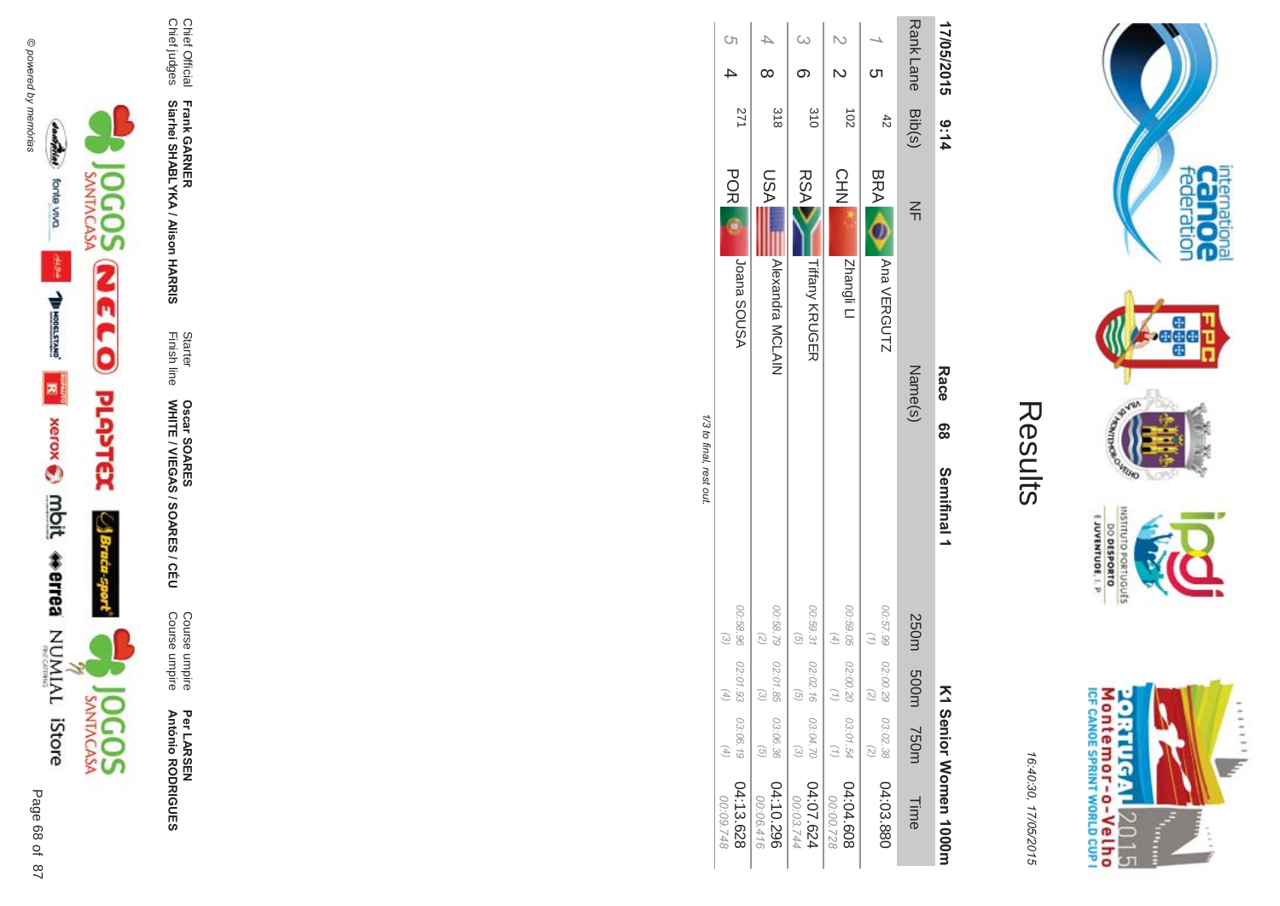



Per LAR SEN **António R \*0-B-DES** 

**ES/CEU** Course umpire<br>Course umpire Course umpire Course umpire

Finish line Starter WHITE / VIEGAS / SOAR **Oscar SOAR** 53

**Frank GAR -**

Chief Official<br>Chief judges Chief judges Chief Official

**Siarhei SHABLYKA / Alison HAR -&**

Results

internation<br>Can OC<br>federation

**bege** 

VEUID **LOP** 

OLNILISNI

orruguts

E JUVENTUDE, I. P

Montemor-o-Velho<br>Montemor-o-Velho

**ORTUGAL** 

2015

I  $\frac{1}{2}$  ......

uz.

16:4 10:30, 1 7/05/2015

| 17/05/2015 9:14    |                |                                     | Race    | 89 | Semifinal 1 |                           |                                              |                                   | K1 Senior Women 1000m  |
|--------------------|----------------|-------------------------------------|---------|----|-------------|---------------------------|----------------------------------------------|-----------------------------------|------------------------|
| Rank Lane Bib(s)   |                | $\leq$                              | Name(s) |    |             |                           | 250m 50m 750m                                |                                   | Time                   |
| ဟ                  | $\ddot{4}$     | BRA O<br>Ana VERGUTZ                |         |    |             |                           | 00:57.99 02:00.29 03:02.38<br>$\overline{c}$ |                                   | 04:03.880              |
|                    | $\overline{5}$ | <b>CHN</b><br>Zhangli Ll            |         |    |             | $\left( 4\right)$         | 00:59.05 02:00.20 03:01.54                   | (1)                               | 04:04.608<br>00:00.728 |
| .<br>မ<br>$\sigma$ | 310            | <b>RSA</b><br><b>Tiffany KRUGER</b> |         |    |             | 00:59.31<br>$\widehat{G}$ | 02:02.16 03:04.70                            |                                   | 04:07.624<br>00:03.744 |
|                    | 318            | LSA<br>Alexandra MCLAIN             |         |    |             | $\binom{2}{2}$            | 00:58.79 02:01.85 03:06.36                   |                                   | 04:10.296<br>00:06.416 |
| S)                 | 271            | <b>POR</b><br>ASUOS snnsl           |         |    |             | $\mathcal{E}$             | 00:58.96 02:01.93 03:06.19<br>$\overline{f}$ | $\begin{pmatrix} 4 \end{pmatrix}$ | 04:13.628<br>00:09.748 |

1/3 to final, rest out. /3 to final, rest out.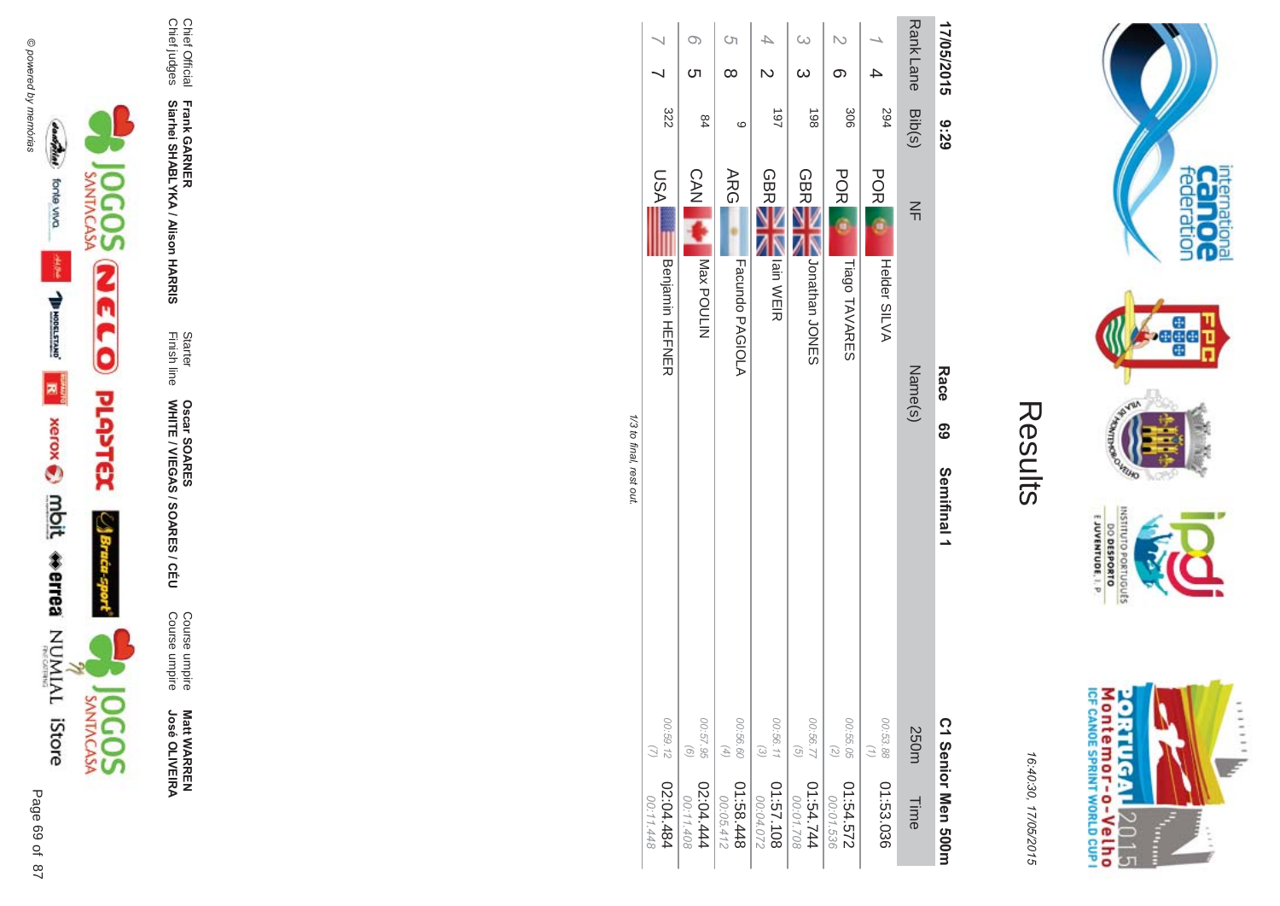



Course umpire<br>Course umpire Course umpire Course umpire **Matt WARREN<br>José OLIVEIRA José OLIVEIR** 

**ES/CEU** 

Finish line Starter WHITE / VIEGAS / SOAR **Oscar SOAR** 55

Chief Official<br>Chief judges Chief Official **Siarhei SHABLYKA / Alison HAR -&**

Chief judges

**Frank GAR -**

| 17/05/2015<br><b>82:6</b>      | <b>Rank Lane</b><br>Bib(s)<br>$\leq$ | 294<br><b>POR</b><br>Helder SILVA | 306<br>POR                 | 198<br><b>GBR</b>         | 187<br><b>GBR</b><br>Iain WEIR | Ċη<br>$\infty$<br>$\circ$<br><b>ARG</b> | <b>ဟ</b><br>84<br><b>CAN</b><br>NITION<br>Nex bonnin | 322                           |
|--------------------------------|--------------------------------------|-----------------------------------|----------------------------|---------------------------|--------------------------------|-----------------------------------------|------------------------------------------------------|-------------------------------|
| Race<br><b>၆၁</b>              | Name(s)                              |                                   | Tiago TAVARES              | Nonathan<br>ONES          |                                | Facundo PAGIOLA                         |                                                      | LSA<br><b>Benjamin HEFNER</b> |
| Semifinal 1                    | 250m                                 | 00:53.88<br>$\binom{7}{1}$        | 00:55.05<br>$\overline{z}$ | 00:56.77<br>$\mathcal{G}$ | 00:56.11<br>$\odot$            | 00:56.60<br>$(4)$                       | 00:57.95<br>$\left( 9\right)$                        | 00:59.12                      |
| C <sub>1</sub> Senior Men 200H | Time                                 | 01:53.036                         | 01:54.572<br>00:01.536     | 01:54.744<br>00:01.708    | 01:57.108<br>00:04.072         | 844.88.10<br>00:05.412                  | 444.444<br>00:11.408                                 | 484.484<br>00:11.448          |

Results

internation<br>Can OC<br>federation

**Page** 

VILLAD **NORS** 

OLNILISNI

E JUVENTUDE, I. P.

M ontem or - o-Velh o<br>ICF canoe sprint world cup i

**ORTUGAL** 

2015

T È ......

DO DESPORTO orruguts

16:4 10:30, 1

7/05/2015

 $\ddot{\tilde{}}$ /3 to final, rest out.  $\overline{z}$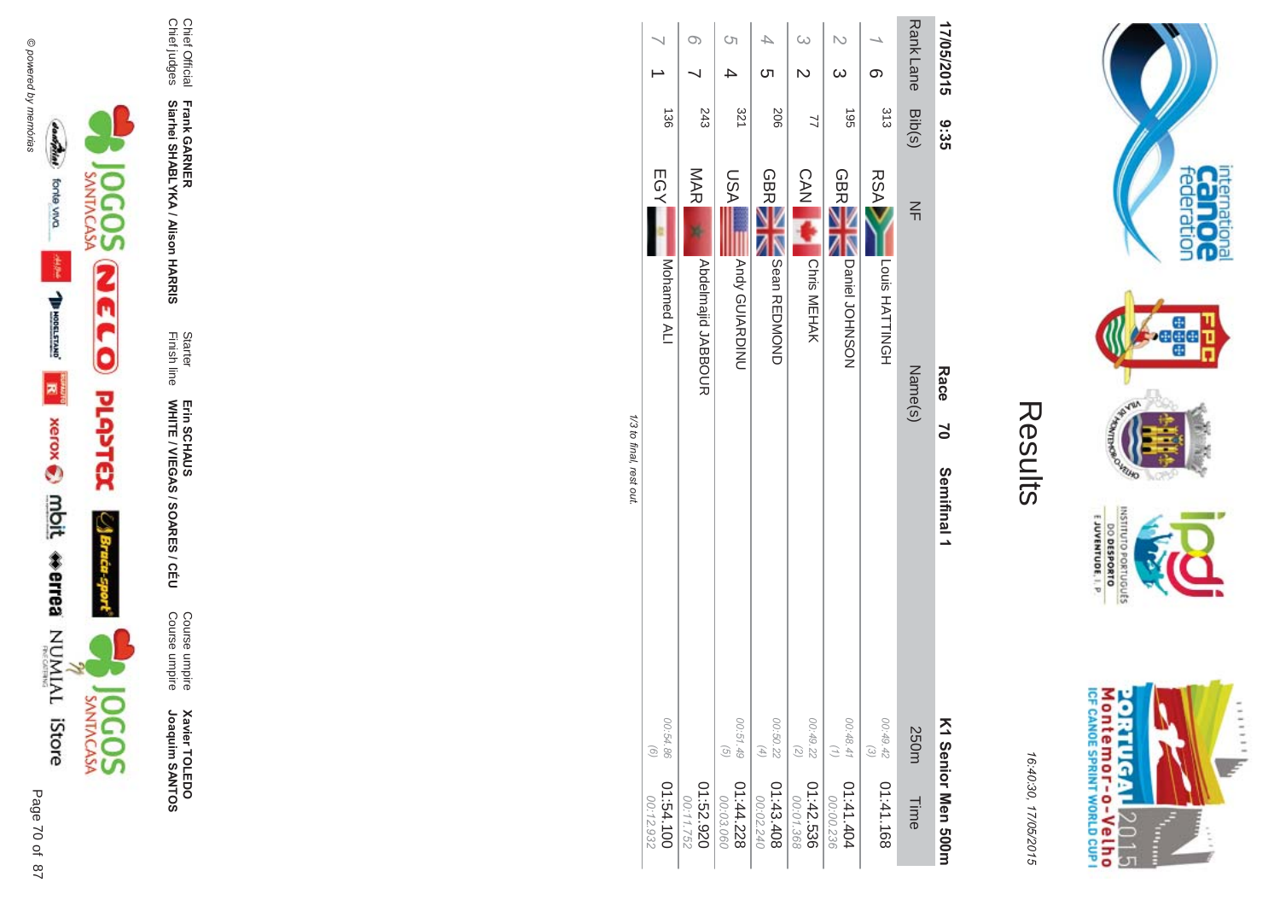



**Xavier TOLEDO**<br>Joaquim SANTOS Joaquim SANTOS **Xavier TOLEDO** 

Course umpire<br>Course umpire Course umpire Course umpire

Finish line Starter WHITE / VIEGAS / SOAR Erin SCHAUS<br>WHITE / VIEGAS / SOARES / CÉU Erin SCHAUS

Chief Official<br>Chief judges Chief judges

**Frank GAR - Siarhei SHABLYKA / Alison HAR -&**

Chief Official

| 17/05/2015       | ပ္ပိုး၁၁   |                                       | Race<br>$\overline{2}$ | Semifinal 1 |                                        | K1 Senior Men 300rr    |
|------------------|------------|---------------------------------------|------------------------|-------------|----------------------------------------|------------------------|
| Rank Lane Bib(s) |            | $\leq$                                | Name(s)                |             | 250m                                   | Time                   |
|                  | 313        | <b>RSA</b><br>Louis HATTINGH          |                        |             | 00:49.42<br>$\odot$                    | 01:41.168              |
|                  | <b>S61</b> | <b>GBR</b><br>Daniel JOHNSON          |                        |             | 00.48.41<br>$\binom{7}{1}$             | 01:41.404<br>00:00.236 |
|                  | 7          | CAN A<br>Chris MEHAK                  |                        |             | 00:49.22<br>$\tag{5}$                  | 01:42.536<br>00:01.368 |
| ဟ                | 206        | <b>GBR</b><br><b>NO Sear REDINONO</b> |                        |             | 00:50.22<br>$(4)$                      | 01:43.408<br>00:02.240 |
| <b>(</b> ၂       | 321        | LSA<br>Andy GUIARDINU                 |                        |             | 00:51.49<br>$\left(\frac{1}{2}\right)$ | 01:44.228<br>00:03.060 |
|                  | 243        | MAR<br><b>Abdelmajid JABDOCR</b>      |                        |             |                                        | 01:52.920<br>00:11.752 |
|                  | 136        | EGY<br>Mohamed ALI                    |                        |             | 00:54.86<br>$\odot$                    | 01:54.100<br>00:12.932 |

Results

internation<br>Can OC<br>federation

**Pege** 

VEUID

OLNILISNI

GRIUGUES

**DO DESPORTO** 

M ontem or - o-Velh o<br>ICF canoE SPRINT WORLD CUP I

**ORTUGAL** 

2015

I ŧ ......

y.

**NORD** 

16:4 10:30, 1

7/05/2015

1/3 to final, rest out /3 to final, rest out.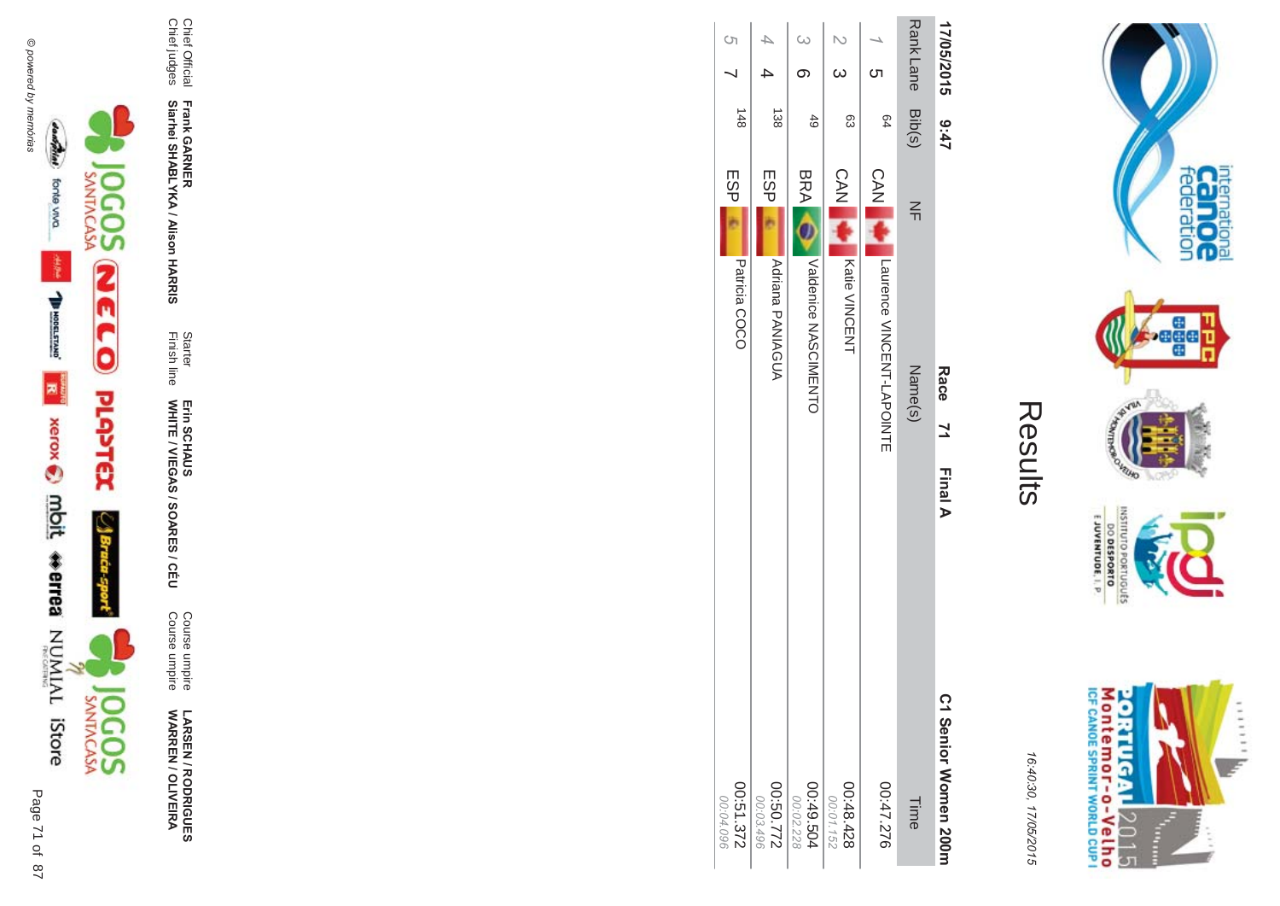



**!-SEN/R \*0-B-DES WARR EN / OLIVEIR** ъ

Course umpire<br>Course umpire Course umpire Course umpire

Finish line Starter WHITE / VIEGAS / SOAR Erin SCHAUS<br>WHITE / VIEGAS / SOARES / CÉU Erin SCHAUS

**-**

**-&**

Chief Official<br>Chief judges Chief judges

**Frank GAR Siarhei SHABLYKA / Alison HAR** 

Chief Official

|  |  | Kesults |
|--|--|---------|
|  |  |         |

internation<br>Can OC<br>federation

**Page** 

VEUID **NORS** 

OLNILISNI

GRIUGUES

E JUVENTUDE, I. P

Montemor-o-Velho<br>Montemor-o-Velho

**ORTUGAL** 

2015

Ī ŧ ......

y.

| $\mathbf{1}$ | C1 Senior Women 200m |  | 16:40:30, 17/05/2015 |  |
|--------------|----------------------|--|----------------------|--|

| 17/05/2015 9:47  |                 |                                         | Race 71<br><b>Final A</b> | C1 Senior Women 200m   |
|------------------|-----------------|-----------------------------------------|---------------------------|------------------------|
| Rank Lane Bib(s) |                 | $\leq$                                  | Name(s)                   | Time                   |
| ဟ                | PQ              | <b>CAN</b><br>Laurence VINCENT-LAPOINTE |                           | 07:47.276              |
| $\omega$         | සි              | <b>CAN</b><br><b>Katie VINCENT</b>      |                           | 00:48.428<br>00:01.152 |
| $\omega$         | $rac{4}{6}$     | BRA O<br>Valdepice NASCINENTO           |                           | 00:49.504<br>00:02.228 |
|                  | $\frac{138}{2}$ | ESPI<br><b>Adriana PANIAGUA</b>         |                           | 2220:50<br>00:03.496   |
| S)               | 148             | ESP<br>Patricia COCO                    |                           | 00:51.372<br>00:04.096 |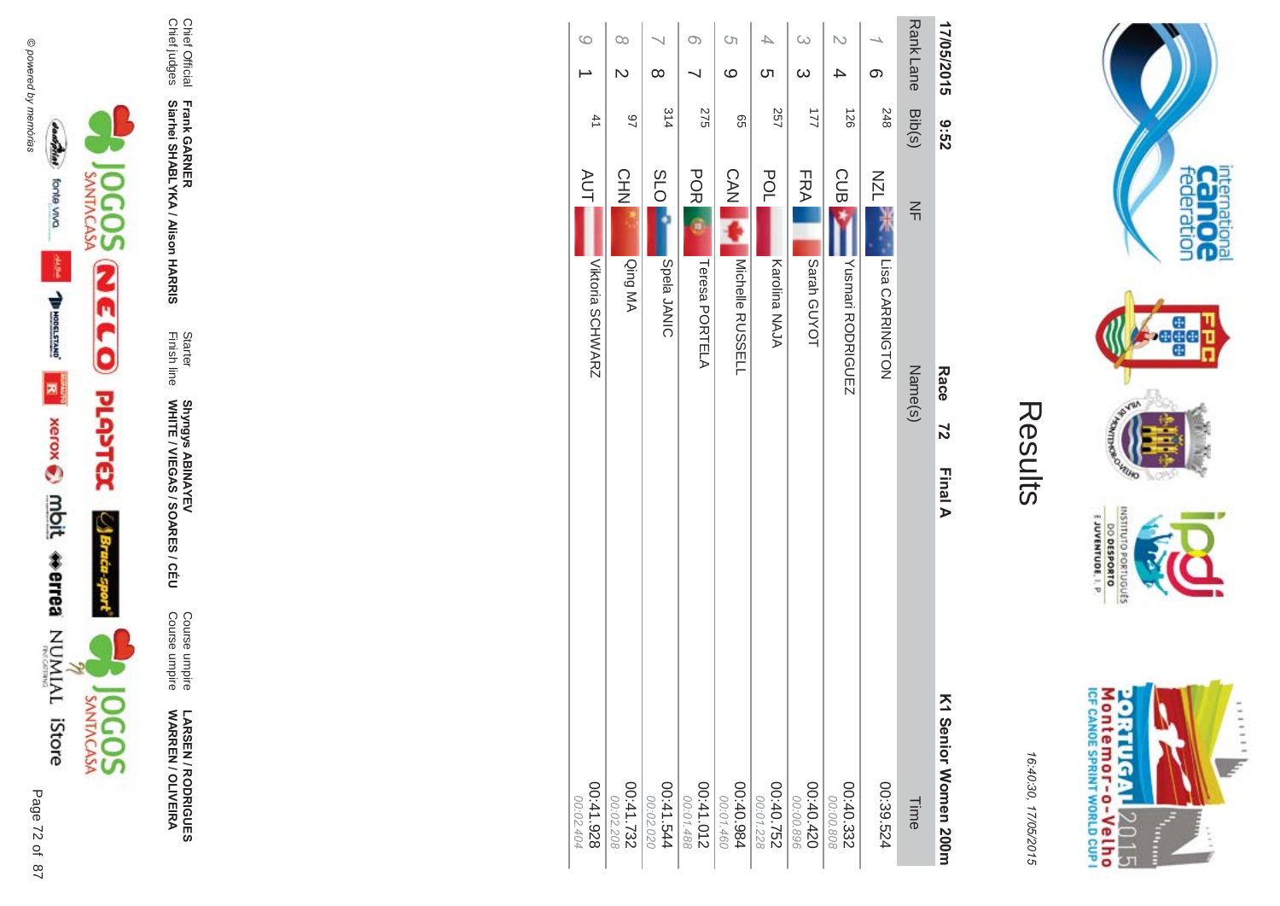





**!-SEN/R \*0-B-DES WARR EN / OLIVEIR** ъ

Course umpire<br>Course umpire Course umpire Course umpire

Finish line Starter WHITE / VIEGAS / SOAR Shyngys ABINAYEV<br>WHITE / VIEGAS / SOARES / CÉU Shyngys ABINAYEV

**Frank GAR - Siarhei SHABLYKA / Alison HAR** 

**-&**

Chief Official<br>Chief judges Chief judges Chief Official

|          | 17/05/2015 | 29:6   |                                  | Race<br>72 | Final A | K1 Serior Momen 200H    |
|----------|------------|--------|----------------------------------|------------|---------|-------------------------|
|          | Rank Lane  | Bib(s) | $\leq$                           | Name(s)    |         | Time                    |
|          | တ          | 248    | <b>NZL</b><br>Lisa CARRINGTON    |            |         | 00:39.524               |
| N        | 4          | 126    | <b>CUB</b><br>Yushmari RODRIGUEZ |            |         | 00:40.332<br>00:00.808  |
| $\omega$ | $\infty$   | 21     | FRA<br>Sarah GUYOT               |            |         | 00:40.420<br>00:00.896  |
| 4        | Cл         | 257    | POL<br>Karolina NAJA             |            |         | 00:40.752<br>00:01.228  |
| S)       | ဖ          | 99     | <b>CAN</b><br>Michelle RUSSELL   |            |         | 00:40.984<br>00:01.460  |
| $\circ$  |            | 275    | <b>POR</b><br>Teresa PORTELA     |            |         | 210.41.012<br>00:01.488 |
|          | $\infty$   | 314    | <b>SLO</b><br>Spela JANIC        |            |         | 41.544<br>00:02.020     |
| $\infty$ | N          | 46     | <b>CHN</b><br>Qing MA            |            |         | $00:41.732$<br>287.1-00 |
| $\circ$  |            | 41     | AUT<br>Viktoria SCHWARZ          |            |         | 826.1400<br>00:02.404   |
|          |            |        |                                  |            |         |                         |



internation<br>Can OC<br>federation

**page** 

VILLAD **NORD** 

INSNI

priuguts

E JUVENTUDE, I. P.

DO DESPORTO

16:4 10:30, 1 7/05/2015

Results

 $\pi$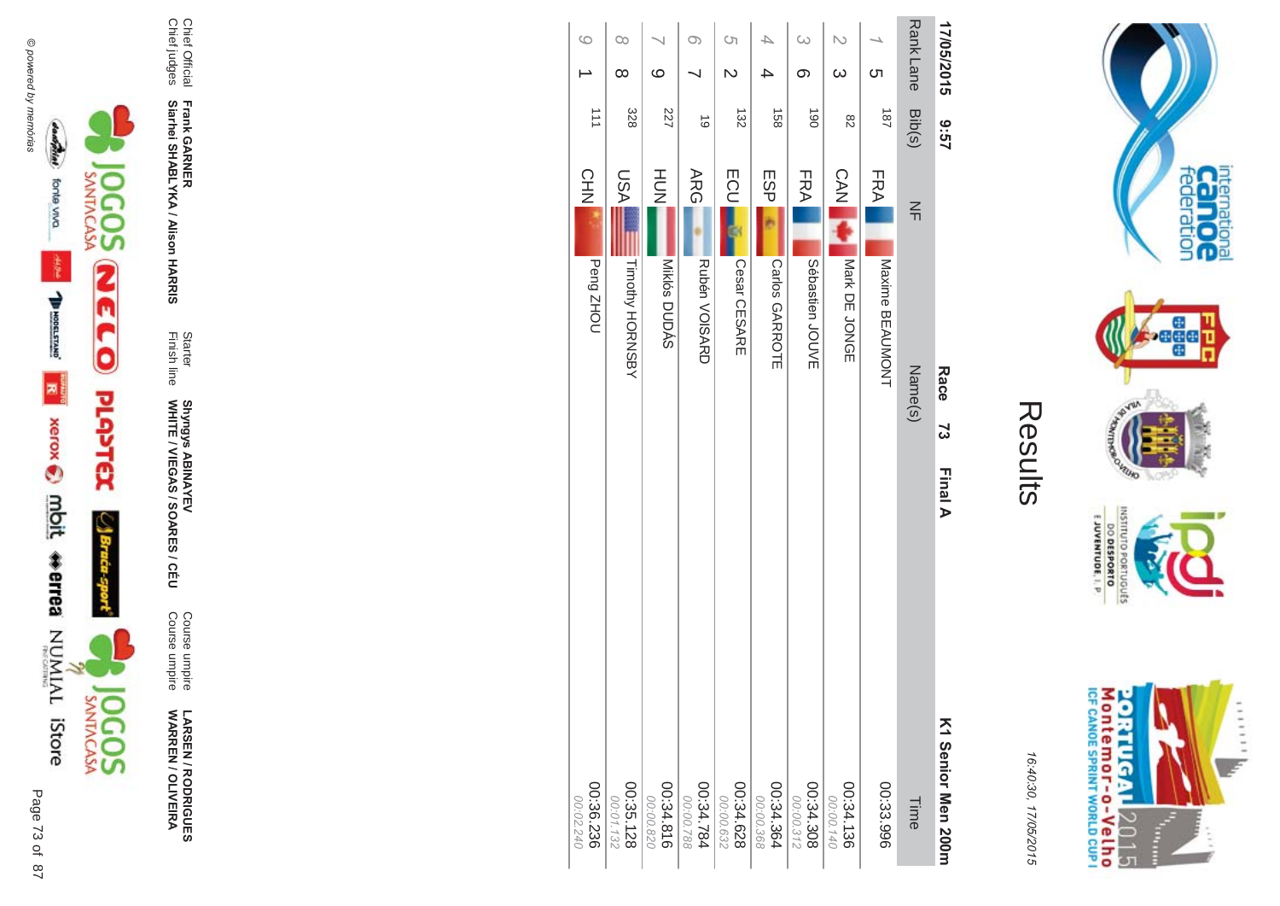





**LARSEN / RODRIGUES<br>WARREN / OLIVEIRA** 

Course umpire<br>Course umpire

Starter<br>Finish line Shyngys ABINAYEV<br>WHITE / VIEGAS / SOARES / CÉU

Frank GARNER<br>Siarhei SHABLYKA / Alison HARRIS

Chief Official<br>Chief judges

| 17/05/2015           | 79:6             |               | Race<br>73         | <b>Final A</b><br>K1 Serior Men 200m |
|----------------------|------------------|---------------|--------------------|--------------------------------------|
| Rank Lane            | Bib(s)           | $\frac{2}{1}$ | Name(s)            | Time                                 |
| <u>(</u>             | 181              | FRA           | Maxime BEAUMONT    | 00:33.996                            |
| N<br>$\omega$        | 82               | <b>CAN</b>    | Nark DE JONGE      | 00:34.136<br>00:00.140               |
| $\infty$<br>တ        | $\overline{061}$ | FRA           | Sébastien<br>JOUVE | $00:34.308$<br>805.4.308             |
| ≏<br>△               | 158              | ESP           | Carlos GARROTE     | 00:34.364                            |
| S)<br>$\mathsf{D}$   | 132              | <b>ECU</b>    | Cesar CESARE       | 00:34.628<br>00:00.632               |
| $\circ$              | $\vec{0}$        | ARG           | Rubén VOISARD      | 487.244.784<br>00:00.788             |
| $\circ$              | 227              | HU<br>N       | Miklós DUDÁS       | 00:34.816<br>00:00.820               |
| $\infty$<br>$\infty$ | 328              | <b>ASU</b>    | Timothy HORNSBY    | 00:35.128                            |
| $\circ$              | 111              | CHN           | Peng ZHOU          | 00:36.236<br>00:02.240               |
|                      |                  |               |                    |                                      |



internation<br>Can OC<br>federation

**VELHO** 

OLNILISNI

EJUVENTUDE, I. P.

DO DESPORTO ortuguts **NORD** 

16:40:30, 17/05/2015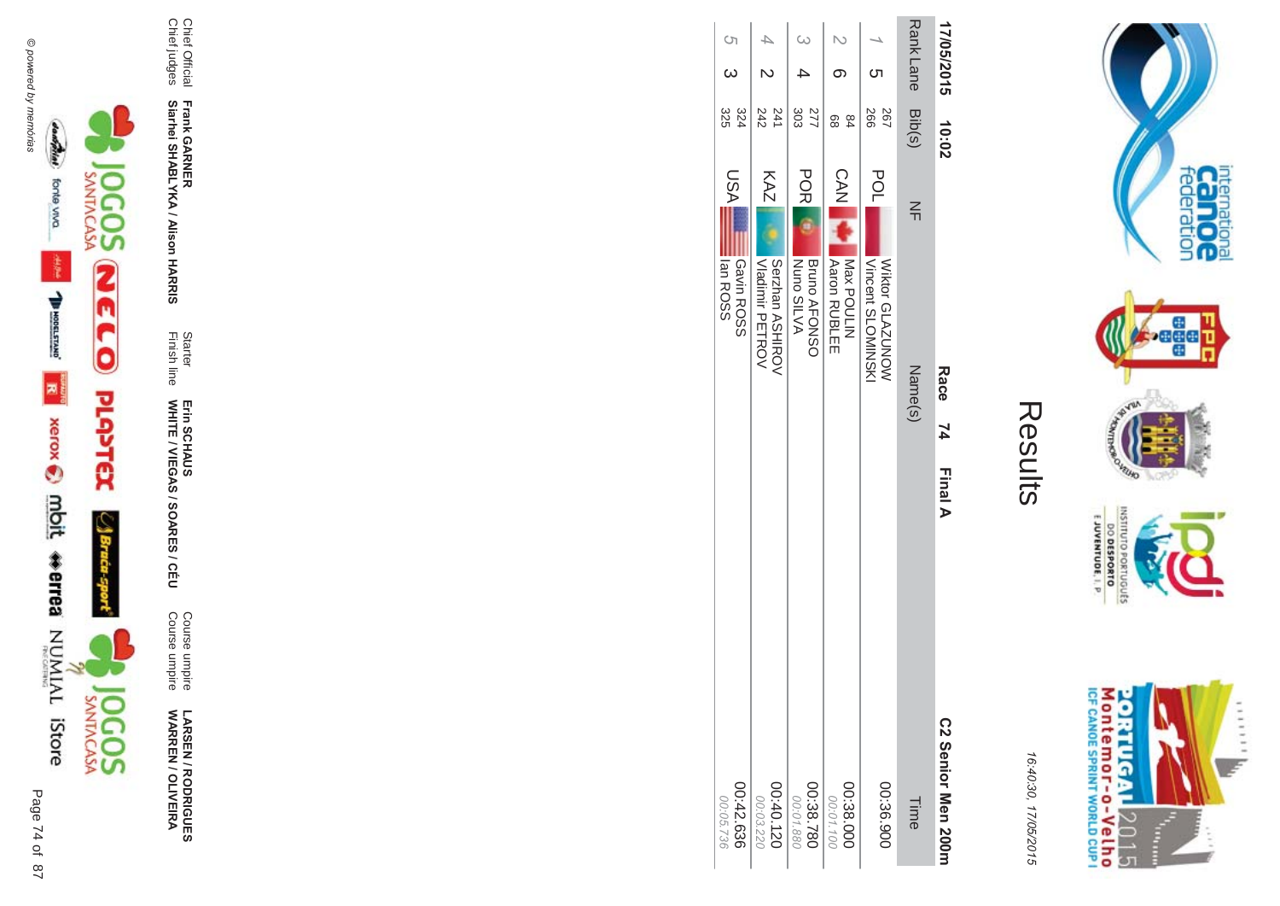



**!-SEN/R \*0-B-DES WARR EN / OLIVEIR** ъ

Course umpire<br>Course umpire Course umpire Course umpire

Finish line Starter WHITE / VIEGAS / SOAR Erin SCHAUS<br>WHITE / VIEGAS / SOARES / CÉU Erin SCHAUS

**Frank GAR - Siarhei SHABLYKA / Alison HAR** 

**-&**

Chief Official<br>Chief judges Chief judges Chief Official

| 17/05/2015       |          | 10:02              | Race 74                                                | <b>Final A</b><br>C2 Senior Men 200H |
|------------------|----------|--------------------|--------------------------------------------------------|--------------------------------------|
| Rank Lane Bib(s) |          |                    | 즊<br>Name(s)                                           | Time                                 |
|                  | <b>ဟ</b> | 266<br>267         | POL<br>Vincent SLOMINSKI<br>WONOZV79<br>Wiktor<br>CDVZ | 00:36.900                            |
|                  |          | 8<br>$\frac{8}{4}$ | CAN I<br><b>Adron RUBLEE</b><br>Nax POULIN             | 00:38.000<br>00:01.100               |
| $\omega$         |          | 303<br>277         | <b>POR</b><br>Bruno AFONSO<br>NUDS SILVA               | 00:38.780<br>00:01.880               |
|                  |          | $\frac{241}{242}$  | KAZ<br>Nadinir PETROV<br>Serzhan ASHIROV               | 00:40.120<br>00:03.220               |
| S<br>C           | .<br>ယ   | 324<br>325         | LSA<br>Ian ROSS<br>Gavin ROSS                          | 00:42.636<br>00:05.736               |
|                  |          |                    |                                                        |                                      |



GHTUND

**NORD** 

internation<br>Can OC<br>federation

**Bağad** 

16:4 10:30, 1 7/05/2015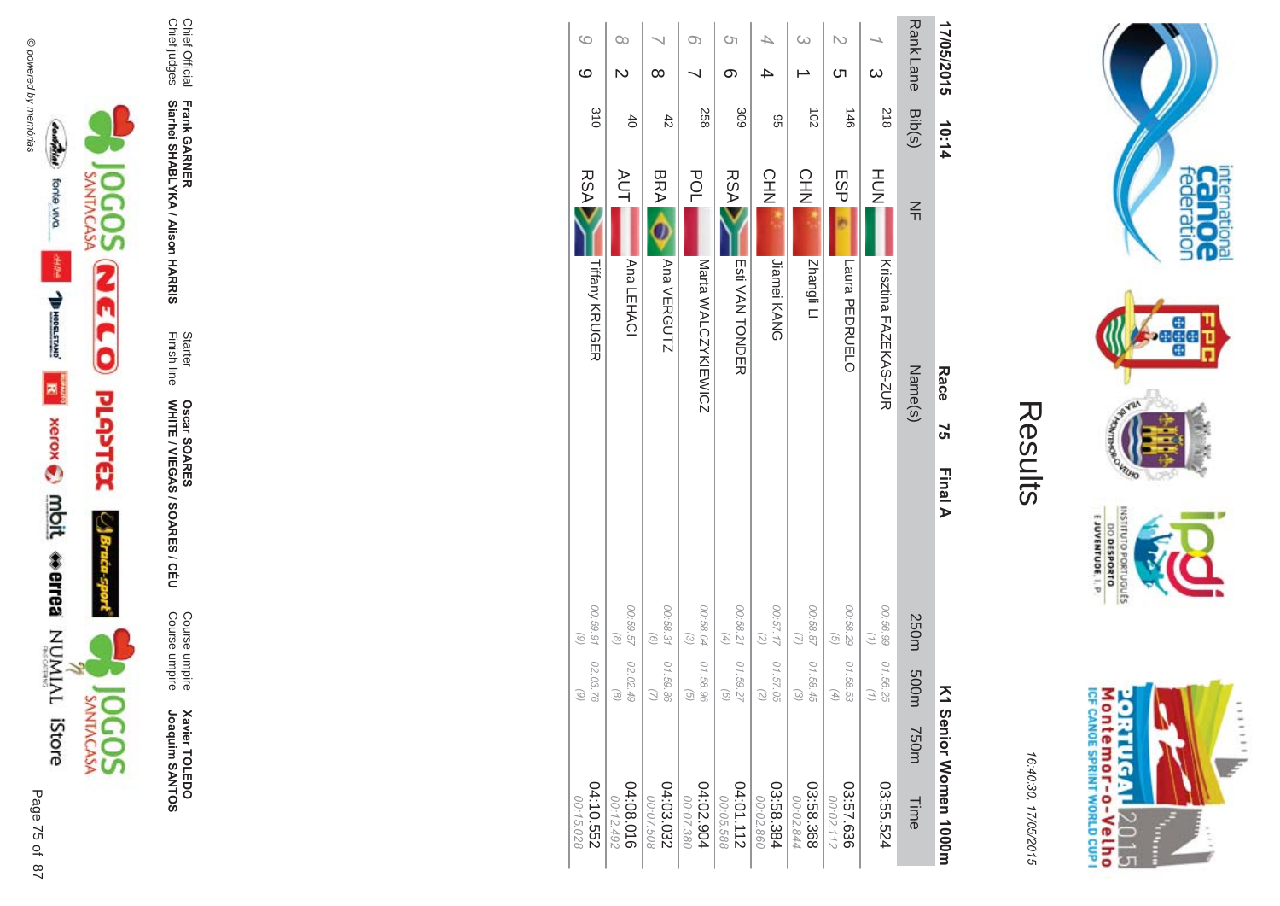



16:40:30, 17/05/2015

| ŗ. |
|----|
|    |
|    |

| 04:10.552<br>00:15.028 |             | 02:03.76<br>$\widehat{\omega}$ | 00:59.91<br>$\binom{6}{ }$                                 |         |    | <b>Tiffany KRUGER</b> | <b>RSA</b> | 310            | $\circ$         | $\circ$                  |
|------------------------|-------------|--------------------------------|------------------------------------------------------------|---------|----|-----------------------|------------|----------------|-----------------|--------------------------|
| 04:08.016<br>00:12.492 |             | 02:02.49<br>$\infty$           | 00:59.57<br>$\circ$                                        |         |    | Ana LEHACI            | <b>AUT</b> | $rac{4}{5}$    | N               | O0                       |
| 04:03.032<br>00:07.508 |             | 01:59.86                       | 00:58.31<br>$\odot$                                        |         |    | Ana VERGUTZ           | <b>BRA</b> | $rac{4}{5}$    | $\infty$        |                          |
| 04:02.904<br>00:07.380 |             | 01:58.96<br>G                  | 00:58.04<br>$\odot$                                        |         |    | Marta WALCZYKIEWICZ   | POL        | 258            |                 | O)                       |
| 211112<br>00:05.588    |             | 01:59.27<br>ි                  | 00:58.21<br>$\left( \begin{matrix} 4 \end{matrix} \right)$ |         |    | Esti VAN TONDER       | <b>RSA</b> | 309            | တ               | S)                       |
| 03:58.384<br>00:02.860 |             | 01:57.05<br>Î,                 | 27.177<br>(5)                                              |         |    | Jiamei KANG           | <b>CHN</b> | 96             |                 |                          |
| 03:58.368<br>00:02.844 |             | 01:58.45<br>$\omega$           | 00:58.87                                                   |         |    | Zhangli Ll            | CHN        | $\overline{5}$ |                 | ω                        |
| 03:57.636<br>00:02.112 |             | 01:58.53<br>Æ,                 | 00:58.29<br>$\odot$                                        |         |    | Laura PEDRUELO        | ESP        | $3+1$          | ഗ               | $\overline{\mathcal{C}}$ |
| 03:55.524              |             | 01:56.25                       | 00:56.99                                                   |         |    | Krisztina FAZEKAS-ZUR | HOH        | 812            | $\omega$        |                          |
| <b>Time</b>            | <b>750m</b> | m005                           | 250m                                                       |         |    | Name(s)               | $\leq$     | Bib(s)         | <b>RankLane</b> |                          |
| I Senior Women 1000m   |             | Ķ                              |                                                            | Final A | 57 | Race                  |            | 10:14          | 17/05/2015      |                          |



Chief Official<br>Chief judges

Frank GARNER<br>Siarhei SHABLYKA / Alison HARRIS

Starter<br>Finish line

Oscar SOARES<br>WHITE / VIEGAS / SOARES / CÉU

Course umpire<br>Course umpire

**Xavier TOLEDO**<br>Joaquim SANTOS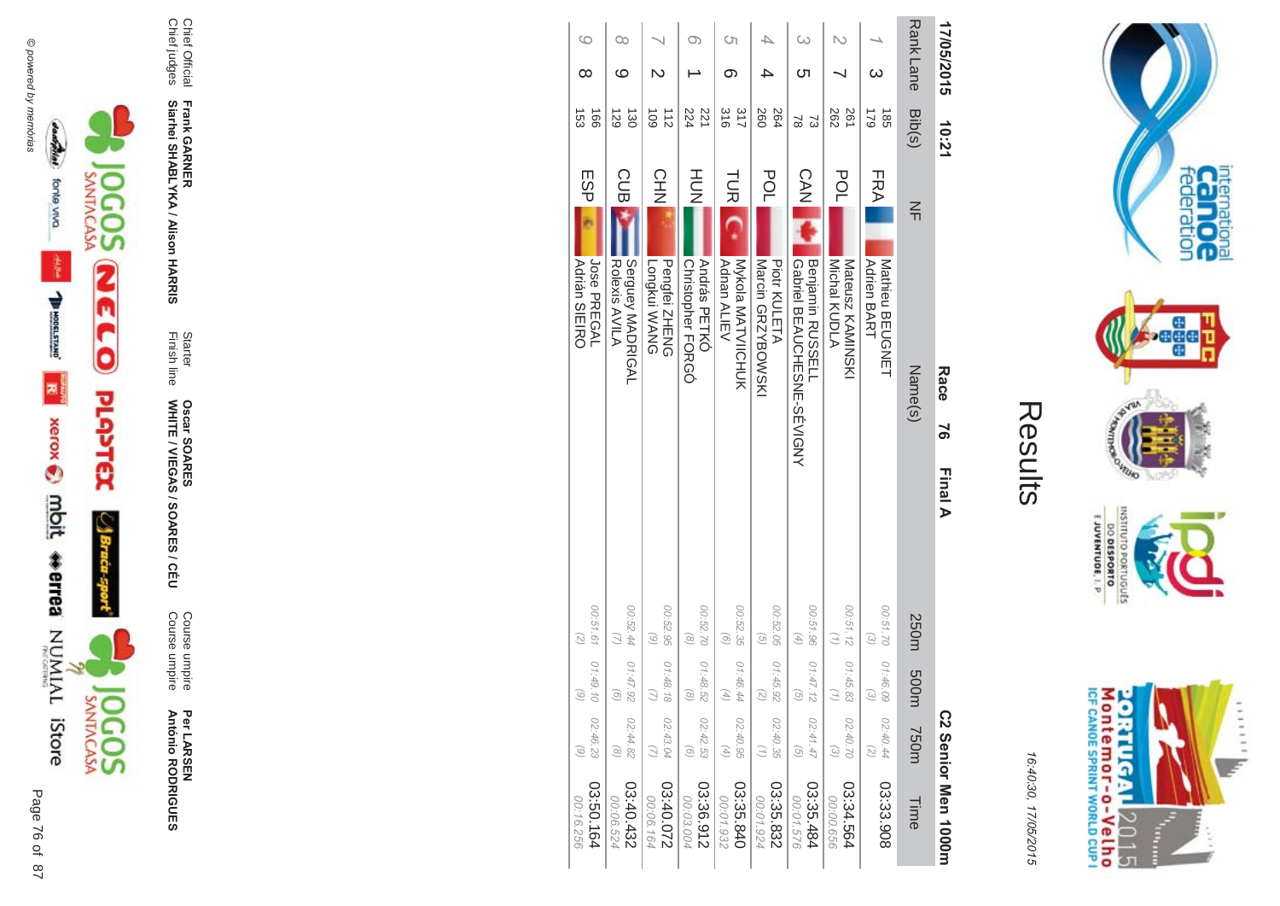



16:4 10:30, 1 7/05/2015

| ŗ. |
|----|
|    |
|    |
|    |
|    |

| 17/05/2015   | 10:21                                     |                                                                | Race<br>ა<br>ა | <b>Final A</b>                                             |                                        |                                               | C2 Senior Men 1000m    |
|--------------|-------------------------------------------|----------------------------------------------------------------|----------------|------------------------------------------------------------|----------------------------------------|-----------------------------------------------|------------------------|
| Rank Lane    | Bib(s)                                    | $\leq$                                                         | Name(s)        | 250m                                                       | m005                                   | T50m                                          | Time                   |
| ω            | 621<br>$-55$                              | <b>FRA</b><br><b>Adrien BART</b><br>Mathieu BEUGNET            |                | 00:51.70<br>$\widehat{\omega}$                             | 01:46.09<br>$\widehat{\epsilon}$       | 02:40.44<br>$\binom{2}{2}$                    | 03:33.908              |
|              | 282<br>261                                | POL<br>Mateusz KAMINSKI<br>Michal KUDLA                        |                | 00:51.12                                                   | 01:45.83<br>$\left(\frac{1}{2}\right)$ | 02:40.70<br>$\mathcal{E}$                     | 03:34.564<br>00:00.656 |
| G<br>౮       | 2<br>ವ                                    | CAN<br>Benjamin RUSSELL<br><b>CONDINE SENDER DE ADOLFARAJE</b> |                | 00:51.96<br>$\left( \begin{matrix} 4 \end{matrix} \right)$ | 01:47.12<br>G                          | 02:41.47<br>$\mathcal{G}$                     | 03:35.484<br>00:01.576 |
|              | 260<br>264                                | POL<br>Marcin GRZYBOWSKI<br><b>Piotr KULETA</b>                |                | 00:52.05<br>$\widehat{G}$                                  | 01:45.92<br>2                          | 02:40.35<br>$\left(\frac{1}{2}\right)$        | 03:35.832<br>00:01.924 |
| Cη<br>თ      | 317<br>$\frac{8}{91}$                     | <b>TUR</b><br>Mykola MATVIICHUK<br><b>Adnan ALIEV</b>          |                | 00:52.35<br>$\odot$                                        | 01:46.44<br>(4)                        | 02:40.95<br>$\begin{pmatrix} 4 \end{pmatrix}$ | 03:35.840<br>00:01.932 |
|              | 224<br>221                                | HUH<br>N<br>András PETKÓ<br>Christopher FORGÓ                  |                | 00:52.70<br>$\circ$                                        | 01:48.52<br>$\widehat{\alpha}$         | 02:42.53<br>$\odot$                           | 03:36.912<br>00:03.004 |
| N            | $\frac{1}{2}$<br>109                      | CHN<br>Pengfei ZHENG<br>Longkui WANG                           |                | 00:52.95<br>$\odot$                                        | 01:48.18                               | 02:43.04<br>$\overline{2}$                    | 22000330<br>00:06.164  |
| œ<br>ဖ       | $\overrightarrow{30}$<br>$\overline{129}$ | <b>CUB</b><br>Serguey MADRIGAL<br>Rolexis AVILA                |                | 00:52.44                                                   | 01:47.92<br>$\odot$                    | 02:44.82<br>$\circledcirc$                    | 03:40.432<br>00:06.524 |
| $\circ$<br>∞ | $-160$<br>$\overline{53}$                 | <b>ESP</b><br>Jose PREGAL<br><b>Adrián SIEIRO</b>              |                | 00:51.61<br>$\left( \frac{1}{C} \right)$                   | 01:49.10<br>$\odot$                    | 02:46.23<br>$\odot$                           | 03:50.164<br>00:16.256 |





Page

 $\overline{a}$ 76 of 87

Per LAR SEN **António R \*0-B-DES** 

**ES/CEU** Course umpire<br>Course umpire Course umpire Course umpire

Finish line Starter WHITE / VIEGAS / SOAR **Oscar SOAR** 53

**Frank GAR - Siarhei SHABLYKA / Alison HAR -&**

Chief Official<br>Chief judges Chief judges Chief Official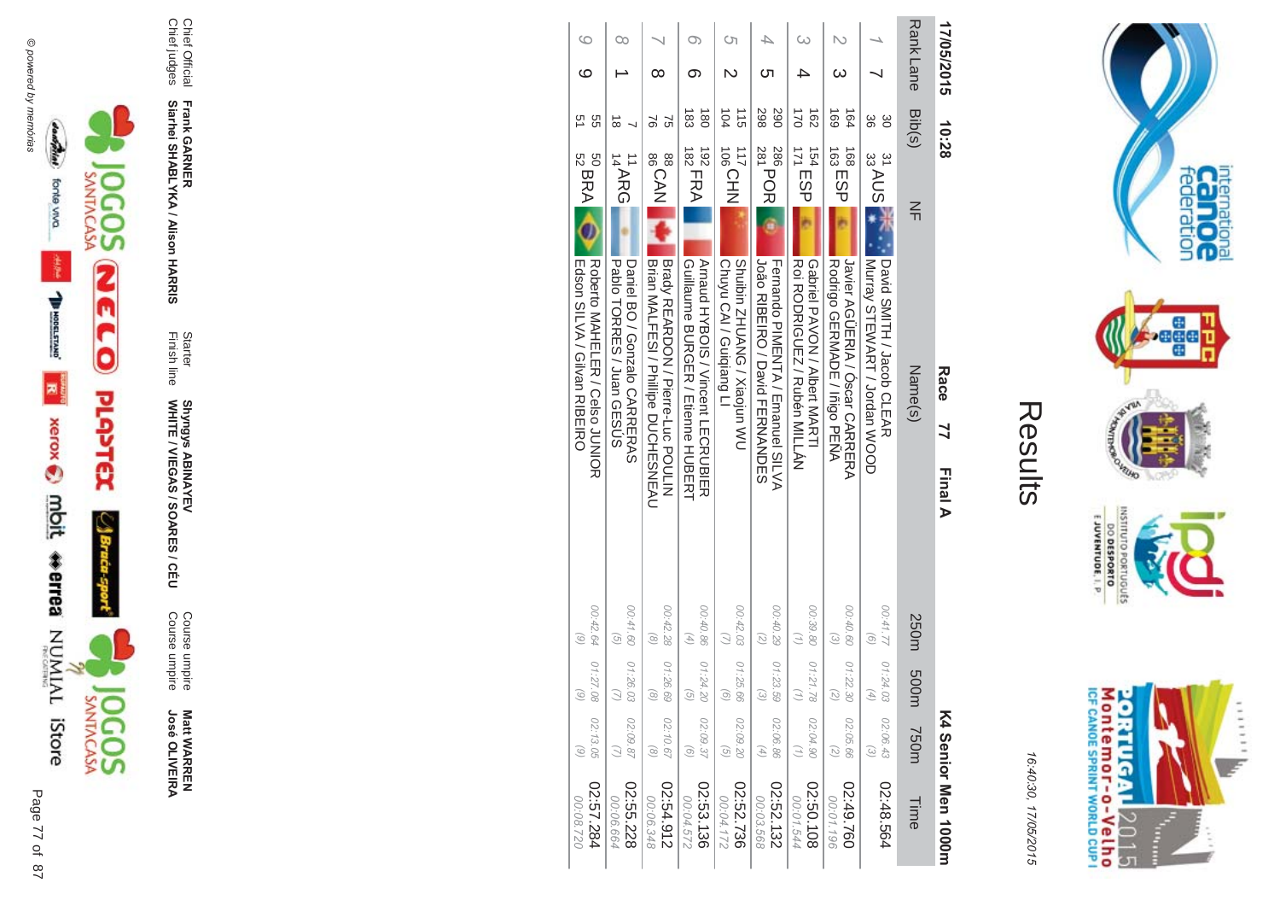



16:40:30, 17/05/2015

| ί<br>I. |
|---------|
|         |
|         |
|         |

| 17/05/2015       | 10:28                            |                                    | Race 77<br><b>Final A</b>                                                |                                                                | K4 Senior Men 1000m                                                                  |  |
|------------------|----------------------------------|------------------------------------|--------------------------------------------------------------------------|----------------------------------------------------------------|--------------------------------------------------------------------------------------|--|
| <b>Rank Lane</b> | Bib(s)                           | $\leq$                             | Name(s)                                                                  | 250m<br>m005                                                   | <b>750m</b><br>Time                                                                  |  |
|                  | 86<br>မွ                         | $\frac{31}{33}$ AUS $\frac{35}{4}$ | David SMITH / Jacob CLEAR<br>I Murray STEWART / Jordan WOOD              | 00:41.77<br>$\widehat{g}$<br>01:24.03<br>$\left( 4\right)$     | 02:06.43<br>$\widehat{\omega}$<br>02:48.564                                          |  |
|                  | 164<br>691                       | 163 ESP                            | Javier AGUEKIA / Oscar CAKEEKA<br>Rodrigo GERMADE / Inigo PENA           | 00:40.60<br>$\widehat{\epsilon}$<br>01:22.30<br>2              | 02:05.66<br>$\binom{2}{3}$<br>02:49.760<br>00:01.196                                 |  |
|                  | $\frac{1}{2}$<br>$\overline{62}$ | <b>ITTESP</b>                      | RODRIGUEZ / Rubén MILLÁN<br>Gapriel PAVON / Albert NARHI                 | 00:39.80<br>01:21.78                                           | 02:04.90<br>$\left(\frac{1}{2}\right)$<br>80109:20<br>00:01.544                      |  |
| ת                | 067<br>298                       | 286<br>281<br>281                  | João RIBEIRO / David FERNANDES<br>Fernando PIMENTA / Emanuel SILVA       | 00:40.29<br>$\binom{2}{2}$<br>01:23.59<br>$\widehat{\epsilon}$ | 02:06.86<br>$\left( \begin{matrix} 4 \end{matrix} \right)$<br>02:52.132<br>00:03.568 |  |
| S)<br>N          | 115<br>104                       | <b>106 CHN</b>                     | <b>CANDINATO / Xiaojun NC</b><br>Chuyu CAI / Guiqiang LI                 | 00:42.03<br>01:25.66<br>$\widehat{a}$                          | 02:09.20<br>$\mathcal{G}$<br>02:52.736<br>00:04.172                                  |  |
| ග                | జే<br>$\overline{8}$             | $\frac{1}{182}$ FRA<br>192         | Arnaud HYBOIS / Vincent LECRUBIER<br>Guillaume BURGEK / Etienne HUBEKH   | 00:40.86<br>$\left( \frac{4}{7} \right)$<br>01:24.20<br>G      | 02:09.37<br>$\odot$<br>02:53.136<br>00:04.572                                        |  |
| ∞                | 9<br>95                          | 88<br>BOAN                         | Brady REARDON / Pierre-Luc POULIN<br>Brian MALFESI / Phillipe DUCHESNEAU | 00:42.28<br>$\odot$<br>01:26.69<br>$\odot$                     | 02:10.67<br>$\odot$<br>2:54.912<br>00:06.348                                         |  |
| Оc               | $\vec{8}$                        | 14ARG                              | <b>Papio HORRES / Juan GESDS</b><br>Daniel BO / Gonzalo CARRERAS         | 00:41.60<br>$\widehat{G}$<br>01:26.03                          | 02:09.87<br>02:55.228<br>00:06.664                                                   |  |
| G<br>ဖ           | 95<br>51                         | <b>SO BRA</b><br>S2<br>S2          | Roberto MAHELER / Celso JUNIOR<br>Edson SILVA / Gilvan RIBEIRO           | 00:42.64<br>$\widehat{\circ}$<br>01:27.08<br>$\odot$           | 02:13.05<br>$\odot$<br>02:57.284<br>027.80:00                                        |  |



Chief Official<br>Chief judges

Frank GARNER<br>Siarhei SHABLYKA / Alison HARRIS

Starter<br>Finish line

Shyngys ABINAYEV<br>WHITE / VIEGAS / SOARES / CÉU

Course umpire<br>Course umpire

**Matt WARREN<br>José OLIVEIRA**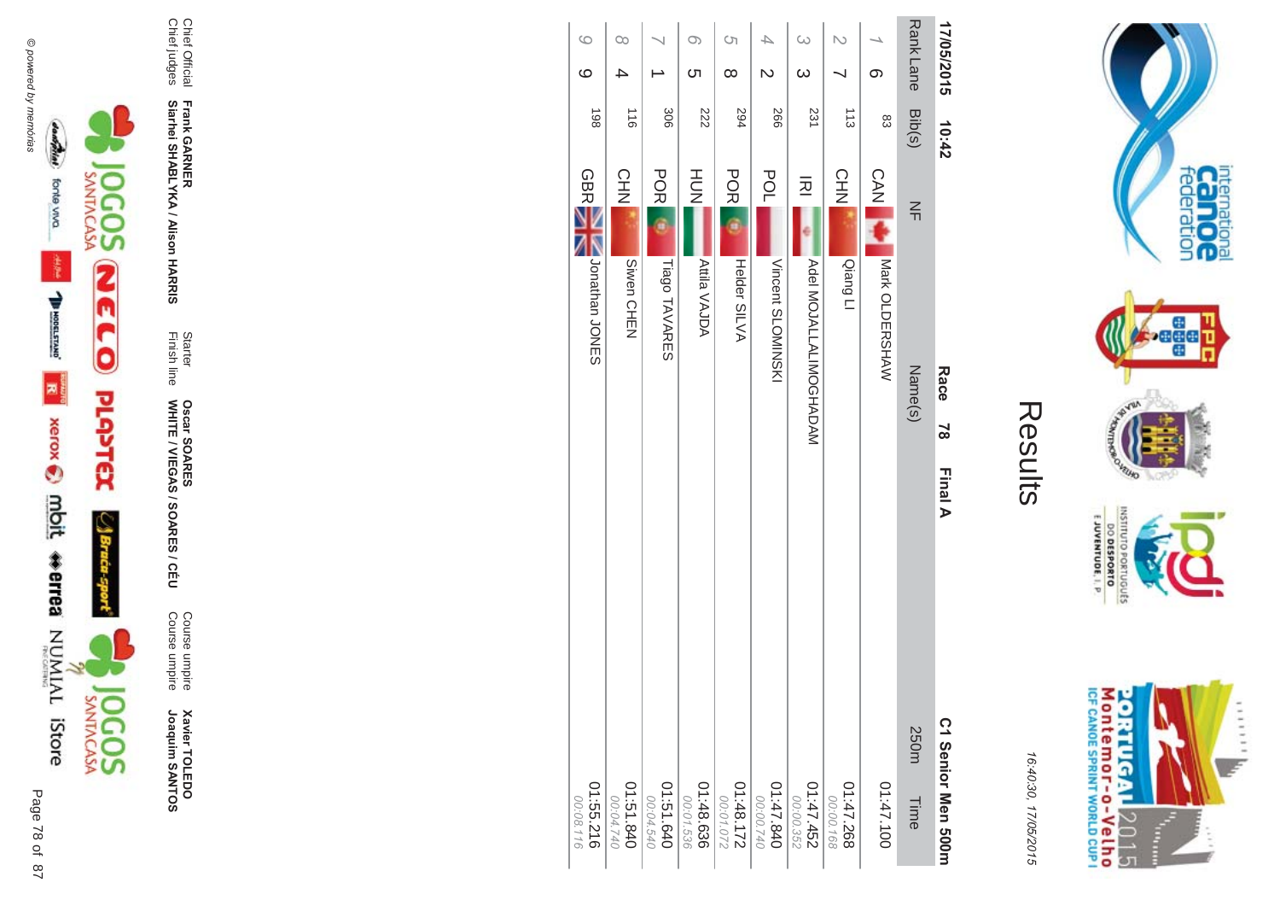



**Xavier TOLEDO**<br>Joaquim SANTOS

Course umpire<br>Course umpire

Starter<br>Finish line Oscar SOARES<br>WHITE / VIEGAS / SOARES / CÉU

Frank GARNER<br>Siarhei SHABLYKA / Alison HARRIS

Chief Official<br>Chief judges

|           | $\infty$ |            |                        |           | $\infty$            | Ċη       |                          | 4                       |                   | $\infty$  |                      |           |            |            |                | Rank Lane | 17/05/2015         |
|-----------|----------|------------|------------------------|-----------|---------------------|----------|--------------------------|-------------------------|-------------------|-----------|----------------------|-----------|------------|------------|----------------|-----------|--------------------|
|           |          |            |                        |           | <u>(</u>            | $\infty$ |                          | $\overline{\mathsf{C}}$ |                   | $\omega$  |                      |           |            | $\infty$   |                |           |                    |
|           |          | 116        | 306                    |           | 222                 |          | 294                      |                         | 997               |           | 231                  |           | 113        |            | 83             | Bib(s)    | 10:42              |
|           | CHN      |            | <b>POR</b>             |           | HU<br>N             |          | <b>POR</b>               |                         | <b>POL</b>        |           | 应                    |           | <b>CHN</b> | <b>CAN</b> |                | $\leq$    |                    |
|           |          | Siwen CHEN | Tiago TAVARES          |           | <b>Attila VAJDA</b> |          | Helder SILVA             |                         | Vincent SLOMINSKI |           | MAQAHOOMILALIALOMIOA |           | Qiang Ll   |            | Mark OLDERSHAW |           |                    |
|           |          |            |                        |           |                     |          |                          |                         |                   |           |                      |           |            |            |                | Name(s)   | Race               |
|           |          |            |                        |           |                     |          |                          |                         |                   |           |                      |           |            |            |                |           | $\overline{8}$     |
|           |          |            |                        |           |                     |          |                          |                         |                   |           |                      |           |            |            |                |           | <b>Final A</b>     |
|           |          |            |                        |           |                     |          |                          |                         |                   |           |                      |           |            |            |                | 250m      |                    |
| 00:04.740 |          | 01:51.840  | 01:51.640<br>02:04.540 | 00:01.536 | 01:48.636           |          | $01:48.172$<br>271.88.10 | 00:00.740               | 04:47.840         | 00:00.352 | 01:47.452            | 00:00.168 | 01:47.268  |            | 01:47.10       | Time      | C1 Senior Men 500m |



internation<br>Can OC<br>federation

 $\cdot$ ağa

**VELHO NORS** 

OLNILISNI

orruguts

 $\frac{6!13001N3A0013}{0180653000}$ 

16:40:30, 17/05/2015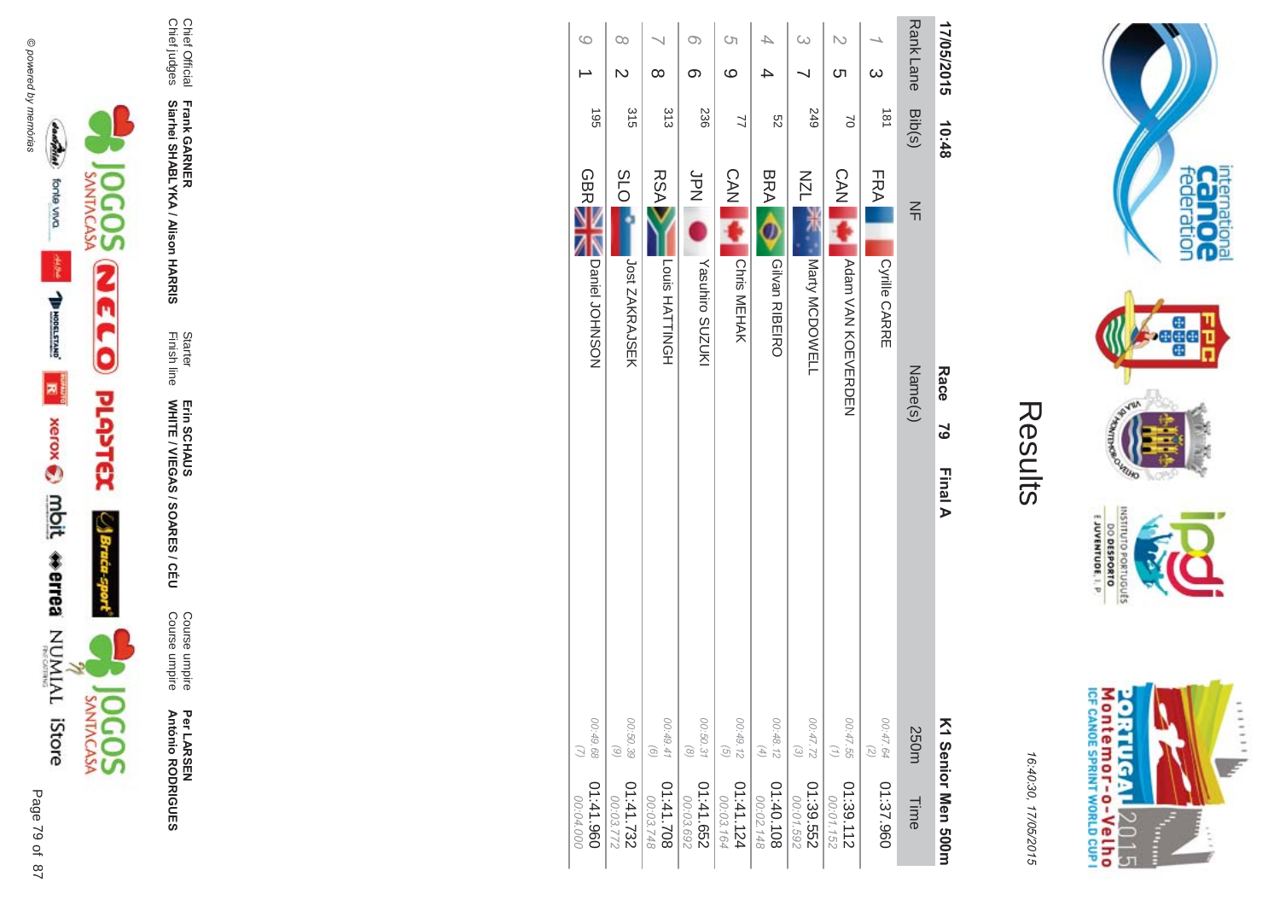



16:4 10:30, 1 7/05/2015

| ſ. |
|----|
|    |
|    |

| 17/05/2015                          | 10:48      | <b>Race</b><br>$\overline{6}$<br>Final A |                                                                         | K1 Serior Men 500m     |
|-------------------------------------|------------|------------------------------------------|-------------------------------------------------------------------------|------------------------|
| <b>RankLane</b>                     | Bib(s)     | $\leq$<br>Name(s)                        | 250m                                                                    | Time                   |
| $\omega$                            | 181        | FRA<br><b>Cyrille CARRE</b>              | 00:47.64<br>$\left(\begin{smallmatrix} 2 \\ 0 \end{smallmatrix}\right)$ | 01:37.960              |
| <u>(</u>                            | $\approx$  | CAN<br>Adam VAN KOMVERDEN                | 00:47.55<br>$(\tau)$                                                    | 01:39.112<br>00:01.152 |
| $\omega$                            | 249        | <b>NZN</b><br>Marty MCDOWELL             | 00:47.72<br>$\odot$                                                     | 01:39.552<br>00:01.592 |
| 4                                   | S2         | <b>BRA</b><br>Gilvan RIBEIRO             | 00:48.12<br>$\left( \begin{matrix} 4 \end{matrix} \right)$              | 01:40.108<br>00:02.148 |
| G<br>ဖ                              | 77         | <b>CAN</b><br>Chris MEHAK                | 00:49.12<br>$\left(\frac{1}{2}\right)$                                  | 01:41.124<br>00:03.164 |
| $\infty$<br>တ                       | 236        | bd<br>N<br>Yasuhiro SUZUKI               | 00:50.31<br>$\circledcirc$                                              | 01:41.652<br>00:03.692 |
| $\infty$                            | 313        | <b>RSA</b><br>Louis HATTINGH             | 00:49.41<br>$\odot$                                                     | 01:41.708<br>00:03.748 |
| $\infty$<br>$\overline{\mathsf{C}}$ | 315        | <b>SLO</b><br>Jost ZAKRAJSEK             | 00:50.39<br>$\begin{array}{c} \odot \end{array}$                        | 1:41.732<br>2772.030   |
| $\circ$                             | <b>S61</b> | <b>GBR</b><br>Daniel JOHNSON             | 00:49.68                                                                | 01:41.960<br>00:04.000 |



Chief Official

Chief judges

Chief Official<br>Chief judges

**Frank GAR** 

**-**

**Siarhei SHABLYKA / Alison HAR** 

**-&**

Finish line Starter

WHITE / VIEGAS / SOAR Erin SCHAUS<br>WHITE / VIEGAS / SOARES / CÉU

Erin SCHAUS

Course umpire

Course umpire

Course umpire<br>Course umpire

Per LAR

**António R** 

**\*0-**

**B-DES** 

SEN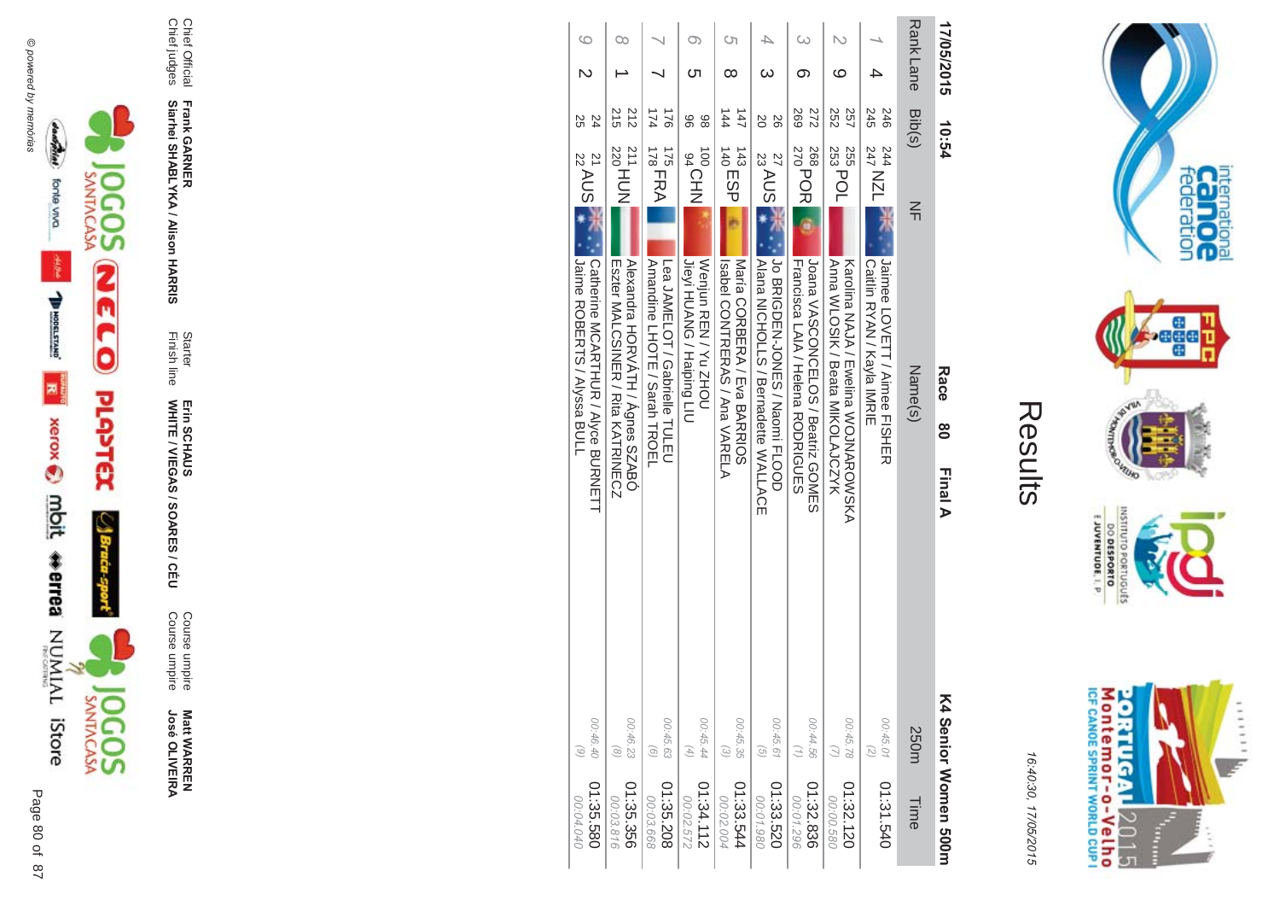



**Matt WARREN<br>José OLIVEIRA** 

Course umpire<br>Course umpire

Starter<br>Finish line Erin SCHAUS<br>WHITE / VIEGAS / SOARES / CÉU

Frank GARNER<br>Siarhei SHABLYKA / Alison HARRIS

Chief Official<br>Chief judges

| 17/05/2015       | 10:54                                           | Race<br>8<br>Final A                                                          | (4 Senior Women 500m                                                                 |
|------------------|-------------------------------------------------|-------------------------------------------------------------------------------|--------------------------------------------------------------------------------------|
| <b>Rank Lane</b> | Bib(s)                                          | $\leq$<br>Name(s)                                                             | 250m<br>Time                                                                         |
|                  | 245<br>246<br>544 NZL<br>247 NZL                | Jaimee LOVETT / Aimee FISHER<br>Caitiin KYAN / Kayla IMKIE                    | 00:45.01<br>$\binom{2}{2}$<br>01:31.540                                              |
| ဖ                | 252<br>257<br>$\frac{1}{253}$ POL<br>255        | Anna WLOSIK / Beata MIKOLAJCZYK<br>Karolina NAJA / Ewelina NOJNARONOKA        | 00:45.78<br>01:32.120<br>00:00.580                                                   |
| ග                | <b>269</b><br>272<br>268<br>270<br>270          | <b>Coana VASCONCELOS / Beatriz GOMES</b><br>Francisca LAIA / Hehena RODRIGUES | 00:44.56<br>(1)<br>01:32.836<br>00:01.296                                            |
| ω                | 20<br>92<br>$\frac{27}{23}$ AUS $\frac{4}{4}$   | Jo BRIGDEN-JONES / Naomi FLOOD<br><b>Alana NICHOLLS / Bernadera WALLACE</b>   | 00:45.61<br>$\widehat{G}$<br>01:33.520<br>08610.00                                   |
| Cη<br>∞          | $\frac{1}{4}$<br>$\overline{47}$<br>$143$ ESP   | Naria CORBERA / Fva BARANIOS<br>Isapel CONTREAS / Ana / ANELA                 | 00:45.35<br>$\odot$<br>01:33.544<br>00:02.004                                        |
| O)<br>্য         | 86<br>86<br><b>UOCHN</b>                        | Jieyi HUANG / Haiping LIU<br>Wenjun REN/YU ZHOU                               | 00:45.44<br>$\left( \begin{matrix} 4 \end{matrix} \right)$<br>01:34.112<br>00:02.572 |
|                  | 174<br>921<br>$\frac{175}{178}$ FRA             | Annancine LHOTE / Sarah TROEL<br>Lea JAMELOT / Gaprielle TULEU                | 00:45.63<br>$\odot$<br>01:35.208<br>00:03.668                                        |
| œ                | 215<br>212<br>$^{211}_{220}$ HUN                | Alexandra HORVATH / Agnes SZABÓ<br>Eszter MALCSINEK / Kita KALKINECZ          | 00:46.23<br>$\odot$<br>01:35.356<br>00:03.816                                        |
| $\circ$          | 24<br>25<br>$\frac{21}{22}$ AUS $\frac{1}{2}$ . | Catherine MCAKIHUK / Alyce BUKNETI <br>Jaine ROBERTS / Alyssa BULL            | 00:46.40<br>$\frac{6}{5}$<br>01:35.580<br>00:04.040                                  |
|                  |                                                 |                                                                               |                                                                                      |



internation<br>Can OC<br>federation

**Page** 

**RUID NORS** 

INSILIO

priuguts

E JUVENTUDE, I. P.

DO DESPORTO

16:40:30, 17/05/2015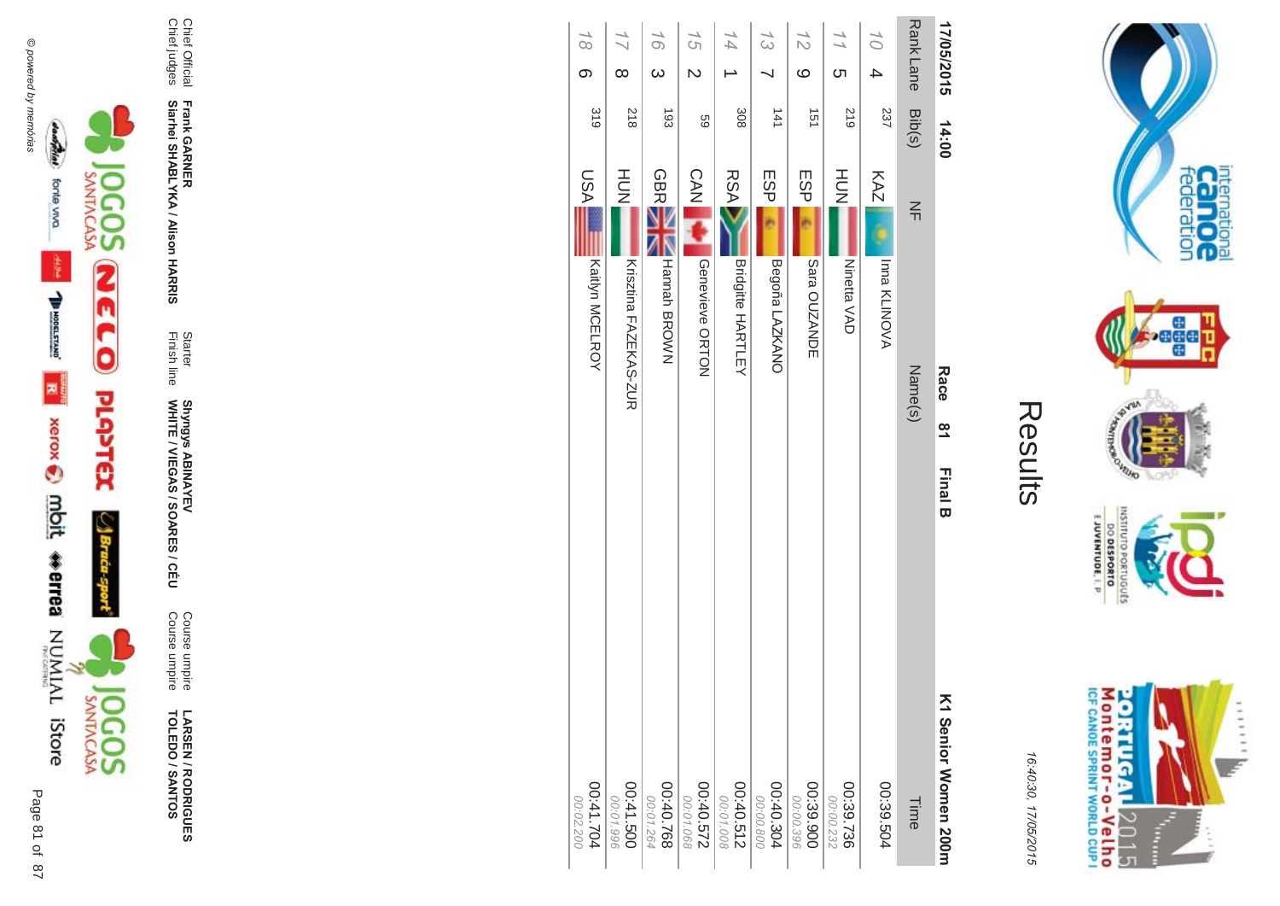





LARSEN / RODRIGUES<br>TOLEDO / SANTOS

Course umpire<br>Course umpire

Starter<br>Finish line Shyngys ABINAYEV<br>WHITE / VIEGAS / SOARES / CÉU

Frank GARNER<br>Siarhei SHABLYKA / Alison HARRIS

Chief Official<br>Chief judges

| $\omega$<br>$\overline{C}$<br>$\infty$<br>တ<br>318<br>218<br>308<br>193<br>69<br>HOH<br><b>GBRE</b><br><b>CAN</b><br><b>RSA</b><br>NSU<br><b>Hannah BROWN</b><br>Geneviewe ORTON<br>Kaitlyn MCELROY<br><b>Bridgitte HARTLEY</b><br>Krisztina FAZEKAS-ZUR | <b>RankLane</b><br>17/05/2015<br>$\frac{7}{2}$<br>$\gamma_O$<br>$\frac{7}{3}$<br>$\frac{1}{1}$<br>$\circ$<br>4<br><u>(</u> | Bib(s)<br>617<br>237<br>141<br>151<br>14:00 |
|----------------------------------------------------------------------------------------------------------------------------------------------------------------------------------------------------------------------------------------------------------|----------------------------------------------------------------------------------------------------------------------------|---------------------------------------------|
| <b>ESP</b><br>ESP<br>Begoña LAZKANO<br>Sara OUZANDE                                                                                                                                                                                                      |                                                                                                                            |                                             |
|                                                                                                                                                                                                                                                          |                                                                                                                            |                                             |
|                                                                                                                                                                                                                                                          |                                                                                                                            |                                             |
|                                                                                                                                                                                                                                                          | 14                                                                                                                         |                                             |
|                                                                                                                                                                                                                                                          | 15                                                                                                                         |                                             |
|                                                                                                                                                                                                                                                          | 16                                                                                                                         |                                             |
|                                                                                                                                                                                                                                                          | $\frac{1}{2}$                                                                                                              |                                             |
|                                                                                                                                                                                                                                                          | $\overline{6}$                                                                                                             |                                             |



internation<br>Can OC<br>federation

**Page** 

**RUID LOP** 

OLNILISNI

EJUVENTUDE, I. P.

DO DESPORTO orruguts

16:40:30, 17/05/2015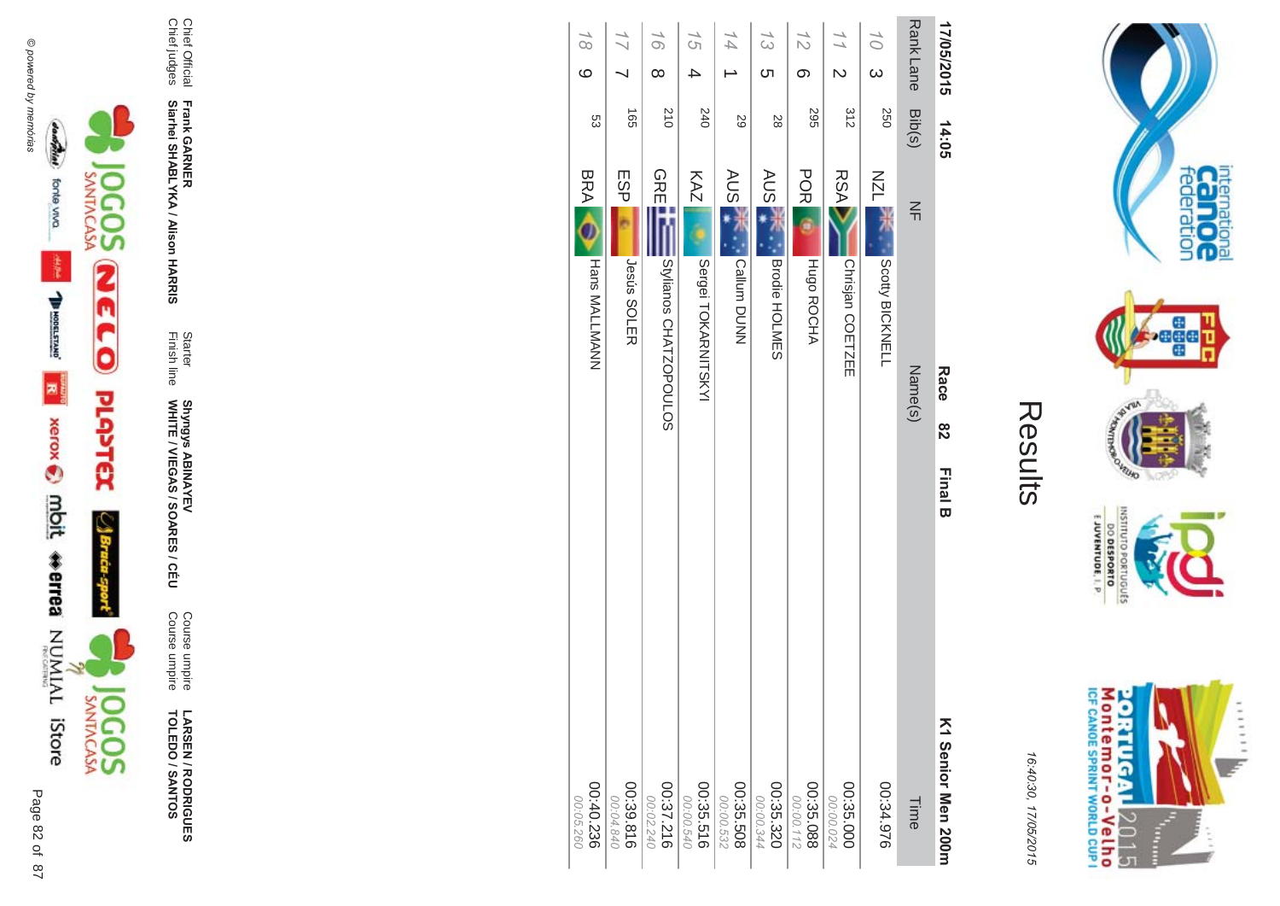





LARSEN / RODRIGUES<br>TOLEDO / SANTOS

Course umpire<br>Course umpire

Starter<br>Finish line Shyngys ABINAYEV<br>WHITE / VIEGAS / SOARES / CÉU

Frank GARNER<br>Siarhei SHABLYKA / Alison HARRIS

Chief Official<br>Chief judges

|                 | 17/05/2015                     | 14:05                           | Race<br>82              |
|-----------------|--------------------------------|---------------------------------|-------------------------|
| <b>RankLane</b> | Bib(s)                         | $\leq$                          | Name(s)                 |
| 10              | $\omega$<br>250                | <b>NZN</b>                      | Scotty BICKNELL         |
| 77              | $\overline{\mathsf{c}}$<br>315 | <b>RSA</b>                      | Chrisjan COETZEE        |
| $\frac{7}{2}$   | တ<br><b>295</b>                | <b>POR</b><br>Hugo ROCHA        |                         |
| $\frac{7}{3}$   | <b>ပာ</b><br>28                | <b>AUS</b>                      | Brodie HOLMES           |
| 14              | 29                             | AUS <sup>-</sup><br>Callum DUNN |                         |
| 15              | 4<br>240                       | KAZ                             | Sergei TOKARNITSKYI     |
| 16              | $\infty$<br>210                | <b>GRE</b>                      | SMianos<br>CHATZOPOULOS |
|                 | $\frac{1}{20}$                 | ESP<br><b>Jesús SOLER</b>       |                         |
| $\overline{8}$  | $\circ$<br>ςg                  | <b>BRA</b>                      | <b>Hans MALLMANN</b>    |



internation<br>Can OC<br>federation

**Page** 

**RUID NORS** 

INSNI

E JUVENTUDE, I. P.

DO DESPORTO orruguts

16:40:30, 17/05/2015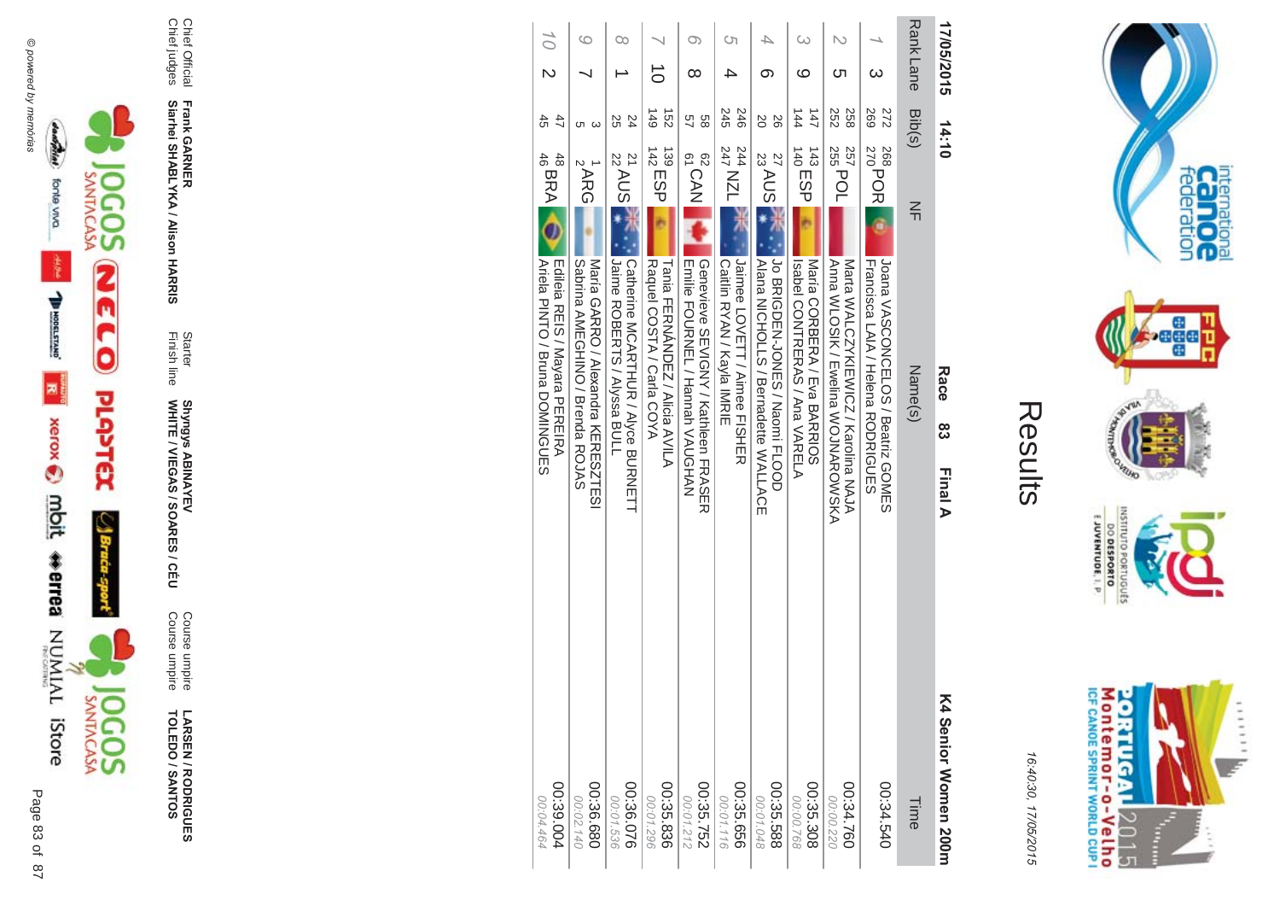



16:4 10:30, 1 7/05/2015

| ŗ. |
|----|
|    |
|    |

 $\pi$   $\rightarrow$ 

| 17/05/2015                                        | 14:10                                  | Race<br>ထွ<br>Final A                                                             | K4 Senior Momen 200n    |
|---------------------------------------------------|----------------------------------------|-----------------------------------------------------------------------------------|-------------------------|
| Rank Lane                                         | Bib(s)                                 | $\leq$<br>Name(s)                                                                 | Time                    |
| ယ                                                 | <b>269</b><br>272<br>268<br>270<br>270 | É<br>Joana VASCONCELOS / Beatriz GONES<br>Francisca LAIA / Helena RODRIGUES       | 00:34.540               |
| N<br>ပာ                                           | 252<br>258<br><sup>257</sup> POL       | A<br>DIN SALOSIK / Ewelina WONNADOWN<br>N<br>Natta WALONYKIEWION / Karolina NAJA  | 00:34.760<br>00:00.220  |
| ဖ                                                 | $\frac{1}{4}$<br>147<br>$140$ ESP      | Isapel CONTRERAS / And <<<NEP </a<br>Maria CORBERY / Flya BARKIO2                 | 00:35.308<br>00:00.768  |
| ග                                                 | 20<br>92<br>$\frac{1}{23}$ AUS<br>27   | Jo BRIGDEN-JONES / Naomi FLOOD<br> Alana MOHOLLO / Bernadette MALLACE             | 00:35.588<br>00:01.048  |
| ্য                                                | 245<br>246<br>244 NZL                  | Jaimee LOVETT / Aimee FISHER<br>Caitiin KYAN / Kayla IMKIE                        | 00:35.656<br>00:01.116  |
| O)<br>∞                                           | 89<br>57<br><sup>62</sup> CAN          | Genevieve SENIGMA / Kathleen FKASEK<br><b>Emilie FOURNEL / Hannah VAUGHAN</b>     | 00:35.752<br>00:01.212  |
| ਠੋ                                                | $6+1$<br>$\frac{152}{2}$<br>$142$ ESP  | Raquel COSTA / Carla COYA<br><b>Tania FIERNANDENA / Alicia AVILA</b>              | 00:35.836<br>00:01.296  |
| ೦೦                                                | 25<br>24<br>$\frac{21}{22}$ AUS        | Catherine MCAKIHUK / Alyce BUKNEIII <br>Jure ROBERTS / Alyssa BULL                | 00:36.076<br>00:01.536  |
| ဖ                                                 | ပ ယ<br>$\frac{1}{2}$ ARG               | <b>SACIDAL ANDOLLINO / Buenda ROLAS</b><br>Maria GARRO / Mexandra KERESZIESI      | 089.36.680<br>00:02.140 |
| $\widetilde{\bigcirc}$<br>$\overline{\mathsf{C}}$ | 45<br>47<br>$^{48}_{46}$ BRA           | <b>Ariela PINTO / Bruna DOMINGURS</b><br><b>TOILOID ATTION NOWARED PERFENSIVE</b> | 00:39.004<br>00:04.464  |



 $\overline{a}$ 83 of 87



**TOLEDO / SANTOS** 

**!-**

**- -&**

Chief judges

**Siarhei SHABLYKA / Alison HAR** 

Course umpire<br>Course umpire Course umpire Course umpire

Shyngys ABINAYEV

Finish line Starter

Chief Official<br>Chief judges Chief Official **Frank GAR** 

**SEN/R \*0-B-DES** 

WHITE / VIEGAS / SOAR **Shyngys ABINAYEV<br>WHITE / VIEGAS / SOARES / CÉU**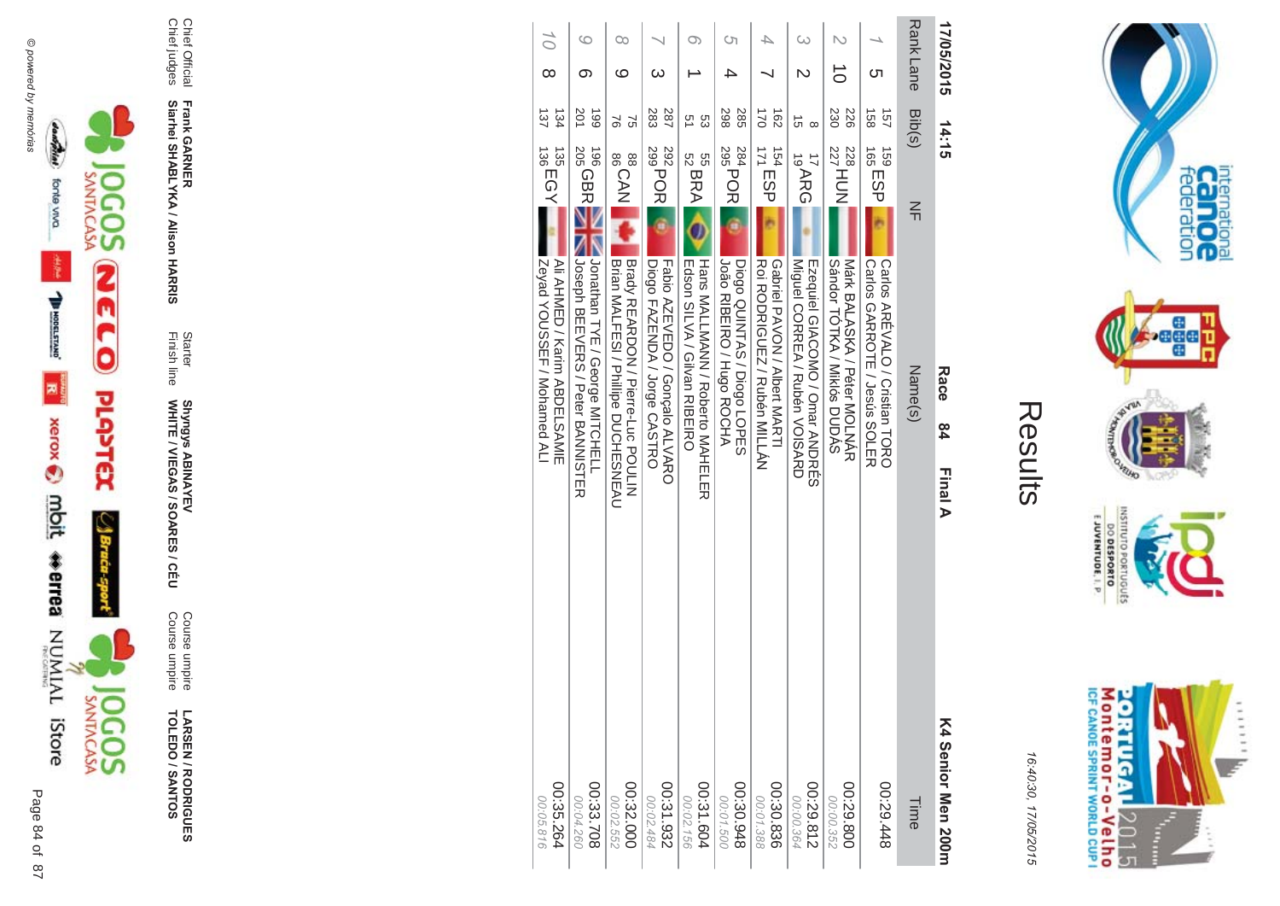



LARSEN / RODRIGUES<br>TOLEDO / SANTOS

Course umpire<br>Course umpire

Shyngys ABINAYEV<br>WHITE / VIEGAS / SOARES / CÉU

Frank GARNER<br>Siarhei SHABLYKA / Alison HARRIS

Chief Official<br>Chief judges

Starter<br>Finish line

| 17/05/2015       | 14:15                                                 | Race<br>84<br>Final A                                                                                                                 | K4 Senior Men 200m       |
|------------------|-------------------------------------------------------|---------------------------------------------------------------------------------------------------------------------------------------|--------------------------|
| <b>Rank Lane</b> | Bib(s)                                                | $\leq$<br>Name(s)                                                                                                                     | Time                     |
| ഗ                | $\frac{158}{158}$<br>157<br>165 ESP<br><b>159</b>     | <b>Carlos GARROTE / Jesús SOLER</b><br><b>Carlos ARÉVALO / Cristian TORO</b>                                                          | 00:29.448                |
| $\vec{\circ}$    | 230<br>226<br>228<br>227HUN                           | SADD 101KA / Nikios DUDAS<br>Nark BALASKA / Peter MOLNAK                                                                              | 00:29.800<br>00:00.352   |
| ω<br>N           | ದ<br>$\infty$<br>$17$ ARG                             | Miguel CORREA / Ruben VOISARD<br>mzequiel GIACOMO / Omar ANDRES                                                                       | 29.812<br>00:00.364      |
| 4                | $\frac{162}{2}$<br>$\frac{1}{2}$<br>154<br>171<br>171 | Roi RODRIGUEZ / Ruben NILLAN<br>Gabriel PAVON / Albert MARTI                                                                          | 00:30.836<br>00:01.388   |
| Cл               | 298<br>285<br>284<br>295<br>295                       | Ġ<br><b>NORO RUBENO / Hugo ROCHA</b><br>Diogo QUINTAS/Diogo LOPES                                                                     | 8+6'030.948<br>00:01.500 |
|                  | 51<br>ςg                                              | 55<br>52 BRA<br>Q<br>Hans MALLMANN / Roberto MAHELER<br><b>Edson SILVA / Gilvan RIBEIRO</b>                                           | 00:31.604<br>00:02.156   |
| ω                | 283<br>287<br>292<br>299<br>299<br>299                | é<br><b>Fabio AZEVEDO / Goncalo ALVARO</b><br>Diogo FAZENDA / Jorge CASTRO                                                            | 00:31.932<br>00:02.484   |
| Oо<br>ဖ          | S)<br>97<br>88                                        | <b>SGCAN</b><br>  Brady REARDON / Pierre-Luc POULIN<br>Brian MALFIESI / Phillipe DUCHESNEAU                                           | 00:32.000<br>00:02.552   |
| ဖ<br>ග           | 201<br>661                                            | 196 GBR AN LJonathan TYE / George MI I CHELL<br>205 GBR AN LJoseph BEEVERS / Peter BANNISTER<br><b>NUMBER OPPORTS AND NET SERVICE</b> | 00:33.708<br>00:04.260   |
| 10<br>$\infty$   | 134<br>137<br>135<br>135<br>136<br>DCY                | Zeyad YOUSSEF / Mohambad ALI<br>Mi AHMED / Karim ABDEL SAMIE                                                                          | 00:35.264<br>00:05.816   |
|                  |                                                       |                                                                                                                                       |                          |



internation<br>Cal OC<br>federation

 $\frac{1}{2}$ 

**Beger** 

wayn.

**HANNO** 

OLNILISNI

E JUVENTUDE, I. P.

DO DESPORTO GRIUGUES **NOPO** 

16:40:30, 17/05/2015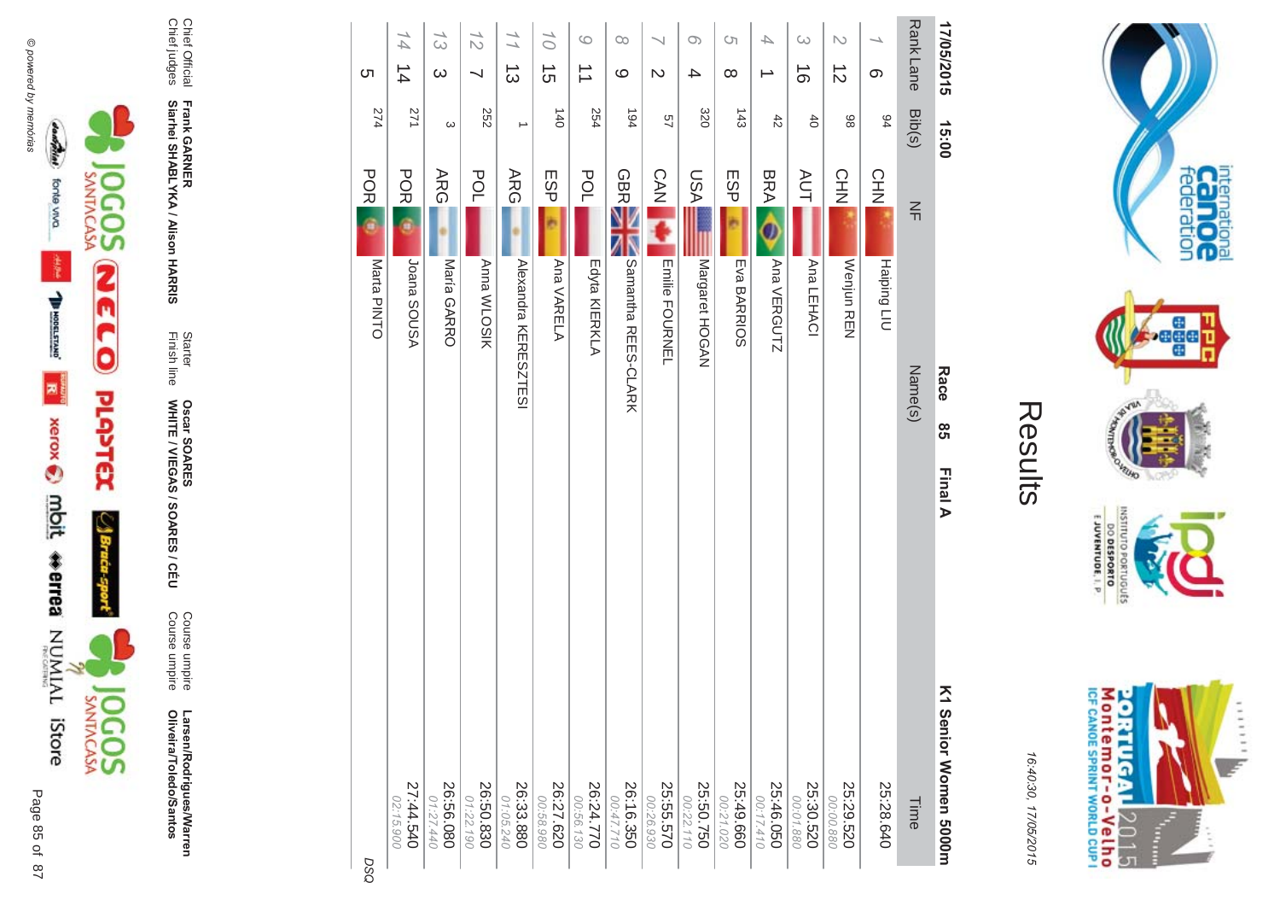

Larsen/Rodrigues/Warren<br>Oliveira/Toledo/Santos

Course umpire<br>Course umpire

Starter<br>Finish line **Oscar SOARES<br>WHITE / VIEGAS / SOARES / CÉU** 

Frank GARNER<br>Siarhei SHABLYKA / Alison HARRIS

Chief Official<br>Chief judges

| <b>ຕ</b>    | 14<br>$\frac{1}{4}$    | 13<br>$\infty$         | $\frac{7}{2}$          | $\frac{1}{1}$<br>ပြ         | 10 <sub>1</sub><br>$\vec{5}$ | $\circ$<br>$\vec{\phantom{a}}$ | $\infty$<br>ပ              | $\mathcal{D}$          | $\circ$<br>4           | S<br>$\infty$          | 4                      | $\omega$<br>$\vec{0}$ | $\triangleright$<br>$\vec{c}$ | တ           | Rank Lane      | 17/05/2015              |
|-------------|------------------------|------------------------|------------------------|-----------------------------|------------------------------|--------------------------------|----------------------------|------------------------|------------------------|------------------------|------------------------|-----------------------|-------------------------------|-------------|----------------|-------------------------|
|             |                        |                        |                        |                             |                              |                                |                            |                        |                        |                        |                        |                       |                               |             |                |                         |
| 274         | 271                    | $\omega$               | 252                    | →                           | 140                          | 254                            | 194                        | 57                     | 320                    | 143                    | $\ddot{4}$             | $\overline{6}$        | 86                            | 94          | Bib(s)         | 15:00                   |
| <b>POR</b>  | POR                    | <b>ARG</b>             | POL                    | ARG                         | ESP                          | POL                            | <b>GBRE</b>                | CAN                    | NSU                    | <b>ESP</b>             | <b>BRA</b>             | <b>AUT</b>            | CHN                           | CHN         | $\frac{2}{11}$ |                         |
| ś           |                        |                        |                        |                             |                              |                                |                            |                        |                        |                        |                        |                       |                               |             |                |                         |
| Marta PINTO | ASUOS BOISA            | María GARRO            | <b>Anna WLOSIK</b>     | <b>Alexandra KERESZTESI</b> | Ana VARELA                   | Edyta KIERKLA                  | <b>Samantha REES-CLARK</b> | <b>Emilie FOURNEL</b>  | Margaret HOGAN         | Eva BARRIOS            | Ana VERGUTZ            | Ana LEHACI            | Wenjun REN                    | Haiping LIU |                |                         |
|             |                        |                        |                        |                             |                              |                                |                            |                        |                        |                        |                        |                       |                               |             | Name(s)        | Race                    |
|             |                        |                        |                        |                             |                              |                                |                            |                        |                        |                        |                        |                       |                               |             |                | <b>ვ</b>                |
|             |                        |                        |                        |                             |                              |                                |                            |                        |                        |                        |                        |                       |                               |             |                | Final A                 |
| DSO         | 27:44.540<br>02:15.900 | 26:56.080<br>20:56.080 | 26:50.830<br>01:22.190 | 26:33.880<br>01:05.240      | 26:27.620<br>00:58.980       | 26:24.770<br>00:56.130         | 26:16.350<br>00:47.710     | 25:55.570<br>00:26.930 | 25:50.750<br>00:22.110 | 25:49.660<br>00:21.020 | 25:46.050<br>00:17.410 | 25:30.520             | 25:29.520<br>00:00.880        | 25:28.640   | <b>Time</b>    | Σ<br>Senior Women 5000m |





internation<br>Can OC<br>federation

 $\frac{1}{2}$ 

**VILLIO LOP** 

OLNILISNI

EJUVENTUDE, I. P.

DO DESPORTO orruguts

16:40:30, 17/05/2015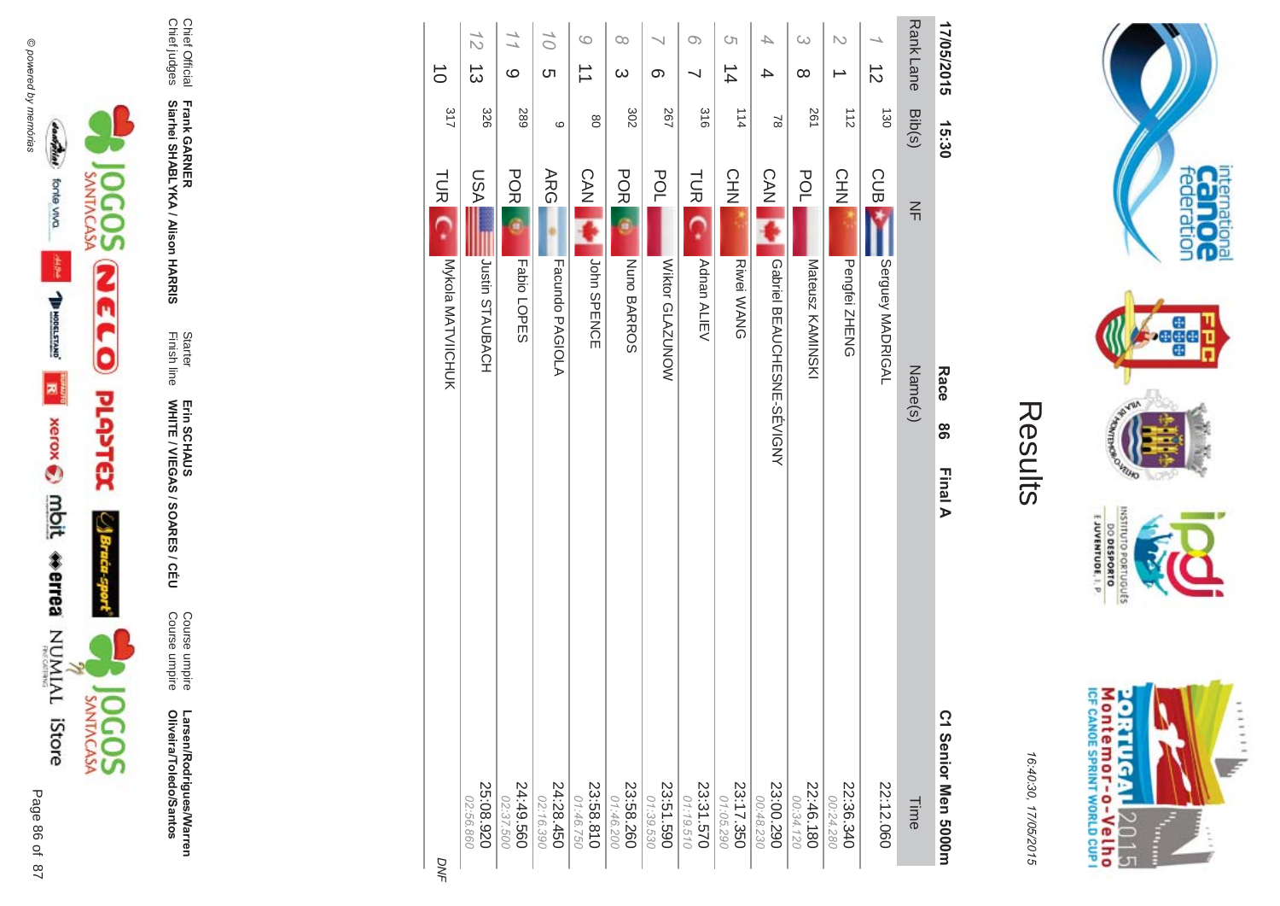

Larsen/Rodrigues/Warren<br>Oliveira/Toledo/Santos :odrigues/Warren Oliveira/Toledo/Santos

Course umpire<br>Course umpire Course umpire Course umpire

Finish line Starter WHITE / VIEGAS / SOAR Erin SCHAUS<br>WHITE / VIEGAS / SOARES / CÉU Erin SCHAUS

**Frank GAR - Siarhei SHABLYKA / Alison HAR** 

**-&**

Chief Official<br>Chief judges Chief judges Chief Official

|                   | $\frac{1}{2}$          | $\frac{1}{1}$            | 10 <sub>1</sub>        | $\circ$                | $\infty$               |                        | $\circ$                | S                      | $\overline{\phantom{a}}$       | $\omega$               | $\overline{\mathcal{C}}$ |                  |                  |  |
|-------------------|------------------------|--------------------------|------------------------|------------------------|------------------------|------------------------|------------------------|------------------------|--------------------------------|------------------------|--------------------------|------------------|------------------|--|
| $\vec{0}$         | ದ                      | $\circ$                  | <b>ຕ</b>               | $\overrightarrow{=}$   | $\infty$               | တ                      |                        | $\frac{1}{4}$          | 4                              | $\infty$               | ∸                        | $\vec{z}$        |                  |  |
| 317               | 326                    | 589                      | $\circ$                | $8^{\circ}$            | 302                    | 267                    | 316                    | 114                    | 2                              | 261                    | $\frac{1}{2}$            | 130              | Rank Lane Bib(s) |  |
|                   | IASU                   | <b>POR</b>               | ARG                    | CAN P                  | <b>POR</b>             | POL                    | <b>TUR</b>             | CHN                    | CAN SA                         | POL                    | <b>CHN</b>               | <b>CUB</b>       | $\leq$           |  |
| TURE COMMANDICHUK | Justin STAUBACH        | Fabio LOPES              | Facundo PAGIOLA        | John SPENCE            | Nuno BARROS            | Wiktor GLAZUNOW        | Adnan ALIEV            | <b>Riwei WANG</b>      | <b>Gondiel BEANCHESNE-SEXT</b> | Mateusz KAMINSKI       | Pengfei ZHENG            | Serguey MADRIGAL | Name(s)          |  |
| <b>DNF</b>        | 25:08.920<br>02:56.860 | $24:49.560$<br>02:37.500 | 24:28.450<br>02:16.390 | 23:58.810<br>01:46.750 | 23:58.260<br>01:46.200 | 23:51.590<br>01:39.530 | 23:31.570<br>01:19.510 | 23:17.350<br>01:05.290 | 23:00.290<br>00:48.230         | 22:46.180<br>00:34.120 | 22:36.340<br>00:24.280   | 22:12.060        | Time             |  |



16:4 10:30, 1 7/05/2015

Results

E JUVENTUDE, I. P.

**DESPORTO** sanonua

**Race** 

98

**Final A** 

C1 Senior Men 5000m

C1 Senior Men 5000m

17/05/2015 16:30<br> **Race** 86

015 15:30

15:30

17/05/2015